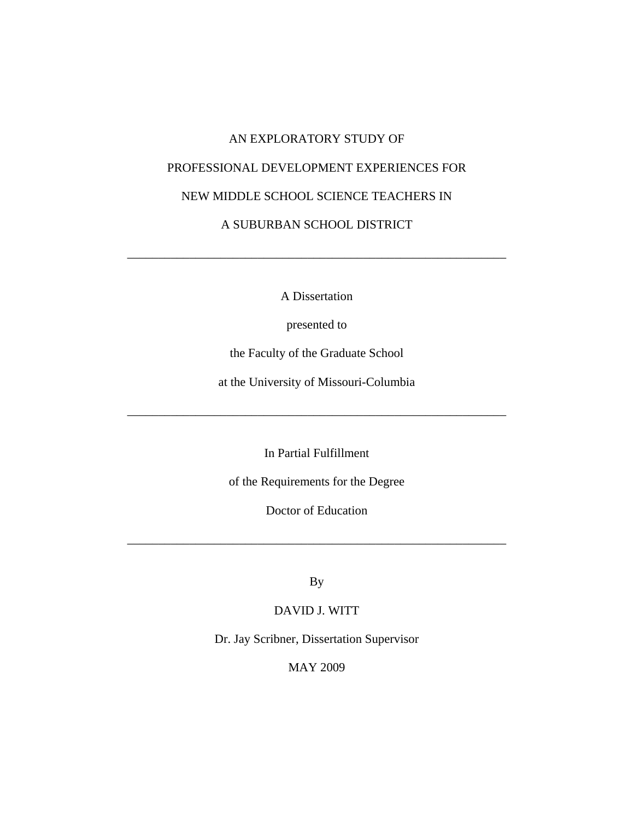# AN EXPLORATORY STUDY OF PROFESSIONAL DEVELOPMENT EXPERIENCES FOR NEW MIDDLE SCHOOL SCIENCE TEACHERS IN A SUBURBAN SCHOOL DISTRICT

A Dissertation

\_\_\_\_\_\_\_\_\_\_\_\_\_\_\_\_\_\_\_\_\_\_\_\_\_\_\_\_\_\_\_\_\_\_\_\_\_\_\_\_\_\_\_\_\_\_\_\_\_\_\_\_\_\_\_\_\_\_\_\_\_

presented to

the Faculty of the Graduate School

at the University of Missouri-Columbia

\_\_\_\_\_\_\_\_\_\_\_\_\_\_\_\_\_\_\_\_\_\_\_\_\_\_\_\_\_\_\_\_\_\_\_\_\_\_\_\_\_\_\_\_\_\_\_\_\_\_\_\_\_\_\_\_\_\_\_\_\_

In Partial Fulfillment

of the Requirements for the Degree

Doctor of Education

\_\_\_\_\_\_\_\_\_\_\_\_\_\_\_\_\_\_\_\_\_\_\_\_\_\_\_\_\_\_\_\_\_\_\_\_\_\_\_\_\_\_\_\_\_\_\_\_\_\_\_\_\_\_\_\_\_\_\_\_\_

By

DAVID J. WITT

Dr. Jay Scribner, Dissertation Supervisor

MAY 2009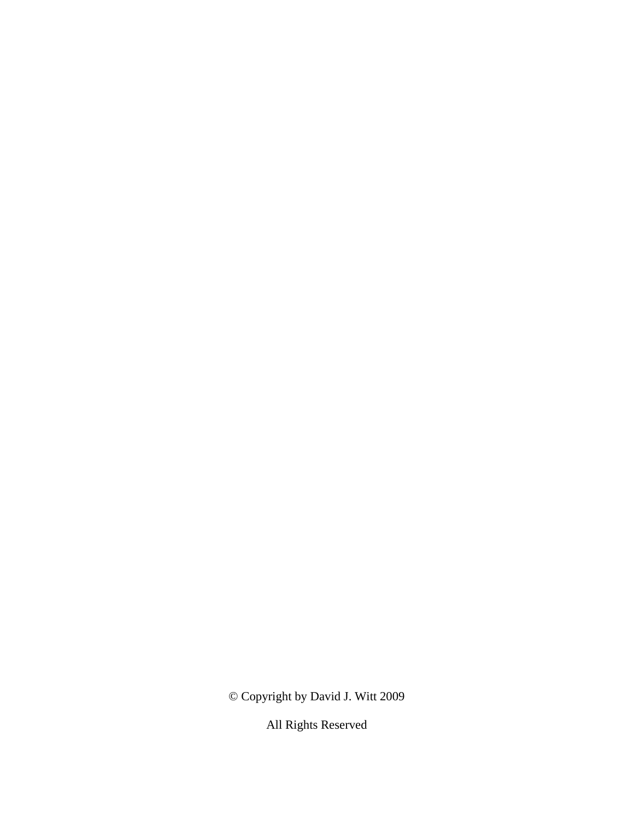© Copyright by David J. Witt 2009

All Rights Reserved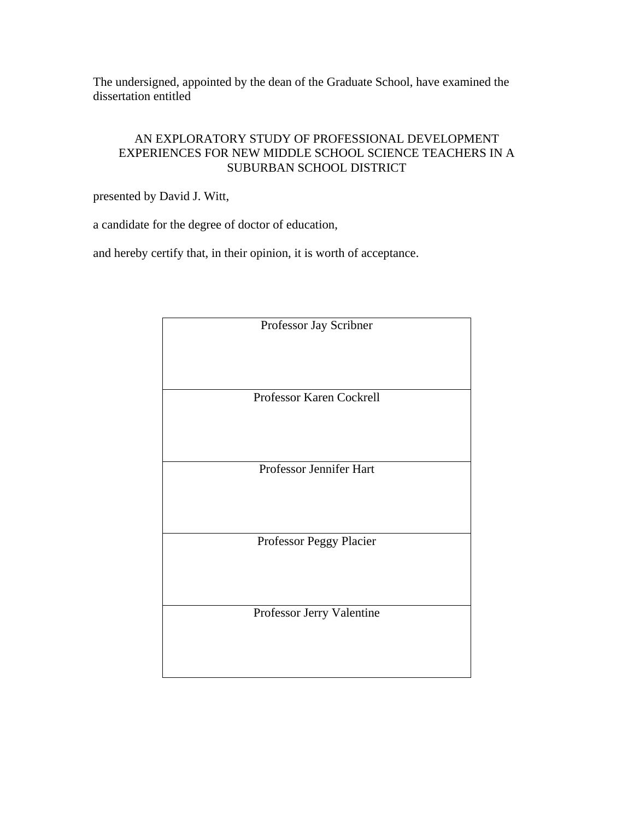The undersigned, appointed by the dean of the Graduate School, have examined the dissertation entitled

# AN EXPLORATORY STUDY OF PROFESSIONAL DEVELOPMENT EXPERIENCES FOR NEW MIDDLE SCHOOL SCIENCE TEACHERS IN A SUBURBAN SCHOOL DISTRICT

presented by David J. Witt,

a candidate for the degree of doctor of education,

and hereby certify that, in their opinion, it is worth of acceptance.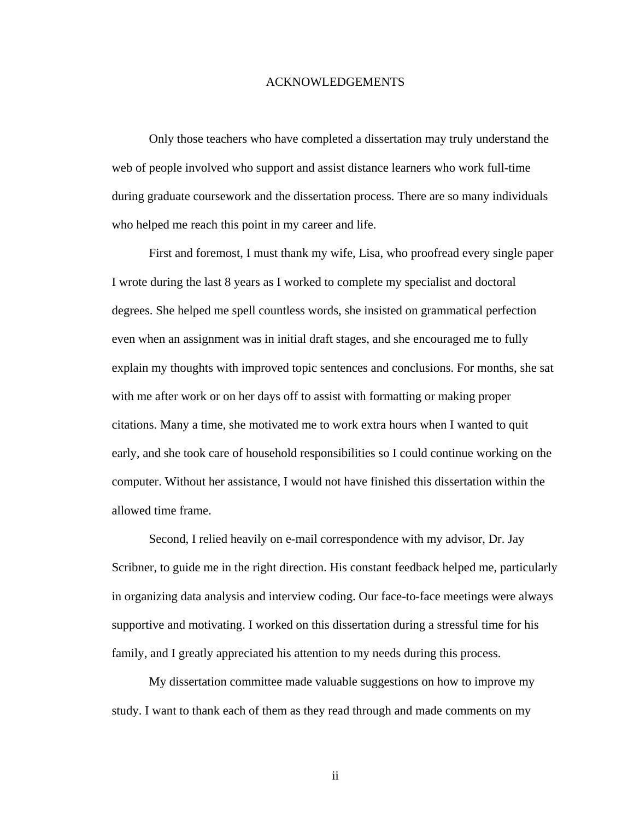#### ACKNOWLEDGEMENTS

 Only those teachers who have completed a dissertation may truly understand the web of people involved who support and assist distance learners who work full-time during graduate coursework and the dissertation process. There are so many individuals who helped me reach this point in my career and life.

 First and foremost, I must thank my wife, Lisa, who proofread every single paper I wrote during the last 8 years as I worked to complete my specialist and doctoral degrees. She helped me spell countless words, she insisted on grammatical perfection even when an assignment was in initial draft stages, and she encouraged me to fully explain my thoughts with improved topic sentences and conclusions. For months, she sat with me after work or on her days off to assist with formatting or making proper citations. Many a time, she motivated me to work extra hours when I wanted to quit early, and she took care of household responsibilities so I could continue working on the computer. Without her assistance, I would not have finished this dissertation within the allowed time frame.

 Second, I relied heavily on e-mail correspondence with my advisor, Dr. Jay Scribner, to guide me in the right direction. His constant feedback helped me, particularly in organizing data analysis and interview coding. Our face-to-face meetings were always supportive and motivating. I worked on this dissertation during a stressful time for his family, and I greatly appreciated his attention to my needs during this process.

 My dissertation committee made valuable suggestions on how to improve my study. I want to thank each of them as they read through and made comments on my

ii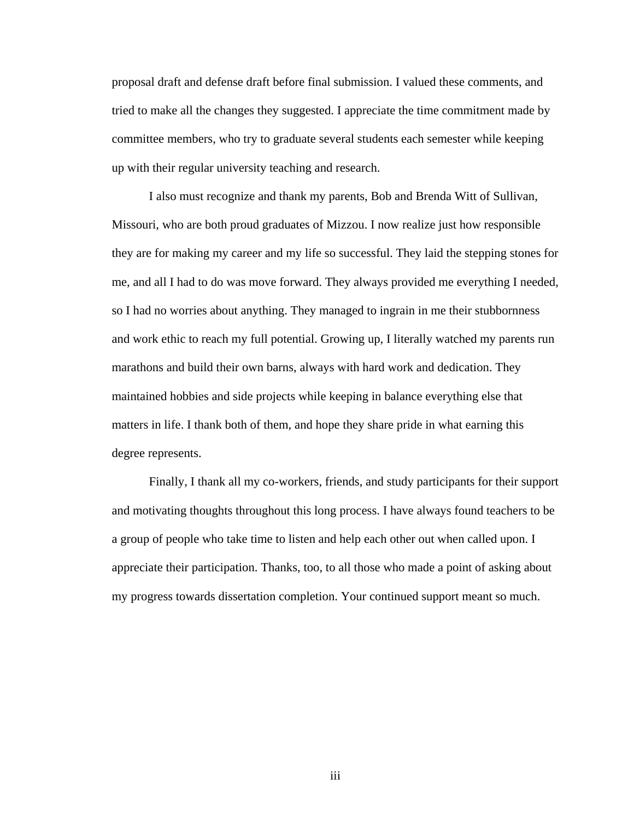proposal draft and defense draft before final submission. I valued these comments, and tried to make all the changes they suggested. I appreciate the time commitment made by committee members, who try to graduate several students each semester while keeping up with their regular university teaching and research.

 I also must recognize and thank my parents, Bob and Brenda Witt of Sullivan, Missouri, who are both proud graduates of Mizzou. I now realize just how responsible they are for making my career and my life so successful. They laid the stepping stones for me, and all I had to do was move forward. They always provided me everything I needed, so I had no worries about anything. They managed to ingrain in me their stubbornness and work ethic to reach my full potential. Growing up, I literally watched my parents run marathons and build their own barns, always with hard work and dedication. They maintained hobbies and side projects while keeping in balance everything else that matters in life. I thank both of them, and hope they share pride in what earning this degree represents.

 Finally, I thank all my co-workers, friends, and study participants for their support and motivating thoughts throughout this long process. I have always found teachers to be a group of people who take time to listen and help each other out when called upon. I appreciate their participation. Thanks, too, to all those who made a point of asking about my progress towards dissertation completion. Your continued support meant so much.

iii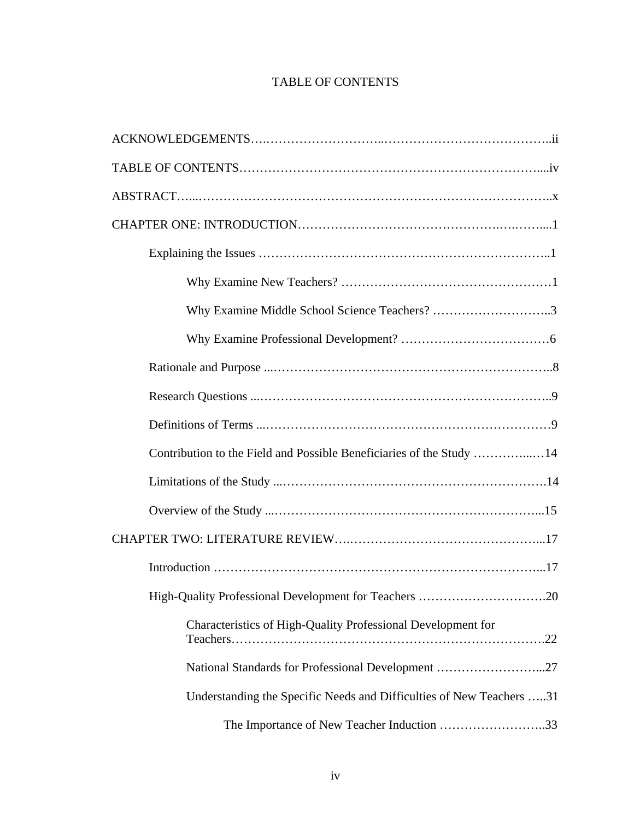# TABLE OF CONTENTS

| Why Examine Middle School Science Teachers? 3                        |
|----------------------------------------------------------------------|
|                                                                      |
|                                                                      |
|                                                                      |
|                                                                      |
| Contribution to the Field and Possible Beneficiaries of the Study 14 |
|                                                                      |
|                                                                      |
|                                                                      |
|                                                                      |
|                                                                      |
| Characteristics of High-Quality Professional Development for         |
| National Standards for Professional Development 27                   |
| Understanding the Specific Needs and Difficulties of New Teachers 31 |
| The Importance of New Teacher Induction 33                           |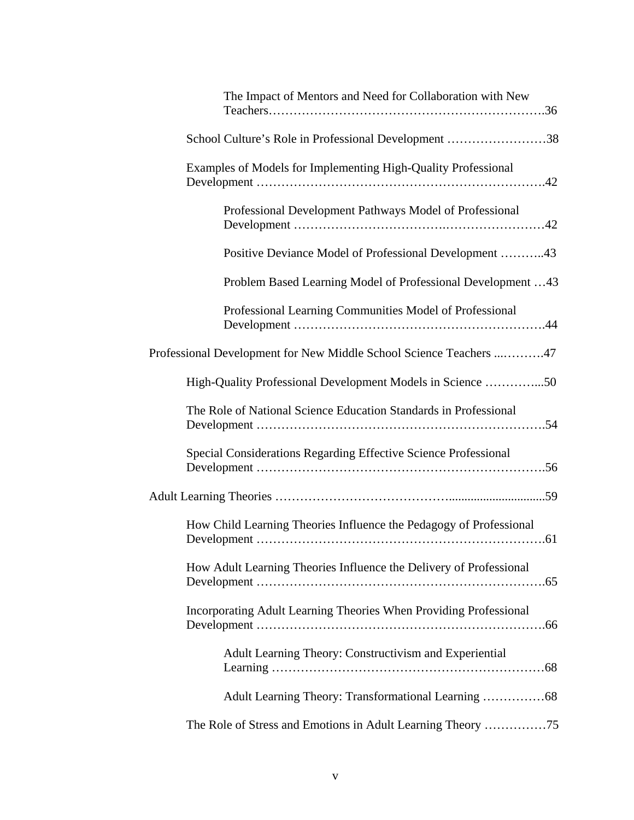| The Impact of Mentors and Need for Collaboration with New          |
|--------------------------------------------------------------------|
| School Culture's Role in Professional Development 38               |
| Examples of Models for Implementing High-Quality Professional      |
| Professional Development Pathways Model of Professional            |
| Positive Deviance Model of Professional Development 43             |
| Problem Based Learning Model of Professional Development 43        |
| Professional Learning Communities Model of Professional            |
| Professional Development for New Middle School Science Teachers 47 |
| High-Quality Professional Development Models in Science 50         |
| The Role of National Science Education Standards in Professional   |
| Special Considerations Regarding Effective Science Professional    |
|                                                                    |
| How Child Learning Theories Influence the Pedagogy of Professional |
| How Adult Learning Theories Influence the Delivery of Professional |
| Incorporating Adult Learning Theories When Providing Professional  |
| Adult Learning Theory: Constructivism and Experiential             |
| Adult Learning Theory: Transformational Learning 68                |
|                                                                    |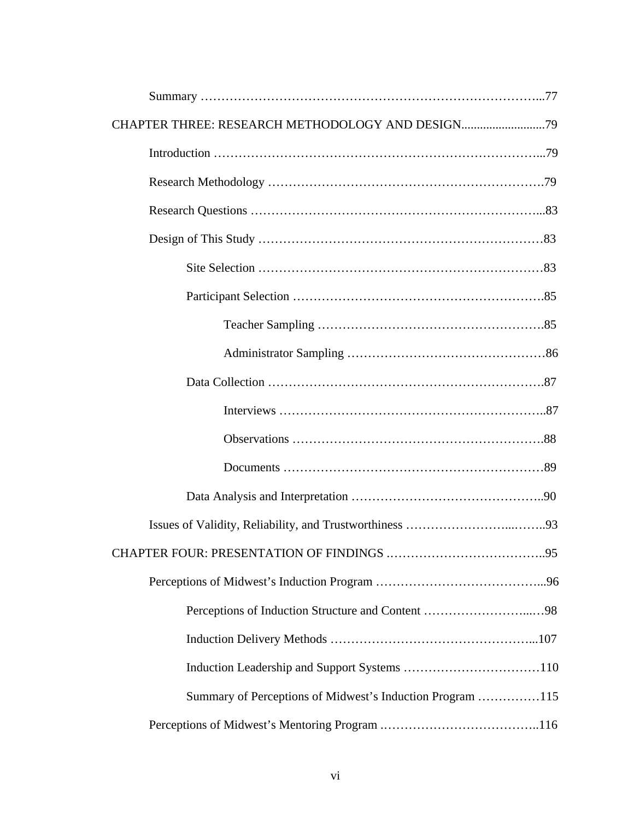| CHAPTER THREE: RESEARCH METHODOLOGY AND DESIGN            |  |  |  |  |
|-----------------------------------------------------------|--|--|--|--|
|                                                           |  |  |  |  |
|                                                           |  |  |  |  |
|                                                           |  |  |  |  |
|                                                           |  |  |  |  |
|                                                           |  |  |  |  |
|                                                           |  |  |  |  |
|                                                           |  |  |  |  |
|                                                           |  |  |  |  |
|                                                           |  |  |  |  |
|                                                           |  |  |  |  |
|                                                           |  |  |  |  |
|                                                           |  |  |  |  |
|                                                           |  |  |  |  |
|                                                           |  |  |  |  |
|                                                           |  |  |  |  |
|                                                           |  |  |  |  |
|                                                           |  |  |  |  |
|                                                           |  |  |  |  |
|                                                           |  |  |  |  |
| Summary of Perceptions of Midwest's Induction Program 115 |  |  |  |  |
|                                                           |  |  |  |  |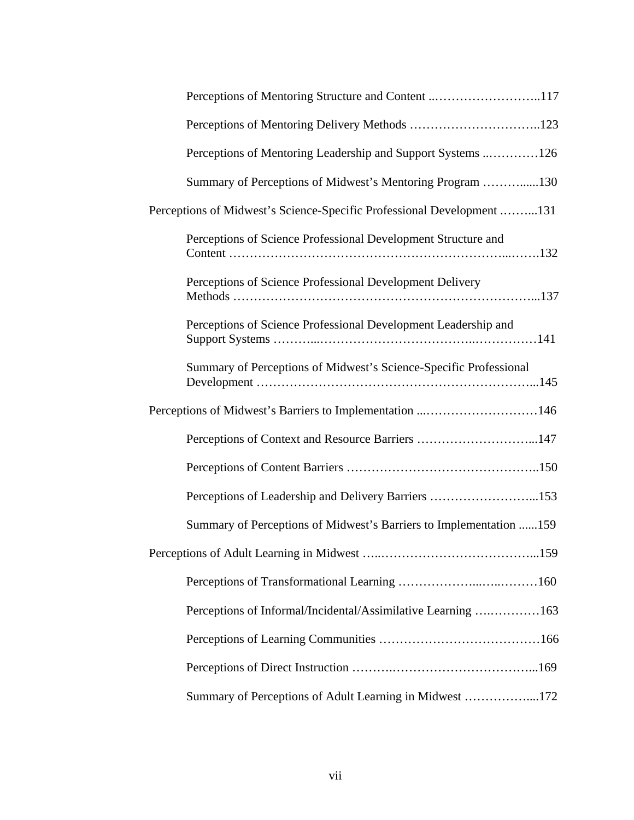| Perceptions of Mentoring Structure and Content 117                    |
|-----------------------------------------------------------------------|
|                                                                       |
| Perceptions of Mentoring Leadership and Support Systems 126           |
| Summary of Perceptions of Midwest's Mentoring Program 130             |
| Perceptions of Midwest's Science-Specific Professional Development131 |
| Perceptions of Science Professional Development Structure and         |
| Perceptions of Science Professional Development Delivery              |
| Perceptions of Science Professional Development Leadership and        |
| Summary of Perceptions of Midwest's Science-Specific Professional     |
| Perceptions of Midwest's Barriers to Implementation 146               |
| Perceptions of Context and Resource Barriers 147                      |
|                                                                       |
| Perceptions of Leadership and Delivery Barriers 153                   |
| Summary of Perceptions of Midwest's Barriers to Implementation 159    |
|                                                                       |
|                                                                       |
| Perceptions of Informal/Incidental/Assimilative Learning 163          |
|                                                                       |
|                                                                       |
| Summary of Perceptions of Adult Learning in Midwest 172               |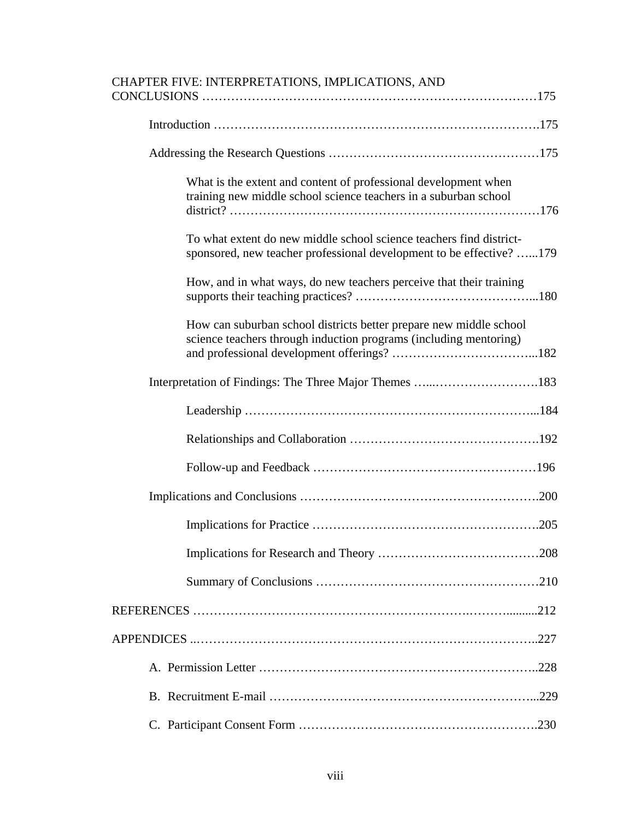| CHAPTER FIVE: INTERPRETATIONS, IMPLICATIONS, AND                                                                                            |
|---------------------------------------------------------------------------------------------------------------------------------------------|
|                                                                                                                                             |
|                                                                                                                                             |
| What is the extent and content of professional development when<br>training new middle school science teachers in a suburban school         |
| To what extent do new middle school science teachers find district-<br>sponsored, new teacher professional development to be effective? 179 |
| How, and in what ways, do new teachers perceive that their training                                                                         |
| How can suburban school districts better prepare new middle school<br>science teachers through induction programs (including mentoring)     |
|                                                                                                                                             |
|                                                                                                                                             |
|                                                                                                                                             |
|                                                                                                                                             |
|                                                                                                                                             |
|                                                                                                                                             |
|                                                                                                                                             |
|                                                                                                                                             |
|                                                                                                                                             |
|                                                                                                                                             |
|                                                                                                                                             |
|                                                                                                                                             |
|                                                                                                                                             |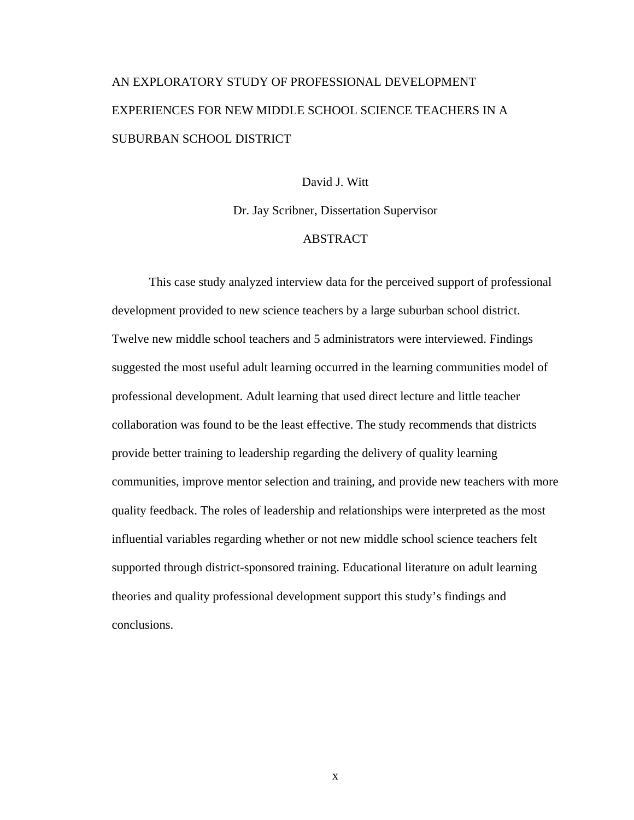# AN EXPLORATORY STUDY OF PROFESSIONAL DEVELOPMENT EXPERIENCES FOR NEW MIDDLE SCHOOL SCIENCE TEACHERS IN A SUBURBAN SCHOOL DISTRICT

#### David J. Witt

Dr. Jay Scribner, Dissertation Supervisor

## ABSTRACT

 This case study analyzed interview data for the perceived support of professional development provided to new science teachers by a large suburban school district. Twelve new middle school teachers and 5 administrators were interviewed. Findings suggested the most useful adult learning occurred in the learning communities model of professional development. Adult learning that used direct lecture and little teacher collaboration was found to be the least effective. The study recommends that districts provide better training to leadership regarding the delivery of quality learning communities, improve mentor selection and training, and provide new teachers with more quality feedback. The roles of leadership and relationships were interpreted as the most influential variables regarding whether or not new middle school science teachers felt supported through district-sponsored training. Educational literature on adult learning theories and quality professional development support this study's findings and conclusions.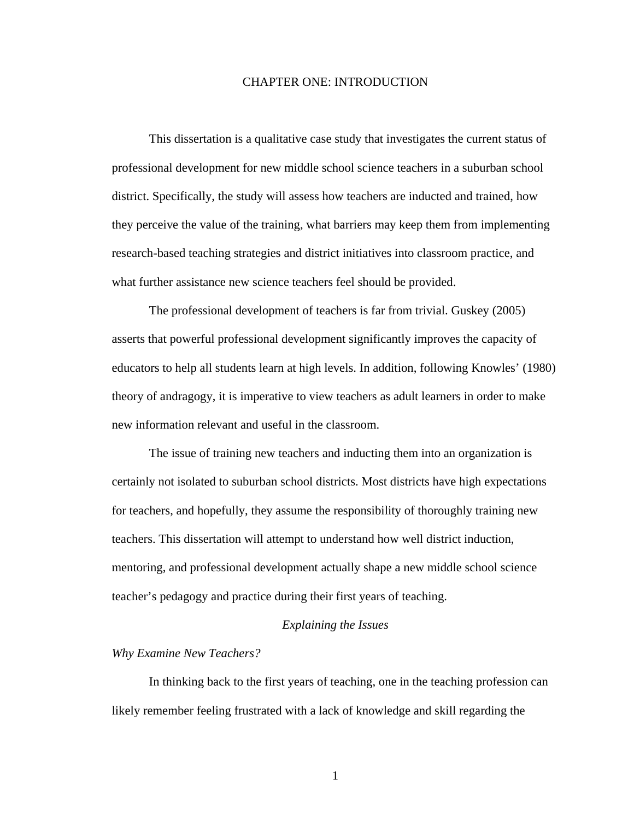#### CHAPTER ONE: INTRODUCTION

 This dissertation is a qualitative case study that investigates the current status of professional development for new middle school science teachers in a suburban school district. Specifically, the study will assess how teachers are inducted and trained, how they perceive the value of the training, what barriers may keep them from implementing research-based teaching strategies and district initiatives into classroom practice, and what further assistance new science teachers feel should be provided.

 The professional development of teachers is far from trivial. Guskey (2005) asserts that powerful professional development significantly improves the capacity of educators to help all students learn at high levels. In addition, following Knowles' (1980) theory of andragogy, it is imperative to view teachers as adult learners in order to make new information relevant and useful in the classroom.

 The issue of training new teachers and inducting them into an organization is certainly not isolated to suburban school districts. Most districts have high expectations for teachers, and hopefully, they assume the responsibility of thoroughly training new teachers. This dissertation will attempt to understand how well district induction, mentoring, and professional development actually shape a new middle school science teacher's pedagogy and practice during their first years of teaching.

#### *Explaining the Issues*

#### *Why Examine New Teachers?*

In thinking back to the first years of teaching, one in the teaching profession can likely remember feeling frustrated with a lack of knowledge and skill regarding the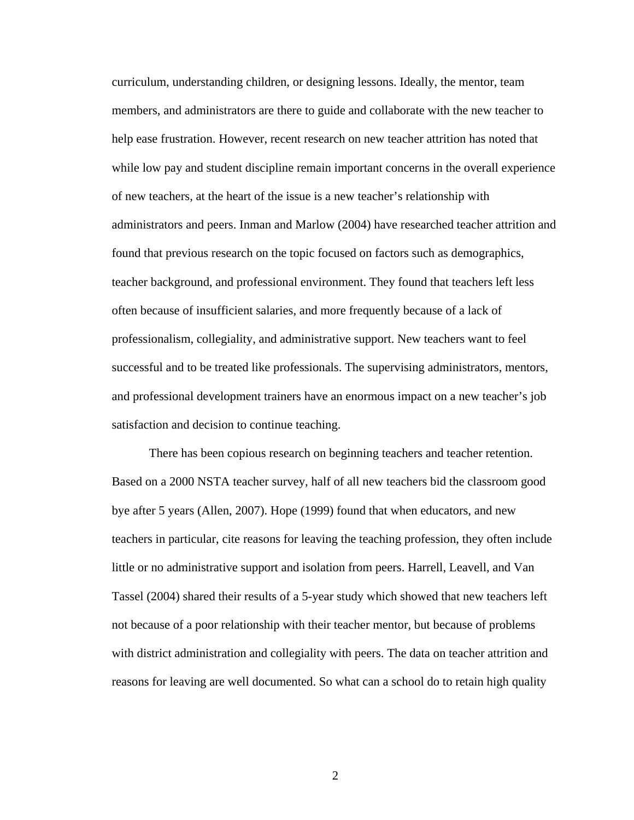curriculum, understanding children, or designing lessons. Ideally, the mentor, team members, and administrators are there to guide and collaborate with the new teacher to help ease frustration. However, recent research on new teacher attrition has noted that while low pay and student discipline remain important concerns in the overall experience of new teachers, at the heart of the issue is a new teacher's relationship with administrators and peers. Inman and Marlow (2004) have researched teacher attrition and found that previous research on the topic focused on factors such as demographics, teacher background, and professional environment. They found that teachers left less often because of insufficient salaries, and more frequently because of a lack of professionalism, collegiality, and administrative support. New teachers want to feel successful and to be treated like professionals. The supervising administrators, mentors, and professional development trainers have an enormous impact on a new teacher's job satisfaction and decision to continue teaching.

There has been copious research on beginning teachers and teacher retention. Based on a 2000 NSTA teacher survey, half of all new teachers bid the classroom good bye after 5 years (Allen, 2007). Hope (1999) found that when educators, and new teachers in particular, cite reasons for leaving the teaching profession, they often include little or no administrative support and isolation from peers. Harrell, Leavell, and Van Tassel (2004) shared their results of a 5-year study which showed that new teachers left not because of a poor relationship with their teacher mentor, but because of problems with district administration and collegiality with peers. The data on teacher attrition and reasons for leaving are well documented. So what can a school do to retain high quality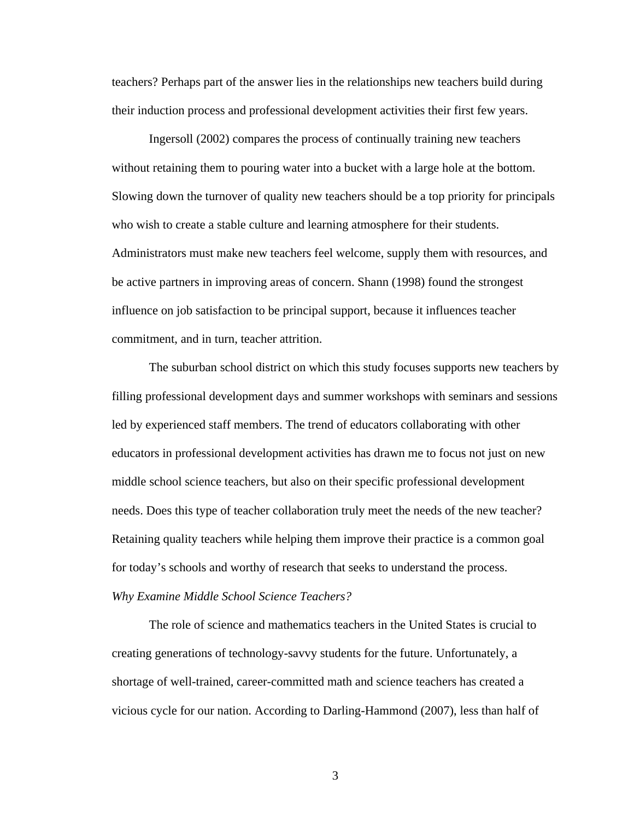teachers? Perhaps part of the answer lies in the relationships new teachers build during their induction process and professional development activities their first few years.

 Ingersoll (2002) compares the process of continually training new teachers without retaining them to pouring water into a bucket with a large hole at the bottom. Slowing down the turnover of quality new teachers should be a top priority for principals who wish to create a stable culture and learning atmosphere for their students. Administrators must make new teachers feel welcome, supply them with resources, and be active partners in improving areas of concern. Shann (1998) found the strongest influence on job satisfaction to be principal support, because it influences teacher commitment, and in turn, teacher attrition.

 The suburban school district on which this study focuses supports new teachers by filling professional development days and summer workshops with seminars and sessions led by experienced staff members. The trend of educators collaborating with other educators in professional development activities has drawn me to focus not just on new middle school science teachers, but also on their specific professional development needs. Does this type of teacher collaboration truly meet the needs of the new teacher? Retaining quality teachers while helping them improve their practice is a common goal for today's schools and worthy of research that seeks to understand the process.

#### *Why Examine Middle School Science Teachers?*

The role of science and mathematics teachers in the United States is crucial to creating generations of technology-savvy students for the future. Unfortunately, a shortage of well-trained, career-committed math and science teachers has created a vicious cycle for our nation. According to Darling-Hammond (2007), less than half of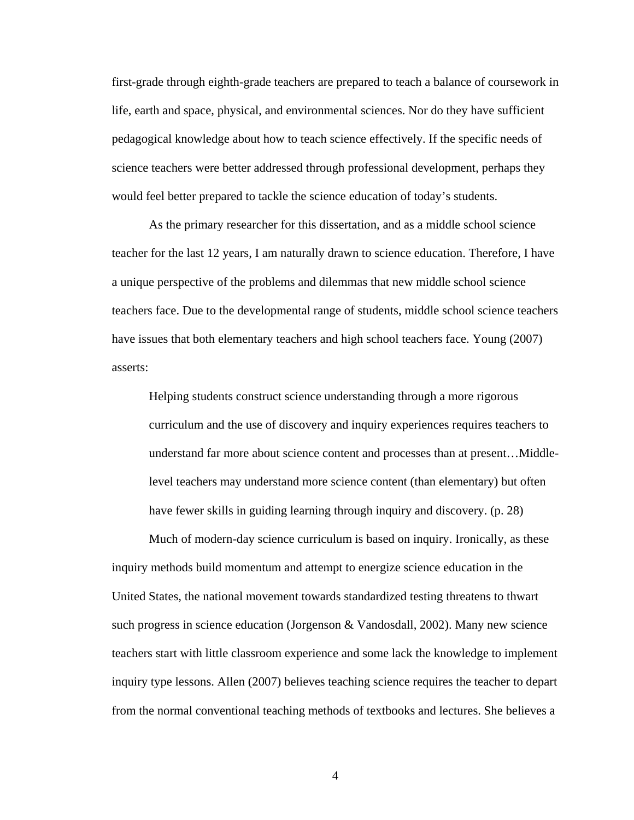first-grade through eighth-grade teachers are prepared to teach a balance of coursework in life, earth and space, physical, and environmental sciences. Nor do they have sufficient pedagogical knowledge about how to teach science effectively. If the specific needs of science teachers were better addressed through professional development, perhaps they would feel better prepared to tackle the science education of today's students.

 As the primary researcher for this dissertation, and as a middle school science teacher for the last 12 years, I am naturally drawn to science education. Therefore, I have a unique perspective of the problems and dilemmas that new middle school science teachers face. Due to the developmental range of students, middle school science teachers have issues that both elementary teachers and high school teachers face. Young (2007) asserts:

Helping students construct science understanding through a more rigorous curriculum and the use of discovery and inquiry experiences requires teachers to understand far more about science content and processes than at present…Middlelevel teachers may understand more science content (than elementary) but often have fewer skills in guiding learning through inquiry and discovery. (p. 28)

 Much of modern-day science curriculum is based on inquiry. Ironically, as these inquiry methods build momentum and attempt to energize science education in the United States, the national movement towards standardized testing threatens to thwart such progress in science education (Jorgenson & Vandosdall, 2002). Many new science teachers start with little classroom experience and some lack the knowledge to implement inquiry type lessons. Allen (2007) believes teaching science requires the teacher to depart from the normal conventional teaching methods of textbooks and lectures. She believes a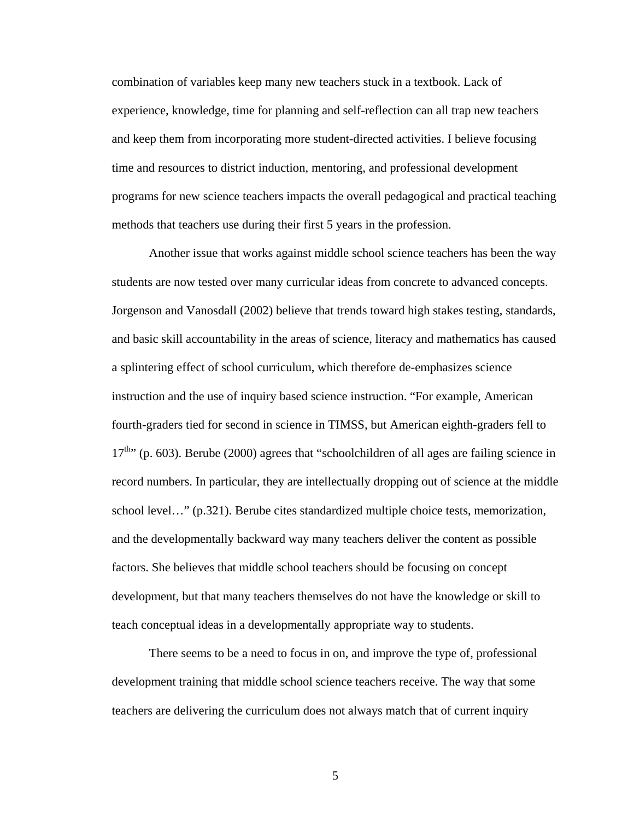combination of variables keep many new teachers stuck in a textbook. Lack of experience, knowledge, time for planning and self-reflection can all trap new teachers and keep them from incorporating more student-directed activities. I believe focusing time and resources to district induction, mentoring, and professional development programs for new science teachers impacts the overall pedagogical and practical teaching methods that teachers use during their first 5 years in the profession.

 Another issue that works against middle school science teachers has been the way students are now tested over many curricular ideas from concrete to advanced concepts. Jorgenson and Vanosdall (2002) believe that trends toward high stakes testing, standards, and basic skill accountability in the areas of science, literacy and mathematics has caused a splintering effect of school curriculum, which therefore de-emphasizes science instruction and the use of inquiry based science instruction. "For example, American fourth-graders tied for second in science in TIMSS, but American eighth-graders fell to  $17<sup>th</sup>$ ; (p. 603). Berube (2000) agrees that "schoolchildren of all ages are failing science in record numbers. In particular, they are intellectually dropping out of science at the middle school level..." (p.321). Berube cites standardized multiple choice tests, memorization, and the developmentally backward way many teachers deliver the content as possible factors. She believes that middle school teachers should be focusing on concept development, but that many teachers themselves do not have the knowledge or skill to teach conceptual ideas in a developmentally appropriate way to students.

 There seems to be a need to focus in on, and improve the type of, professional development training that middle school science teachers receive. The way that some teachers are delivering the curriculum does not always match that of current inquiry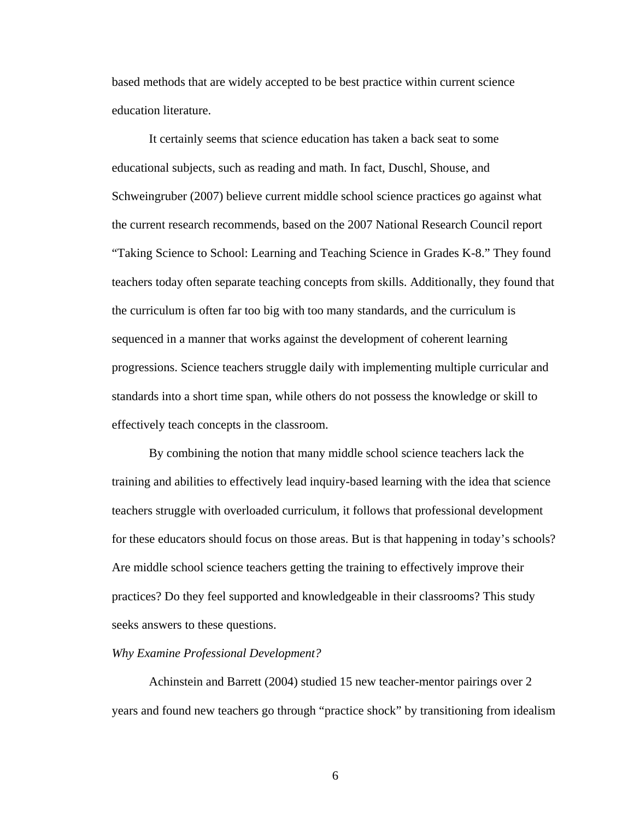based methods that are widely accepted to be best practice within current science education literature.

 It certainly seems that science education has taken a back seat to some educational subjects, such as reading and math. In fact, Duschl, Shouse, and Schweingruber (2007) believe current middle school science practices go against what the current research recommends, based on the 2007 National Research Council report "Taking Science to School: Learning and Teaching Science in Grades K-8." They found teachers today often separate teaching concepts from skills. Additionally, they found that the curriculum is often far too big with too many standards, and the curriculum is sequenced in a manner that works against the development of coherent learning progressions. Science teachers struggle daily with implementing multiple curricular and standards into a short time span, while others do not possess the knowledge or skill to effectively teach concepts in the classroom.

 By combining the notion that many middle school science teachers lack the training and abilities to effectively lead inquiry-based learning with the idea that science teachers struggle with overloaded curriculum, it follows that professional development for these educators should focus on those areas. But is that happening in today's schools? Are middle school science teachers getting the training to effectively improve their practices? Do they feel supported and knowledgeable in their classrooms? This study seeks answers to these questions.

#### *Why Examine Professional Development?*

Achinstein and Barrett (2004) studied 15 new teacher-mentor pairings over 2 years and found new teachers go through "practice shock" by transitioning from idealism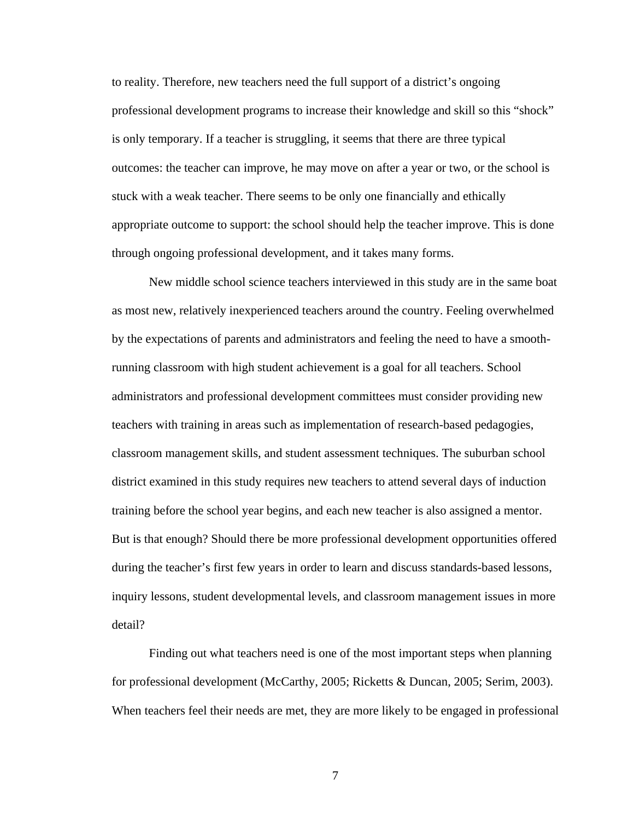to reality. Therefore, new teachers need the full support of a district's ongoing professional development programs to increase their knowledge and skill so this "shock" is only temporary. If a teacher is struggling, it seems that there are three typical outcomes: the teacher can improve, he may move on after a year or two, or the school is stuck with a weak teacher. There seems to be only one financially and ethically appropriate outcome to support: the school should help the teacher improve. This is done through ongoing professional development, and it takes many forms.

 New middle school science teachers interviewed in this study are in the same boat as most new, relatively inexperienced teachers around the country. Feeling overwhelmed by the expectations of parents and administrators and feeling the need to have a smoothrunning classroom with high student achievement is a goal for all teachers. School administrators and professional development committees must consider providing new teachers with training in areas such as implementation of research-based pedagogies, classroom management skills, and student assessment techniques. The suburban school district examined in this study requires new teachers to attend several days of induction training before the school year begins, and each new teacher is also assigned a mentor. But is that enough? Should there be more professional development opportunities offered during the teacher's first few years in order to learn and discuss standards-based lessons, inquiry lessons, student developmental levels, and classroom management issues in more detail?

 Finding out what teachers need is one of the most important steps when planning for professional development (McCarthy, 2005; Ricketts & Duncan, 2005; Serim, 2003). When teachers feel their needs are met, they are more likely to be engaged in professional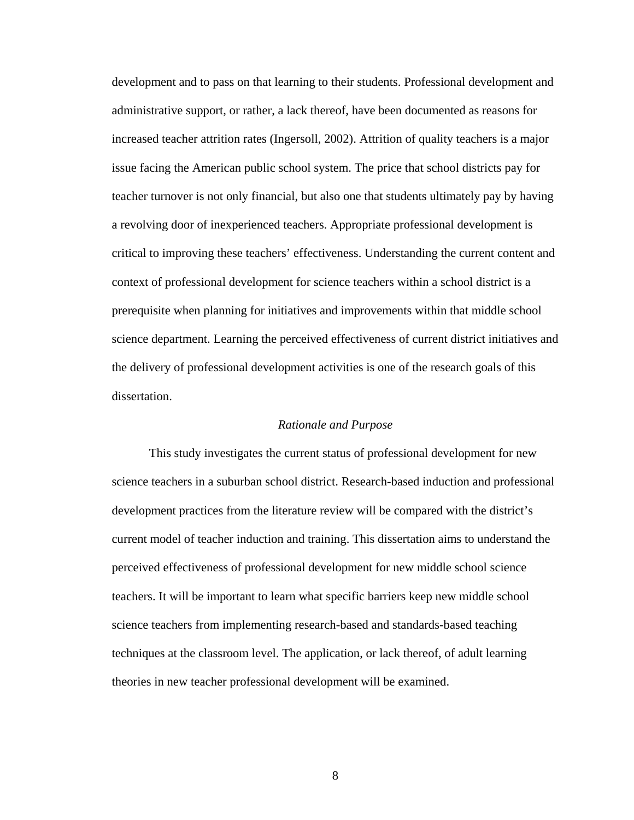development and to pass on that learning to their students. Professional development and administrative support, or rather, a lack thereof, have been documented as reasons for increased teacher attrition rates (Ingersoll, 2002). Attrition of quality teachers is a major issue facing the American public school system. The price that school districts pay for teacher turnover is not only financial, but also one that students ultimately pay by having a revolving door of inexperienced teachers. Appropriate professional development is critical to improving these teachers' effectiveness. Understanding the current content and context of professional development for science teachers within a school district is a prerequisite when planning for initiatives and improvements within that middle school science department. Learning the perceived effectiveness of current district initiatives and the delivery of professional development activities is one of the research goals of this dissertation.

#### *Rationale and Purpose*

This study investigates the current status of professional development for new science teachers in a suburban school district. Research-based induction and professional development practices from the literature review will be compared with the district's current model of teacher induction and training. This dissertation aims to understand the perceived effectiveness of professional development for new middle school science teachers. It will be important to learn what specific barriers keep new middle school science teachers from implementing research-based and standards-based teaching techniques at the classroom level. The application, or lack thereof, of adult learning theories in new teacher professional development will be examined.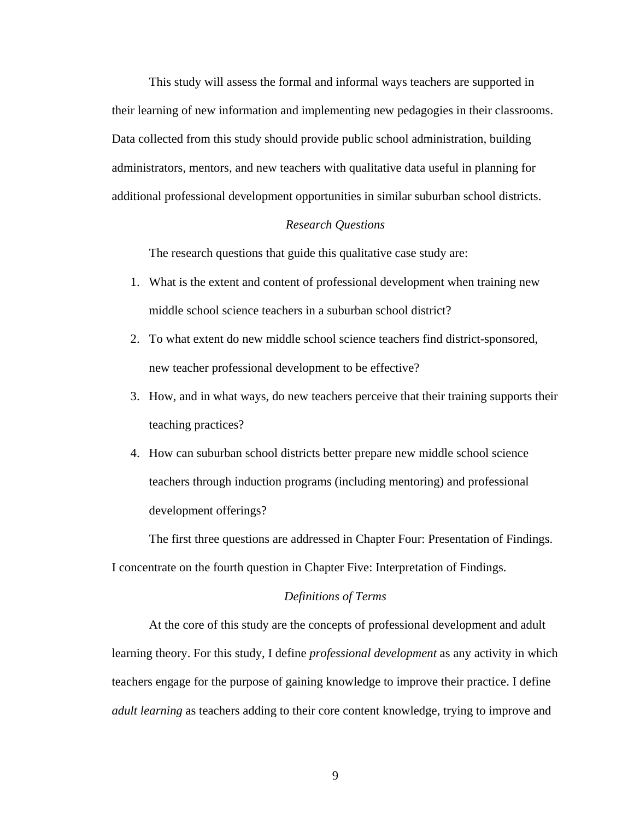This study will assess the formal and informal ways teachers are supported in their learning of new information and implementing new pedagogies in their classrooms. Data collected from this study should provide public school administration, building administrators, mentors, and new teachers with qualitative data useful in planning for additional professional development opportunities in similar suburban school districts.

### *Research Questions*

The research questions that guide this qualitative case study are:

- 1. What is the extent and content of professional development when training new middle school science teachers in a suburban school district?
- 2. To what extent do new middle school science teachers find district-sponsored, new teacher professional development to be effective?
- 3. How, and in what ways, do new teachers perceive that their training supports their teaching practices?
- 4. How can suburban school districts better prepare new middle school science teachers through induction programs (including mentoring) and professional development offerings?

 The first three questions are addressed in Chapter Four: Presentation of Findings. I concentrate on the fourth question in Chapter Five: Interpretation of Findings.

#### *Definitions of Terms*

At the core of this study are the concepts of professional development and adult learning theory. For this study, I define *professional development* as any activity in which teachers engage for the purpose of gaining knowledge to improve their practice. I define *adult learning* as teachers adding to their core content knowledge, trying to improve and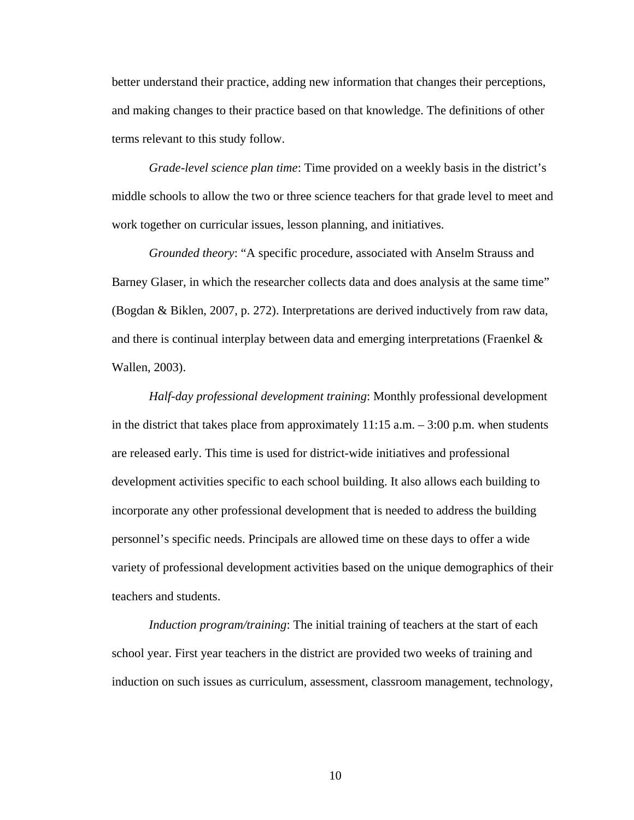better understand their practice, adding new information that changes their perceptions, and making changes to their practice based on that knowledge. The definitions of other terms relevant to this study follow.

*Grade-level science plan time*: Time provided on a weekly basis in the district's middle schools to allow the two or three science teachers for that grade level to meet and work together on curricular issues, lesson planning, and initiatives.

*Grounded theory*: "A specific procedure, associated with Anselm Strauss and Barney Glaser, in which the researcher collects data and does analysis at the same time" (Bogdan & Biklen, 2007, p. 272). Interpretations are derived inductively from raw data, and there is continual interplay between data and emerging interpretations (Fraenkel & Wallen, 2003).

 *Half-day professional development training*: Monthly professional development in the district that takes place from approximately  $11:15$  a.m.  $-3:00$  p.m. when students are released early. This time is used for district-wide initiatives and professional development activities specific to each school building. It also allows each building to incorporate any other professional development that is needed to address the building personnel's specific needs. Principals are allowed time on these days to offer a wide variety of professional development activities based on the unique demographics of their teachers and students.

*Induction program/training*: The initial training of teachers at the start of each school year. First year teachers in the district are provided two weeks of training and induction on such issues as curriculum, assessment, classroom management, technology,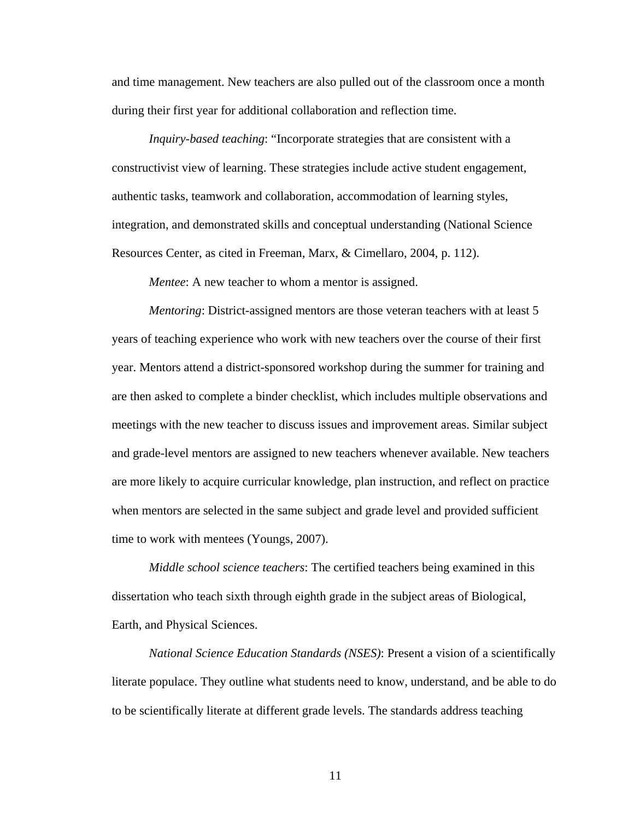and time management. New teachers are also pulled out of the classroom once a month during their first year for additional collaboration and reflection time.

*Inquiry-based teaching*: "Incorporate strategies that are consistent with a constructivist view of learning. These strategies include active student engagement, authentic tasks, teamwork and collaboration, accommodation of learning styles, integration, and demonstrated skills and conceptual understanding (National Science Resources Center, as cited in Freeman, Marx, & Cimellaro, 2004, p. 112).

*Mentee*: A new teacher to whom a mentor is assigned.

*Mentoring*: District-assigned mentors are those veteran teachers with at least 5 years of teaching experience who work with new teachers over the course of their first year. Mentors attend a district-sponsored workshop during the summer for training and are then asked to complete a binder checklist, which includes multiple observations and meetings with the new teacher to discuss issues and improvement areas. Similar subject and grade-level mentors are assigned to new teachers whenever available. New teachers are more likely to acquire curricular knowledge, plan instruction, and reflect on practice when mentors are selected in the same subject and grade level and provided sufficient time to work with mentees (Youngs, 2007).

*Middle school science teachers*: The certified teachers being examined in this dissertation who teach sixth through eighth grade in the subject areas of Biological, Earth, and Physical Sciences.

*National Science Education Standards (NSES)*: Present a vision of a scientifically literate populace. They outline what students need to know, understand, and be able to do to be scientifically literate at different grade levels. The standards address teaching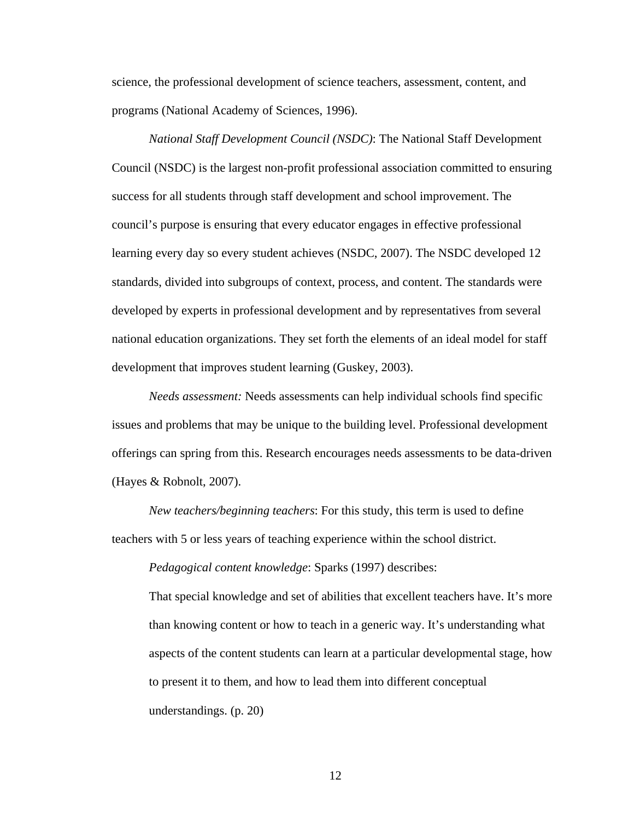science, the professional development of science teachers, assessment, content, and programs (National Academy of Sciences, 1996).

*National Staff Development Council (NSDC)*: The National Staff Development Council (NSDC) is the largest non-profit professional association committed to ensuring success for all students through staff development and school improvement. The council's purpose is ensuring that every educator engages in effective professional learning every day so every student achieves (NSDC, 2007). The NSDC developed 12 standards, divided into subgroups of context, process, and content. The standards were developed by experts in professional development and by representatives from several national education organizations. They set forth the elements of an ideal model for staff development that improves student learning (Guskey, 2003).

*Needs assessment:* Needs assessments can help individual schools find specific issues and problems that may be unique to the building level. Professional development offerings can spring from this. Research encourages needs assessments to be data-driven (Hayes & Robnolt, 2007).

*New teachers/beginning teachers*: For this study, this term is used to define teachers with 5 or less years of teaching experience within the school district.

*Pedagogical content knowledge*: Sparks (1997) describes:

That special knowledge and set of abilities that excellent teachers have. It's more than knowing content or how to teach in a generic way. It's understanding what aspects of the content students can learn at a particular developmental stage, how to present it to them, and how to lead them into different conceptual understandings. (p. 20)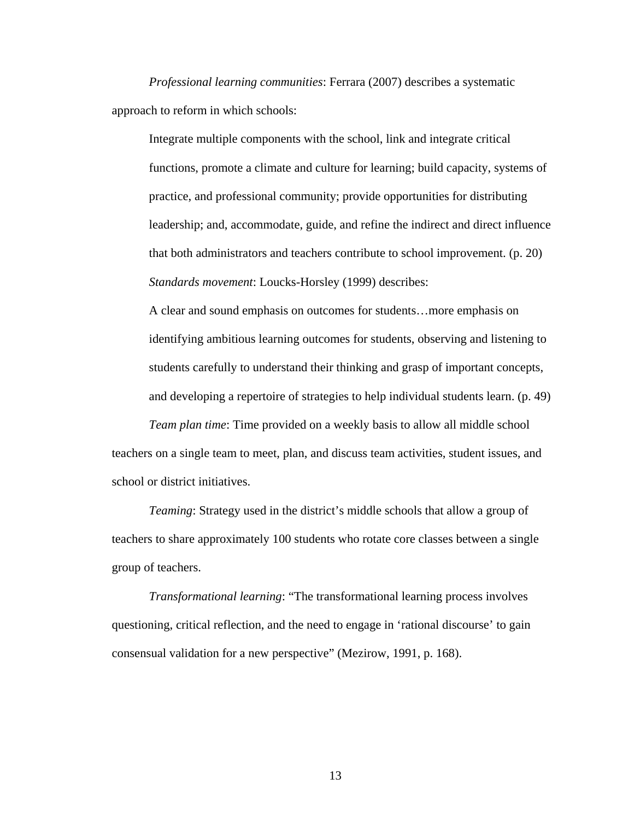*Professional learning communities*: Ferrara (2007) describes a systematic approach to reform in which schools:

Integrate multiple components with the school, link and integrate critical functions, promote a climate and culture for learning; build capacity, systems of practice, and professional community; provide opportunities for distributing leadership; and, accommodate, guide, and refine the indirect and direct influence that both administrators and teachers contribute to school improvement. (p. 20) *Standards movement*: Loucks-Horsley (1999) describes:

A clear and sound emphasis on outcomes for students…more emphasis on identifying ambitious learning outcomes for students, observing and listening to students carefully to understand their thinking and grasp of important concepts, and developing a repertoire of strategies to help individual students learn. (p. 49)

*Team plan time*: Time provided on a weekly basis to allow all middle school teachers on a single team to meet, plan, and discuss team activities, student issues, and school or district initiatives.

*Teaming*: Strategy used in the district's middle schools that allow a group of teachers to share approximately 100 students who rotate core classes between a single group of teachers.

*Transformational learning*: "The transformational learning process involves questioning, critical reflection, and the need to engage in 'rational discourse' to gain consensual validation for a new perspective" (Mezirow, 1991, p. 168).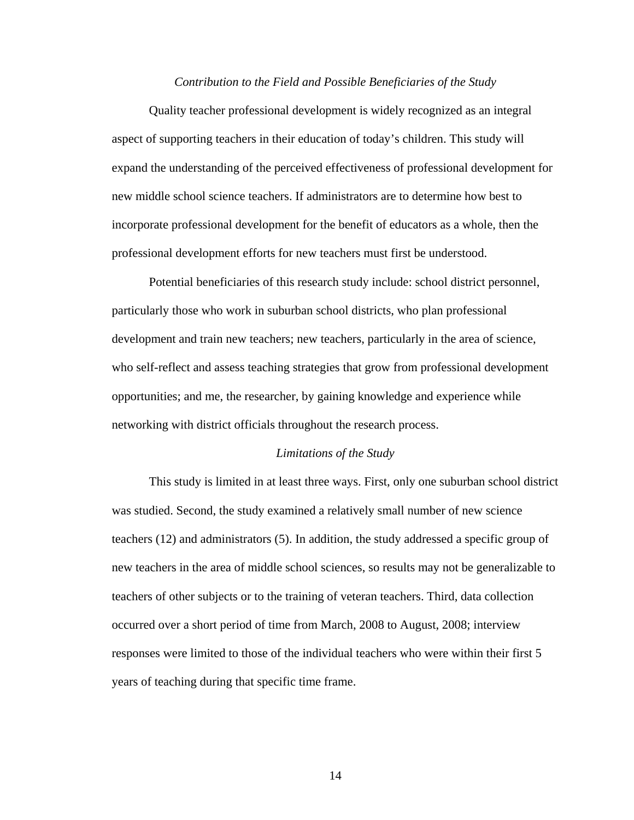#### *Contribution to the Field and Possible Beneficiaries of the Study*

 Quality teacher professional development is widely recognized as an integral aspect of supporting teachers in their education of today's children. This study will expand the understanding of the perceived effectiveness of professional development for new middle school science teachers. If administrators are to determine how best to incorporate professional development for the benefit of educators as a whole, then the professional development efforts for new teachers must first be understood.

 Potential beneficiaries of this research study include: school district personnel, particularly those who work in suburban school districts, who plan professional development and train new teachers; new teachers, particularly in the area of science, who self-reflect and assess teaching strategies that grow from professional development opportunities; and me, the researcher, by gaining knowledge and experience while networking with district officials throughout the research process.

#### *Limitations of the Study*

This study is limited in at least three ways. First, only one suburban school district was studied. Second, the study examined a relatively small number of new science teachers (12) and administrators (5). In addition, the study addressed a specific group of new teachers in the area of middle school sciences, so results may not be generalizable to teachers of other subjects or to the training of veteran teachers. Third, data collection occurred over a short period of time from March, 2008 to August, 2008; interview responses were limited to those of the individual teachers who were within their first 5 years of teaching during that specific time frame.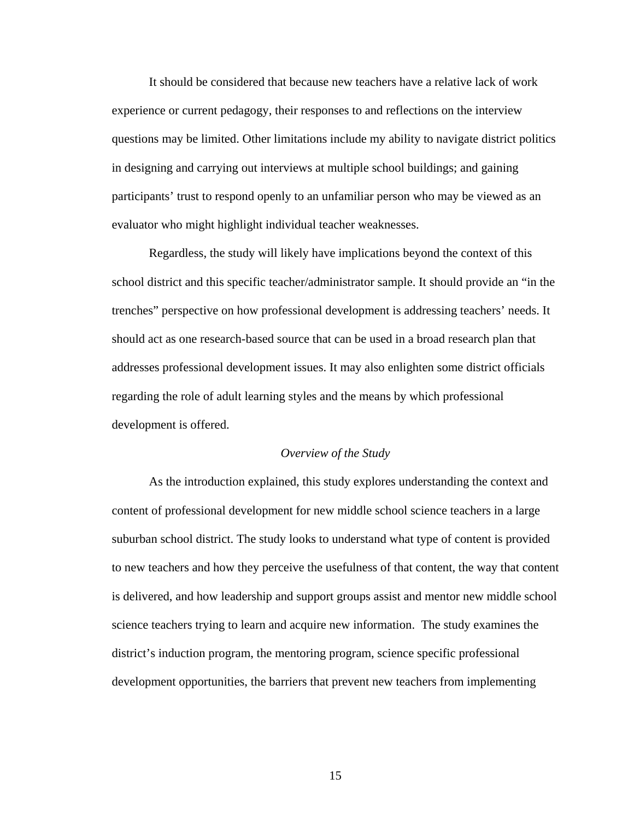It should be considered that because new teachers have a relative lack of work experience or current pedagogy, their responses to and reflections on the interview questions may be limited. Other limitations include my ability to navigate district politics in designing and carrying out interviews at multiple school buildings; and gaining participants' trust to respond openly to an unfamiliar person who may be viewed as an evaluator who might highlight individual teacher weaknesses.

 Regardless, the study will likely have implications beyond the context of this school district and this specific teacher/administrator sample. It should provide an "in the trenches" perspective on how professional development is addressing teachers' needs. It should act as one research-based source that can be used in a broad research plan that addresses professional development issues. It may also enlighten some district officials regarding the role of adult learning styles and the means by which professional development is offered.

#### *Overview of the Study*

As the introduction explained, this study explores understanding the context and content of professional development for new middle school science teachers in a large suburban school district. The study looks to understand what type of content is provided to new teachers and how they perceive the usefulness of that content, the way that content is delivered, and how leadership and support groups assist and mentor new middle school science teachers trying to learn and acquire new information. The study examines the district's induction program, the mentoring program, science specific professional development opportunities, the barriers that prevent new teachers from implementing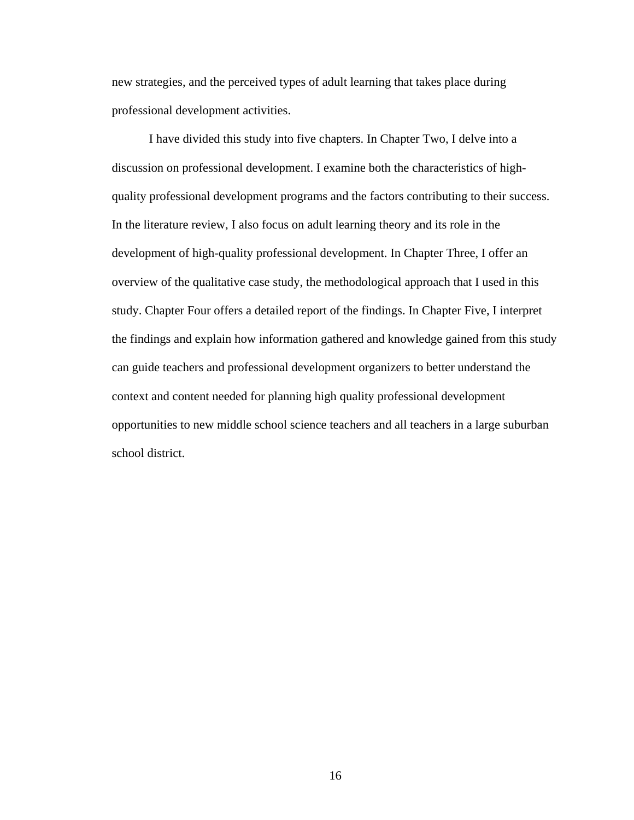new strategies, and the perceived types of adult learning that takes place during professional development activities.

 I have divided this study into five chapters. In Chapter Two, I delve into a discussion on professional development. I examine both the characteristics of highquality professional development programs and the factors contributing to their success. In the literature review, I also focus on adult learning theory and its role in the development of high-quality professional development. In Chapter Three, I offer an overview of the qualitative case study, the methodological approach that I used in this study. Chapter Four offers a detailed report of the findings. In Chapter Five, I interpret the findings and explain how information gathered and knowledge gained from this study can guide teachers and professional development organizers to better understand the context and content needed for planning high quality professional development opportunities to new middle school science teachers and all teachers in a large suburban school district.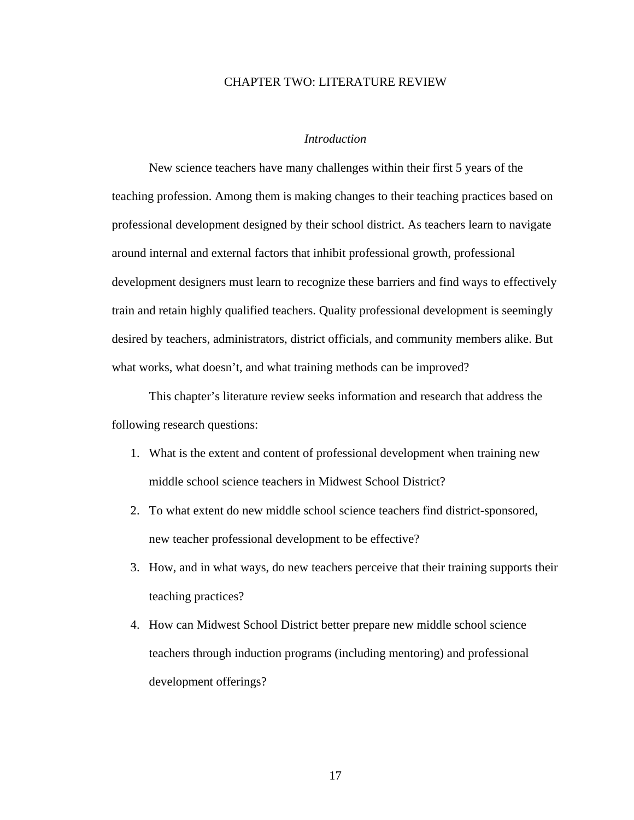#### CHAPTER TWO: LITERATURE REVIEW

### *Introduction*

New science teachers have many challenges within their first 5 years of the teaching profession. Among them is making changes to their teaching practices based on professional development designed by their school district. As teachers learn to navigate around internal and external factors that inhibit professional growth, professional development designers must learn to recognize these barriers and find ways to effectively train and retain highly qualified teachers. Quality professional development is seemingly desired by teachers, administrators, district officials, and community members alike. But what works, what doesn't, and what training methods can be improved?

This chapter's literature review seeks information and research that address the following research questions:

- 1. What is the extent and content of professional development when training new middle school science teachers in Midwest School District?
- 2. To what extent do new middle school science teachers find district-sponsored, new teacher professional development to be effective?
- 3. How, and in what ways, do new teachers perceive that their training supports their teaching practices?
- 4. How can Midwest School District better prepare new middle school science teachers through induction programs (including mentoring) and professional development offerings?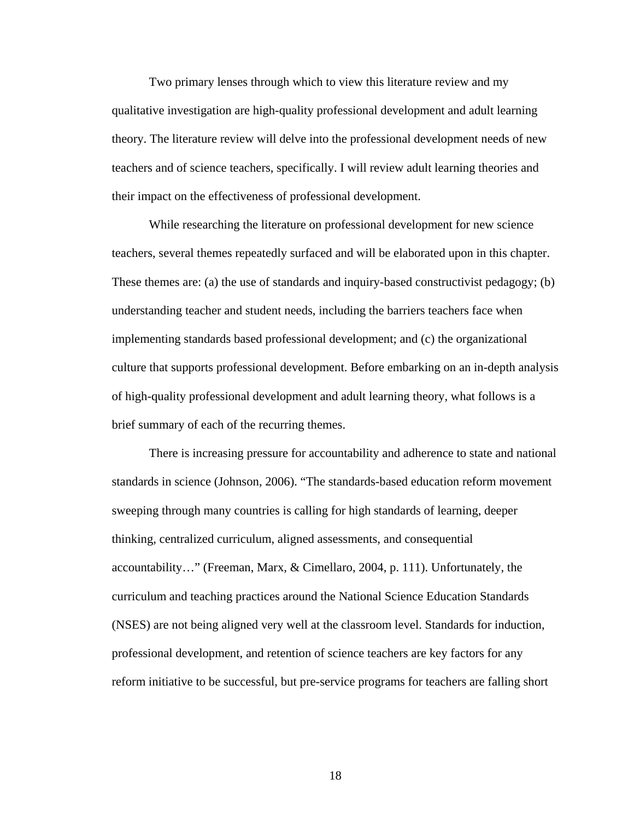Two primary lenses through which to view this literature review and my qualitative investigation are high-quality professional development and adult learning theory. The literature review will delve into the professional development needs of new teachers and of science teachers, specifically. I will review adult learning theories and their impact on the effectiveness of professional development.

While researching the literature on professional development for new science teachers, several themes repeatedly surfaced and will be elaborated upon in this chapter. These themes are: (a) the use of standards and inquiry-based constructivist pedagogy; (b) understanding teacher and student needs, including the barriers teachers face when implementing standards based professional development; and (c) the organizational culture that supports professional development. Before embarking on an in-depth analysis of high-quality professional development and adult learning theory, what follows is a brief summary of each of the recurring themes.

There is increasing pressure for accountability and adherence to state and national standards in science (Johnson, 2006). "The standards-based education reform movement sweeping through many countries is calling for high standards of learning, deeper thinking, centralized curriculum, aligned assessments, and consequential accountability…" (Freeman, Marx, & Cimellaro, 2004, p. 111). Unfortunately, the curriculum and teaching practices around the National Science Education Standards (NSES) are not being aligned very well at the classroom level. Standards for induction, professional development, and retention of science teachers are key factors for any reform initiative to be successful, but pre-service programs for teachers are falling short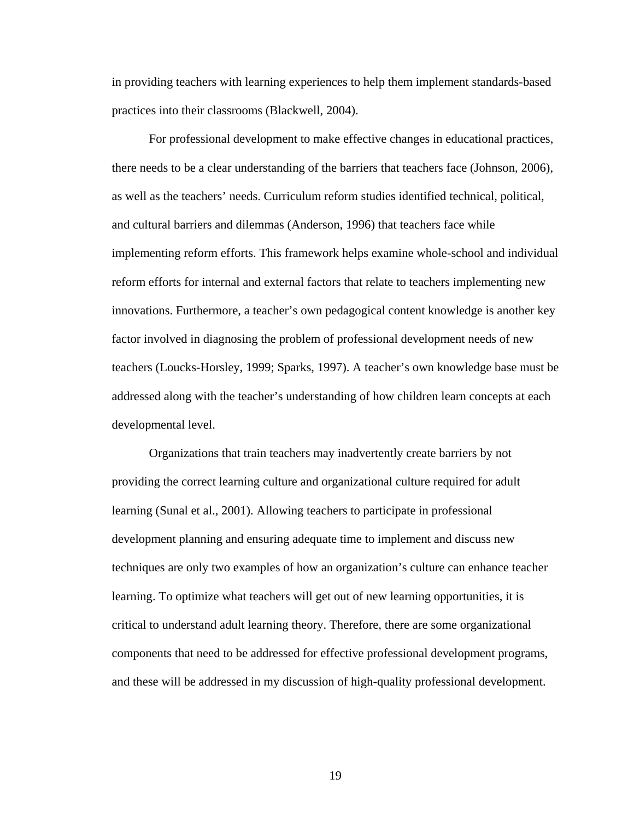in providing teachers with learning experiences to help them implement standards-based practices into their classrooms (Blackwell, 2004).

For professional development to make effective changes in educational practices, there needs to be a clear understanding of the barriers that teachers face (Johnson, 2006), as well as the teachers' needs. Curriculum reform studies identified technical, political, and cultural barriers and dilemmas (Anderson, 1996) that teachers face while implementing reform efforts. This framework helps examine whole-school and individual reform efforts for internal and external factors that relate to teachers implementing new innovations. Furthermore, a teacher's own pedagogical content knowledge is another key factor involved in diagnosing the problem of professional development needs of new teachers (Loucks-Horsley, 1999; Sparks, 1997). A teacher's own knowledge base must be addressed along with the teacher's understanding of how children learn concepts at each developmental level.

Organizations that train teachers may inadvertently create barriers by not providing the correct learning culture and organizational culture required for adult learning (Sunal et al., 2001). Allowing teachers to participate in professional development planning and ensuring adequate time to implement and discuss new techniques are only two examples of how an organization's culture can enhance teacher learning. To optimize what teachers will get out of new learning opportunities, it is critical to understand adult learning theory. Therefore, there are some organizational components that need to be addressed for effective professional development programs, and these will be addressed in my discussion of high-quality professional development.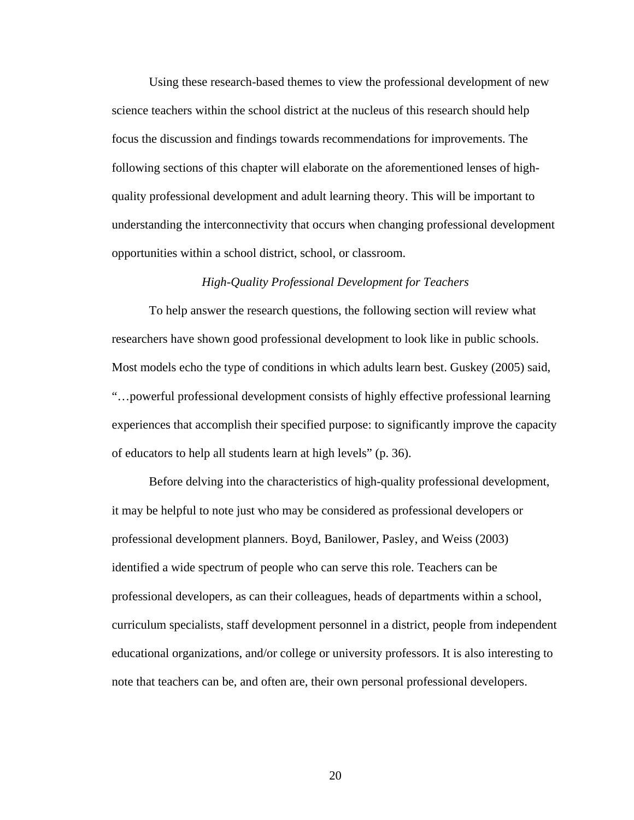Using these research-based themes to view the professional development of new science teachers within the school district at the nucleus of this research should help focus the discussion and findings towards recommendations for improvements. The following sections of this chapter will elaborate on the aforementioned lenses of highquality professional development and adult learning theory. This will be important to understanding the interconnectivity that occurs when changing professional development opportunities within a school district, school, or classroom.

#### *High-Quality Professional Development for Teachers*

To help answer the research questions, the following section will review what researchers have shown good professional development to look like in public schools. Most models echo the type of conditions in which adults learn best. Guskey (2005) said, "…powerful professional development consists of highly effective professional learning experiences that accomplish their specified purpose: to significantly improve the capacity of educators to help all students learn at high levels" (p. 36).

Before delving into the characteristics of high-quality professional development, it may be helpful to note just who may be considered as professional developers or professional development planners. Boyd, Banilower, Pasley, and Weiss (2003) identified a wide spectrum of people who can serve this role. Teachers can be professional developers, as can their colleagues, heads of departments within a school, curriculum specialists, staff development personnel in a district, people from independent educational organizations, and/or college or university professors. It is also interesting to note that teachers can be, and often are, their own personal professional developers.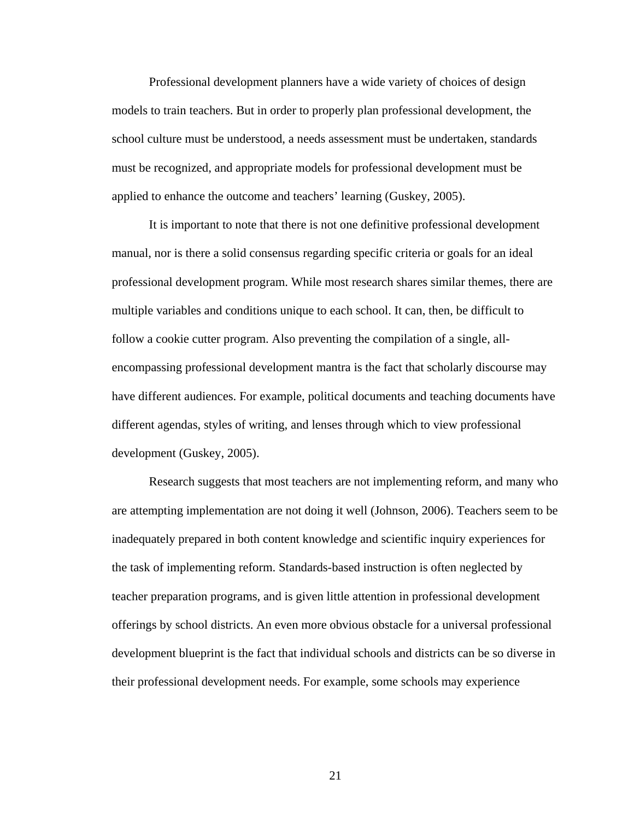Professional development planners have a wide variety of choices of design models to train teachers. But in order to properly plan professional development, the school culture must be understood, a needs assessment must be undertaken, standards must be recognized, and appropriate models for professional development must be applied to enhance the outcome and teachers' learning (Guskey, 2005).

It is important to note that there is not one definitive professional development manual, nor is there a solid consensus regarding specific criteria or goals for an ideal professional development program. While most research shares similar themes, there are multiple variables and conditions unique to each school. It can, then, be difficult to follow a cookie cutter program. Also preventing the compilation of a single, allencompassing professional development mantra is the fact that scholarly discourse may have different audiences. For example, political documents and teaching documents have different agendas, styles of writing, and lenses through which to view professional development (Guskey, 2005).

Research suggests that most teachers are not implementing reform, and many who are attempting implementation are not doing it well (Johnson, 2006). Teachers seem to be inadequately prepared in both content knowledge and scientific inquiry experiences for the task of implementing reform. Standards-based instruction is often neglected by teacher preparation programs, and is given little attention in professional development offerings by school districts. An even more obvious obstacle for a universal professional development blueprint is the fact that individual schools and districts can be so diverse in their professional development needs. For example, some schools may experience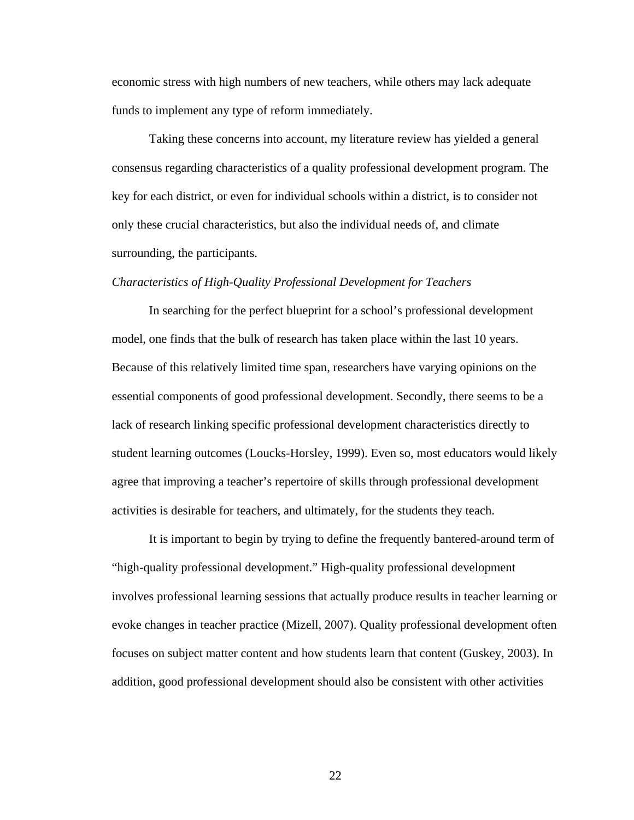economic stress with high numbers of new teachers, while others may lack adequate funds to implement any type of reform immediately.

Taking these concerns into account, my literature review has yielded a general consensus regarding characteristics of a quality professional development program. The key for each district, or even for individual schools within a district, is to consider not only these crucial characteristics, but also the individual needs of, and climate surrounding, the participants.

#### *Characteristics of High-Quality Professional Development for Teachers*

In searching for the perfect blueprint for a school's professional development model, one finds that the bulk of research has taken place within the last 10 years. Because of this relatively limited time span, researchers have varying opinions on the essential components of good professional development. Secondly, there seems to be a lack of research linking specific professional development characteristics directly to student learning outcomes (Loucks-Horsley, 1999). Even so, most educators would likely agree that improving a teacher's repertoire of skills through professional development activities is desirable for teachers, and ultimately, for the students they teach.

It is important to begin by trying to define the frequently bantered-around term of "high-quality professional development." High-quality professional development involves professional learning sessions that actually produce results in teacher learning or evoke changes in teacher practice (Mizell, 2007). Quality professional development often focuses on subject matter content and how students learn that content (Guskey, 2003). In addition, good professional development should also be consistent with other activities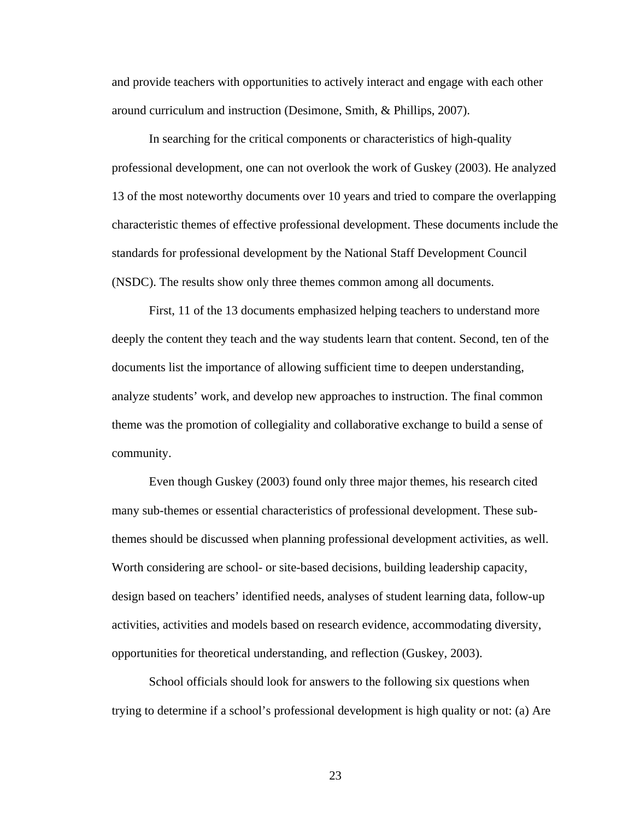and provide teachers with opportunities to actively interact and engage with each other around curriculum and instruction (Desimone, Smith, & Phillips, 2007).

In searching for the critical components or characteristics of high-quality professional development, one can not overlook the work of Guskey (2003). He analyzed 13 of the most noteworthy documents over 10 years and tried to compare the overlapping characteristic themes of effective professional development. These documents include the standards for professional development by the National Staff Development Council (NSDC). The results show only three themes common among all documents.

First, 11 of the 13 documents emphasized helping teachers to understand more deeply the content they teach and the way students learn that content. Second, ten of the documents list the importance of allowing sufficient time to deepen understanding, analyze students' work, and develop new approaches to instruction. The final common theme was the promotion of collegiality and collaborative exchange to build a sense of community.

 Even though Guskey (2003) found only three major themes, his research cited many sub-themes or essential characteristics of professional development. These subthemes should be discussed when planning professional development activities, as well. Worth considering are school- or site-based decisions, building leadership capacity, design based on teachers' identified needs, analyses of student learning data, follow-up activities, activities and models based on research evidence, accommodating diversity, opportunities for theoretical understanding, and reflection (Guskey, 2003).

School officials should look for answers to the following six questions when trying to determine if a school's professional development is high quality or not: (a) Are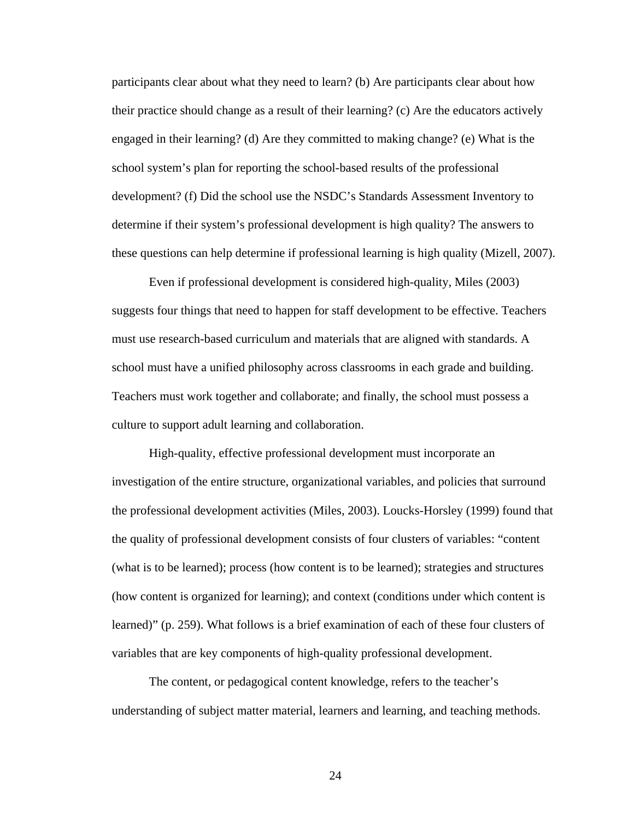participants clear about what they need to learn? (b) Are participants clear about how their practice should change as a result of their learning? (c) Are the educators actively engaged in their learning? (d) Are they committed to making change? (e) What is the school system's plan for reporting the school-based results of the professional development? (f) Did the school use the NSDC's Standards Assessment Inventory to determine if their system's professional development is high quality? The answers to these questions can help determine if professional learning is high quality (Mizell, 2007).

Even if professional development is considered high-quality, Miles (2003) suggests four things that need to happen for staff development to be effective. Teachers must use research-based curriculum and materials that are aligned with standards. A school must have a unified philosophy across classrooms in each grade and building. Teachers must work together and collaborate; and finally, the school must possess a culture to support adult learning and collaboration.

High-quality, effective professional development must incorporate an investigation of the entire structure, organizational variables, and policies that surround the professional development activities (Miles, 2003). Loucks-Horsley (1999) found that the quality of professional development consists of four clusters of variables: "content (what is to be learned); process (how content is to be learned); strategies and structures (how content is organized for learning); and context (conditions under which content is learned)" (p. 259). What follows is a brief examination of each of these four clusters of variables that are key components of high-quality professional development.

The content, or pedagogical content knowledge, refers to the teacher's understanding of subject matter material, learners and learning, and teaching methods.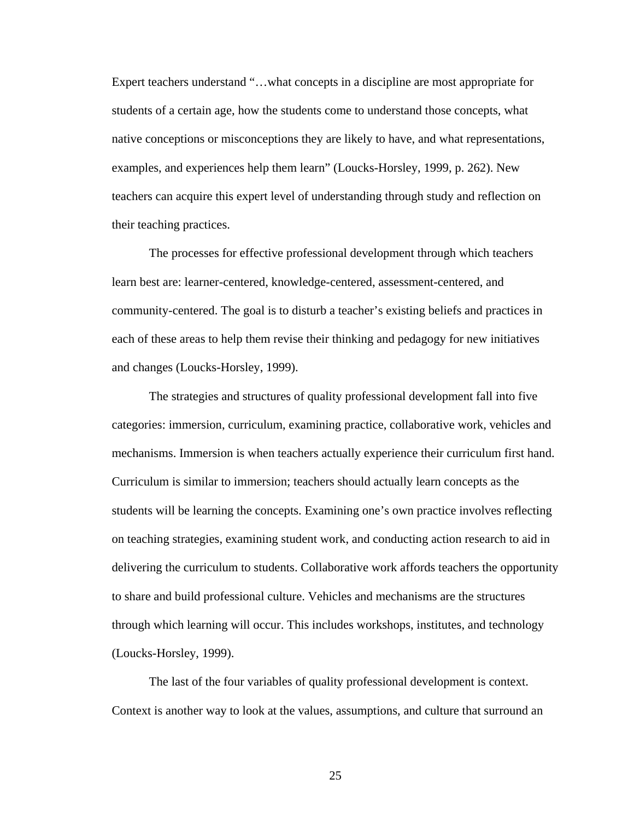Expert teachers understand "…what concepts in a discipline are most appropriate for students of a certain age, how the students come to understand those concepts, what native conceptions or misconceptions they are likely to have, and what representations, examples, and experiences help them learn" (Loucks-Horsley, 1999, p. 262). New teachers can acquire this expert level of understanding through study and reflection on their teaching practices.

The processes for effective professional development through which teachers learn best are: learner-centered, knowledge-centered, assessment-centered, and community-centered. The goal is to disturb a teacher's existing beliefs and practices in each of these areas to help them revise their thinking and pedagogy for new initiatives and changes (Loucks-Horsley, 1999).

The strategies and structures of quality professional development fall into five categories: immersion, curriculum, examining practice, collaborative work, vehicles and mechanisms. Immersion is when teachers actually experience their curriculum first hand. Curriculum is similar to immersion; teachers should actually learn concepts as the students will be learning the concepts. Examining one's own practice involves reflecting on teaching strategies, examining student work, and conducting action research to aid in delivering the curriculum to students. Collaborative work affords teachers the opportunity to share and build professional culture. Vehicles and mechanisms are the structures through which learning will occur. This includes workshops, institutes, and technology (Loucks-Horsley, 1999).

The last of the four variables of quality professional development is context. Context is another way to look at the values, assumptions, and culture that surround an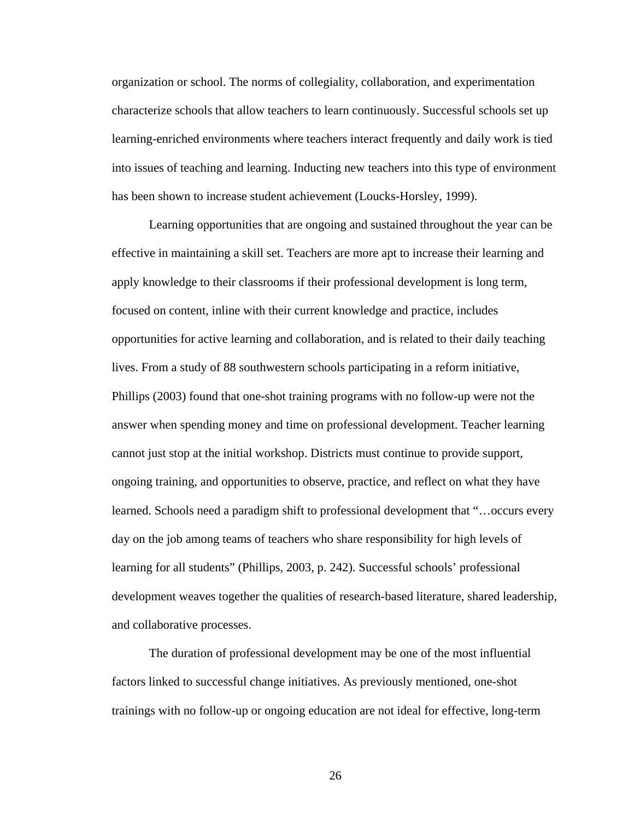organization or school. The norms of collegiality, collaboration, and experimentation characterize schools that allow teachers to learn continuously. Successful schools set up learning-enriched environments where teachers interact frequently and daily work is tied into issues of teaching and learning. Inducting new teachers into this type of environment has been shown to increase student achievement (Loucks-Horsley, 1999).

 Learning opportunities that are ongoing and sustained throughout the year can be effective in maintaining a skill set. Teachers are more apt to increase their learning and apply knowledge to their classrooms if their professional development is long term, focused on content, inline with their current knowledge and practice, includes opportunities for active learning and collaboration, and is related to their daily teaching lives. From a study of 88 southwestern schools participating in a reform initiative, Phillips (2003) found that one-shot training programs with no follow-up were not the answer when spending money and time on professional development. Teacher learning cannot just stop at the initial workshop. Districts must continue to provide support, ongoing training, and opportunities to observe, practice, and reflect on what they have learned. Schools need a paradigm shift to professional development that "…occurs every day on the job among teams of teachers who share responsibility for high levels of learning for all students" (Phillips, 2003, p. 242). Successful schools' professional development weaves together the qualities of research-based literature, shared leadership, and collaborative processes.

The duration of professional development may be one of the most influential factors linked to successful change initiatives. As previously mentioned, one-shot trainings with no follow-up or ongoing education are not ideal for effective, long-term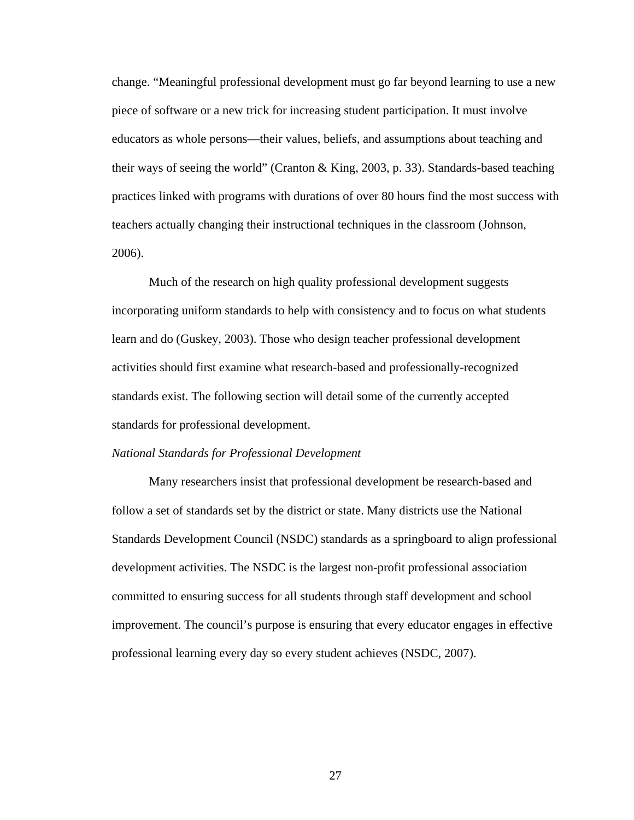change. "Meaningful professional development must go far beyond learning to use a new piece of software or a new trick for increasing student participation. It must involve educators as whole persons—their values, beliefs, and assumptions about teaching and their ways of seeing the world" (Cranton & King, 2003, p. 33). Standards-based teaching practices linked with programs with durations of over 80 hours find the most success with teachers actually changing their instructional techniques in the classroom (Johnson, 2006).

Much of the research on high quality professional development suggests incorporating uniform standards to help with consistency and to focus on what students learn and do (Guskey, 2003). Those who design teacher professional development activities should first examine what research-based and professionally-recognized standards exist. The following section will detail some of the currently accepted standards for professional development.

## *National Standards for Professional Development*

Many researchers insist that professional development be research-based and follow a set of standards set by the district or state. Many districts use the National Standards Development Council (NSDC) standards as a springboard to align professional development activities. The NSDC is the largest non-profit professional association committed to ensuring success for all students through staff development and school improvement. The council's purpose is ensuring that every educator engages in effective professional learning every day so every student achieves (NSDC, 2007).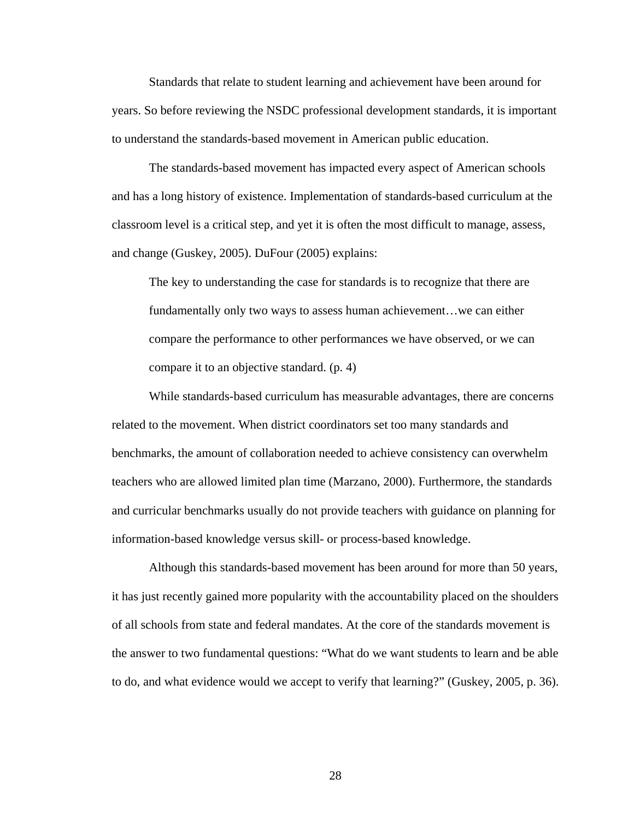Standards that relate to student learning and achievement have been around for years. So before reviewing the NSDC professional development standards, it is important to understand the standards-based movement in American public education.

The standards-based movement has impacted every aspect of American schools and has a long history of existence. Implementation of standards-based curriculum at the classroom level is a critical step, and yet it is often the most difficult to manage, assess, and change (Guskey, 2005). DuFour (2005) explains:

The key to understanding the case for standards is to recognize that there are fundamentally only two ways to assess human achievement…we can either compare the performance to other performances we have observed, or we can compare it to an objective standard. (p. 4)

While standards-based curriculum has measurable advantages, there are concerns related to the movement. When district coordinators set too many standards and benchmarks, the amount of collaboration needed to achieve consistency can overwhelm teachers who are allowed limited plan time (Marzano, 2000). Furthermore, the standards and curricular benchmarks usually do not provide teachers with guidance on planning for information-based knowledge versus skill- or process-based knowledge.

Although this standards-based movement has been around for more than 50 years, it has just recently gained more popularity with the accountability placed on the shoulders of all schools from state and federal mandates. At the core of the standards movement is the answer to two fundamental questions: "What do we want students to learn and be able to do, and what evidence would we accept to verify that learning?" (Guskey, 2005, p. 36).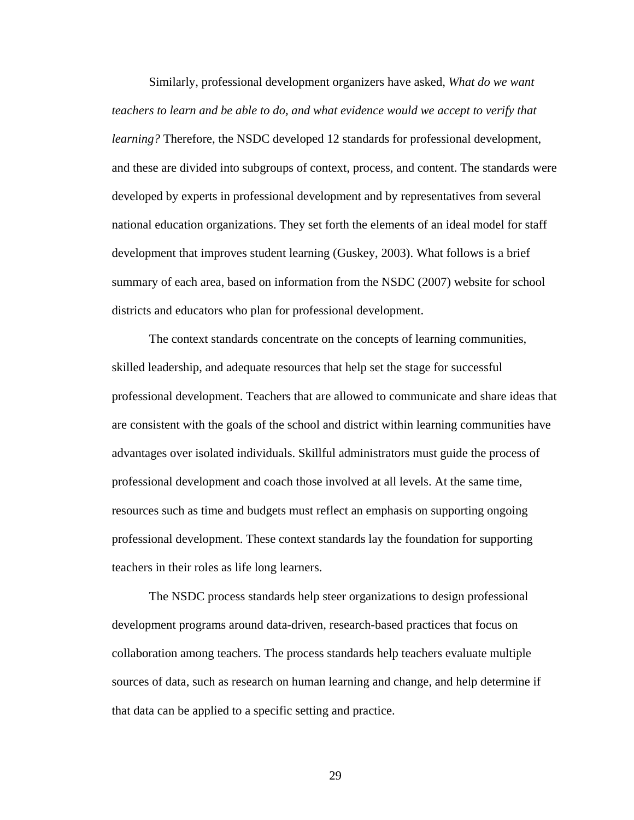Similarly, professional development organizers have asked, *What do we want teachers to learn and be able to do, and what evidence would we accept to verify that learning?* Therefore, the NSDC developed 12 standards for professional development, and these are divided into subgroups of context, process, and content. The standards were developed by experts in professional development and by representatives from several national education organizations. They set forth the elements of an ideal model for staff development that improves student learning (Guskey, 2003). What follows is a brief summary of each area, based on information from the NSDC (2007) website for school districts and educators who plan for professional development.

 The context standards concentrate on the concepts of learning communities, skilled leadership, and adequate resources that help set the stage for successful professional development. Teachers that are allowed to communicate and share ideas that are consistent with the goals of the school and district within learning communities have advantages over isolated individuals. Skillful administrators must guide the process of professional development and coach those involved at all levels. At the same time, resources such as time and budgets must reflect an emphasis on supporting ongoing professional development. These context standards lay the foundation for supporting teachers in their roles as life long learners.

 The NSDC process standards help steer organizations to design professional development programs around data-driven, research-based practices that focus on collaboration among teachers. The process standards help teachers evaluate multiple sources of data, such as research on human learning and change, and help determine if that data can be applied to a specific setting and practice.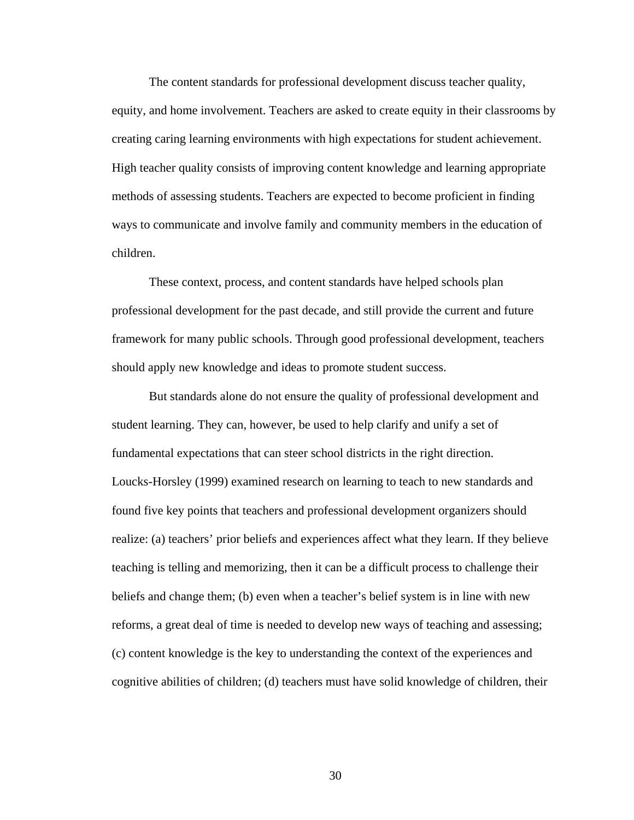The content standards for professional development discuss teacher quality, equity, and home involvement. Teachers are asked to create equity in their classrooms by creating caring learning environments with high expectations for student achievement. High teacher quality consists of improving content knowledge and learning appropriate methods of assessing students. Teachers are expected to become proficient in finding ways to communicate and involve family and community members in the education of children.

These context, process, and content standards have helped schools plan professional development for the past decade, and still provide the current and future framework for many public schools. Through good professional development, teachers should apply new knowledge and ideas to promote student success.

But standards alone do not ensure the quality of professional development and student learning. They can, however, be used to help clarify and unify a set of fundamental expectations that can steer school districts in the right direction. Loucks-Horsley (1999) examined research on learning to teach to new standards and found five key points that teachers and professional development organizers should realize: (a) teachers' prior beliefs and experiences affect what they learn. If they believe teaching is telling and memorizing, then it can be a difficult process to challenge their beliefs and change them; (b) even when a teacher's belief system is in line with new reforms, a great deal of time is needed to develop new ways of teaching and assessing; (c) content knowledge is the key to understanding the context of the experiences and cognitive abilities of children; (d) teachers must have solid knowledge of children, their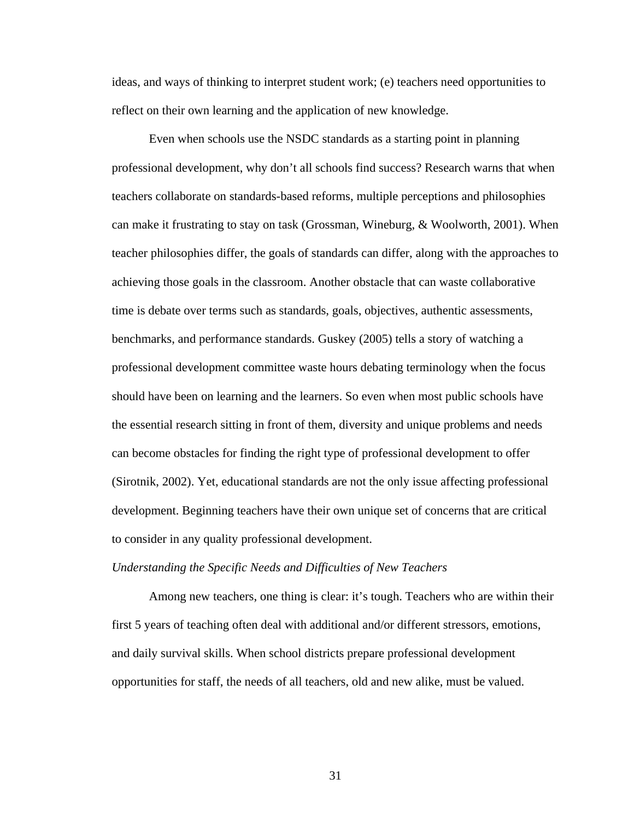ideas, and ways of thinking to interpret student work; (e) teachers need opportunities to reflect on their own learning and the application of new knowledge.

 Even when schools use the NSDC standards as a starting point in planning professional development, why don't all schools find success? Research warns that when teachers collaborate on standards-based reforms, multiple perceptions and philosophies can make it frustrating to stay on task (Grossman, Wineburg, & Woolworth, 2001). When teacher philosophies differ, the goals of standards can differ, along with the approaches to achieving those goals in the classroom. Another obstacle that can waste collaborative time is debate over terms such as standards, goals, objectives, authentic assessments, benchmarks, and performance standards. Guskey (2005) tells a story of watching a professional development committee waste hours debating terminology when the focus should have been on learning and the learners. So even when most public schools have the essential research sitting in front of them, diversity and unique problems and needs can become obstacles for finding the right type of professional development to offer (Sirotnik, 2002). Yet, educational standards are not the only issue affecting professional development. Beginning teachers have their own unique set of concerns that are critical to consider in any quality professional development.

## *Understanding the Specific Needs and Difficulties of New Teachers*

Among new teachers, one thing is clear: it's tough. Teachers who are within their first 5 years of teaching often deal with additional and/or different stressors, emotions, and daily survival skills. When school districts prepare professional development opportunities for staff, the needs of all teachers, old and new alike, must be valued.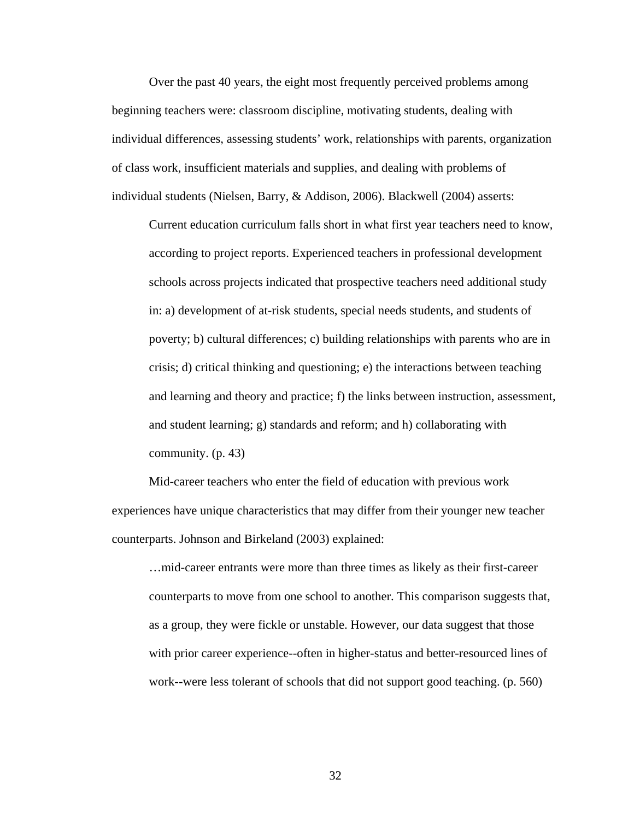Over the past 40 years, the eight most frequently perceived problems among beginning teachers were: classroom discipline, motivating students, dealing with individual differences, assessing students' work, relationships with parents, organization of class work, insufficient materials and supplies, and dealing with problems of individual students (Nielsen, Barry, & Addison, 2006). Blackwell (2004) asserts:

Current education curriculum falls short in what first year teachers need to know, according to project reports. Experienced teachers in professional development schools across projects indicated that prospective teachers need additional study in: a) development of at-risk students, special needs students, and students of poverty; b) cultural differences; c) building relationships with parents who are in crisis; d) critical thinking and questioning; e) the interactions between teaching and learning and theory and practice; f) the links between instruction, assessment, and student learning; g) standards and reform; and h) collaborating with community. (p. 43)

 Mid-career teachers who enter the field of education with previous work experiences have unique characteristics that may differ from their younger new teacher counterparts. Johnson and Birkeland (2003) explained:

…mid-career entrants were more than three times as likely as their first-career counterparts to move from one school to another. This comparison suggests that, as a group, they were fickle or unstable. However, our data suggest that those with prior career experience--often in higher-status and better-resourced lines of work--were less tolerant of schools that did not support good teaching. (p. 560)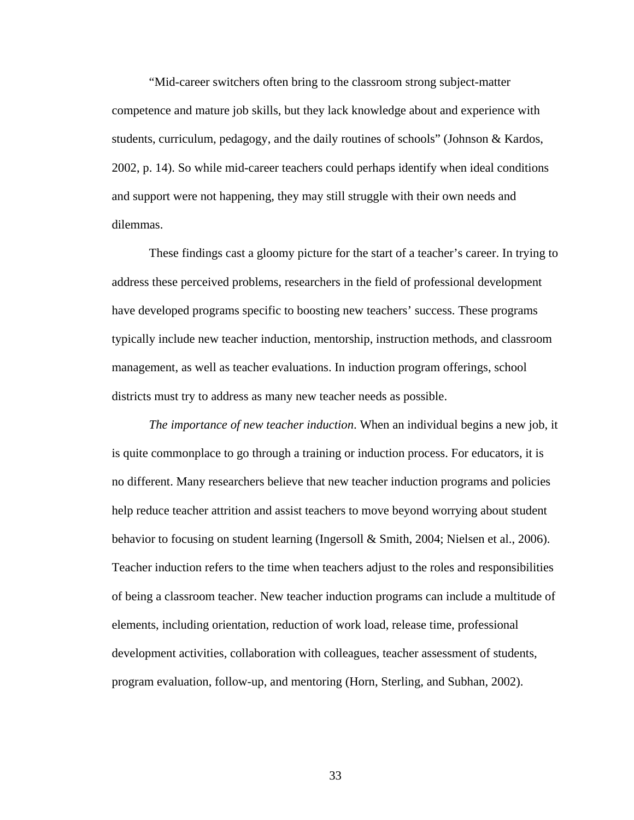"Mid-career switchers often bring to the classroom strong subject-matter competence and mature job skills, but they lack knowledge about and experience with students, curriculum, pedagogy, and the daily routines of schools" (Johnson & Kardos, 2002, p. 14). So while mid-career teachers could perhaps identify when ideal conditions and support were not happening, they may still struggle with their own needs and dilemmas.

 These findings cast a gloomy picture for the start of a teacher's career. In trying to address these perceived problems, researchers in the field of professional development have developed programs specific to boosting new teachers' success. These programs typically include new teacher induction, mentorship, instruction methods, and classroom management, as well as teacher evaluations. In induction program offerings, school districts must try to address as many new teacher needs as possible.

*The importance of new teacher induction*. When an individual begins a new job, it is quite commonplace to go through a training or induction process. For educators, it is no different. Many researchers believe that new teacher induction programs and policies help reduce teacher attrition and assist teachers to move beyond worrying about student behavior to focusing on student learning (Ingersoll & Smith, 2004; Nielsen et al., 2006). Teacher induction refers to the time when teachers adjust to the roles and responsibilities of being a classroom teacher. New teacher induction programs can include a multitude of elements, including orientation, reduction of work load, release time, professional development activities, collaboration with colleagues, teacher assessment of students, program evaluation, follow-up, and mentoring (Horn, Sterling, and Subhan, 2002).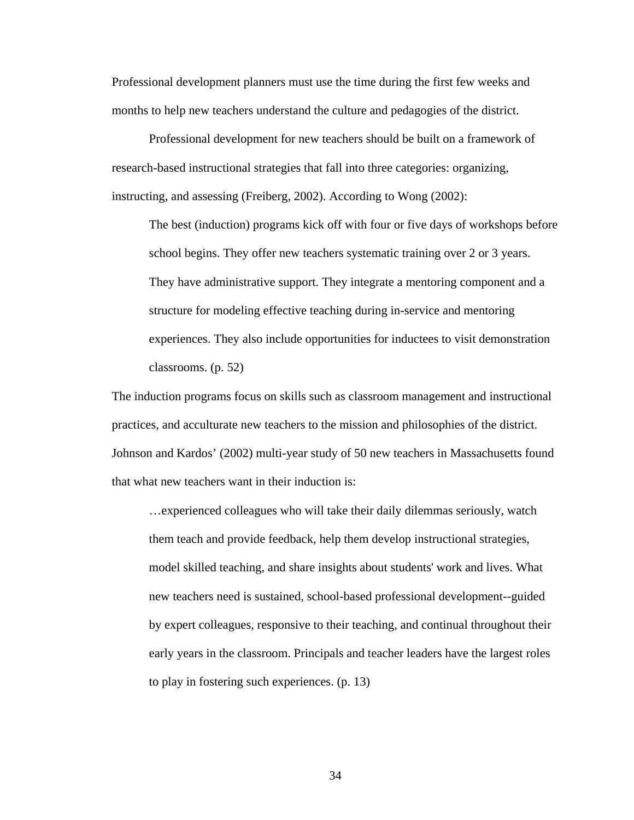Professional development planners must use the time during the first few weeks and months to help new teachers understand the culture and pedagogies of the district.

Professional development for new teachers should be built on a framework of research-based instructional strategies that fall into three categories: organizing, instructing, and assessing (Freiberg, 2002). According to Wong (2002):

The best (induction) programs kick off with four or five days of workshops before school begins. They offer new teachers systematic training over 2 or 3 years. They have administrative support. They integrate a mentoring component and a structure for modeling effective teaching during in-service and mentoring experiences. They also include opportunities for inductees to visit demonstration classrooms. (p. 52)

The induction programs focus on skills such as classroom management and instructional practices, and acculturate new teachers to the mission and philosophies of the district. Johnson and Kardos' (2002) multi-year study of 50 new teachers in Massachusetts found that what new teachers want in their induction is:

…experienced colleagues who will take their daily dilemmas seriously, watch them teach and provide feedback, help them develop instructional strategies, model skilled teaching, and share insights about students' work and lives. What new teachers need is sustained, school-based professional development--guided by expert colleagues, responsive to their teaching, and continual throughout their early years in the classroom. Principals and teacher leaders have the largest roles to play in fostering such experiences. (p. 13)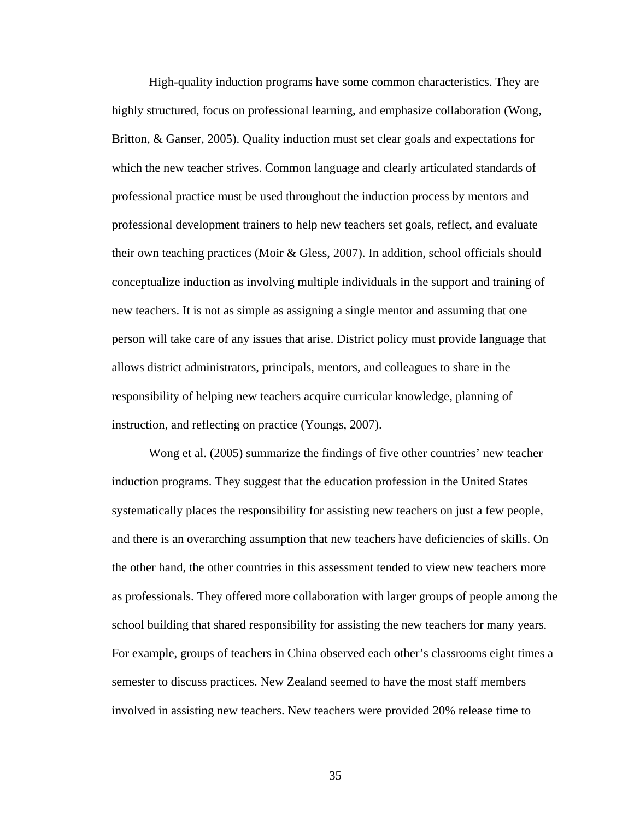High-quality induction programs have some common characteristics. They are highly structured, focus on professional learning, and emphasize collaboration (Wong, Britton, & Ganser, 2005). Quality induction must set clear goals and expectations for which the new teacher strives. Common language and clearly articulated standards of professional practice must be used throughout the induction process by mentors and professional development trainers to help new teachers set goals, reflect, and evaluate their own teaching practices (Moir & Gless, 2007). In addition, school officials should conceptualize induction as involving multiple individuals in the support and training of new teachers. It is not as simple as assigning a single mentor and assuming that one person will take care of any issues that arise. District policy must provide language that allows district administrators, principals, mentors, and colleagues to share in the responsibility of helping new teachers acquire curricular knowledge, planning of instruction, and reflecting on practice (Youngs, 2007).

 Wong et al. (2005) summarize the findings of five other countries' new teacher induction programs. They suggest that the education profession in the United States systematically places the responsibility for assisting new teachers on just a few people, and there is an overarching assumption that new teachers have deficiencies of skills. On the other hand, the other countries in this assessment tended to view new teachers more as professionals. They offered more collaboration with larger groups of people among the school building that shared responsibility for assisting the new teachers for many years. For example, groups of teachers in China observed each other's classrooms eight times a semester to discuss practices. New Zealand seemed to have the most staff members involved in assisting new teachers. New teachers were provided 20% release time to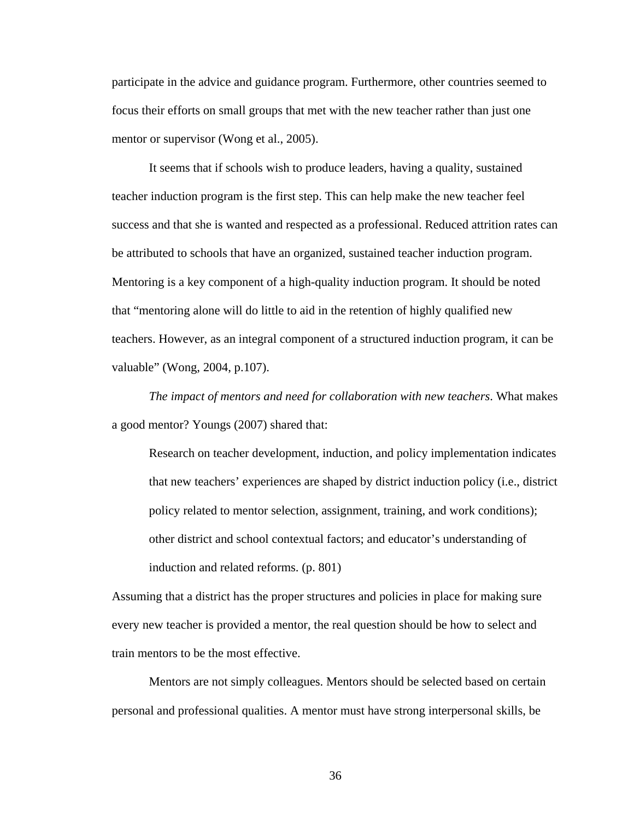participate in the advice and guidance program. Furthermore, other countries seemed to focus their efforts on small groups that met with the new teacher rather than just one mentor or supervisor (Wong et al., 2005).

 It seems that if schools wish to produce leaders, having a quality, sustained teacher induction program is the first step. This can help make the new teacher feel success and that she is wanted and respected as a professional. Reduced attrition rates can be attributed to schools that have an organized, sustained teacher induction program. Mentoring is a key component of a high-quality induction program. It should be noted that "mentoring alone will do little to aid in the retention of highly qualified new teachers. However, as an integral component of a structured induction program, it can be valuable" (Wong, 2004, p.107).

*The impact of mentors and need for collaboration with new teachers*. What makes a good mentor? Youngs (2007) shared that:

Research on teacher development, induction, and policy implementation indicates that new teachers' experiences are shaped by district induction policy (i.e., district policy related to mentor selection, assignment, training, and work conditions); other district and school contextual factors; and educator's understanding of induction and related reforms. (p. 801)

Assuming that a district has the proper structures and policies in place for making sure every new teacher is provided a mentor, the real question should be how to select and train mentors to be the most effective.

 Mentors are not simply colleagues. Mentors should be selected based on certain personal and professional qualities. A mentor must have strong interpersonal skills, be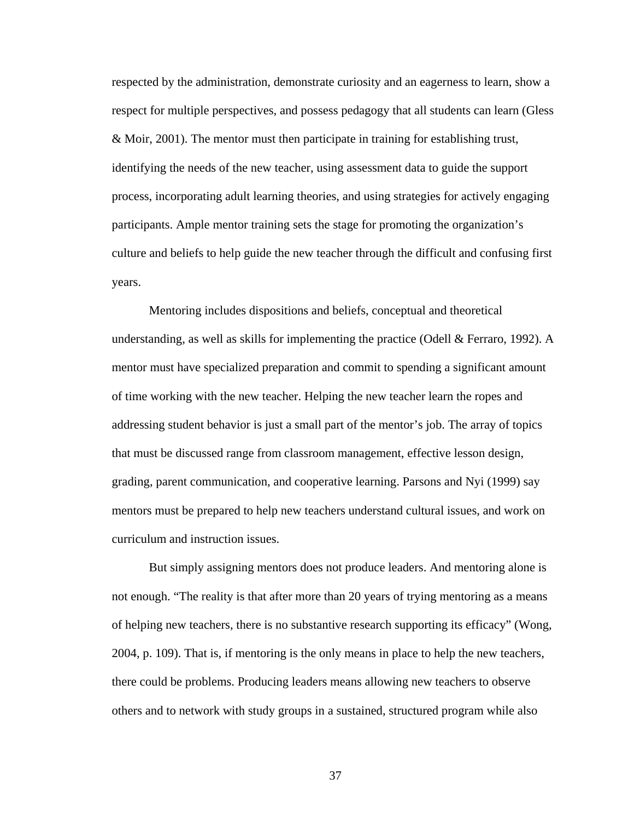respected by the administration, demonstrate curiosity and an eagerness to learn, show a respect for multiple perspectives, and possess pedagogy that all students can learn (Gless & Moir, 2001). The mentor must then participate in training for establishing trust, identifying the needs of the new teacher, using assessment data to guide the support process, incorporating adult learning theories, and using strategies for actively engaging participants. Ample mentor training sets the stage for promoting the organization's culture and beliefs to help guide the new teacher through the difficult and confusing first years.

Mentoring includes dispositions and beliefs, conceptual and theoretical understanding, as well as skills for implementing the practice (Odell  $&$  Ferraro, 1992). A mentor must have specialized preparation and commit to spending a significant amount of time working with the new teacher. Helping the new teacher learn the ropes and addressing student behavior is just a small part of the mentor's job. The array of topics that must be discussed range from classroom management, effective lesson design, grading, parent communication, and cooperative learning. Parsons and Nyi (1999) say mentors must be prepared to help new teachers understand cultural issues, and work on curriculum and instruction issues.

 But simply assigning mentors does not produce leaders. And mentoring alone is not enough. "The reality is that after more than 20 years of trying mentoring as a means of helping new teachers, there is no substantive research supporting its efficacy" (Wong, 2004, p. 109). That is, if mentoring is the only means in place to help the new teachers, there could be problems. Producing leaders means allowing new teachers to observe others and to network with study groups in a sustained, structured program while also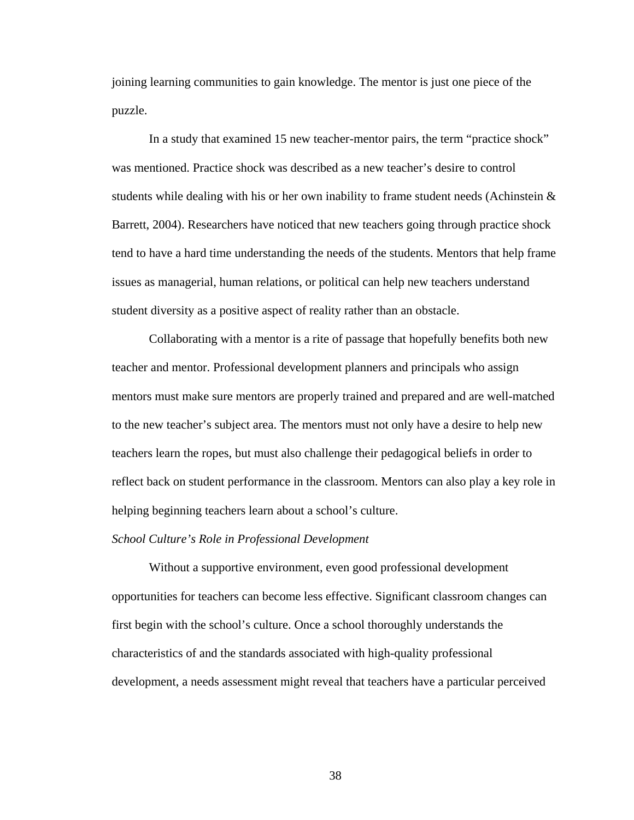joining learning communities to gain knowledge. The mentor is just one piece of the puzzle.

In a study that examined 15 new teacher-mentor pairs, the term "practice shock" was mentioned. Practice shock was described as a new teacher's desire to control students while dealing with his or her own inability to frame student needs (Achinstein  $\&$ Barrett, 2004). Researchers have noticed that new teachers going through practice shock tend to have a hard time understanding the needs of the students. Mentors that help frame issues as managerial, human relations, or political can help new teachers understand student diversity as a positive aspect of reality rather than an obstacle.

 Collaborating with a mentor is a rite of passage that hopefully benefits both new teacher and mentor. Professional development planners and principals who assign mentors must make sure mentors are properly trained and prepared and are well-matched to the new teacher's subject area. The mentors must not only have a desire to help new teachers learn the ropes, but must also challenge their pedagogical beliefs in order to reflect back on student performance in the classroom. Mentors can also play a key role in helping beginning teachers learn about a school's culture.

# *School Culture's Role in Professional Development*

Without a supportive environment, even good professional development opportunities for teachers can become less effective. Significant classroom changes can first begin with the school's culture. Once a school thoroughly understands the characteristics of and the standards associated with high-quality professional development, a needs assessment might reveal that teachers have a particular perceived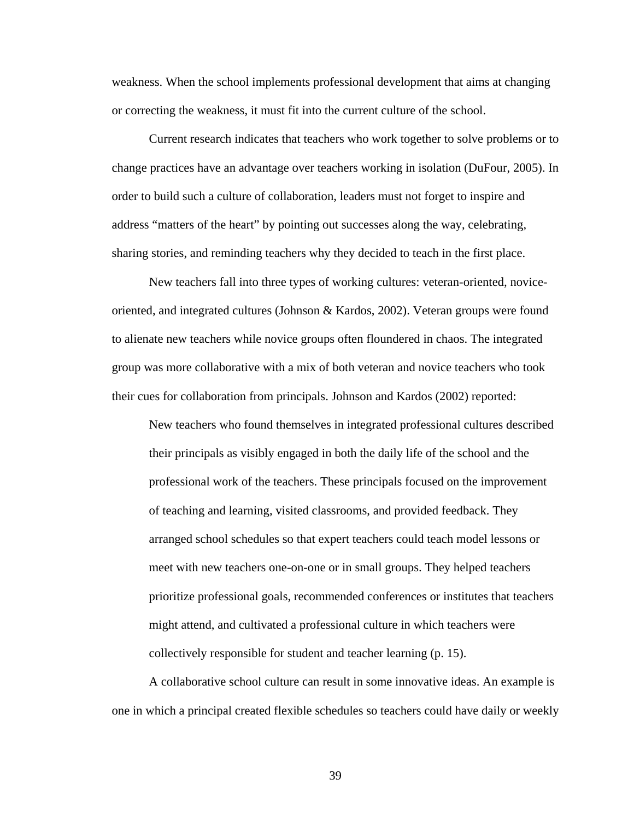weakness. When the school implements professional development that aims at changing or correcting the weakness, it must fit into the current culture of the school.

Current research indicates that teachers who work together to solve problems or to change practices have an advantage over teachers working in isolation (DuFour, 2005). In order to build such a culture of collaboration, leaders must not forget to inspire and address "matters of the heart" by pointing out successes along the way, celebrating, sharing stories, and reminding teachers why they decided to teach in the first place.

 New teachers fall into three types of working cultures: veteran-oriented, noviceoriented, and integrated cultures (Johnson & Kardos, 2002). Veteran groups were found to alienate new teachers while novice groups often floundered in chaos. The integrated group was more collaborative with a mix of both veteran and novice teachers who took their cues for collaboration from principals. Johnson and Kardos (2002) reported:

New teachers who found themselves in integrated professional cultures described their principals as visibly engaged in both the daily life of the school and the professional work of the teachers. These principals focused on the improvement of teaching and learning, visited classrooms, and provided feedback. They arranged school schedules so that expert teachers could teach model lessons or meet with new teachers one-on-one or in small groups. They helped teachers prioritize professional goals, recommended conferences or institutes that teachers might attend, and cultivated a professional culture in which teachers were collectively responsible for student and teacher learning (p. 15).

A collaborative school culture can result in some innovative ideas. An example is one in which a principal created flexible schedules so teachers could have daily or weekly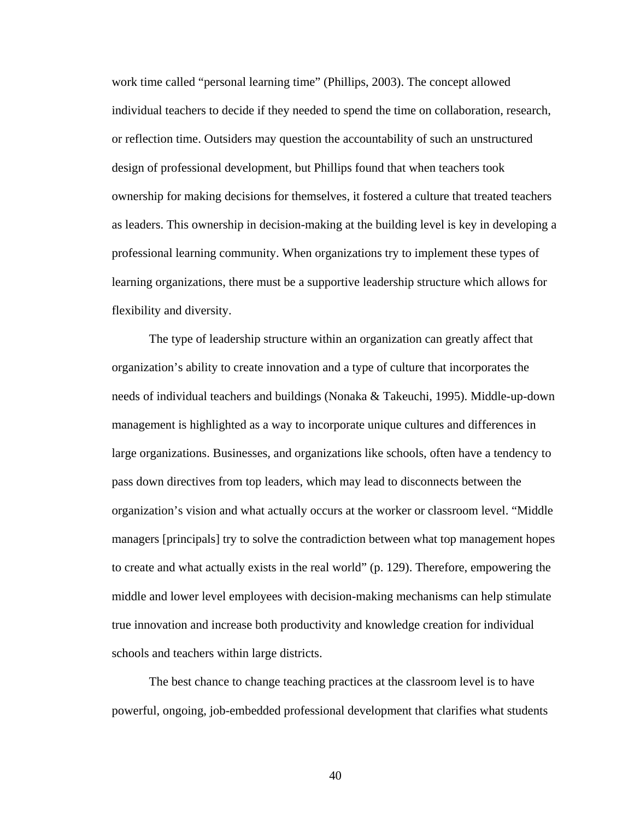work time called "personal learning time" (Phillips, 2003). The concept allowed individual teachers to decide if they needed to spend the time on collaboration, research, or reflection time. Outsiders may question the accountability of such an unstructured design of professional development, but Phillips found that when teachers took ownership for making decisions for themselves, it fostered a culture that treated teachers as leaders. This ownership in decision-making at the building level is key in developing a professional learning community. When organizations try to implement these types of learning organizations, there must be a supportive leadership structure which allows for flexibility and diversity.

The type of leadership structure within an organization can greatly affect that organization's ability to create innovation and a type of culture that incorporates the needs of individual teachers and buildings (Nonaka & Takeuchi, 1995). Middle-up-down management is highlighted as a way to incorporate unique cultures and differences in large organizations. Businesses, and organizations like schools, often have a tendency to pass down directives from top leaders, which may lead to disconnects between the organization's vision and what actually occurs at the worker or classroom level. "Middle managers [principals] try to solve the contradiction between what top management hopes to create and what actually exists in the real world" (p. 129). Therefore, empowering the middle and lower level employees with decision-making mechanisms can help stimulate true innovation and increase both productivity and knowledge creation for individual schools and teachers within large districts.

The best chance to change teaching practices at the classroom level is to have powerful, ongoing, job-embedded professional development that clarifies what students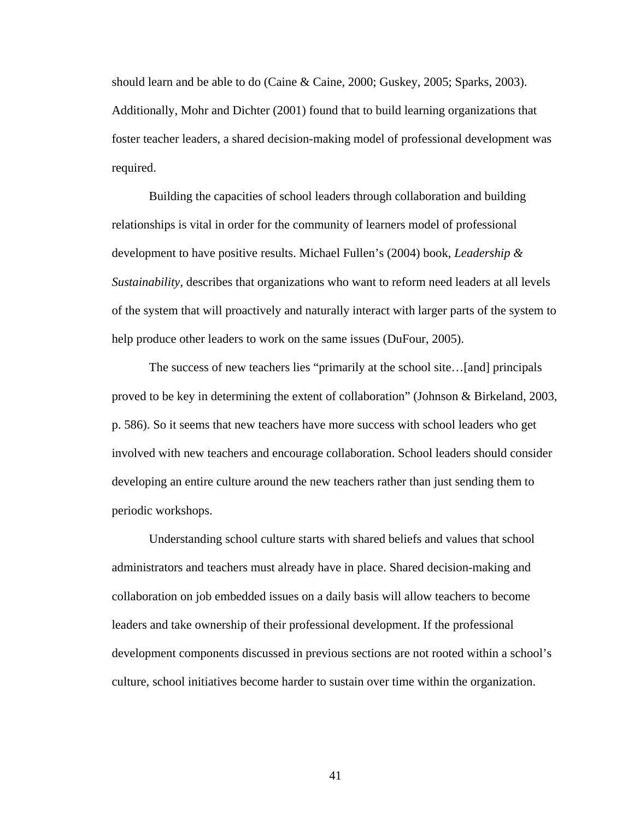should learn and be able to do (Caine & Caine, 2000; Guskey, 2005; Sparks, 2003). Additionally, Mohr and Dichter (2001) found that to build learning organizations that foster teacher leaders, a shared decision-making model of professional development was required.

Building the capacities of school leaders through collaboration and building relationships is vital in order for the community of learners model of professional development to have positive results. Michael Fullen's (2004) book, *Leadership & Sustainability*, describes that organizations who want to reform need leaders at all levels of the system that will proactively and naturally interact with larger parts of the system to help produce other leaders to work on the same issues (DuFour, 2005).

 The success of new teachers lies "primarily at the school site…[and] principals proved to be key in determining the extent of collaboration" (Johnson & Birkeland, 2003, p. 586). So it seems that new teachers have more success with school leaders who get involved with new teachers and encourage collaboration. School leaders should consider developing an entire culture around the new teachers rather than just sending them to periodic workshops.

Understanding school culture starts with shared beliefs and values that school administrators and teachers must already have in place. Shared decision-making and collaboration on job embedded issues on a daily basis will allow teachers to become leaders and take ownership of their professional development. If the professional development components discussed in previous sections are not rooted within a school's culture, school initiatives become harder to sustain over time within the organization.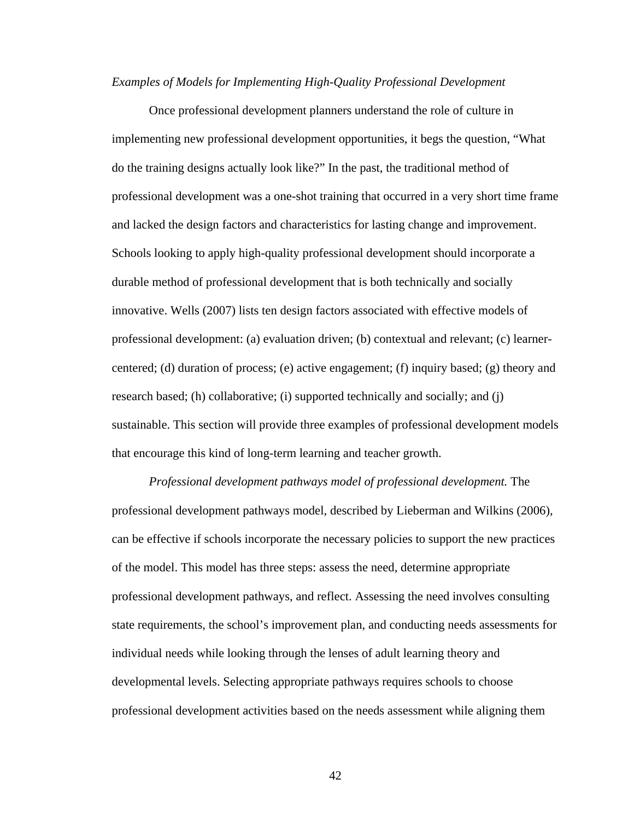#### *Examples of Models for Implementing High-Quality Professional Development*

Once professional development planners understand the role of culture in implementing new professional development opportunities, it begs the question, "What do the training designs actually look like?" In the past, the traditional method of professional development was a one-shot training that occurred in a very short time frame and lacked the design factors and characteristics for lasting change and improvement. Schools looking to apply high-quality professional development should incorporate a durable method of professional development that is both technically and socially innovative. Wells (2007) lists ten design factors associated with effective models of professional development: (a) evaluation driven; (b) contextual and relevant; (c) learnercentered; (d) duration of process; (e) active engagement; (f) inquiry based; (g) theory and research based; (h) collaborative; (i) supported technically and socially; and (j) sustainable. This section will provide three examples of professional development models that encourage this kind of long-term learning and teacher growth.

*Professional development pathways model of professional development.* The professional development pathways model, described by Lieberman and Wilkins (2006), can be effective if schools incorporate the necessary policies to support the new practices of the model. This model has three steps: assess the need, determine appropriate professional development pathways, and reflect. Assessing the need involves consulting state requirements, the school's improvement plan, and conducting needs assessments for individual needs while looking through the lenses of adult learning theory and developmental levels. Selecting appropriate pathways requires schools to choose professional development activities based on the needs assessment while aligning them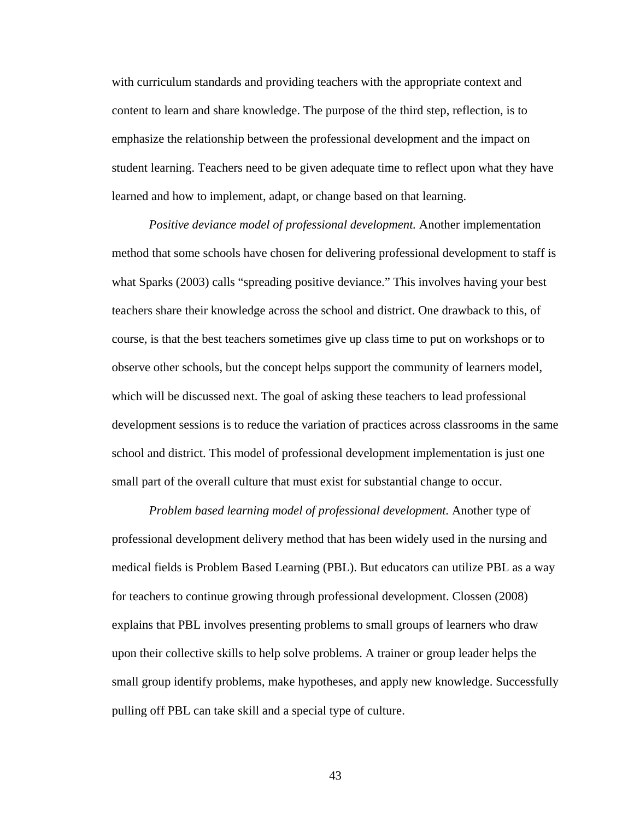with curriculum standards and providing teachers with the appropriate context and content to learn and share knowledge. The purpose of the third step, reflection, is to emphasize the relationship between the professional development and the impact on student learning. Teachers need to be given adequate time to reflect upon what they have learned and how to implement, adapt, or change based on that learning.

*Positive deviance model of professional development.* Another implementation method that some schools have chosen for delivering professional development to staff is what Sparks (2003) calls "spreading positive deviance." This involves having your best teachers share their knowledge across the school and district. One drawback to this, of course, is that the best teachers sometimes give up class time to put on workshops or to observe other schools, but the concept helps support the community of learners model, which will be discussed next. The goal of asking these teachers to lead professional development sessions is to reduce the variation of practices across classrooms in the same school and district. This model of professional development implementation is just one small part of the overall culture that must exist for substantial change to occur.

 *Problem based learning model of professional development.* Another type of professional development delivery method that has been widely used in the nursing and medical fields is Problem Based Learning (PBL). But educators can utilize PBL as a way for teachers to continue growing through professional development. Clossen (2008) explains that PBL involves presenting problems to small groups of learners who draw upon their collective skills to help solve problems. A trainer or group leader helps the small group identify problems, make hypotheses, and apply new knowledge. Successfully pulling off PBL can take skill and a special type of culture.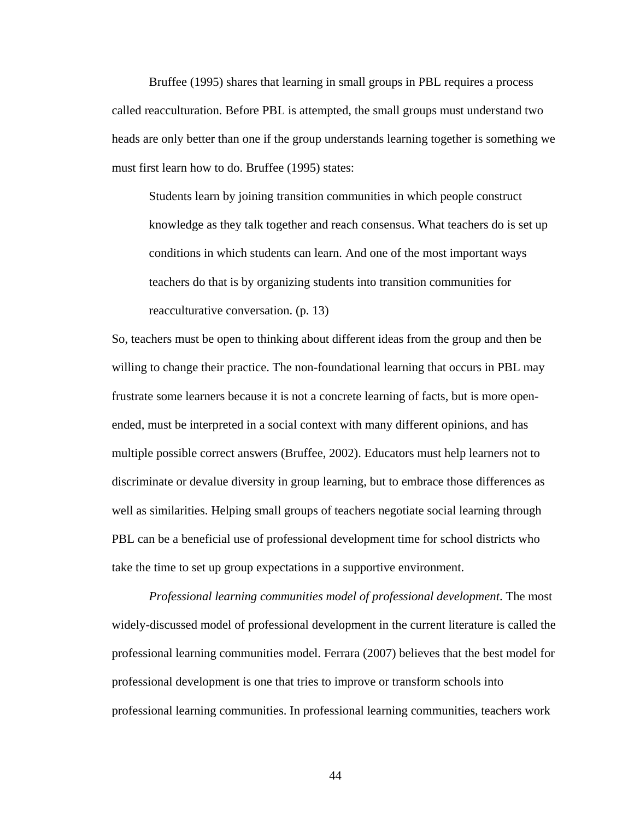Bruffee (1995) shares that learning in small groups in PBL requires a process called reacculturation. Before PBL is attempted, the small groups must understand two heads are only better than one if the group understands learning together is something we must first learn how to do. Bruffee (1995) states:

Students learn by joining transition communities in which people construct knowledge as they talk together and reach consensus. What teachers do is set up conditions in which students can learn. And one of the most important ways teachers do that is by organizing students into transition communities for reacculturative conversation. (p. 13)

So, teachers must be open to thinking about different ideas from the group and then be willing to change their practice. The non-foundational learning that occurs in PBL may frustrate some learners because it is not a concrete learning of facts, but is more openended, must be interpreted in a social context with many different opinions, and has multiple possible correct answers (Bruffee, 2002). Educators must help learners not to discriminate or devalue diversity in group learning, but to embrace those differences as well as similarities. Helping small groups of teachers negotiate social learning through PBL can be a beneficial use of professional development time for school districts who take the time to set up group expectations in a supportive environment.

*Professional learning communities model of professional development*. The most widely-discussed model of professional development in the current literature is called the professional learning communities model. Ferrara (2007) believes that the best model for professional development is one that tries to improve or transform schools into professional learning communities. In professional learning communities, teachers work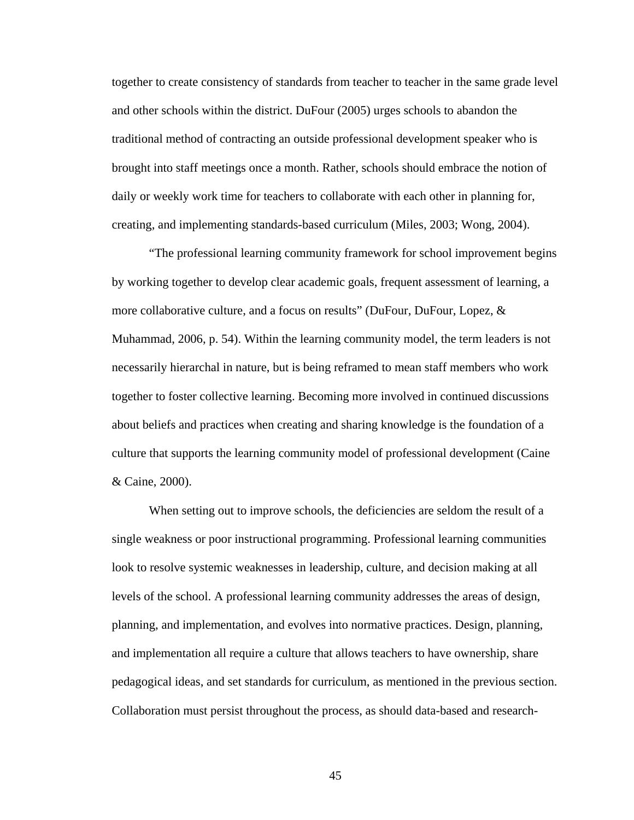together to create consistency of standards from teacher to teacher in the same grade level and other schools within the district. DuFour (2005) urges schools to abandon the traditional method of contracting an outside professional development speaker who is brought into staff meetings once a month. Rather, schools should embrace the notion of daily or weekly work time for teachers to collaborate with each other in planning for, creating, and implementing standards-based curriculum (Miles, 2003; Wong, 2004).

"The professional learning community framework for school improvement begins by working together to develop clear academic goals, frequent assessment of learning, a more collaborative culture, and a focus on results" (DuFour, DuFour, Lopez, & Muhammad, 2006, p. 54). Within the learning community model, the term leaders is not necessarily hierarchal in nature, but is being reframed to mean staff members who work together to foster collective learning. Becoming more involved in continued discussions about beliefs and practices when creating and sharing knowledge is the foundation of a culture that supports the learning community model of professional development (Caine & Caine, 2000).

When setting out to improve schools, the deficiencies are seldom the result of a single weakness or poor instructional programming. Professional learning communities look to resolve systemic weaknesses in leadership, culture, and decision making at all levels of the school. A professional learning community addresses the areas of design, planning, and implementation, and evolves into normative practices. Design, planning, and implementation all require a culture that allows teachers to have ownership, share pedagogical ideas, and set standards for curriculum, as mentioned in the previous section. Collaboration must persist throughout the process, as should data-based and research-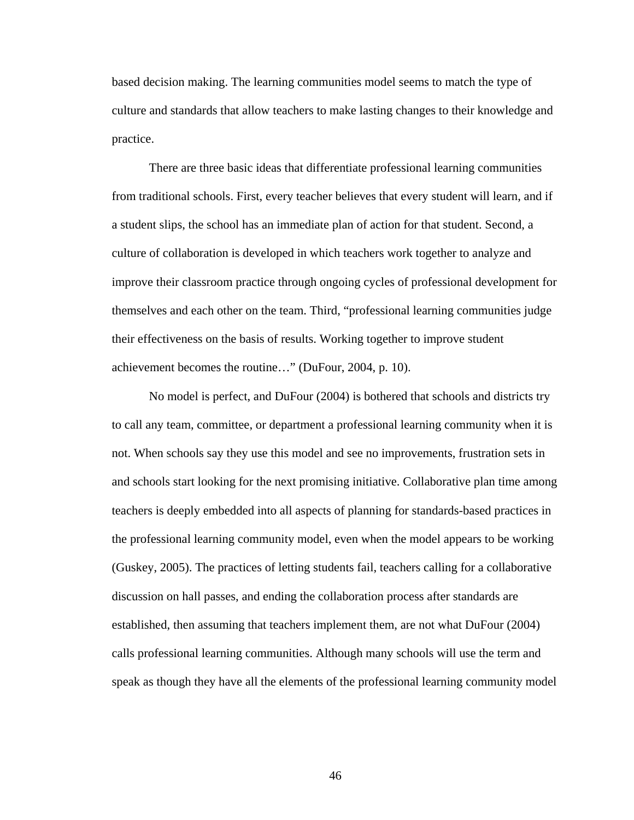based decision making. The learning communities model seems to match the type of culture and standards that allow teachers to make lasting changes to their knowledge and practice.

There are three basic ideas that differentiate professional learning communities from traditional schools. First, every teacher believes that every student will learn, and if a student slips, the school has an immediate plan of action for that student. Second, a culture of collaboration is developed in which teachers work together to analyze and improve their classroom practice through ongoing cycles of professional development for themselves and each other on the team. Third, "professional learning communities judge their effectiveness on the basis of results. Working together to improve student achievement becomes the routine…" (DuFour, 2004, p. 10).

No model is perfect, and DuFour (2004) is bothered that schools and districts try to call any team, committee, or department a professional learning community when it is not. When schools say they use this model and see no improvements, frustration sets in and schools start looking for the next promising initiative. Collaborative plan time among teachers is deeply embedded into all aspects of planning for standards-based practices in the professional learning community model, even when the model appears to be working (Guskey, 2005). The practices of letting students fail, teachers calling for a collaborative discussion on hall passes, and ending the collaboration process after standards are established, then assuming that teachers implement them, are not what DuFour (2004) calls professional learning communities. Although many schools will use the term and speak as though they have all the elements of the professional learning community model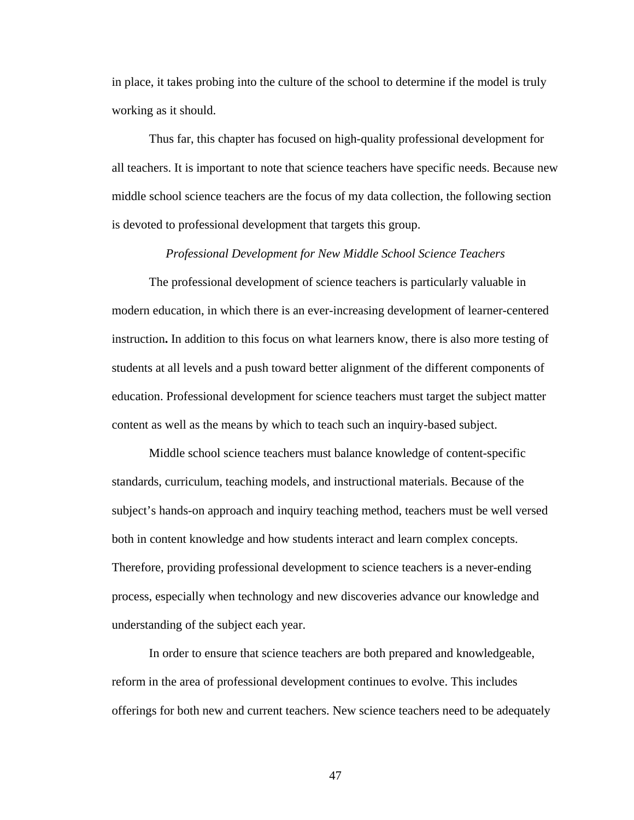in place, it takes probing into the culture of the school to determine if the model is truly working as it should.

Thus far, this chapter has focused on high-quality professional development for all teachers. It is important to note that science teachers have specific needs. Because new middle school science teachers are the focus of my data collection, the following section is devoted to professional development that targets this group.

## *Professional Development for New Middle School Science Teachers*

The professional development of science teachers is particularly valuable in modern education, in which there is an ever-increasing development of learner-centered instruction**.** In addition to this focus on what learners know, there is also more testing of students at all levels and a push toward better alignment of the different components of education. Professional development for science teachers must target the subject matter content as well as the means by which to teach such an inquiry-based subject.

 Middle school science teachers must balance knowledge of content-specific standards, curriculum, teaching models, and instructional materials. Because of the subject's hands-on approach and inquiry teaching method, teachers must be well versed both in content knowledge and how students interact and learn complex concepts. Therefore, providing professional development to science teachers is a never-ending process, especially when technology and new discoveries advance our knowledge and understanding of the subject each year.

 In order to ensure that science teachers are both prepared and knowledgeable, reform in the area of professional development continues to evolve. This includes offerings for both new and current teachers. New science teachers need to be adequately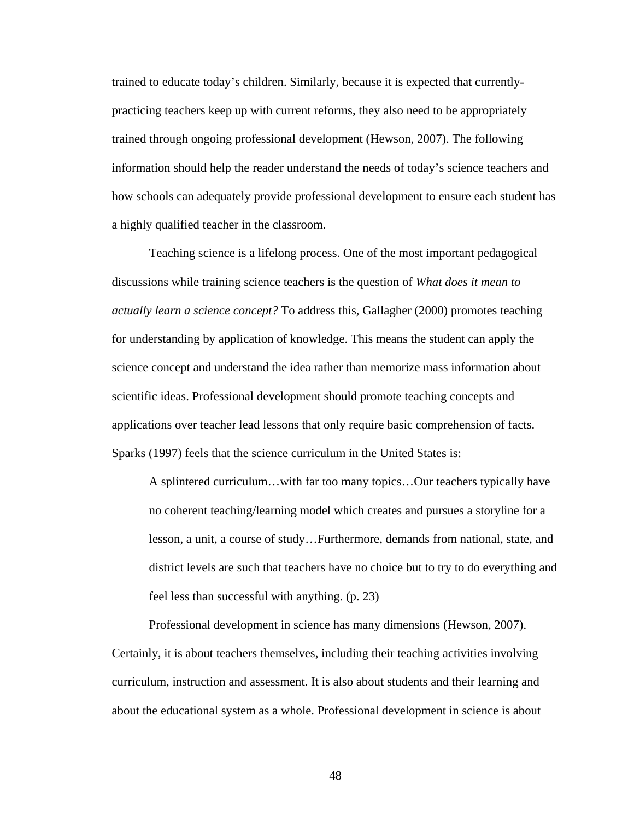trained to educate today's children. Similarly, because it is expected that currentlypracticing teachers keep up with current reforms, they also need to be appropriately trained through ongoing professional development (Hewson, 2007). The following information should help the reader understand the needs of today's science teachers and how schools can adequately provide professional development to ensure each student has a highly qualified teacher in the classroom.

Teaching science is a lifelong process. One of the most important pedagogical discussions while training science teachers is the question of *What does it mean to actually learn a science concept?* To address this, Gallagher (2000) promotes teaching for understanding by application of knowledge. This means the student can apply the science concept and understand the idea rather than memorize mass information about scientific ideas. Professional development should promote teaching concepts and applications over teacher lead lessons that only require basic comprehension of facts. Sparks (1997) feels that the science curriculum in the United States is:

A splintered curriculum…with far too many topics…Our teachers typically have no coherent teaching/learning model which creates and pursues a storyline for a lesson, a unit, a course of study…Furthermore, demands from national, state, and district levels are such that teachers have no choice but to try to do everything and feel less than successful with anything. (p. 23)

Professional development in science has many dimensions (Hewson, 2007). Certainly, it is about teachers themselves, including their teaching activities involving curriculum, instruction and assessment. It is also about students and their learning and about the educational system as a whole. Professional development in science is about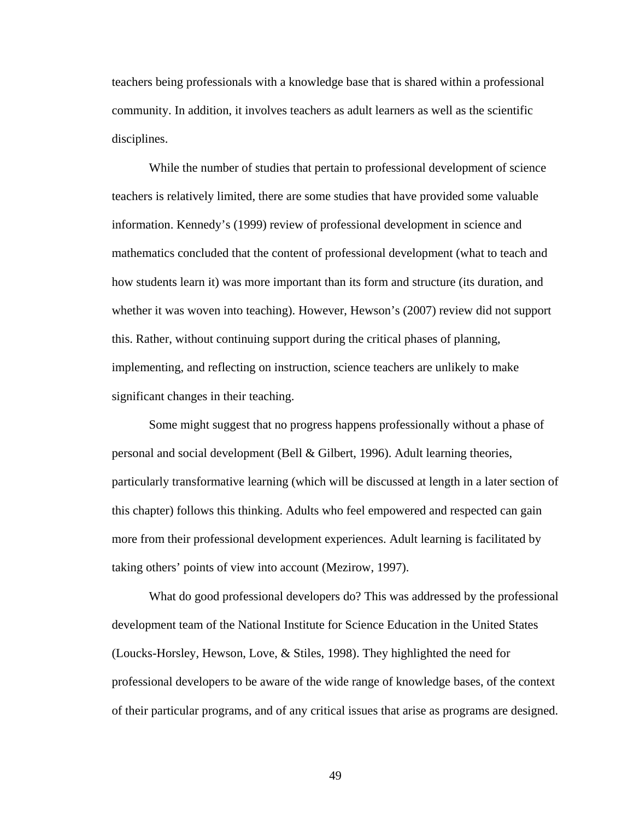teachers being professionals with a knowledge base that is shared within a professional community. In addition, it involves teachers as adult learners as well as the scientific disciplines.

While the number of studies that pertain to professional development of science teachers is relatively limited, there are some studies that have provided some valuable information. Kennedy's (1999) review of professional development in science and mathematics concluded that the content of professional development (what to teach and how students learn it) was more important than its form and structure (its duration, and whether it was woven into teaching). However, Hewson's (2007) review did not support this. Rather, without continuing support during the critical phases of planning, implementing, and reflecting on instruction, science teachers are unlikely to make significant changes in their teaching.

Some might suggest that no progress happens professionally without a phase of personal and social development (Bell & Gilbert, 1996). Adult learning theories, particularly transformative learning (which will be discussed at length in a later section of this chapter) follows this thinking. Adults who feel empowered and respected can gain more from their professional development experiences. Adult learning is facilitated by taking others' points of view into account (Mezirow, 1997).

What do good professional developers do? This was addressed by the professional development team of the National Institute for Science Education in the United States (Loucks-Horsley, Hewson, Love, & Stiles, 1998). They highlighted the need for professional developers to be aware of the wide range of knowledge bases, of the context of their particular programs, and of any critical issues that arise as programs are designed.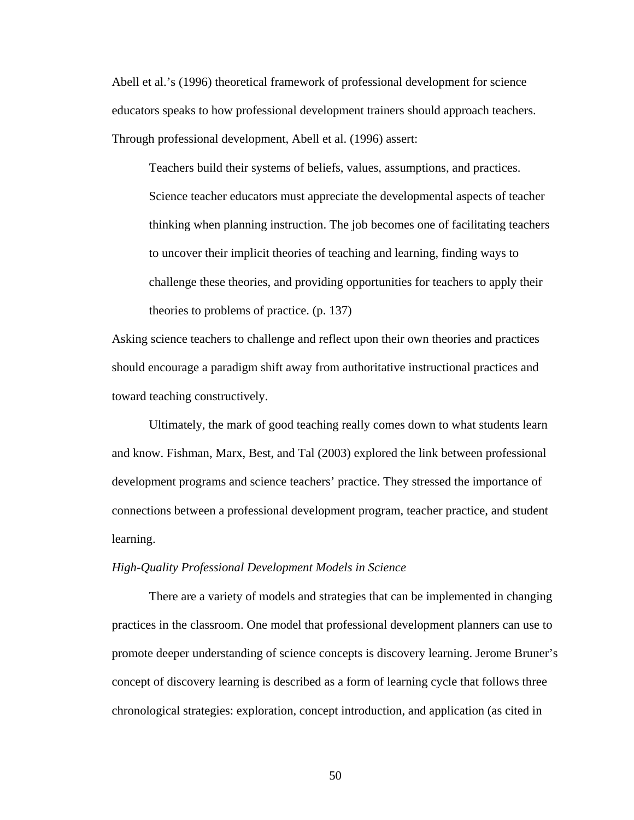Abell et al.'s (1996) theoretical framework of professional development for science educators speaks to how professional development trainers should approach teachers. Through professional development, Abell et al. (1996) assert:

Teachers build their systems of beliefs, values, assumptions, and practices. Science teacher educators must appreciate the developmental aspects of teacher thinking when planning instruction. The job becomes one of facilitating teachers to uncover their implicit theories of teaching and learning, finding ways to challenge these theories, and providing opportunities for teachers to apply their theories to problems of practice. (p. 137)

Asking science teachers to challenge and reflect upon their own theories and practices should encourage a paradigm shift away from authoritative instructional practices and toward teaching constructively.

Ultimately, the mark of good teaching really comes down to what students learn and know. Fishman, Marx, Best, and Tal (2003) explored the link between professional development programs and science teachers' practice. They stressed the importance of connections between a professional development program, teacher practice, and student learning.

## *High-Quality Professional Development Models in Science*

There are a variety of models and strategies that can be implemented in changing practices in the classroom. One model that professional development planners can use to promote deeper understanding of science concepts is discovery learning. Jerome Bruner's concept of discovery learning is described as a form of learning cycle that follows three chronological strategies: exploration, concept introduction, and application (as cited in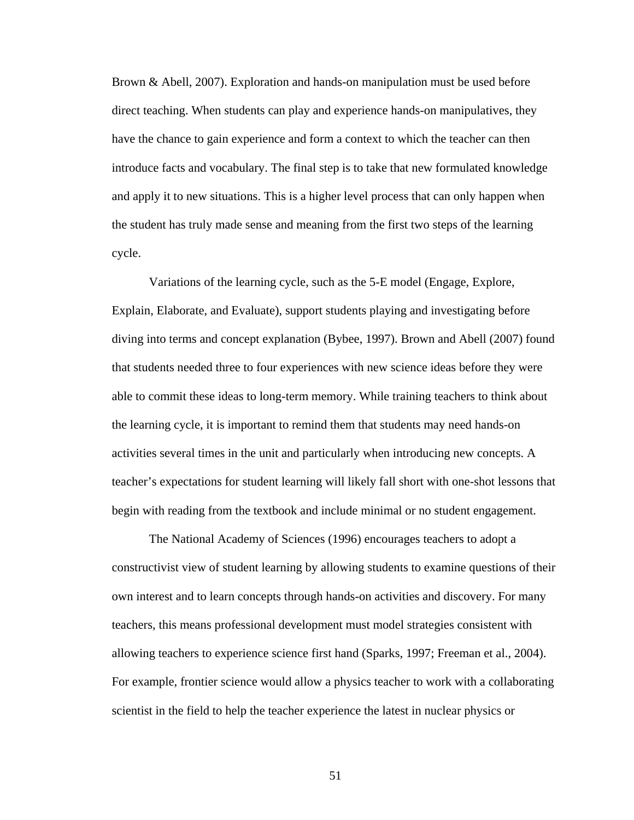Brown & Abell, 2007). Exploration and hands-on manipulation must be used before direct teaching. When students can play and experience hands-on manipulatives, they have the chance to gain experience and form a context to which the teacher can then introduce facts and vocabulary. The final step is to take that new formulated knowledge and apply it to new situations. This is a higher level process that can only happen when the student has truly made sense and meaning from the first two steps of the learning cycle.

Variations of the learning cycle, such as the 5-E model (Engage, Explore, Explain, Elaborate, and Evaluate), support students playing and investigating before diving into terms and concept explanation (Bybee, 1997). Brown and Abell (2007) found that students needed three to four experiences with new science ideas before they were able to commit these ideas to long-term memory. While training teachers to think about the learning cycle, it is important to remind them that students may need hands-on activities several times in the unit and particularly when introducing new concepts. A teacher's expectations for student learning will likely fall short with one-shot lessons that begin with reading from the textbook and include minimal or no student engagement.

The National Academy of Sciences (1996) encourages teachers to adopt a constructivist view of student learning by allowing students to examine questions of their own interest and to learn concepts through hands-on activities and discovery. For many teachers, this means professional development must model strategies consistent with allowing teachers to experience science first hand (Sparks, 1997; Freeman et al., 2004). For example, frontier science would allow a physics teacher to work with a collaborating scientist in the field to help the teacher experience the latest in nuclear physics or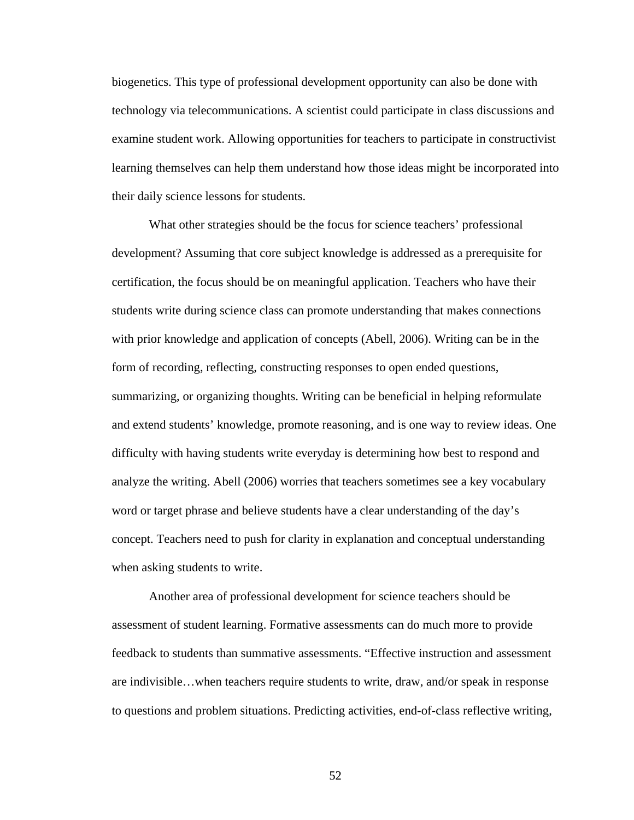biogenetics. This type of professional development opportunity can also be done with technology via telecommunications. A scientist could participate in class discussions and examine student work. Allowing opportunities for teachers to participate in constructivist learning themselves can help them understand how those ideas might be incorporated into their daily science lessons for students.

What other strategies should be the focus for science teachers' professional development? Assuming that core subject knowledge is addressed as a prerequisite for certification, the focus should be on meaningful application. Teachers who have their students write during science class can promote understanding that makes connections with prior knowledge and application of concepts (Abell, 2006). Writing can be in the form of recording, reflecting, constructing responses to open ended questions, summarizing, or organizing thoughts. Writing can be beneficial in helping reformulate and extend students' knowledge, promote reasoning, and is one way to review ideas. One difficulty with having students write everyday is determining how best to respond and analyze the writing. Abell (2006) worries that teachers sometimes see a key vocabulary word or target phrase and believe students have a clear understanding of the day's concept. Teachers need to push for clarity in explanation and conceptual understanding when asking students to write.

 Another area of professional development for science teachers should be assessment of student learning. Formative assessments can do much more to provide feedback to students than summative assessments. "Effective instruction and assessment are indivisible…when teachers require students to write, draw, and/or speak in response to questions and problem situations. Predicting activities, end-of-class reflective writing,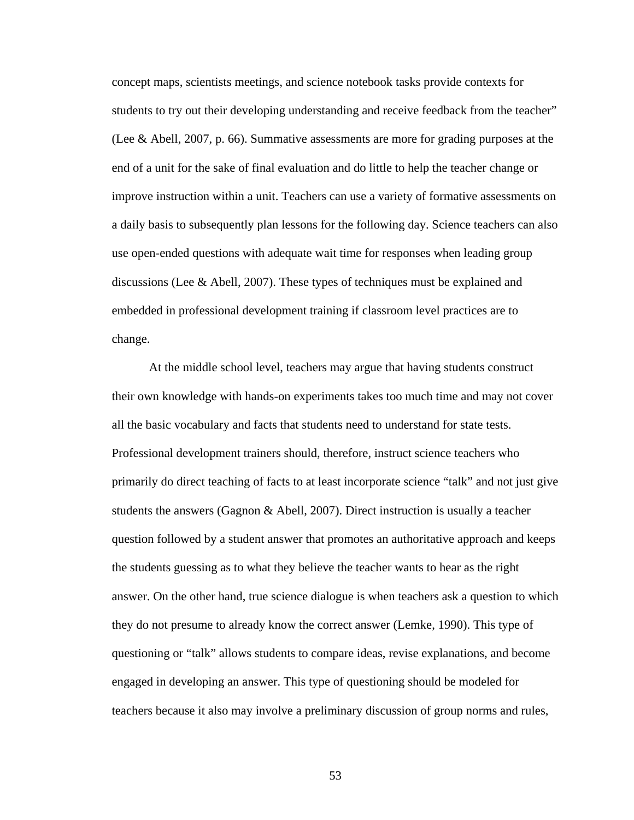concept maps, scientists meetings, and science notebook tasks provide contexts for students to try out their developing understanding and receive feedback from the teacher" (Lee & Abell, 2007, p. 66). Summative assessments are more for grading purposes at the end of a unit for the sake of final evaluation and do little to help the teacher change or improve instruction within a unit. Teachers can use a variety of formative assessments on a daily basis to subsequently plan lessons for the following day. Science teachers can also use open-ended questions with adequate wait time for responses when leading group discussions (Lee & Abell, 2007). These types of techniques must be explained and embedded in professional development training if classroom level practices are to change.

 At the middle school level, teachers may argue that having students construct their own knowledge with hands-on experiments takes too much time and may not cover all the basic vocabulary and facts that students need to understand for state tests. Professional development trainers should, therefore, instruct science teachers who primarily do direct teaching of facts to at least incorporate science "talk" and not just give students the answers (Gagnon & Abell, 2007). Direct instruction is usually a teacher question followed by a student answer that promotes an authoritative approach and keeps the students guessing as to what they believe the teacher wants to hear as the right answer. On the other hand, true science dialogue is when teachers ask a question to which they do not presume to already know the correct answer (Lemke, 1990). This type of questioning or "talk" allows students to compare ideas, revise explanations, and become engaged in developing an answer. This type of questioning should be modeled for teachers because it also may involve a preliminary discussion of group norms and rules,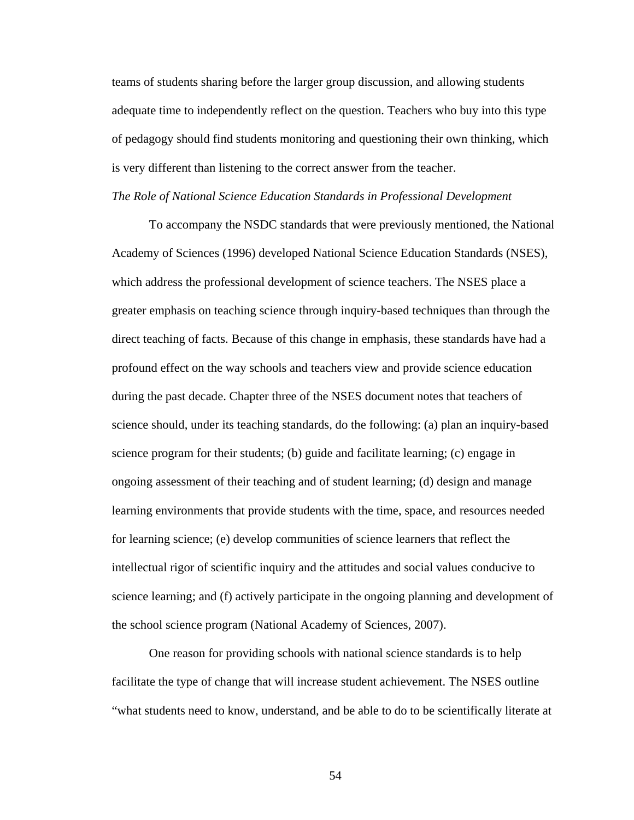teams of students sharing before the larger group discussion, and allowing students adequate time to independently reflect on the question. Teachers who buy into this type of pedagogy should find students monitoring and questioning their own thinking, which is very different than listening to the correct answer from the teacher.

## *The Role of National Science Education Standards in Professional Development*

To accompany the NSDC standards that were previously mentioned, the National Academy of Sciences (1996) developed National Science Education Standards (NSES), which address the professional development of science teachers. The NSES place a greater emphasis on teaching science through inquiry-based techniques than through the direct teaching of facts. Because of this change in emphasis, these standards have had a profound effect on the way schools and teachers view and provide science education during the past decade. Chapter three of the NSES document notes that teachers of science should, under its teaching standards, do the following: (a) plan an inquiry-based science program for their students; (b) guide and facilitate learning; (c) engage in ongoing assessment of their teaching and of student learning; (d) design and manage learning environments that provide students with the time, space, and resources needed for learning science; (e) develop communities of science learners that reflect the intellectual rigor of scientific inquiry and the attitudes and social values conducive to science learning; and (f) actively participate in the ongoing planning and development of the school science program (National Academy of Sciences, 2007).

 One reason for providing schools with national science standards is to help facilitate the type of change that will increase student achievement. The NSES outline "what students need to know, understand, and be able to do to be scientifically literate at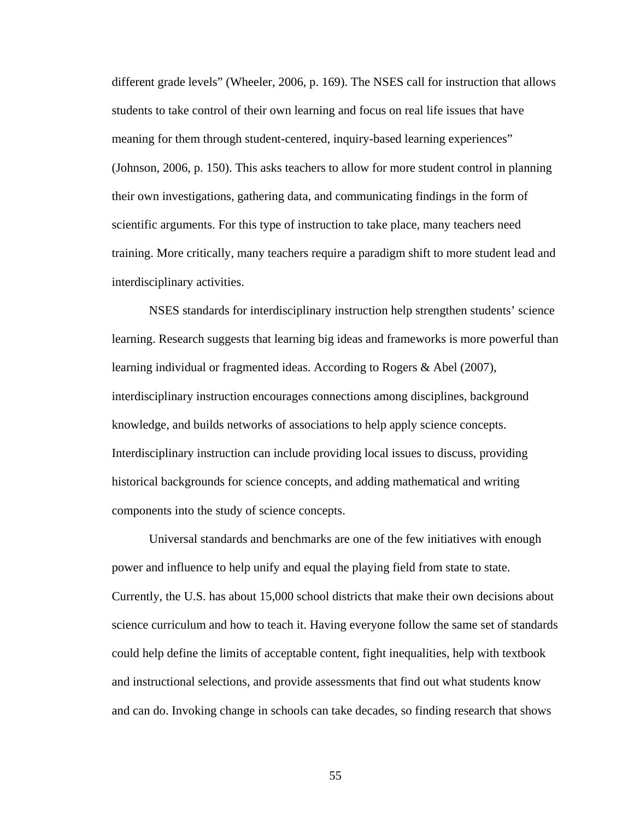different grade levels" (Wheeler, 2006, p. 169). The NSES call for instruction that allows students to take control of their own learning and focus on real life issues that have meaning for them through student-centered, inquiry-based learning experiences" (Johnson, 2006, p. 150). This asks teachers to allow for more student control in planning their own investigations, gathering data, and communicating findings in the form of scientific arguments. For this type of instruction to take place, many teachers need training. More critically, many teachers require a paradigm shift to more student lead and interdisciplinary activities.

NSES standards for interdisciplinary instruction help strengthen students' science learning. Research suggests that learning big ideas and frameworks is more powerful than learning individual or fragmented ideas. According to Rogers & Abel (2007), interdisciplinary instruction encourages connections among disciplines, background knowledge, and builds networks of associations to help apply science concepts. Interdisciplinary instruction can include providing local issues to discuss, providing historical backgrounds for science concepts, and adding mathematical and writing components into the study of science concepts.

Universal standards and benchmarks are one of the few initiatives with enough power and influence to help unify and equal the playing field from state to state. Currently, the U.S. has about 15,000 school districts that make their own decisions about science curriculum and how to teach it. Having everyone follow the same set of standards could help define the limits of acceptable content, fight inequalities, help with textbook and instructional selections, and provide assessments that find out what students know and can do. Invoking change in schools can take decades, so finding research that shows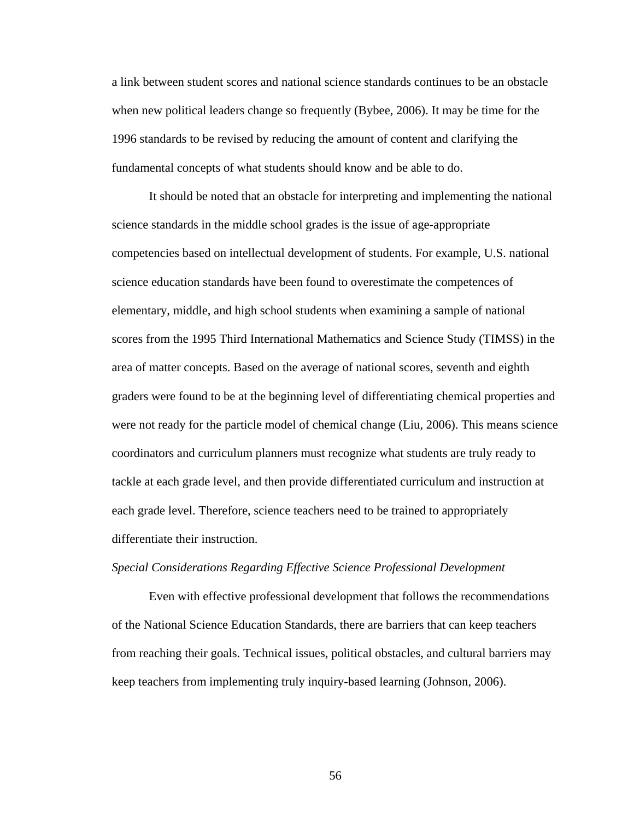a link between student scores and national science standards continues to be an obstacle when new political leaders change so frequently (Bybee, 2006). It may be time for the 1996 standards to be revised by reducing the amount of content and clarifying the fundamental concepts of what students should know and be able to do.

 It should be noted that an obstacle for interpreting and implementing the national science standards in the middle school grades is the issue of age-appropriate competencies based on intellectual development of students. For example, U.S. national science education standards have been found to overestimate the competences of elementary, middle, and high school students when examining a sample of national scores from the 1995 Third International Mathematics and Science Study (TIMSS) in the area of matter concepts. Based on the average of national scores, seventh and eighth graders were found to be at the beginning level of differentiating chemical properties and were not ready for the particle model of chemical change (Liu, 2006). This means science coordinators and curriculum planners must recognize what students are truly ready to tackle at each grade level, and then provide differentiated curriculum and instruction at each grade level. Therefore, science teachers need to be trained to appropriately differentiate their instruction.

## *Special Considerations Regarding Effective Science Professional Development*

 Even with effective professional development that follows the recommendations of the National Science Education Standards, there are barriers that can keep teachers from reaching their goals. Technical issues, political obstacles, and cultural barriers may keep teachers from implementing truly inquiry-based learning (Johnson, 2006).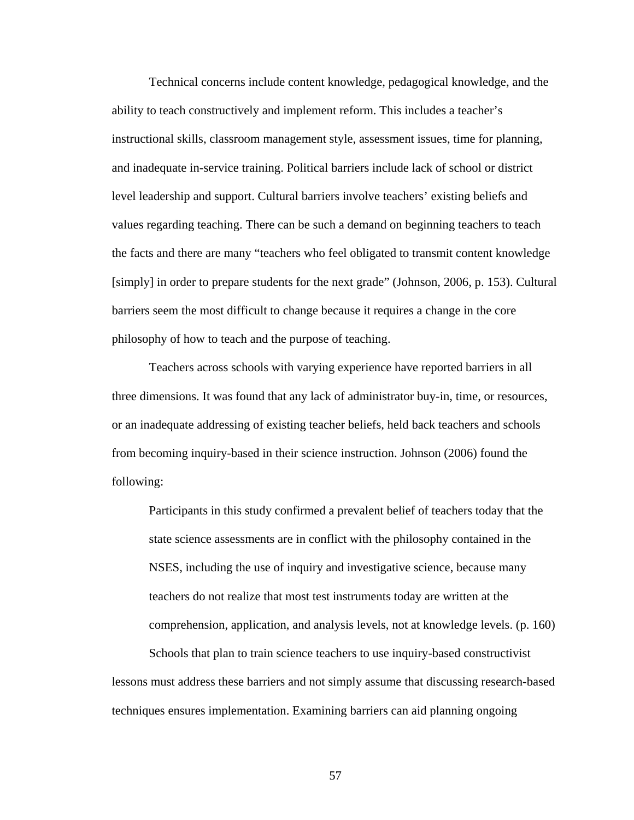Technical concerns include content knowledge, pedagogical knowledge, and the ability to teach constructively and implement reform. This includes a teacher's instructional skills, classroom management style, assessment issues, time for planning, and inadequate in-service training. Political barriers include lack of school or district level leadership and support. Cultural barriers involve teachers' existing beliefs and values regarding teaching. There can be such a demand on beginning teachers to teach the facts and there are many "teachers who feel obligated to transmit content knowledge [simply] in order to prepare students for the next grade" (Johnson, 2006, p. 153). Cultural barriers seem the most difficult to change because it requires a change in the core philosophy of how to teach and the purpose of teaching.

Teachers across schools with varying experience have reported barriers in all three dimensions. It was found that any lack of administrator buy-in, time, or resources, or an inadequate addressing of existing teacher beliefs, held back teachers and schools from becoming inquiry-based in their science instruction. Johnson (2006) found the following:

Participants in this study confirmed a prevalent belief of teachers today that the state science assessments are in conflict with the philosophy contained in the NSES, including the use of inquiry and investigative science, because many teachers do not realize that most test instruments today are written at the comprehension, application, and analysis levels, not at knowledge levels. (p. 160)

Schools that plan to train science teachers to use inquiry-based constructivist lessons must address these barriers and not simply assume that discussing research-based techniques ensures implementation. Examining barriers can aid planning ongoing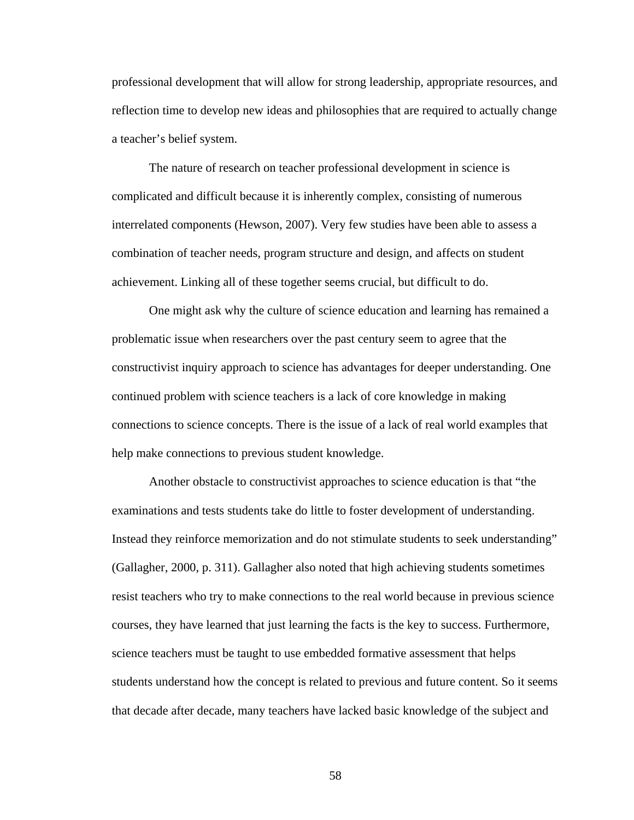professional development that will allow for strong leadership, appropriate resources, and reflection time to develop new ideas and philosophies that are required to actually change a teacher's belief system.

The nature of research on teacher professional development in science is complicated and difficult because it is inherently complex, consisting of numerous interrelated components (Hewson, 2007). Very few studies have been able to assess a combination of teacher needs, program structure and design, and affects on student achievement. Linking all of these together seems crucial, but difficult to do.

One might ask why the culture of science education and learning has remained a problematic issue when researchers over the past century seem to agree that the constructivist inquiry approach to science has advantages for deeper understanding. One continued problem with science teachers is a lack of core knowledge in making connections to science concepts. There is the issue of a lack of real world examples that help make connections to previous student knowledge.

Another obstacle to constructivist approaches to science education is that "the examinations and tests students take do little to foster development of understanding. Instead they reinforce memorization and do not stimulate students to seek understanding" (Gallagher, 2000, p. 311). Gallagher also noted that high achieving students sometimes resist teachers who try to make connections to the real world because in previous science courses, they have learned that just learning the facts is the key to success. Furthermore, science teachers must be taught to use embedded formative assessment that helps students understand how the concept is related to previous and future content. So it seems that decade after decade, many teachers have lacked basic knowledge of the subject and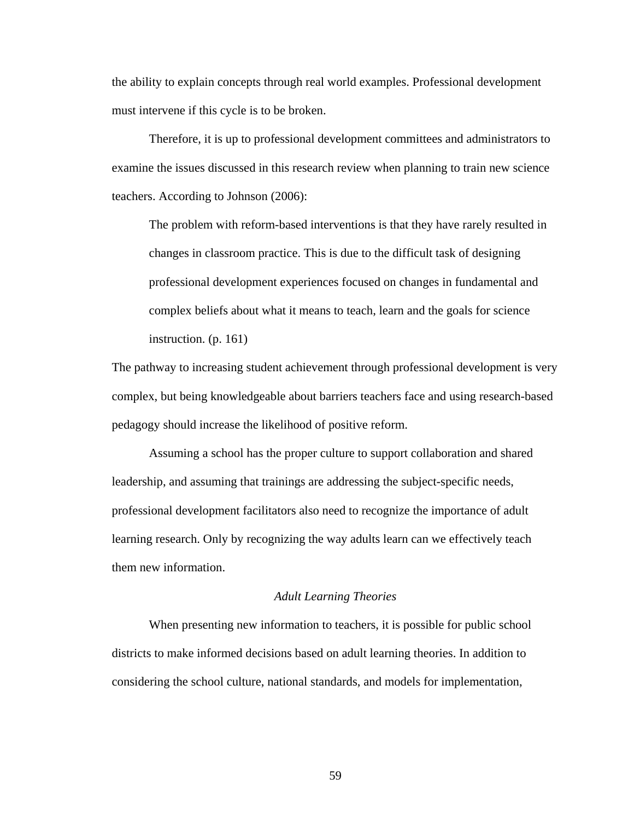the ability to explain concepts through real world examples. Professional development must intervene if this cycle is to be broken.

Therefore, it is up to professional development committees and administrators to examine the issues discussed in this research review when planning to train new science teachers. According to Johnson (2006):

The problem with reform-based interventions is that they have rarely resulted in changes in classroom practice. This is due to the difficult task of designing professional development experiences focused on changes in fundamental and complex beliefs about what it means to teach, learn and the goals for science instruction. (p. 161)

The pathway to increasing student achievement through professional development is very complex, but being knowledgeable about barriers teachers face and using research-based pedagogy should increase the likelihood of positive reform.

Assuming a school has the proper culture to support collaboration and shared leadership, and assuming that trainings are addressing the subject-specific needs, professional development facilitators also need to recognize the importance of adult learning research. Only by recognizing the way adults learn can we effectively teach them new information.

## *Adult Learning Theories*

When presenting new information to teachers, it is possible for public school districts to make informed decisions based on adult learning theories. In addition to considering the school culture, national standards, and models for implementation,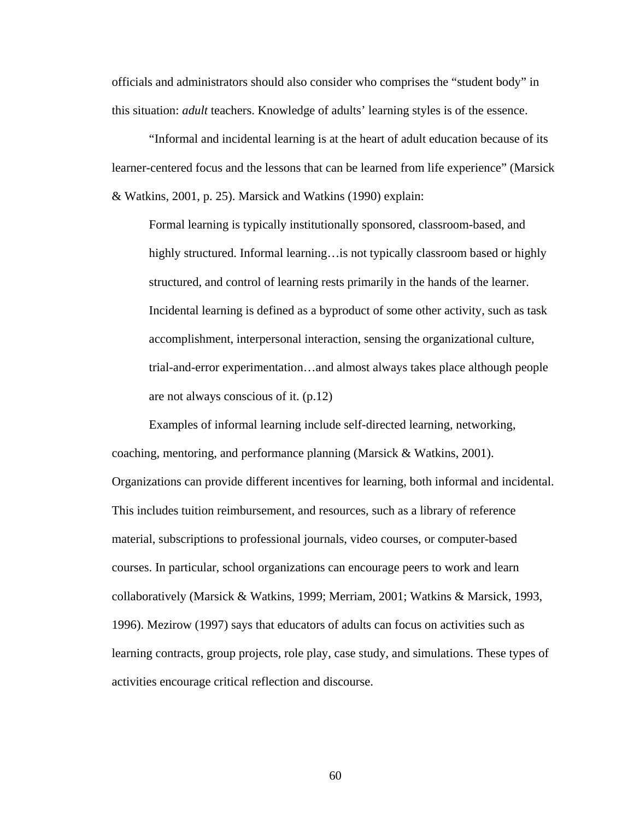officials and administrators should also consider who comprises the "student body" in this situation: *adult* teachers. Knowledge of adults' learning styles is of the essence.

"Informal and incidental learning is at the heart of adult education because of its learner-centered focus and the lessons that can be learned from life experience" (Marsick & Watkins, 2001, p. 25). Marsick and Watkins (1990) explain:

Formal learning is typically institutionally sponsored, classroom-based, and highly structured. Informal learning…is not typically classroom based or highly structured, and control of learning rests primarily in the hands of the learner. Incidental learning is defined as a byproduct of some other activity, such as task accomplishment, interpersonal interaction, sensing the organizational culture, trial-and-error experimentation…and almost always takes place although people are not always conscious of it. (p.12)

Examples of informal learning include self-directed learning, networking, coaching, mentoring, and performance planning (Marsick & Watkins, 2001). Organizations can provide different incentives for learning, both informal and incidental. This includes tuition reimbursement, and resources, such as a library of reference material, subscriptions to professional journals, video courses, or computer-based courses. In particular, school organizations can encourage peers to work and learn collaboratively (Marsick & Watkins, 1999; Merriam, 2001; Watkins & Marsick, 1993, 1996). Mezirow (1997) says that educators of adults can focus on activities such as learning contracts, group projects, role play, case study, and simulations. These types of activities encourage critical reflection and discourse.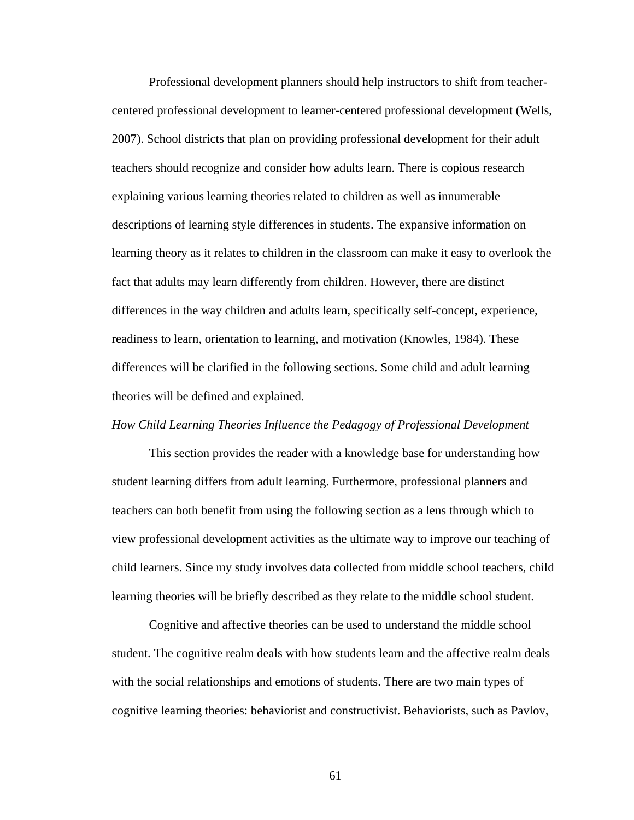Professional development planners should help instructors to shift from teachercentered professional development to learner-centered professional development (Wells, 2007). School districts that plan on providing professional development for their adult teachers should recognize and consider how adults learn. There is copious research explaining various learning theories related to children as well as innumerable descriptions of learning style differences in students. The expansive information on learning theory as it relates to children in the classroom can make it easy to overlook the fact that adults may learn differently from children. However, there are distinct differences in the way children and adults learn, specifically self-concept, experience, readiness to learn, orientation to learning, and motivation (Knowles, 1984). These differences will be clarified in the following sections. Some child and adult learning theories will be defined and explained.

# *How Child Learning Theories Influence the Pedagogy of Professional Development*

This section provides the reader with a knowledge base for understanding how student learning differs from adult learning. Furthermore, professional planners and teachers can both benefit from using the following section as a lens through which to view professional development activities as the ultimate way to improve our teaching of child learners. Since my study involves data collected from middle school teachers, child learning theories will be briefly described as they relate to the middle school student.

Cognitive and affective theories can be used to understand the middle school student. The cognitive realm deals with how students learn and the affective realm deals with the social relationships and emotions of students. There are two main types of cognitive learning theories: behaviorist and constructivist. Behaviorists, such as Pavlov,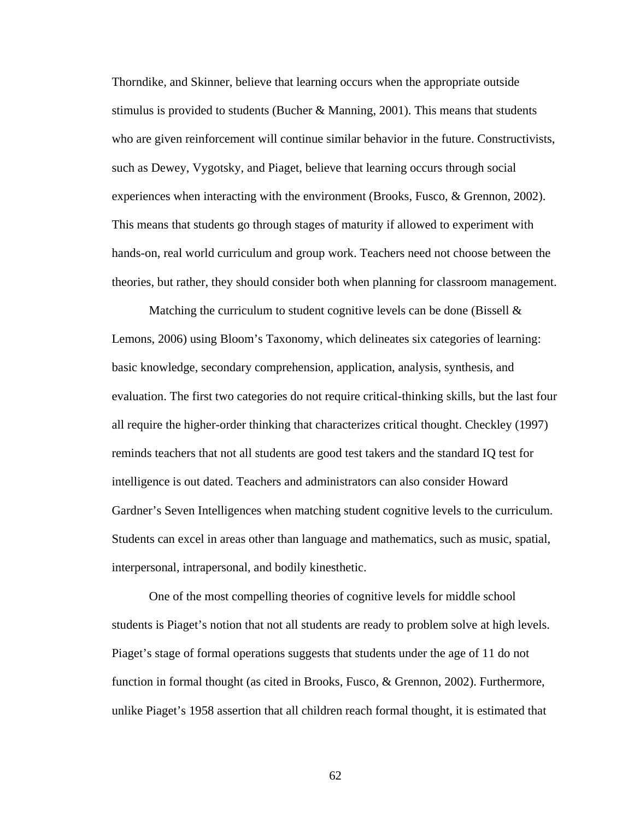Thorndike, and Skinner, believe that learning occurs when the appropriate outside stimulus is provided to students (Bucher & Manning, 2001). This means that students who are given reinforcement will continue similar behavior in the future. Constructivists, such as Dewey, Vygotsky, and Piaget, believe that learning occurs through social experiences when interacting with the environment (Brooks, Fusco, & Grennon, 2002). This means that students go through stages of maturity if allowed to experiment with hands-on, real world curriculum and group work. Teachers need not choose between the theories, but rather, they should consider both when planning for classroom management.

Matching the curriculum to student cognitive levels can be done (Bissell  $\&$ Lemons, 2006) using Bloom's Taxonomy, which delineates six categories of learning: basic knowledge, secondary comprehension, application, analysis, synthesis, and evaluation. The first two categories do not require critical-thinking skills, but the last four all require the higher-order thinking that characterizes critical thought. Checkley (1997) reminds teachers that not all students are good test takers and the standard IQ test for intelligence is out dated. Teachers and administrators can also consider Howard Gardner's Seven Intelligences when matching student cognitive levels to the curriculum. Students can excel in areas other than language and mathematics, such as music, spatial, interpersonal, intrapersonal, and bodily kinesthetic.

One of the most compelling theories of cognitive levels for middle school students is Piaget's notion that not all students are ready to problem solve at high levels. Piaget's stage of formal operations suggests that students under the age of 11 do not function in formal thought (as cited in Brooks, Fusco, & Grennon, 2002). Furthermore, unlike Piaget's 1958 assertion that all children reach formal thought, it is estimated that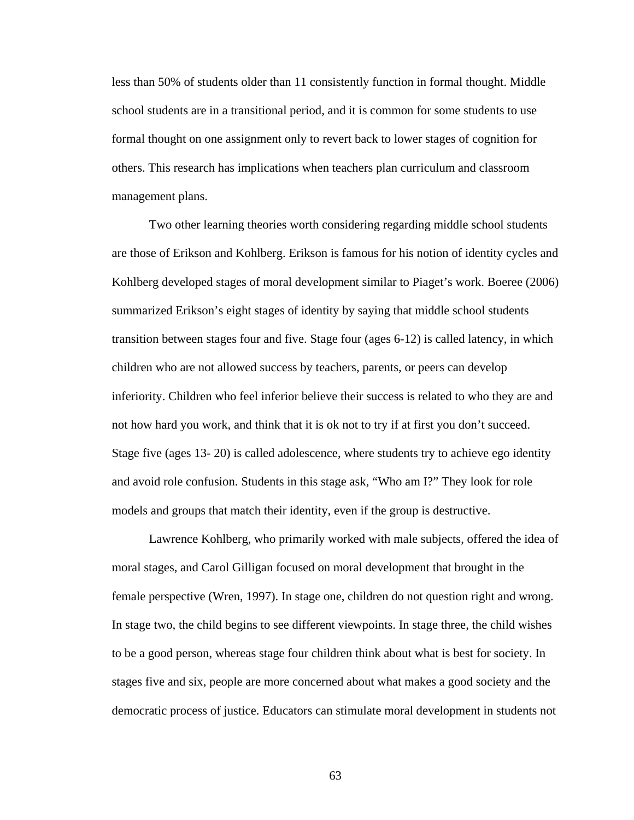less than 50% of students older than 11 consistently function in formal thought. Middle school students are in a transitional period, and it is common for some students to use formal thought on one assignment only to revert back to lower stages of cognition for others. This research has implications when teachers plan curriculum and classroom management plans.

Two other learning theories worth considering regarding middle school students are those of Erikson and Kohlberg. Erikson is famous for his notion of identity cycles and Kohlberg developed stages of moral development similar to Piaget's work. Boeree (2006) summarized Erikson's eight stages of identity by saying that middle school students transition between stages four and five. Stage four (ages 6-12) is called latency, in which children who are not allowed success by teachers, parents, or peers can develop inferiority. Children who feel inferior believe their success is related to who they are and not how hard you work, and think that it is ok not to try if at first you don't succeed. Stage five (ages 13- 20) is called adolescence, where students try to achieve ego identity and avoid role confusion. Students in this stage ask, "Who am I?" They look for role models and groups that match their identity, even if the group is destructive.

Lawrence Kohlberg, who primarily worked with male subjects, offered the idea of moral stages, and Carol Gilligan focused on moral development that brought in the female perspective (Wren, 1997). In stage one, children do not question right and wrong. In stage two, the child begins to see different viewpoints. In stage three, the child wishes to be a good person, whereas stage four children think about what is best for society. In stages five and six, people are more concerned about what makes a good society and the democratic process of justice. Educators can stimulate moral development in students not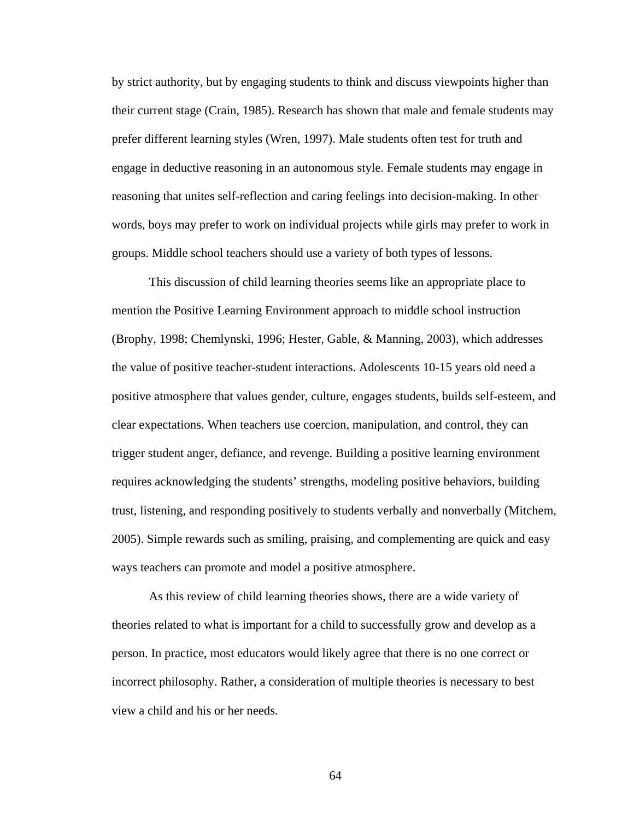by strict authority, but by engaging students to think and discuss viewpoints higher than their current stage (Crain, 1985). Research has shown that male and female students may prefer different learning styles (Wren, 1997). Male students often test for truth and engage in deductive reasoning in an autonomous style. Female students may engage in reasoning that unites self-reflection and caring feelings into decision-making. In other words, boys may prefer to work on individual projects while girls may prefer to work in groups. Middle school teachers should use a variety of both types of lessons.

This discussion of child learning theories seems like an appropriate place to mention the Positive Learning Environment approach to middle school instruction (Brophy, 1998; Chemlynski, 1996; Hester, Gable, & Manning, 2003), which addresses the value of positive teacher-student interactions. Adolescents 10-15 years old need a positive atmosphere that values gender, culture, engages students, builds self-esteem, and clear expectations. When teachers use coercion, manipulation, and control, they can trigger student anger, defiance, and revenge. Building a positive learning environment requires acknowledging the students' strengths, modeling positive behaviors, building trust, listening, and responding positively to students verbally and nonverbally (Mitchem, 2005). Simple rewards such as smiling, praising, and complementing are quick and easy ways teachers can promote and model a positive atmosphere.

As this review of child learning theories shows, there are a wide variety of theories related to what is important for a child to successfully grow and develop as a person. In practice, most educators would likely agree that there is no one correct or incorrect philosophy. Rather, a consideration of multiple theories is necessary to best view a child and his or her needs.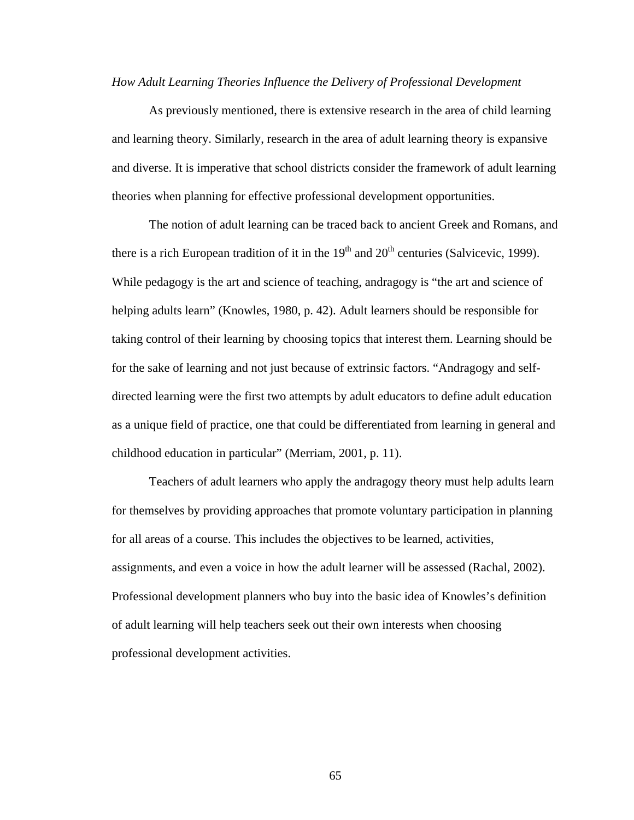### *How Adult Learning Theories Influence the Delivery of Professional Development*

As previously mentioned, there is extensive research in the area of child learning and learning theory. Similarly, research in the area of adult learning theory is expansive and diverse. It is imperative that school districts consider the framework of adult learning theories when planning for effective professional development opportunities.

The notion of adult learning can be traced back to ancient Greek and Romans, and there is a rich European tradition of it in the  $19<sup>th</sup>$  and  $20<sup>th</sup>$  centuries (Salvicevic, 1999). While pedagogy is the art and science of teaching, andragogy is "the art and science of helping adults learn" (Knowles, 1980, p. 42). Adult learners should be responsible for taking control of their learning by choosing topics that interest them. Learning should be for the sake of learning and not just because of extrinsic factors. "Andragogy and selfdirected learning were the first two attempts by adult educators to define adult education as a unique field of practice, one that could be differentiated from learning in general and childhood education in particular" (Merriam, 2001, p. 11).

Teachers of adult learners who apply the andragogy theory must help adults learn for themselves by providing approaches that promote voluntary participation in planning for all areas of a course. This includes the objectives to be learned, activities, assignments, and even a voice in how the adult learner will be assessed (Rachal, 2002). Professional development planners who buy into the basic idea of Knowles's definition of adult learning will help teachers seek out their own interests when choosing professional development activities.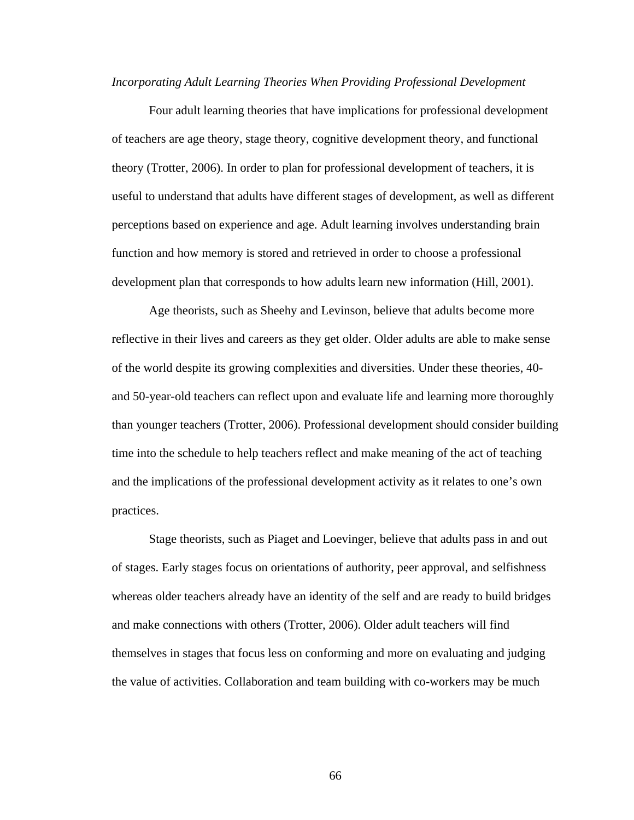#### *Incorporating Adult Learning Theories When Providing Professional Development*

Four adult learning theories that have implications for professional development of teachers are age theory, stage theory, cognitive development theory, and functional theory (Trotter, 2006). In order to plan for professional development of teachers, it is useful to understand that adults have different stages of development, as well as different perceptions based on experience and age. Adult learning involves understanding brain function and how memory is stored and retrieved in order to choose a professional development plan that corresponds to how adults learn new information (Hill, 2001).

Age theorists, such as Sheehy and Levinson, believe that adults become more reflective in their lives and careers as they get older. Older adults are able to make sense of the world despite its growing complexities and diversities. Under these theories, 40 and 50-year-old teachers can reflect upon and evaluate life and learning more thoroughly than younger teachers (Trotter, 2006). Professional development should consider building time into the schedule to help teachers reflect and make meaning of the act of teaching and the implications of the professional development activity as it relates to one's own practices.

Stage theorists, such as Piaget and Loevinger, believe that adults pass in and out of stages. Early stages focus on orientations of authority, peer approval, and selfishness whereas older teachers already have an identity of the self and are ready to build bridges and make connections with others (Trotter, 2006). Older adult teachers will find themselves in stages that focus less on conforming and more on evaluating and judging the value of activities. Collaboration and team building with co-workers may be much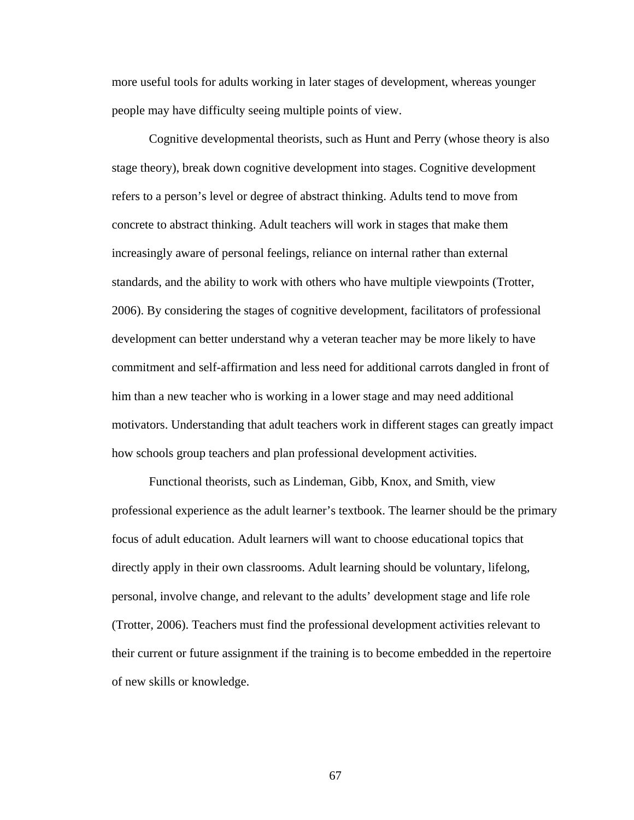more useful tools for adults working in later stages of development, whereas younger people may have difficulty seeing multiple points of view.

Cognitive developmental theorists, such as Hunt and Perry (whose theory is also stage theory), break down cognitive development into stages. Cognitive development refers to a person's level or degree of abstract thinking. Adults tend to move from concrete to abstract thinking. Adult teachers will work in stages that make them increasingly aware of personal feelings, reliance on internal rather than external standards, and the ability to work with others who have multiple viewpoints (Trotter, 2006). By considering the stages of cognitive development, facilitators of professional development can better understand why a veteran teacher may be more likely to have commitment and self-affirmation and less need for additional carrots dangled in front of him than a new teacher who is working in a lower stage and may need additional motivators. Understanding that adult teachers work in different stages can greatly impact how schools group teachers and plan professional development activities.

Functional theorists, such as Lindeman, Gibb, Knox, and Smith, view professional experience as the adult learner's textbook. The learner should be the primary focus of adult education. Adult learners will want to choose educational topics that directly apply in their own classrooms. Adult learning should be voluntary, lifelong, personal, involve change, and relevant to the adults' development stage and life role (Trotter, 2006). Teachers must find the professional development activities relevant to their current or future assignment if the training is to become embedded in the repertoire of new skills or knowledge.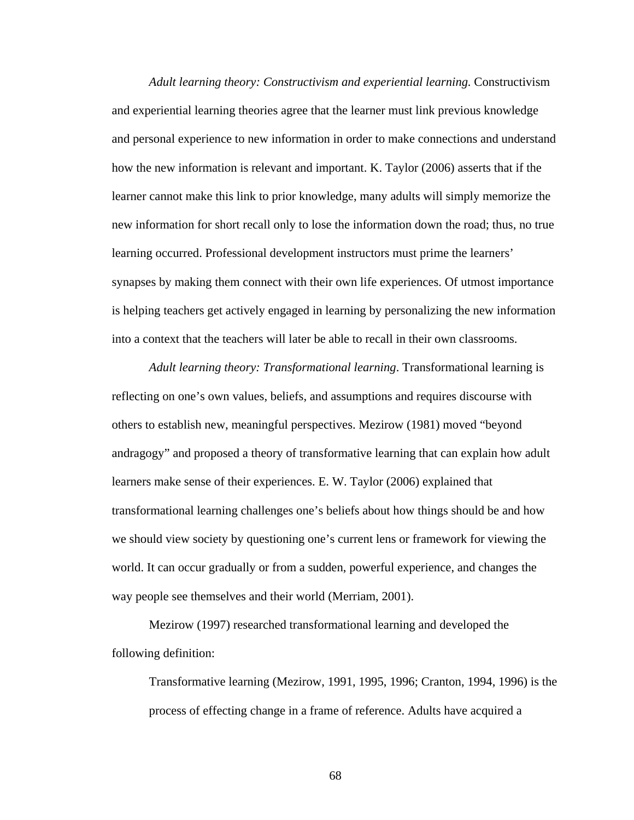*Adult learning theory: Constructivism and experiential learning.* Constructivism and experiential learning theories agree that the learner must link previous knowledge and personal experience to new information in order to make connections and understand how the new information is relevant and important. K. Taylor (2006) asserts that if the learner cannot make this link to prior knowledge, many adults will simply memorize the new information for short recall only to lose the information down the road; thus, no true learning occurred. Professional development instructors must prime the learners' synapses by making them connect with their own life experiences. Of utmost importance is helping teachers get actively engaged in learning by personalizing the new information into a context that the teachers will later be able to recall in their own classrooms.

*Adult learning theory: Transformational learning*. Transformational learning is reflecting on one's own values, beliefs, and assumptions and requires discourse with others to establish new, meaningful perspectives. Mezirow (1981) moved "beyond andragogy" and proposed a theory of transformative learning that can explain how adult learners make sense of their experiences. E. W. Taylor (2006) explained that transformational learning challenges one's beliefs about how things should be and how we should view society by questioning one's current lens or framework for viewing the world. It can occur gradually or from a sudden, powerful experience, and changes the way people see themselves and their world (Merriam, 2001).

Mezirow (1997) researched transformational learning and developed the following definition:

Transformative learning (Mezirow, 1991, 1995, 1996; Cranton, 1994, 1996) is the process of effecting change in a frame of reference. Adults have acquired a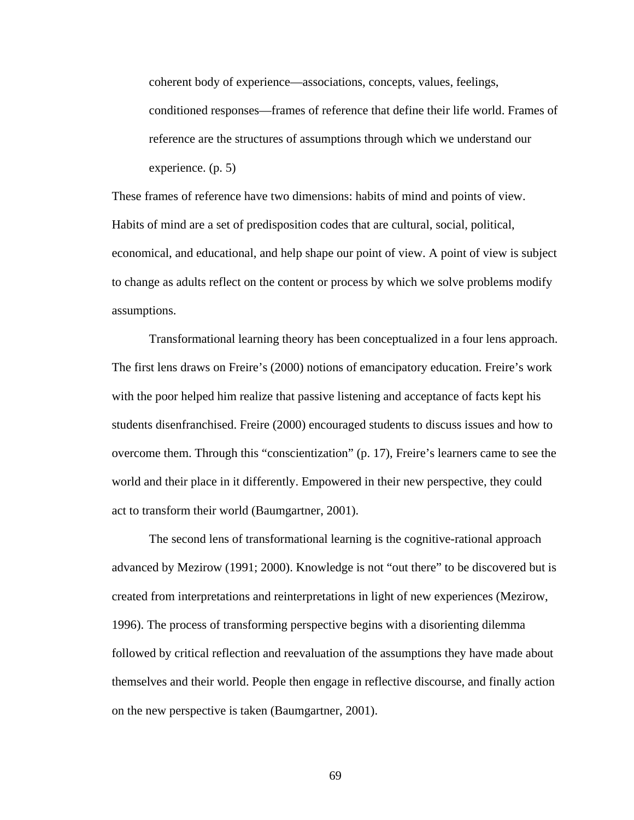coherent body of experience—associations, concepts, values, feelings, conditioned responses—frames of reference that define their life world. Frames of reference are the structures of assumptions through which we understand our experience. (p. 5)

These frames of reference have two dimensions: habits of mind and points of view. Habits of mind are a set of predisposition codes that are cultural, social, political, economical, and educational, and help shape our point of view. A point of view is subject to change as adults reflect on the content or process by which we solve problems modify assumptions.

 Transformational learning theory has been conceptualized in a four lens approach. The first lens draws on Freire's (2000) notions of emancipatory education. Freire's work with the poor helped him realize that passive listening and acceptance of facts kept his students disenfranchised. Freire (2000) encouraged students to discuss issues and how to overcome them. Through this "conscientization" (p. 17), Freire's learners came to see the world and their place in it differently. Empowered in their new perspective, they could act to transform their world (Baumgartner, 2001).

 The second lens of transformational learning is the cognitive-rational approach advanced by Mezirow (1991; 2000). Knowledge is not "out there" to be discovered but is created from interpretations and reinterpretations in light of new experiences (Mezirow, 1996). The process of transforming perspective begins with a disorienting dilemma followed by critical reflection and reevaluation of the assumptions they have made about themselves and their world. People then engage in reflective discourse, and finally action on the new perspective is taken (Baumgartner, 2001).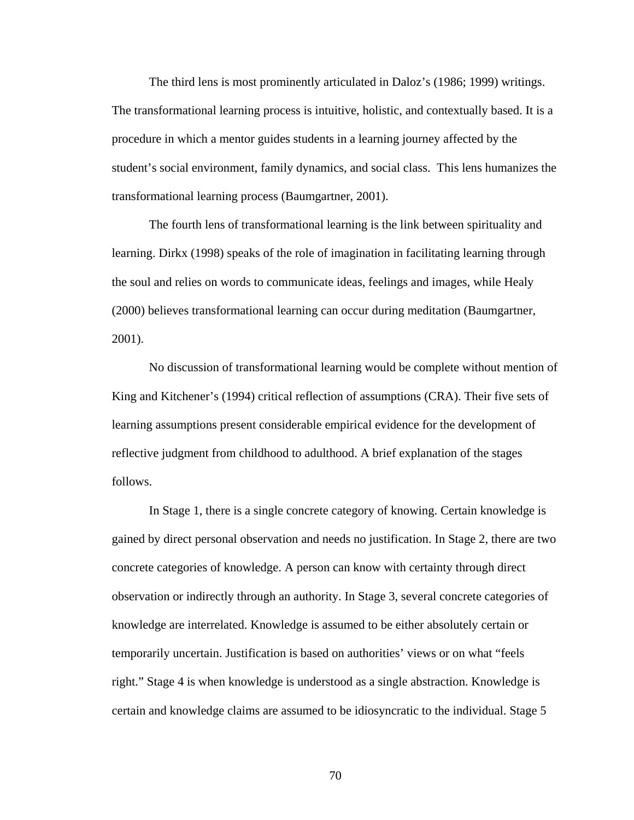The third lens is most prominently articulated in Daloz's (1986; 1999) writings. The transformational learning process is intuitive, holistic, and contextually based. It is a procedure in which a mentor guides students in a learning journey affected by the student's social environment, family dynamics, and social class. This lens humanizes the transformational learning process (Baumgartner, 2001).

 The fourth lens of transformational learning is the link between spirituality and learning. Dirkx (1998) speaks of the role of imagination in facilitating learning through the soul and relies on words to communicate ideas, feelings and images, while Healy (2000) believes transformational learning can occur during meditation (Baumgartner, 2001).

No discussion of transformational learning would be complete without mention of King and Kitchener's (1994) critical reflection of assumptions (CRA). Their five sets of learning assumptions present considerable empirical evidence for the development of reflective judgment from childhood to adulthood. A brief explanation of the stages follows.

In Stage 1, there is a single concrete category of knowing. Certain knowledge is gained by direct personal observation and needs no justification. In Stage 2, there are two concrete categories of knowledge. A person can know with certainty through direct observation or indirectly through an authority. In Stage 3, several concrete categories of knowledge are interrelated. Knowledge is assumed to be either absolutely certain or temporarily uncertain. Justification is based on authorities' views or on what "feels right." Stage 4 is when knowledge is understood as a single abstraction. Knowledge is certain and knowledge claims are assumed to be idiosyncratic to the individual. Stage 5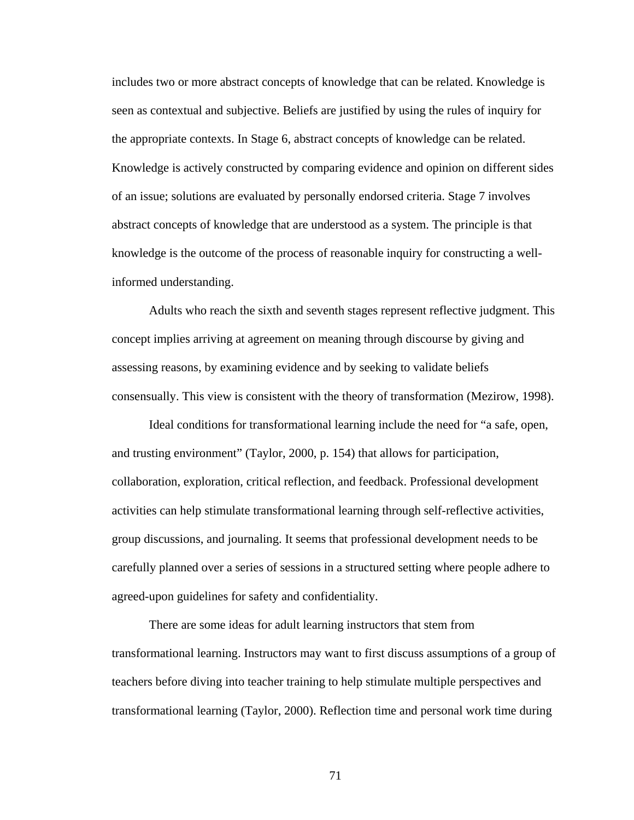includes two or more abstract concepts of knowledge that can be related. Knowledge is seen as contextual and subjective. Beliefs are justified by using the rules of inquiry for the appropriate contexts. In Stage 6, abstract concepts of knowledge can be related. Knowledge is actively constructed by comparing evidence and opinion on different sides of an issue; solutions are evaluated by personally endorsed criteria. Stage 7 involves abstract concepts of knowledge that are understood as a system. The principle is that knowledge is the outcome of the process of reasonable inquiry for constructing a wellinformed understanding.

Adults who reach the sixth and seventh stages represent reflective judgment. This concept implies arriving at agreement on meaning through discourse by giving and assessing reasons, by examining evidence and by seeking to validate beliefs consensually. This view is consistent with the theory of transformation (Mezirow, 1998).

Ideal conditions for transformational learning include the need for "a safe, open, and trusting environment" (Taylor, 2000, p. 154) that allows for participation, collaboration, exploration, critical reflection, and feedback. Professional development activities can help stimulate transformational learning through self-reflective activities, group discussions, and journaling. It seems that professional development needs to be carefully planned over a series of sessions in a structured setting where people adhere to agreed-upon guidelines for safety and confidentiality.

There are some ideas for adult learning instructors that stem from transformational learning. Instructors may want to first discuss assumptions of a group of teachers before diving into teacher training to help stimulate multiple perspectives and transformational learning (Taylor, 2000). Reflection time and personal work time during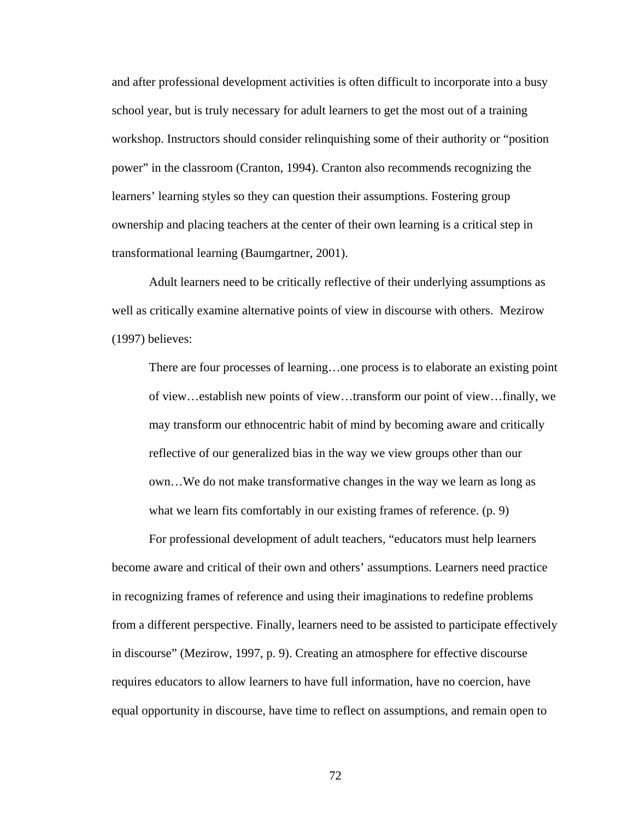and after professional development activities is often difficult to incorporate into a busy school year, but is truly necessary for adult learners to get the most out of a training workshop. Instructors should consider relinquishing some of their authority or "position power" in the classroom (Cranton, 1994). Cranton also recommends recognizing the learners' learning styles so they can question their assumptions. Fostering group ownership and placing teachers at the center of their own learning is a critical step in transformational learning (Baumgartner, 2001).

Adult learners need to be critically reflective of their underlying assumptions as well as critically examine alternative points of view in discourse with others. Mezirow (1997) believes:

There are four processes of learning…one process is to elaborate an existing point of view…establish new points of view…transform our point of view…finally, we may transform our ethnocentric habit of mind by becoming aware and critically reflective of our generalized bias in the way we view groups other than our own…We do not make transformative changes in the way we learn as long as what we learn fits comfortably in our existing frames of reference. (p. 9)

For professional development of adult teachers, "educators must help learners become aware and critical of their own and others' assumptions. Learners need practice in recognizing frames of reference and using their imaginations to redefine problems from a different perspective. Finally, learners need to be assisted to participate effectively in discourse" (Mezirow, 1997, p. 9). Creating an atmosphere for effective discourse requires educators to allow learners to have full information, have no coercion, have equal opportunity in discourse, have time to reflect on assumptions, and remain open to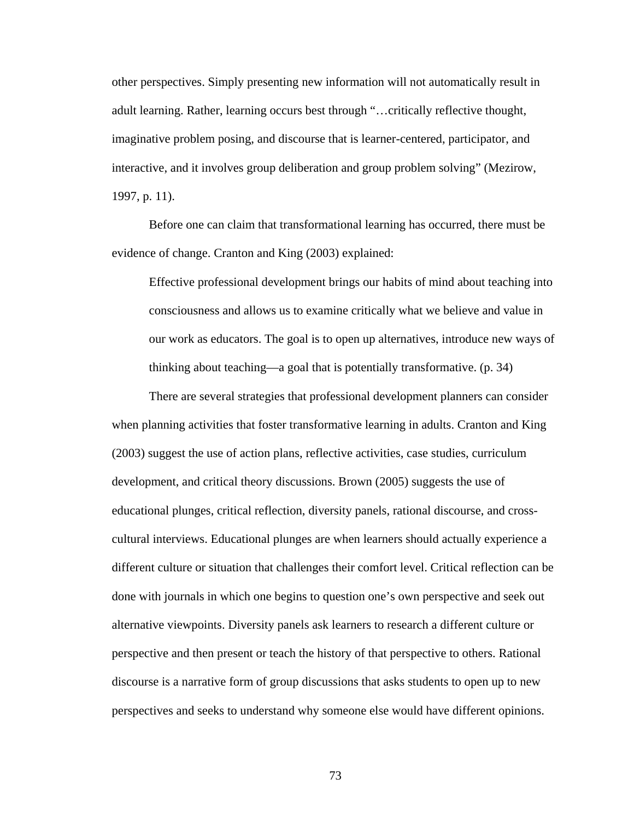other perspectives. Simply presenting new information will not automatically result in adult learning. Rather, learning occurs best through "…critically reflective thought, imaginative problem posing, and discourse that is learner-centered, participator, and interactive, and it involves group deliberation and group problem solving" (Mezirow, 1997, p. 11).

Before one can claim that transformational learning has occurred, there must be evidence of change. Cranton and King (2003) explained:

Effective professional development brings our habits of mind about teaching into consciousness and allows us to examine critically what we believe and value in our work as educators. The goal is to open up alternatives, introduce new ways of thinking about teaching—a goal that is potentially transformative. (p. 34)

There are several strategies that professional development planners can consider when planning activities that foster transformative learning in adults. Cranton and King (2003) suggest the use of action plans, reflective activities, case studies, curriculum development, and critical theory discussions. Brown (2005) suggests the use of educational plunges, critical reflection, diversity panels, rational discourse, and crosscultural interviews. Educational plunges are when learners should actually experience a different culture or situation that challenges their comfort level. Critical reflection can be done with journals in which one begins to question one's own perspective and seek out alternative viewpoints. Diversity panels ask learners to research a different culture or perspective and then present or teach the history of that perspective to others. Rational discourse is a narrative form of group discussions that asks students to open up to new perspectives and seeks to understand why someone else would have different opinions.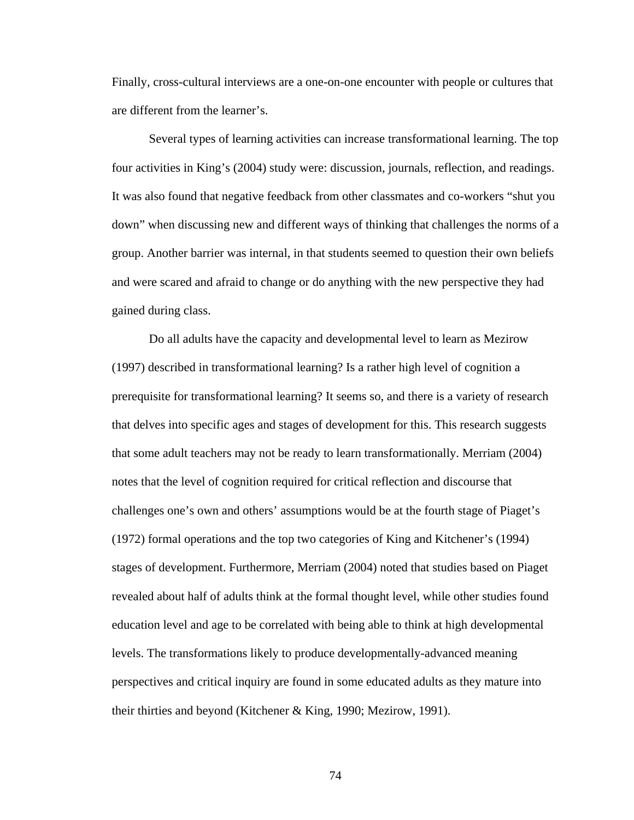Finally, cross-cultural interviews are a one-on-one encounter with people or cultures that are different from the learner's.

Several types of learning activities can increase transformational learning. The top four activities in King's (2004) study were: discussion, journals, reflection, and readings. It was also found that negative feedback from other classmates and co-workers "shut you down" when discussing new and different ways of thinking that challenges the norms of a group. Another barrier was internal, in that students seemed to question their own beliefs and were scared and afraid to change or do anything with the new perspective they had gained during class.

Do all adults have the capacity and developmental level to learn as Mezirow (1997) described in transformational learning? Is a rather high level of cognition a prerequisite for transformational learning? It seems so, and there is a variety of research that delves into specific ages and stages of development for this. This research suggests that some adult teachers may not be ready to learn transformationally. Merriam (2004) notes that the level of cognition required for critical reflection and discourse that challenges one's own and others' assumptions would be at the fourth stage of Piaget's (1972) formal operations and the top two categories of King and Kitchener's (1994) stages of development. Furthermore, Merriam (2004) noted that studies based on Piaget revealed about half of adults think at the formal thought level, while other studies found education level and age to be correlated with being able to think at high developmental levels. The transformations likely to produce developmentally-advanced meaning perspectives and critical inquiry are found in some educated adults as they mature into their thirties and beyond (Kitchener & King, 1990; Mezirow, 1991).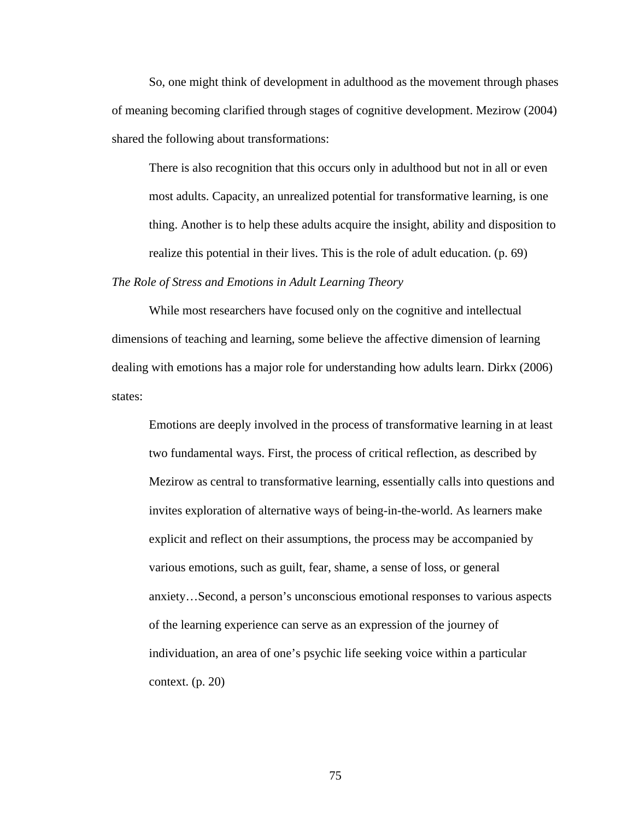So, one might think of development in adulthood as the movement through phases of meaning becoming clarified through stages of cognitive development. Mezirow (2004) shared the following about transformations:

There is also recognition that this occurs only in adulthood but not in all or even most adults. Capacity, an unrealized potential for transformative learning, is one thing. Another is to help these adults acquire the insight, ability and disposition to realize this potential in their lives. This is the role of adult education. (p. 69)

# *The Role of Stress and Emotions in Adult Learning Theory*

While most researchers have focused only on the cognitive and intellectual dimensions of teaching and learning, some believe the affective dimension of learning dealing with emotions has a major role for understanding how adults learn. Dirkx (2006) states:

Emotions are deeply involved in the process of transformative learning in at least two fundamental ways. First, the process of critical reflection, as described by Mezirow as central to transformative learning, essentially calls into questions and invites exploration of alternative ways of being-in-the-world. As learners make explicit and reflect on their assumptions, the process may be accompanied by various emotions, such as guilt, fear, shame, a sense of loss, or general anxiety…Second, a person's unconscious emotional responses to various aspects of the learning experience can serve as an expression of the journey of individuation, an area of one's psychic life seeking voice within a particular context. (p. 20)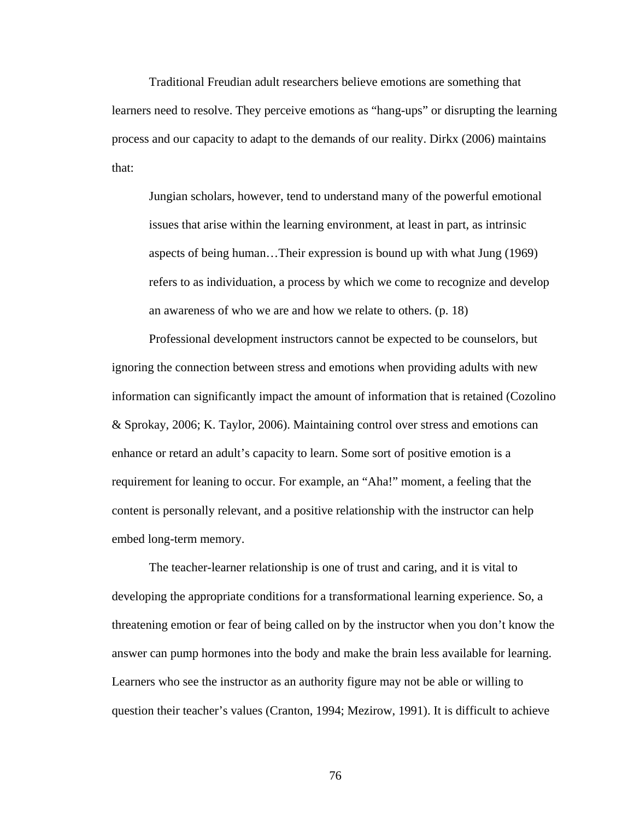Traditional Freudian adult researchers believe emotions are something that learners need to resolve. They perceive emotions as "hang-ups" or disrupting the learning process and our capacity to adapt to the demands of our reality. Dirkx (2006) maintains that:

Jungian scholars, however, tend to understand many of the powerful emotional issues that arise within the learning environment, at least in part, as intrinsic aspects of being human…Their expression is bound up with what Jung (1969) refers to as individuation, a process by which we come to recognize and develop an awareness of who we are and how we relate to others. (p. 18)

Professional development instructors cannot be expected to be counselors, but ignoring the connection between stress and emotions when providing adults with new information can significantly impact the amount of information that is retained (Cozolino & Sprokay, 2006; K. Taylor, 2006). Maintaining control over stress and emotions can enhance or retard an adult's capacity to learn. Some sort of positive emotion is a requirement for leaning to occur. For example, an "Aha!" moment, a feeling that the content is personally relevant, and a positive relationship with the instructor can help embed long-term memory.

The teacher-learner relationship is one of trust and caring, and it is vital to developing the appropriate conditions for a transformational learning experience. So, a threatening emotion or fear of being called on by the instructor when you don't know the answer can pump hormones into the body and make the brain less available for learning. Learners who see the instructor as an authority figure may not be able or willing to question their teacher's values (Cranton, 1994; Mezirow, 1991). It is difficult to achieve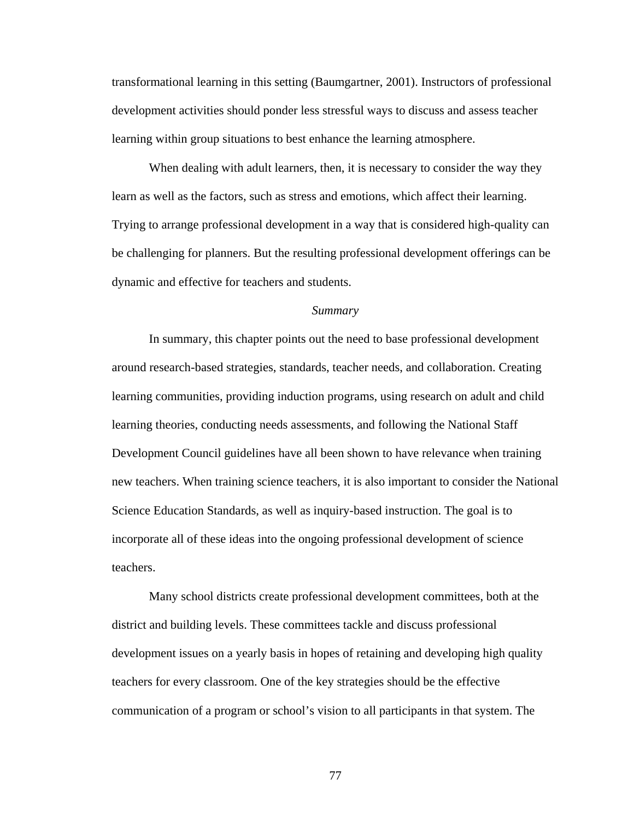transformational learning in this setting (Baumgartner, 2001). Instructors of professional development activities should ponder less stressful ways to discuss and assess teacher learning within group situations to best enhance the learning atmosphere.

When dealing with adult learners, then, it is necessary to consider the way they learn as well as the factors, such as stress and emotions, which affect their learning. Trying to arrange professional development in a way that is considered high-quality can be challenging for planners. But the resulting professional development offerings can be dynamic and effective for teachers and students.

### *Summary*

 In summary, this chapter points out the need to base professional development around research-based strategies, standards, teacher needs, and collaboration. Creating learning communities, providing induction programs, using research on adult and child learning theories, conducting needs assessments, and following the National Staff Development Council guidelines have all been shown to have relevance when training new teachers. When training science teachers, it is also important to consider the National Science Education Standards, as well as inquiry-based instruction. The goal is to incorporate all of these ideas into the ongoing professional development of science teachers.

Many school districts create professional development committees, both at the district and building levels. These committees tackle and discuss professional development issues on a yearly basis in hopes of retaining and developing high quality teachers for every classroom. One of the key strategies should be the effective communication of a program or school's vision to all participants in that system. The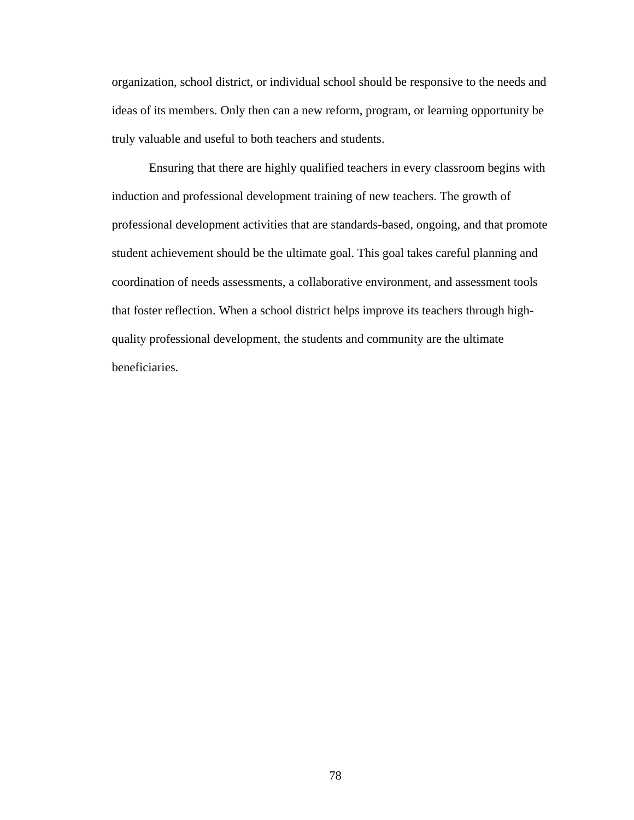organization, school district, or individual school should be responsive to the needs and ideas of its members. Only then can a new reform, program, or learning opportunity be truly valuable and useful to both teachers and students.

Ensuring that there are highly qualified teachers in every classroom begins with induction and professional development training of new teachers. The growth of professional development activities that are standards-based, ongoing, and that promote student achievement should be the ultimate goal. This goal takes careful planning and coordination of needs assessments, a collaborative environment, and assessment tools that foster reflection. When a school district helps improve its teachers through highquality professional development, the students and community are the ultimate beneficiaries.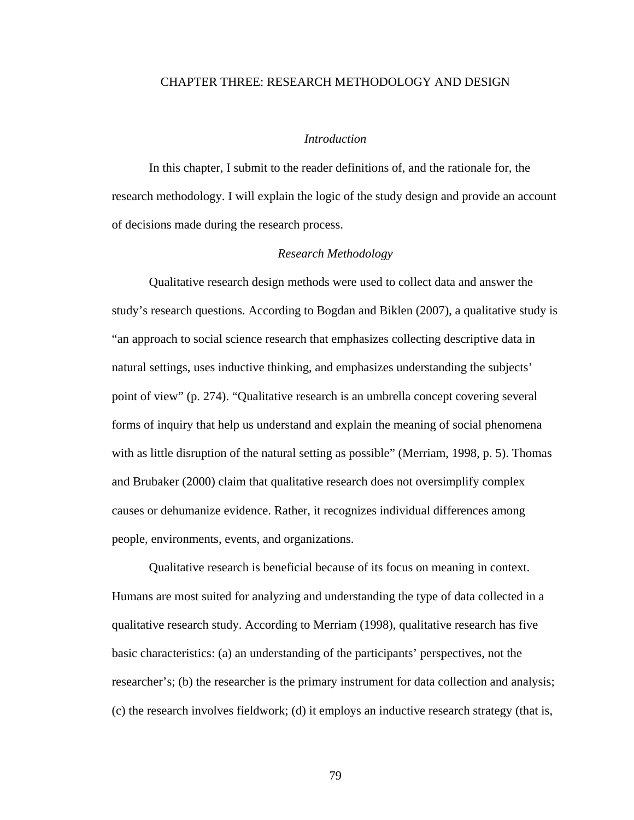## CHAPTER THREE: RESEARCH METHODOLOGY AND DESIGN

# *Introduction*

 In this chapter, I submit to the reader definitions of, and the rationale for, the research methodology. I will explain the logic of the study design and provide an account of decisions made during the research process.

## *Research Methodology*

Qualitative research design methods were used to collect data and answer the study's research questions. According to Bogdan and Biklen (2007), a qualitative study is "an approach to social science research that emphasizes collecting descriptive data in natural settings, uses inductive thinking, and emphasizes understanding the subjects' point of view" (p. 274). "Qualitative research is an umbrella concept covering several forms of inquiry that help us understand and explain the meaning of social phenomena with as little disruption of the natural setting as possible" (Merriam, 1998, p. 5). Thomas and Brubaker (2000) claim that qualitative research does not oversimplify complex causes or dehumanize evidence. Rather, it recognizes individual differences among people, environments, events, and organizations.

Qualitative research is beneficial because of its focus on meaning in context. Humans are most suited for analyzing and understanding the type of data collected in a qualitative research study. According to Merriam (1998), qualitative research has five basic characteristics: (a) an understanding of the participants' perspectives, not the researcher's; (b) the researcher is the primary instrument for data collection and analysis; (c) the research involves fieldwork; (d) it employs an inductive research strategy (that is,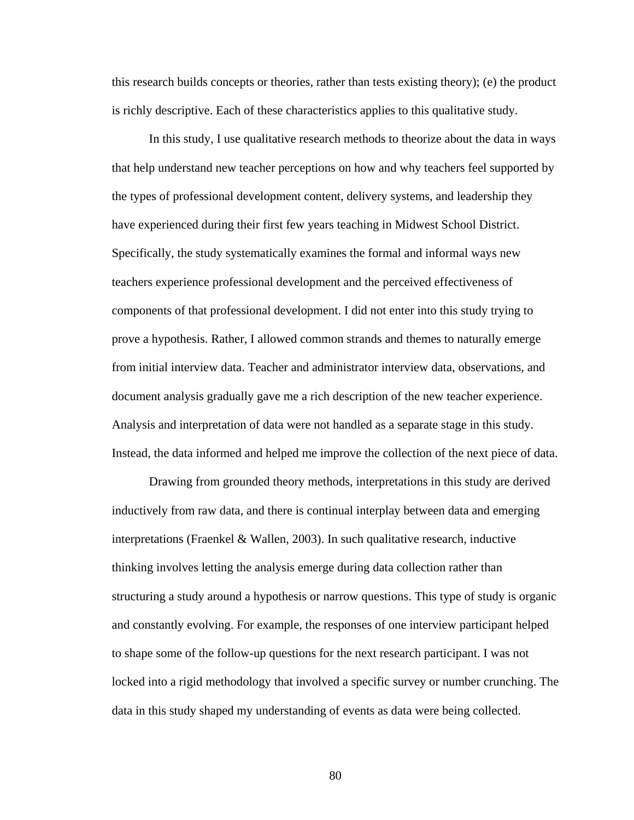this research builds concepts or theories, rather than tests existing theory); (e) the product is richly descriptive. Each of these characteristics applies to this qualitative study.

In this study, I use qualitative research methods to theorize about the data in ways that help understand new teacher perceptions on how and why teachers feel supported by the types of professional development content, delivery systems, and leadership they have experienced during their first few years teaching in Midwest School District. Specifically, the study systematically examines the formal and informal ways new teachers experience professional development and the perceived effectiveness of components of that professional development. I did not enter into this study trying to prove a hypothesis. Rather, I allowed common strands and themes to naturally emerge from initial interview data. Teacher and administrator interview data, observations, and document analysis gradually gave me a rich description of the new teacher experience. Analysis and interpretation of data were not handled as a separate stage in this study. Instead, the data informed and helped me improve the collection of the next piece of data.

Drawing from grounded theory methods, interpretations in this study are derived inductively from raw data, and there is continual interplay between data and emerging interpretations (Fraenkel & Wallen, 2003). In such qualitative research, inductive thinking involves letting the analysis emerge during data collection rather than structuring a study around a hypothesis or narrow questions. This type of study is organic and constantly evolving. For example, the responses of one interview participant helped to shape some of the follow-up questions for the next research participant. I was not locked into a rigid methodology that involved a specific survey or number crunching. The data in this study shaped my understanding of events as data were being collected.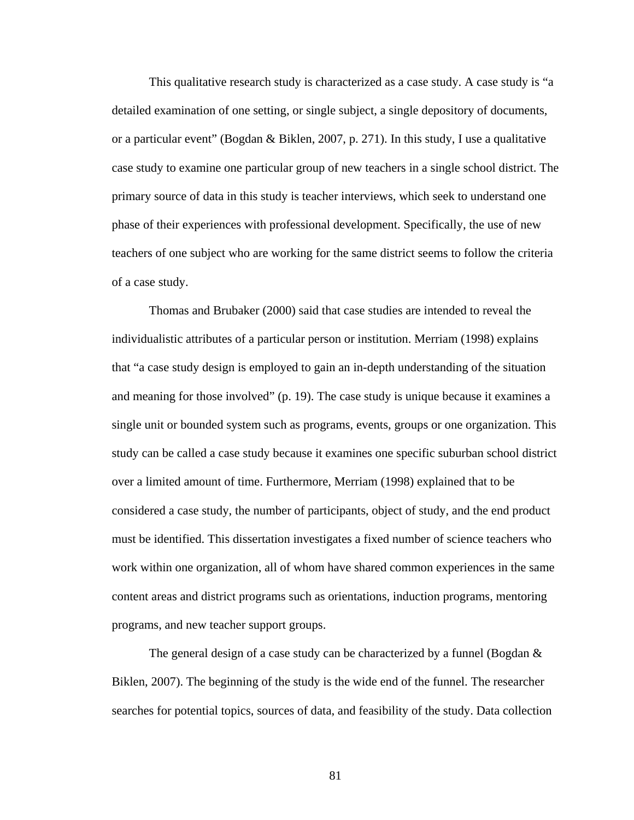This qualitative research study is characterized as a case study. A case study is "a detailed examination of one setting, or single subject, a single depository of documents, or a particular event" (Bogdan & Biklen, 2007, p. 271). In this study, I use a qualitative case study to examine one particular group of new teachers in a single school district. The primary source of data in this study is teacher interviews, which seek to understand one phase of their experiences with professional development. Specifically, the use of new teachers of one subject who are working for the same district seems to follow the criteria of a case study.

Thomas and Brubaker (2000) said that case studies are intended to reveal the individualistic attributes of a particular person or institution. Merriam (1998) explains that "a case study design is employed to gain an in-depth understanding of the situation and meaning for those involved" (p. 19). The case study is unique because it examines a single unit or bounded system such as programs, events, groups or one organization. This study can be called a case study because it examines one specific suburban school district over a limited amount of time. Furthermore, Merriam (1998) explained that to be considered a case study, the number of participants, object of study, and the end product must be identified. This dissertation investigates a fixed number of science teachers who work within one organization, all of whom have shared common experiences in the same content areas and district programs such as orientations, induction programs, mentoring programs, and new teacher support groups.

The general design of a case study can be characterized by a funnel (Bogdan  $\&$ Biklen, 2007). The beginning of the study is the wide end of the funnel. The researcher searches for potential topics, sources of data, and feasibility of the study. Data collection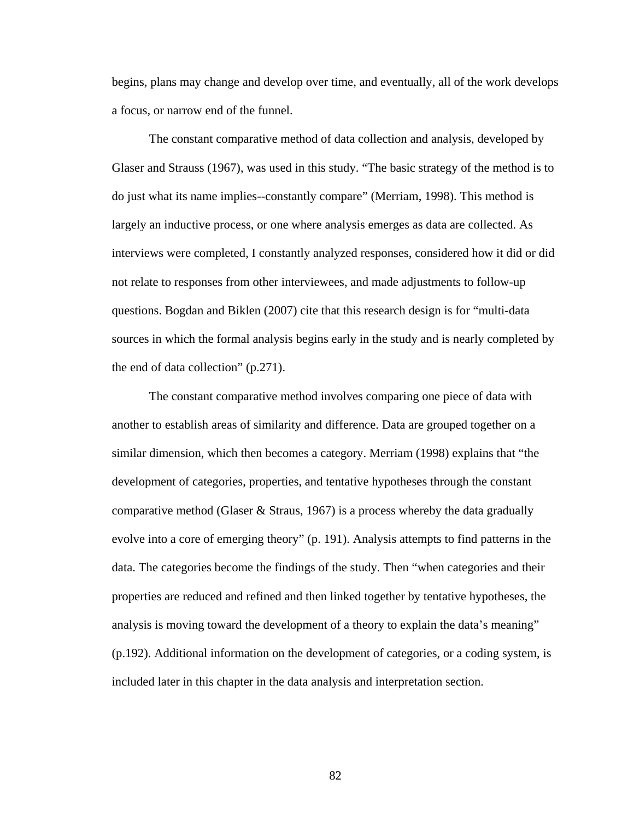begins, plans may change and develop over time, and eventually, all of the work develops a focus, or narrow end of the funnel.

The constant comparative method of data collection and analysis, developed by Glaser and Strauss (1967), was used in this study. "The basic strategy of the method is to do just what its name implies--constantly compare" (Merriam, 1998). This method is largely an inductive process, or one where analysis emerges as data are collected. As interviews were completed, I constantly analyzed responses, considered how it did or did not relate to responses from other interviewees, and made adjustments to follow-up questions. Bogdan and Biklen (2007) cite that this research design is for "multi-data sources in which the formal analysis begins early in the study and is nearly completed by the end of data collection" (p.271).

The constant comparative method involves comparing one piece of data with another to establish areas of similarity and difference. Data are grouped together on a similar dimension, which then becomes a category. Merriam (1998) explains that "the development of categories, properties, and tentative hypotheses through the constant comparative method (Glaser  $\&$  Straus, 1967) is a process whereby the data gradually evolve into a core of emerging theory" (p. 191). Analysis attempts to find patterns in the data. The categories become the findings of the study. Then "when categories and their properties are reduced and refined and then linked together by tentative hypotheses, the analysis is moving toward the development of a theory to explain the data's meaning" (p.192). Additional information on the development of categories, or a coding system, is included later in this chapter in the data analysis and interpretation section.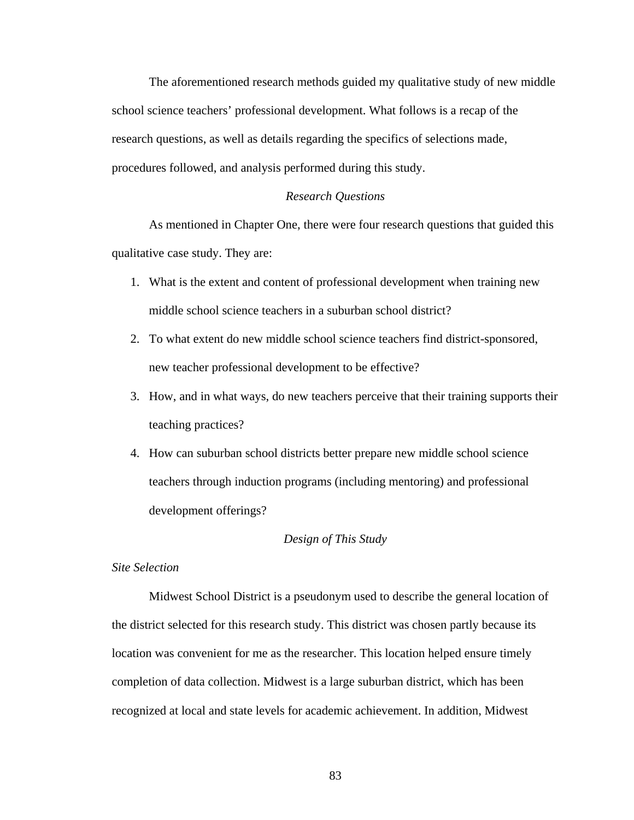The aforementioned research methods guided my qualitative study of new middle school science teachers' professional development. What follows is a recap of the research questions, as well as details regarding the specifics of selections made, procedures followed, and analysis performed during this study.

#### *Research Questions*

As mentioned in Chapter One, there were four research questions that guided this qualitative case study. They are:

- 1. What is the extent and content of professional development when training new middle school science teachers in a suburban school district?
- 2. To what extent do new middle school science teachers find district-sponsored, new teacher professional development to be effective?
- 3. How, and in what ways, do new teachers perceive that their training supports their teaching practices?
- 4. How can suburban school districts better prepare new middle school science teachers through induction programs (including mentoring) and professional development offerings?

#### *Design of This Study*

### *Site Selection*

Midwest School District is a pseudonym used to describe the general location of the district selected for this research study. This district was chosen partly because its location was convenient for me as the researcher. This location helped ensure timely completion of data collection. Midwest is a large suburban district, which has been recognized at local and state levels for academic achievement. In addition, Midwest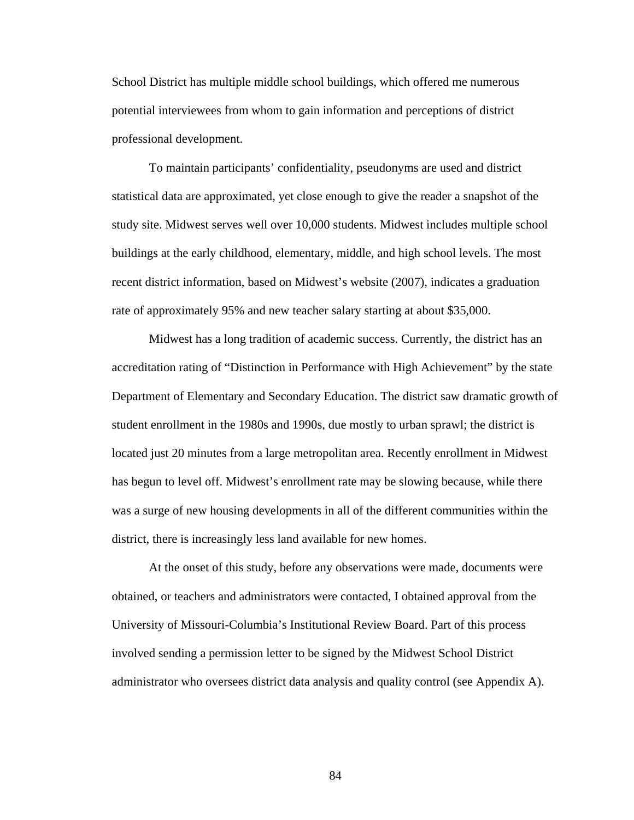School District has multiple middle school buildings, which offered me numerous potential interviewees from whom to gain information and perceptions of district professional development.

To maintain participants' confidentiality, pseudonyms are used and district statistical data are approximated, yet close enough to give the reader a snapshot of the study site. Midwest serves well over 10,000 students. Midwest includes multiple school buildings at the early childhood, elementary, middle, and high school levels. The most recent district information, based on Midwest's website (2007), indicates a graduation rate of approximately 95% and new teacher salary starting at about \$35,000.

Midwest has a long tradition of academic success. Currently, the district has an accreditation rating of "Distinction in Performance with High Achievement" by the state Department of Elementary and Secondary Education. The district saw dramatic growth of student enrollment in the 1980s and 1990s, due mostly to urban sprawl; the district is located just 20 minutes from a large metropolitan area. Recently enrollment in Midwest has begun to level off. Midwest's enrollment rate may be slowing because, while there was a surge of new housing developments in all of the different communities within the district, there is increasingly less land available for new homes.

At the onset of this study, before any observations were made, documents were obtained, or teachers and administrators were contacted, I obtained approval from the University of Missouri-Columbia's Institutional Review Board. Part of this process involved sending a permission letter to be signed by the Midwest School District administrator who oversees district data analysis and quality control (see Appendix A).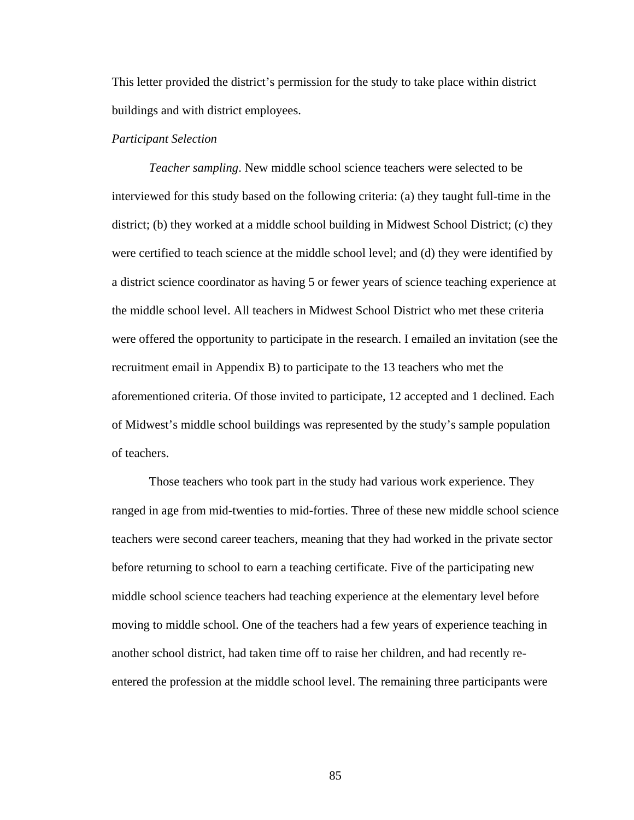This letter provided the district's permission for the study to take place within district buildings and with district employees.

# *Participant Selection*

 *Teacher sampling*. New middle school science teachers were selected to be interviewed for this study based on the following criteria: (a) they taught full-time in the district; (b) they worked at a middle school building in Midwest School District; (c) they were certified to teach science at the middle school level; and (d) they were identified by a district science coordinator as having 5 or fewer years of science teaching experience at the middle school level. All teachers in Midwest School District who met these criteria were offered the opportunity to participate in the research. I emailed an invitation (see the recruitment email in Appendix B) to participate to the 13 teachers who met the aforementioned criteria. Of those invited to participate, 12 accepted and 1 declined. Each of Midwest's middle school buildings was represented by the study's sample population of teachers.

 Those teachers who took part in the study had various work experience. They ranged in age from mid-twenties to mid-forties. Three of these new middle school science teachers were second career teachers, meaning that they had worked in the private sector before returning to school to earn a teaching certificate. Five of the participating new middle school science teachers had teaching experience at the elementary level before moving to middle school. One of the teachers had a few years of experience teaching in another school district, had taken time off to raise her children, and had recently reentered the profession at the middle school level. The remaining three participants were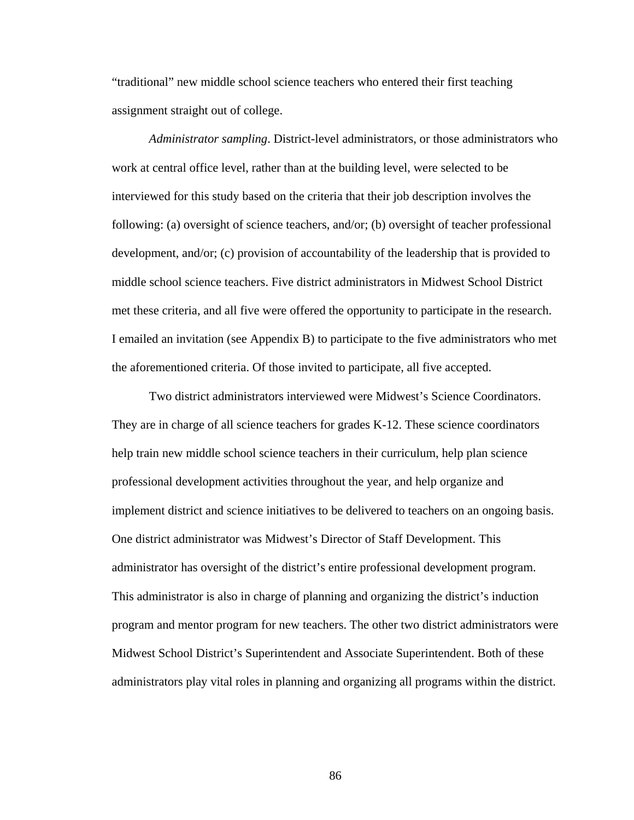"traditional" new middle school science teachers who entered their first teaching assignment straight out of college.

 *Administrator sampling*. District-level administrators, or those administrators who work at central office level, rather than at the building level, were selected to be interviewed for this study based on the criteria that their job description involves the following: (a) oversight of science teachers, and/or; (b) oversight of teacher professional development, and/or; (c) provision of accountability of the leadership that is provided to middle school science teachers. Five district administrators in Midwest School District met these criteria, and all five were offered the opportunity to participate in the research. I emailed an invitation (see Appendix B) to participate to the five administrators who met the aforementioned criteria. Of those invited to participate, all five accepted.

 Two district administrators interviewed were Midwest's Science Coordinators. They are in charge of all science teachers for grades K-12. These science coordinators help train new middle school science teachers in their curriculum, help plan science professional development activities throughout the year, and help organize and implement district and science initiatives to be delivered to teachers on an ongoing basis. One district administrator was Midwest's Director of Staff Development. This administrator has oversight of the district's entire professional development program. This administrator is also in charge of planning and organizing the district's induction program and mentor program for new teachers. The other two district administrators were Midwest School District's Superintendent and Associate Superintendent. Both of these administrators play vital roles in planning and organizing all programs within the district.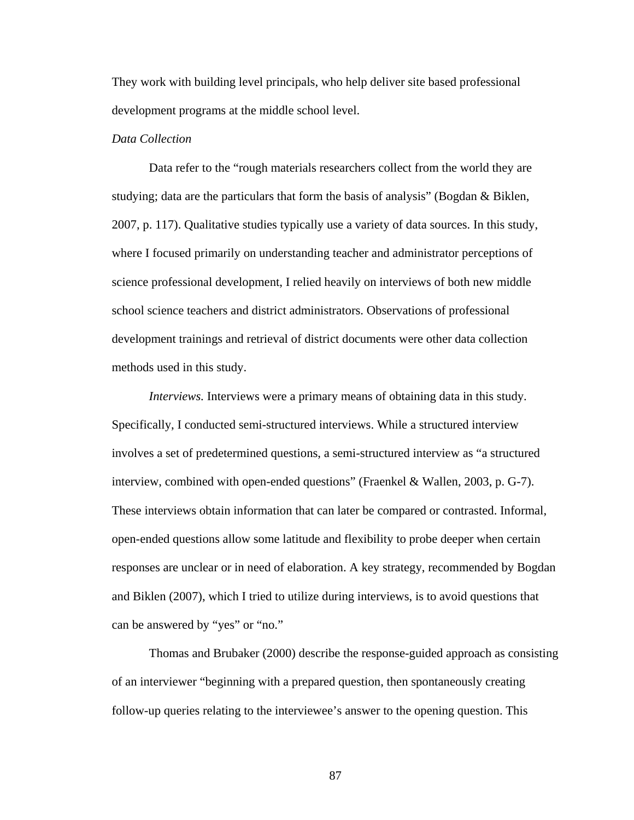They work with building level principals, who help deliver site based professional development programs at the middle school level.

# *Data Collection*

 Data refer to the "rough materials researchers collect from the world they are studying; data are the particulars that form the basis of analysis" (Bogdan  $\&$  Biklen, 2007, p. 117). Qualitative studies typically use a variety of data sources. In this study, where I focused primarily on understanding teacher and administrator perceptions of science professional development, I relied heavily on interviews of both new middle school science teachers and district administrators. Observations of professional development trainings and retrieval of district documents were other data collection methods used in this study.

*Interviews.* Interviews were a primary means of obtaining data in this study. Specifically, I conducted semi-structured interviews. While a structured interview involves a set of predetermined questions, a semi-structured interview as "a structured interview, combined with open-ended questions" (Fraenkel & Wallen, 2003, p. G-7). These interviews obtain information that can later be compared or contrasted. Informal, open-ended questions allow some latitude and flexibility to probe deeper when certain responses are unclear or in need of elaboration. A key strategy, recommended by Bogdan and Biklen (2007), which I tried to utilize during interviews, is to avoid questions that can be answered by "yes" or "no."

 Thomas and Brubaker (2000) describe the response-guided approach as consisting of an interviewer "beginning with a prepared question, then spontaneously creating follow-up queries relating to the interviewee's answer to the opening question. This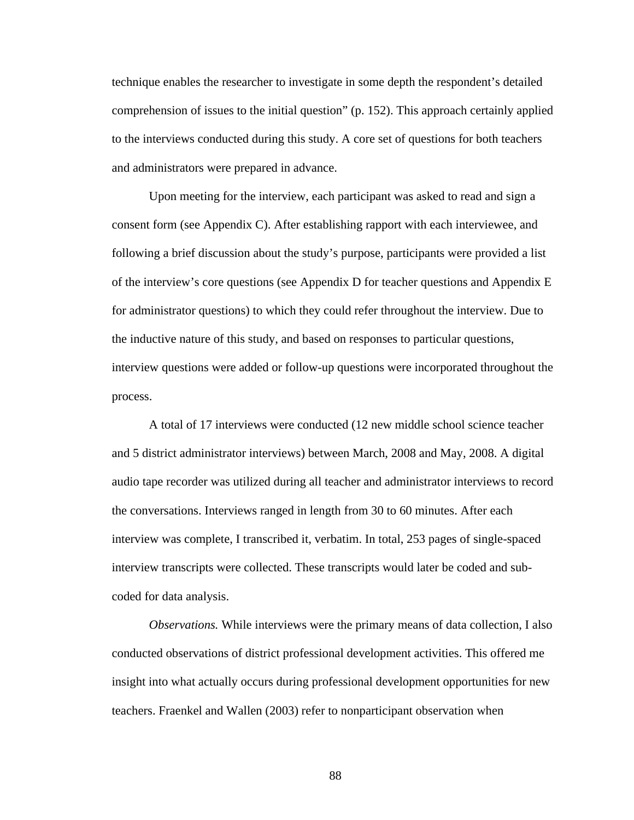technique enables the researcher to investigate in some depth the respondent's detailed comprehension of issues to the initial question" (p. 152). This approach certainly applied to the interviews conducted during this study. A core set of questions for both teachers and administrators were prepared in advance.

Upon meeting for the interview, each participant was asked to read and sign a consent form (see Appendix C). After establishing rapport with each interviewee, and following a brief discussion about the study's purpose, participants were provided a list of the interview's core questions (see Appendix D for teacher questions and Appendix E for administrator questions) to which they could refer throughout the interview. Due to the inductive nature of this study, and based on responses to particular questions, interview questions were added or follow-up questions were incorporated throughout the process.

A total of 17 interviews were conducted (12 new middle school science teacher and 5 district administrator interviews) between March, 2008 and May, 2008. A digital audio tape recorder was utilized during all teacher and administrator interviews to record the conversations. Interviews ranged in length from 30 to 60 minutes. After each interview was complete, I transcribed it, verbatim. In total, 253 pages of single-spaced interview transcripts were collected. These transcripts would later be coded and subcoded for data analysis.

 *Observations.* While interviews were the primary means of data collection, I also conducted observations of district professional development activities. This offered me insight into what actually occurs during professional development opportunities for new teachers. Fraenkel and Wallen (2003) refer to nonparticipant observation when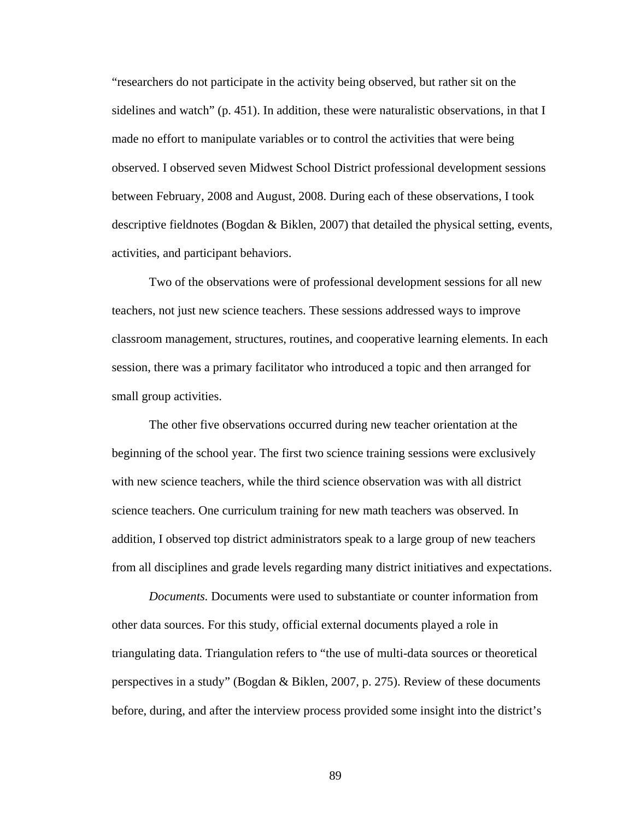"researchers do not participate in the activity being observed, but rather sit on the sidelines and watch" (p. 451). In addition, these were naturalistic observations, in that I made no effort to manipulate variables or to control the activities that were being observed. I observed seven Midwest School District professional development sessions between February, 2008 and August, 2008. During each of these observations, I took descriptive fieldnotes (Bogdan & Biklen, 2007) that detailed the physical setting, events, activities, and participant behaviors.

 Two of the observations were of professional development sessions for all new teachers, not just new science teachers. These sessions addressed ways to improve classroom management, structures, routines, and cooperative learning elements. In each session, there was a primary facilitator who introduced a topic and then arranged for small group activities.

 The other five observations occurred during new teacher orientation at the beginning of the school year. The first two science training sessions were exclusively with new science teachers, while the third science observation was with all district science teachers. One curriculum training for new math teachers was observed. In addition, I observed top district administrators speak to a large group of new teachers from all disciplines and grade levels regarding many district initiatives and expectations.

 *Documents.* Documents were used to substantiate or counter information from other data sources. For this study, official external documents played a role in triangulating data. Triangulation refers to "the use of multi-data sources or theoretical perspectives in a study" (Bogdan & Biklen, 2007, p. 275). Review of these documents before, during, and after the interview process provided some insight into the district's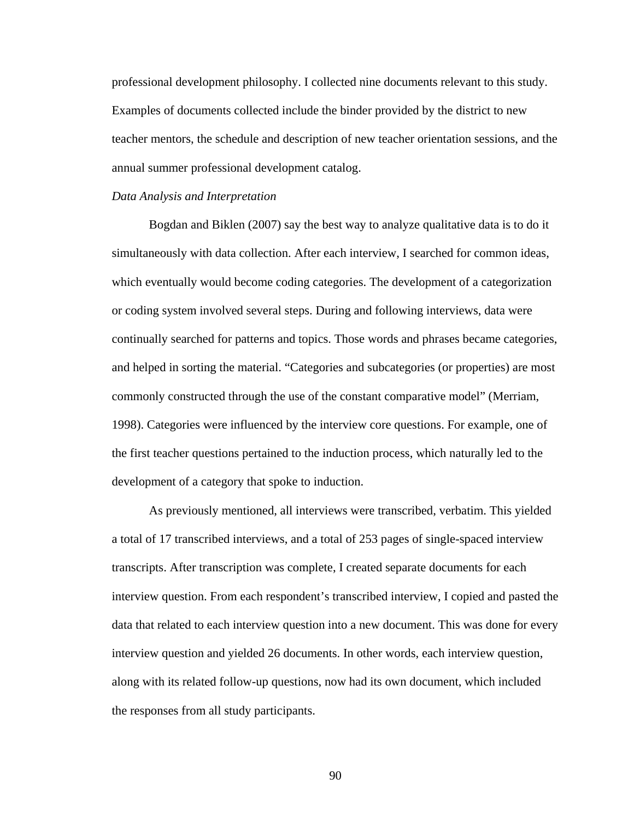professional development philosophy. I collected nine documents relevant to this study. Examples of documents collected include the binder provided by the district to new teacher mentors, the schedule and description of new teacher orientation sessions, and the annual summer professional development catalog.

#### *Data Analysis and Interpretation*

Bogdan and Biklen (2007) say the best way to analyze qualitative data is to do it simultaneously with data collection. After each interview, I searched for common ideas, which eventually would become coding categories. The development of a categorization or coding system involved several steps. During and following interviews, data were continually searched for patterns and topics. Those words and phrases became categories, and helped in sorting the material. "Categories and subcategories (or properties) are most commonly constructed through the use of the constant comparative model" (Merriam, 1998). Categories were influenced by the interview core questions. For example, one of the first teacher questions pertained to the induction process, which naturally led to the development of a category that spoke to induction.

As previously mentioned, all interviews were transcribed, verbatim. This yielded a total of 17 transcribed interviews, and a total of 253 pages of single-spaced interview transcripts. After transcription was complete, I created separate documents for each interview question. From each respondent's transcribed interview, I copied and pasted the data that related to each interview question into a new document. This was done for every interview question and yielded 26 documents. In other words, each interview question, along with its related follow-up questions, now had its own document, which included the responses from all study participants.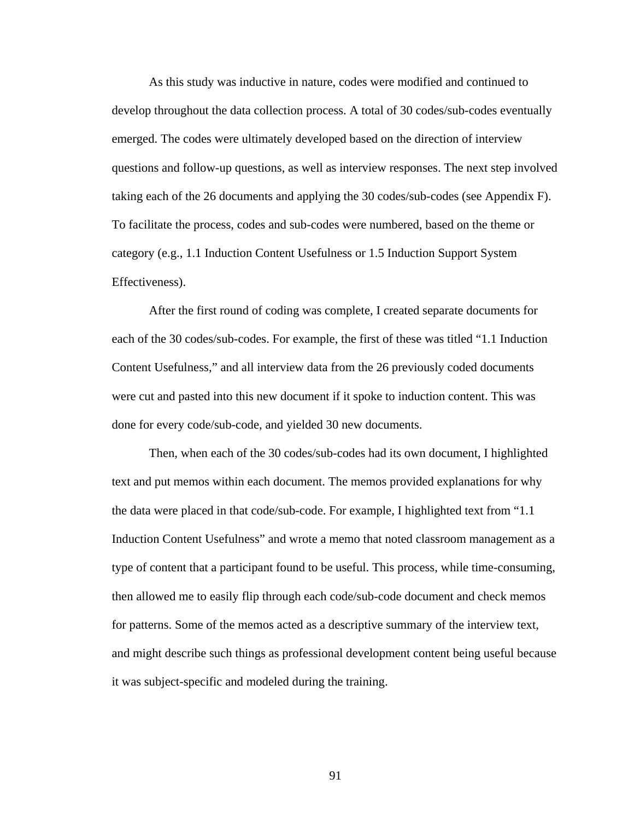As this study was inductive in nature, codes were modified and continued to develop throughout the data collection process. A total of 30 codes/sub-codes eventually emerged. The codes were ultimately developed based on the direction of interview questions and follow-up questions, as well as interview responses. The next step involved taking each of the 26 documents and applying the 30 codes/sub-codes (see Appendix F). To facilitate the process, codes and sub-codes were numbered, based on the theme or category (e.g., 1.1 Induction Content Usefulness or 1.5 Induction Support System Effectiveness).

 After the first round of coding was complete, I created separate documents for each of the 30 codes/sub-codes. For example, the first of these was titled "1.1 Induction Content Usefulness," and all interview data from the 26 previously coded documents were cut and pasted into this new document if it spoke to induction content. This was done for every code/sub-code, and yielded 30 new documents.

 Then, when each of the 30 codes/sub-codes had its own document, I highlighted text and put memos within each document. The memos provided explanations for why the data were placed in that code/sub-code. For example, I highlighted text from "1.1 Induction Content Usefulness" and wrote a memo that noted classroom management as a type of content that a participant found to be useful. This process, while time-consuming, then allowed me to easily flip through each code/sub-code document and check memos for patterns. Some of the memos acted as a descriptive summary of the interview text, and might describe such things as professional development content being useful because it was subject-specific and modeled during the training.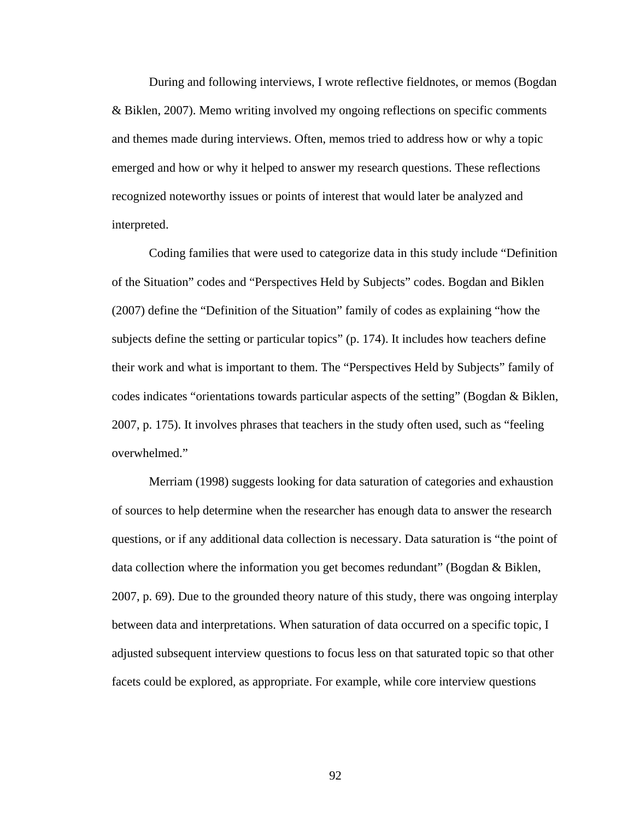During and following interviews, I wrote reflective fieldnotes, or memos (Bogdan & Biklen, 2007). Memo writing involved my ongoing reflections on specific comments and themes made during interviews. Often, memos tried to address how or why a topic emerged and how or why it helped to answer my research questions. These reflections recognized noteworthy issues or points of interest that would later be analyzed and interpreted.

Coding families that were used to categorize data in this study include "Definition of the Situation" codes and "Perspectives Held by Subjects" codes. Bogdan and Biklen (2007) define the "Definition of the Situation" family of codes as explaining "how the subjects define the setting or particular topics" (p. 174). It includes how teachers define their work and what is important to them. The "Perspectives Held by Subjects" family of codes indicates "orientations towards particular aspects of the setting" (Bogdan & Biklen, 2007, p. 175). It involves phrases that teachers in the study often used, such as "feeling overwhelmed."

Merriam (1998) suggests looking for data saturation of categories and exhaustion of sources to help determine when the researcher has enough data to answer the research questions, or if any additional data collection is necessary. Data saturation is "the point of data collection where the information you get becomes redundant" (Bogdan & Biklen, 2007, p. 69). Due to the grounded theory nature of this study, there was ongoing interplay between data and interpretations. When saturation of data occurred on a specific topic, I adjusted subsequent interview questions to focus less on that saturated topic so that other facets could be explored, as appropriate. For example, while core interview questions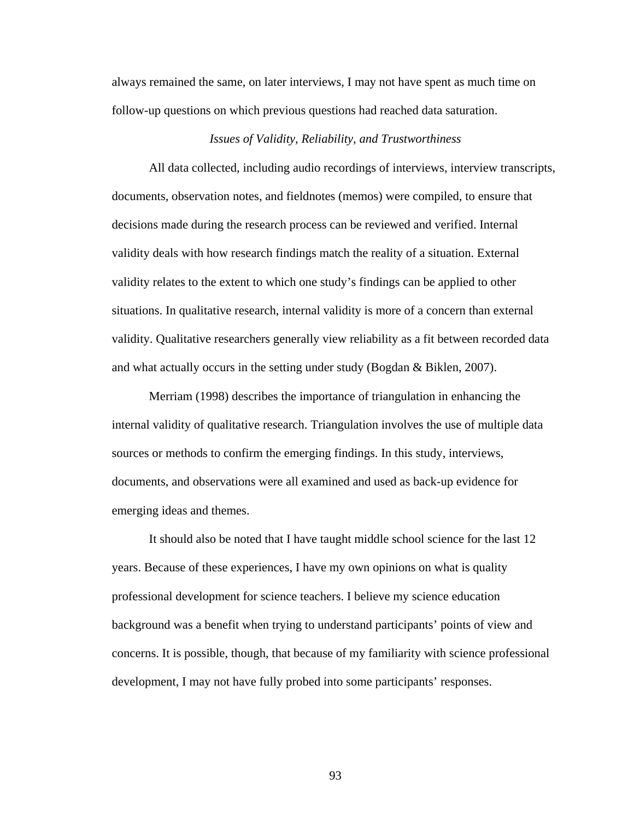always remained the same, on later interviews, I may not have spent as much time on follow-up questions on which previous questions had reached data saturation.

# *Issues of Validity, Reliability, and Trustworthiness*

 All data collected, including audio recordings of interviews, interview transcripts, documents, observation notes, and fieldnotes (memos) were compiled, to ensure that decisions made during the research process can be reviewed and verified. Internal validity deals with how research findings match the reality of a situation. External validity relates to the extent to which one study's findings can be applied to other situations. In qualitative research, internal validity is more of a concern than external validity. Qualitative researchers generally view reliability as a fit between recorded data and what actually occurs in the setting under study (Bogdan & Biklen, 2007).

 Merriam (1998) describes the importance of triangulation in enhancing the internal validity of qualitative research. Triangulation involves the use of multiple data sources or methods to confirm the emerging findings. In this study, interviews, documents, and observations were all examined and used as back-up evidence for emerging ideas and themes.

 It should also be noted that I have taught middle school science for the last 12 years. Because of these experiences, I have my own opinions on what is quality professional development for science teachers. I believe my science education background was a benefit when trying to understand participants' points of view and concerns. It is possible, though, that because of my familiarity with science professional development, I may not have fully probed into some participants' responses.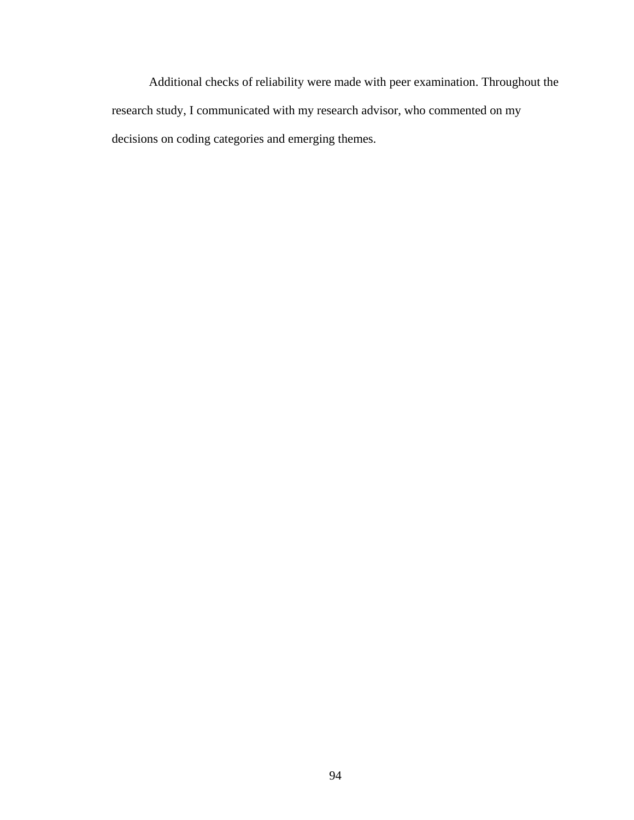Additional checks of reliability were made with peer examination. Throughout the research study, I communicated with my research advisor, who commented on my decisions on coding categories and emerging themes.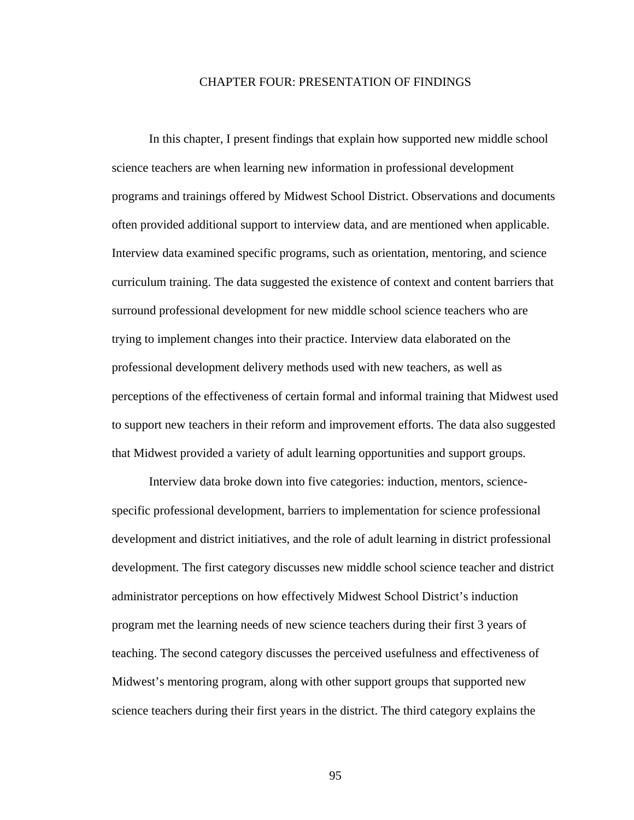### CHAPTER FOUR: PRESENTATION OF FINDINGS

 In this chapter, I present findings that explain how supported new middle school science teachers are when learning new information in professional development programs and trainings offered by Midwest School District. Observations and documents often provided additional support to interview data, and are mentioned when applicable. Interview data examined specific programs, such as orientation, mentoring, and science curriculum training. The data suggested the existence of context and content barriers that surround professional development for new middle school science teachers who are trying to implement changes into their practice. Interview data elaborated on the professional development delivery methods used with new teachers, as well as perceptions of the effectiveness of certain formal and informal training that Midwest used to support new teachers in their reform and improvement efforts. The data also suggested that Midwest provided a variety of adult learning opportunities and support groups.

 Interview data broke down into five categories: induction, mentors, sciencespecific professional development, barriers to implementation for science professional development and district initiatives, and the role of adult learning in district professional development. The first category discusses new middle school science teacher and district administrator perceptions on how effectively Midwest School District's induction program met the learning needs of new science teachers during their first 3 years of teaching. The second category discusses the perceived usefulness and effectiveness of Midwest's mentoring program, along with other support groups that supported new science teachers during their first years in the district. The third category explains the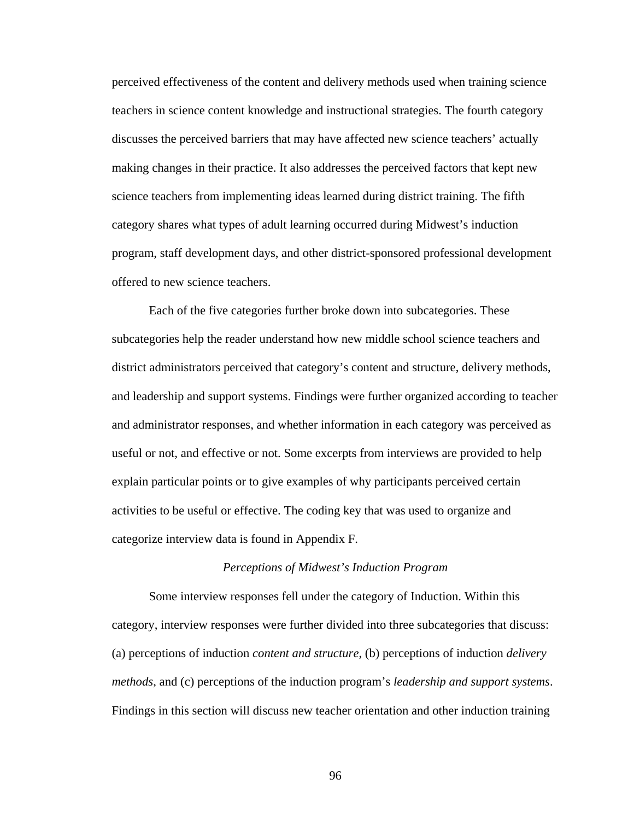perceived effectiveness of the content and delivery methods used when training science teachers in science content knowledge and instructional strategies. The fourth category discusses the perceived barriers that may have affected new science teachers' actually making changes in their practice. It also addresses the perceived factors that kept new science teachers from implementing ideas learned during district training. The fifth category shares what types of adult learning occurred during Midwest's induction program, staff development days, and other district-sponsored professional development offered to new science teachers.

 Each of the five categories further broke down into subcategories. These subcategories help the reader understand how new middle school science teachers and district administrators perceived that category's content and structure, delivery methods, and leadership and support systems. Findings were further organized according to teacher and administrator responses, and whether information in each category was perceived as useful or not, and effective or not. Some excerpts from interviews are provided to help explain particular points or to give examples of why participants perceived certain activities to be useful or effective. The coding key that was used to organize and categorize interview data is found in Appendix F.

#### *Perceptions of Midwest's Induction Program*

 Some interview responses fell under the category of Induction. Within this category, interview responses were further divided into three subcategories that discuss: (a) perceptions of induction *content and structure*, (b) perceptions of induction *delivery methods*, and (c) perceptions of the induction program's *leadership and support systems*. Findings in this section will discuss new teacher orientation and other induction training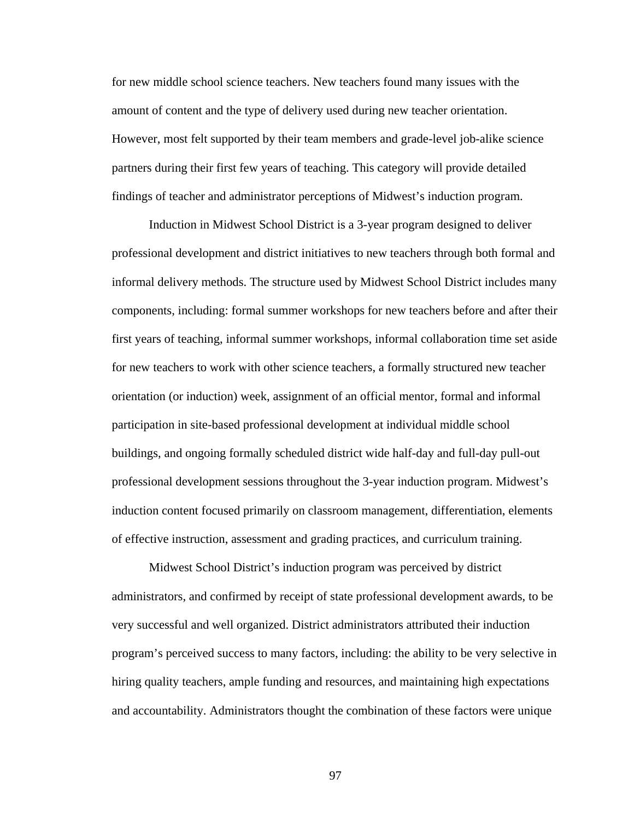for new middle school science teachers. New teachers found many issues with the amount of content and the type of delivery used during new teacher orientation. However, most felt supported by their team members and grade-level job-alike science partners during their first few years of teaching. This category will provide detailed findings of teacher and administrator perceptions of Midwest's induction program.

 Induction in Midwest School District is a 3-year program designed to deliver professional development and district initiatives to new teachers through both formal and informal delivery methods. The structure used by Midwest School District includes many components, including: formal summer workshops for new teachers before and after their first years of teaching, informal summer workshops, informal collaboration time set aside for new teachers to work with other science teachers, a formally structured new teacher orientation (or induction) week, assignment of an official mentor, formal and informal participation in site-based professional development at individual middle school buildings, and ongoing formally scheduled district wide half-day and full-day pull-out professional development sessions throughout the 3-year induction program. Midwest's induction content focused primarily on classroom management, differentiation, elements of effective instruction, assessment and grading practices, and curriculum training.

 Midwest School District's induction program was perceived by district administrators, and confirmed by receipt of state professional development awards, to be very successful and well organized. District administrators attributed their induction program's perceived success to many factors, including: the ability to be very selective in hiring quality teachers, ample funding and resources, and maintaining high expectations and accountability. Administrators thought the combination of these factors were unique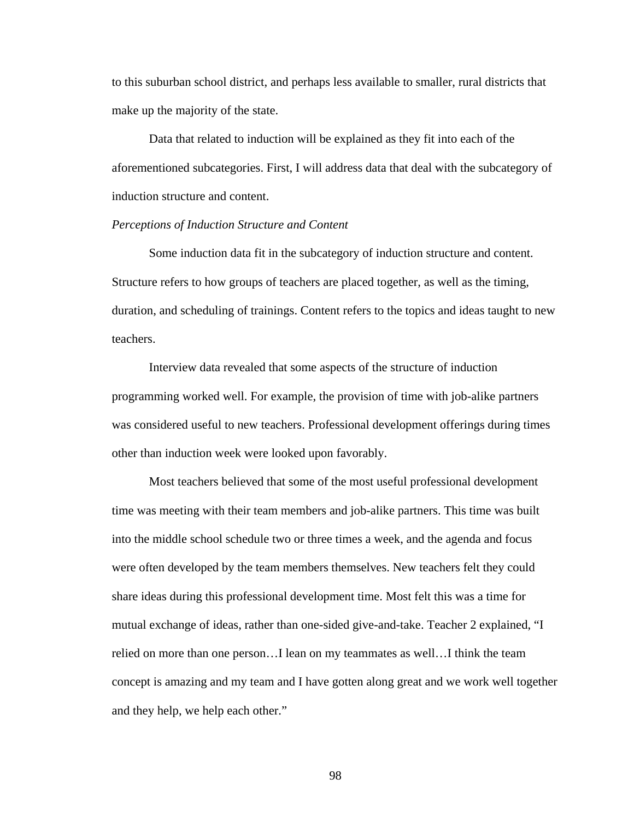to this suburban school district, and perhaps less available to smaller, rural districts that make up the majority of the state.

 Data that related to induction will be explained as they fit into each of the aforementioned subcategories. First, I will address data that deal with the subcategory of induction structure and content.

# *Perceptions of Induction Structure and Content*

 Some induction data fit in the subcategory of induction structure and content. Structure refers to how groups of teachers are placed together, as well as the timing, duration, and scheduling of trainings. Content refers to the topics and ideas taught to new teachers.

 Interview data revealed that some aspects of the structure of induction programming worked well. For example, the provision of time with job-alike partners was considered useful to new teachers. Professional development offerings during times other than induction week were looked upon favorably.

 Most teachers believed that some of the most useful professional development time was meeting with their team members and job-alike partners. This time was built into the middle school schedule two or three times a week, and the agenda and focus were often developed by the team members themselves. New teachers felt they could share ideas during this professional development time. Most felt this was a time for mutual exchange of ideas, rather than one-sided give-and-take. Teacher 2 explained, "I relied on more than one person…I lean on my teammates as well…I think the team concept is amazing and my team and I have gotten along great and we work well together and they help, we help each other."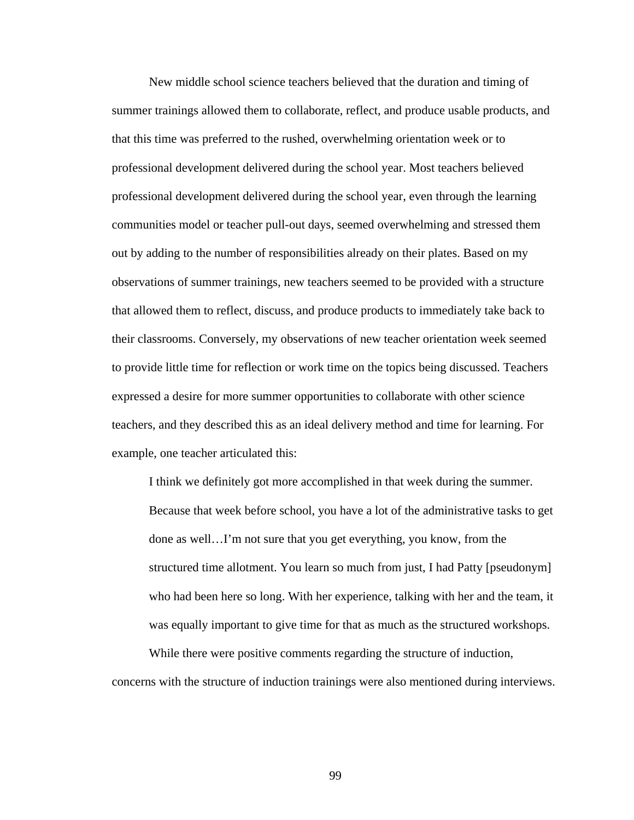New middle school science teachers believed that the duration and timing of summer trainings allowed them to collaborate, reflect, and produce usable products, and that this time was preferred to the rushed, overwhelming orientation week or to professional development delivered during the school year. Most teachers believed professional development delivered during the school year, even through the learning communities model or teacher pull-out days, seemed overwhelming and stressed them out by adding to the number of responsibilities already on their plates. Based on my observations of summer trainings, new teachers seemed to be provided with a structure that allowed them to reflect, discuss, and produce products to immediately take back to their classrooms. Conversely, my observations of new teacher orientation week seemed to provide little time for reflection or work time on the topics being discussed. Teachers expressed a desire for more summer opportunities to collaborate with other science teachers, and they described this as an ideal delivery method and time for learning. For example, one teacher articulated this:

I think we definitely got more accomplished in that week during the summer. Because that week before school, you have a lot of the administrative tasks to get done as well…I'm not sure that you get everything, you know, from the structured time allotment. You learn so much from just, I had Patty [pseudonym] who had been here so long. With her experience, talking with her and the team, it was equally important to give time for that as much as the structured workshops.

 While there were positive comments regarding the structure of induction, concerns with the structure of induction trainings were also mentioned during interviews.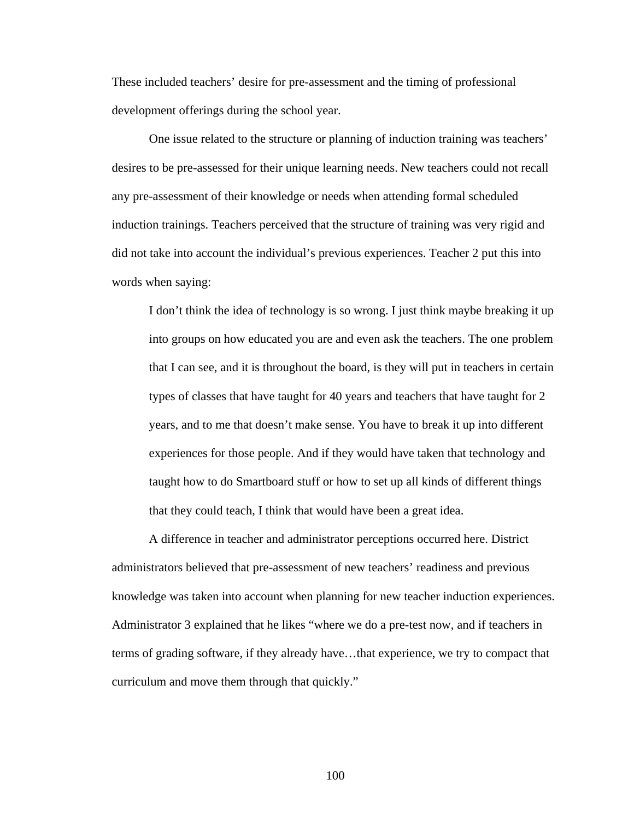These included teachers' desire for pre-assessment and the timing of professional development offerings during the school year.

 One issue related to the structure or planning of induction training was teachers' desires to be pre-assessed for their unique learning needs. New teachers could not recall any pre-assessment of their knowledge or needs when attending formal scheduled induction trainings. Teachers perceived that the structure of training was very rigid and did not take into account the individual's previous experiences. Teacher 2 put this into words when saying:

I don't think the idea of technology is so wrong. I just think maybe breaking it up into groups on how educated you are and even ask the teachers. The one problem that I can see, and it is throughout the board, is they will put in teachers in certain types of classes that have taught for 40 years and teachers that have taught for 2 years, and to me that doesn't make sense. You have to break it up into different experiences for those people. And if they would have taken that technology and taught how to do Smartboard stuff or how to set up all kinds of different things that they could teach, I think that would have been a great idea.

 A difference in teacher and administrator perceptions occurred here. District administrators believed that pre-assessment of new teachers' readiness and previous knowledge was taken into account when planning for new teacher induction experiences. Administrator 3 explained that he likes "where we do a pre-test now, and if teachers in terms of grading software, if they already have…that experience, we try to compact that curriculum and move them through that quickly."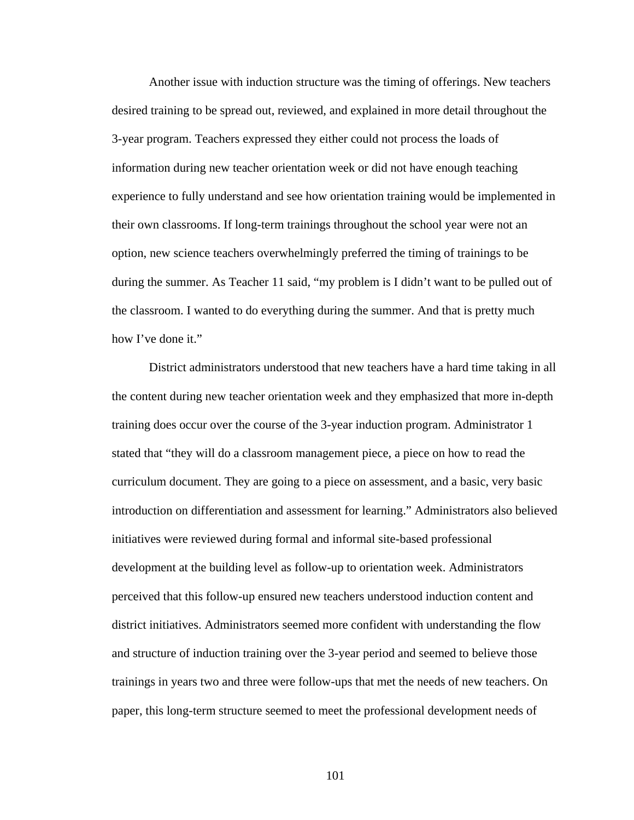Another issue with induction structure was the timing of offerings. New teachers desired training to be spread out, reviewed, and explained in more detail throughout the 3-year program. Teachers expressed they either could not process the loads of information during new teacher orientation week or did not have enough teaching experience to fully understand and see how orientation training would be implemented in their own classrooms. If long-term trainings throughout the school year were not an option, new science teachers overwhelmingly preferred the timing of trainings to be during the summer. As Teacher 11 said, "my problem is I didn't want to be pulled out of the classroom. I wanted to do everything during the summer. And that is pretty much how I've done it."

 District administrators understood that new teachers have a hard time taking in all the content during new teacher orientation week and they emphasized that more in-depth training does occur over the course of the 3-year induction program. Administrator 1 stated that "they will do a classroom management piece, a piece on how to read the curriculum document. They are going to a piece on assessment, and a basic, very basic introduction on differentiation and assessment for learning." Administrators also believed initiatives were reviewed during formal and informal site-based professional development at the building level as follow-up to orientation week. Administrators perceived that this follow-up ensured new teachers understood induction content and district initiatives. Administrators seemed more confident with understanding the flow and structure of induction training over the 3-year period and seemed to believe those trainings in years two and three were follow-ups that met the needs of new teachers. On paper, this long-term structure seemed to meet the professional development needs of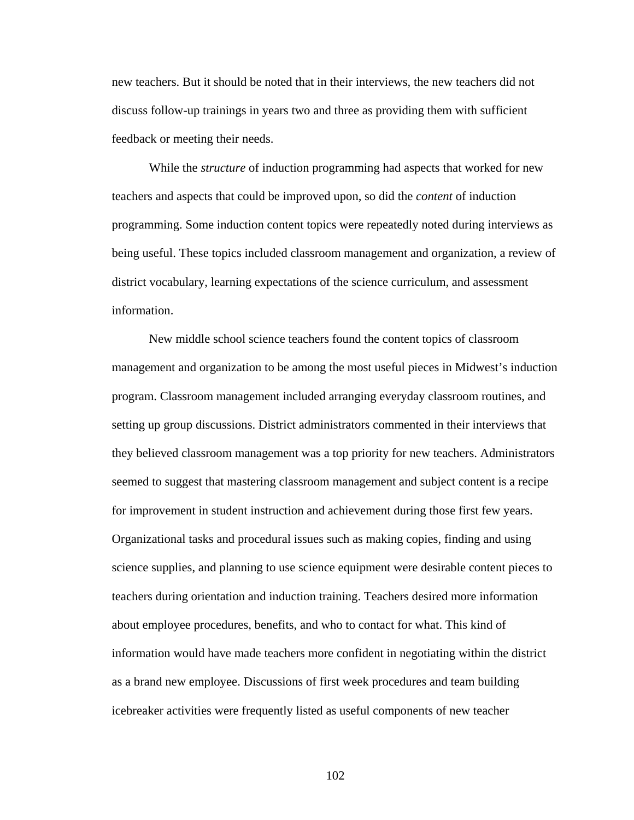new teachers. But it should be noted that in their interviews, the new teachers did not discuss follow-up trainings in years two and three as providing them with sufficient feedback or meeting their needs.

 While the *structure* of induction programming had aspects that worked for new teachers and aspects that could be improved upon, so did the *content* of induction programming. Some induction content topics were repeatedly noted during interviews as being useful. These topics included classroom management and organization, a review of district vocabulary, learning expectations of the science curriculum, and assessment information.

 New middle school science teachers found the content topics of classroom management and organization to be among the most useful pieces in Midwest's induction program. Classroom management included arranging everyday classroom routines, and setting up group discussions. District administrators commented in their interviews that they believed classroom management was a top priority for new teachers. Administrators seemed to suggest that mastering classroom management and subject content is a recipe for improvement in student instruction and achievement during those first few years. Organizational tasks and procedural issues such as making copies, finding and using science supplies, and planning to use science equipment were desirable content pieces to teachers during orientation and induction training. Teachers desired more information about employee procedures, benefits, and who to contact for what. This kind of information would have made teachers more confident in negotiating within the district as a brand new employee. Discussions of first week procedures and team building icebreaker activities were frequently listed as useful components of new teacher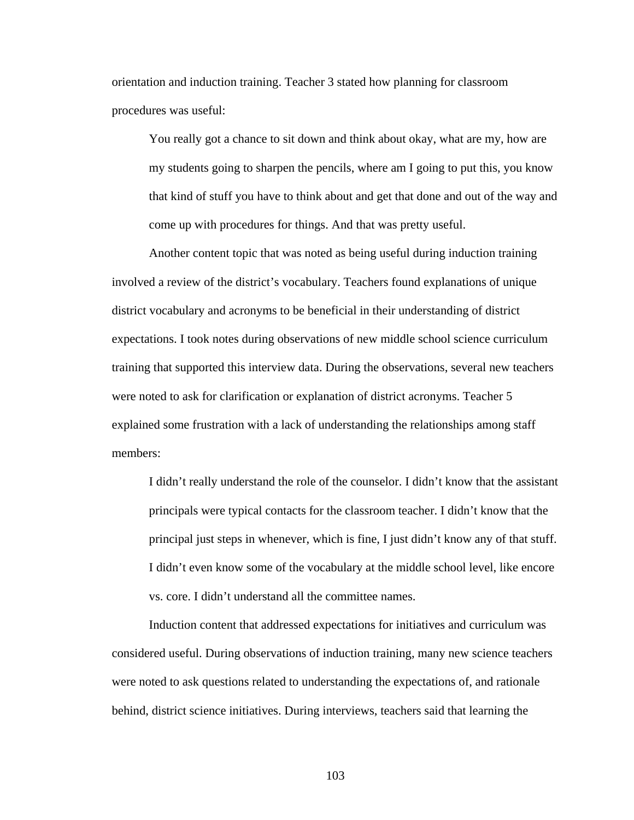orientation and induction training. Teacher 3 stated how planning for classroom procedures was useful:

You really got a chance to sit down and think about okay, what are my, how are my students going to sharpen the pencils, where am I going to put this, you know that kind of stuff you have to think about and get that done and out of the way and come up with procedures for things. And that was pretty useful.

 Another content topic that was noted as being useful during induction training involved a review of the district's vocabulary. Teachers found explanations of unique district vocabulary and acronyms to be beneficial in their understanding of district expectations. I took notes during observations of new middle school science curriculum training that supported this interview data. During the observations, several new teachers were noted to ask for clarification or explanation of district acronyms. Teacher 5 explained some frustration with a lack of understanding the relationships among staff members:

I didn't really understand the role of the counselor. I didn't know that the assistant principals were typical contacts for the classroom teacher. I didn't know that the principal just steps in whenever, which is fine, I just didn't know any of that stuff. I didn't even know some of the vocabulary at the middle school level, like encore vs. core. I didn't understand all the committee names.

 Induction content that addressed expectations for initiatives and curriculum was considered useful. During observations of induction training, many new science teachers were noted to ask questions related to understanding the expectations of, and rationale behind, district science initiatives. During interviews, teachers said that learning the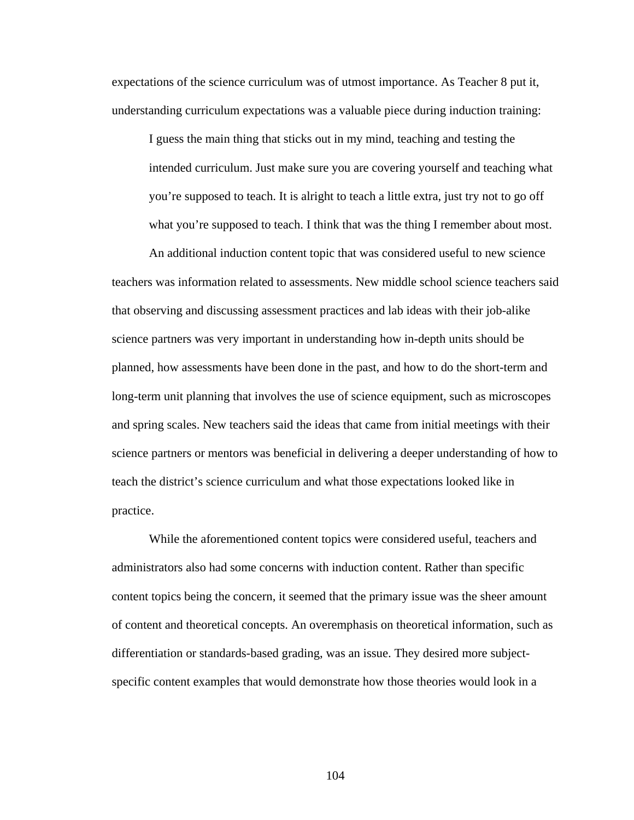expectations of the science curriculum was of utmost importance. As Teacher 8 put it, understanding curriculum expectations was a valuable piece during induction training:

I guess the main thing that sticks out in my mind, teaching and testing the intended curriculum. Just make sure you are covering yourself and teaching what you're supposed to teach. It is alright to teach a little extra, just try not to go off what you're supposed to teach. I think that was the thing I remember about most.

 An additional induction content topic that was considered useful to new science teachers was information related to assessments. New middle school science teachers said that observing and discussing assessment practices and lab ideas with their job-alike science partners was very important in understanding how in-depth units should be planned, how assessments have been done in the past, and how to do the short-term and long-term unit planning that involves the use of science equipment, such as microscopes and spring scales. New teachers said the ideas that came from initial meetings with their science partners or mentors was beneficial in delivering a deeper understanding of how to teach the district's science curriculum and what those expectations looked like in practice.

 While the aforementioned content topics were considered useful, teachers and administrators also had some concerns with induction content. Rather than specific content topics being the concern, it seemed that the primary issue was the sheer amount of content and theoretical concepts. An overemphasis on theoretical information, such as differentiation or standards-based grading, was an issue. They desired more subjectspecific content examples that would demonstrate how those theories would look in a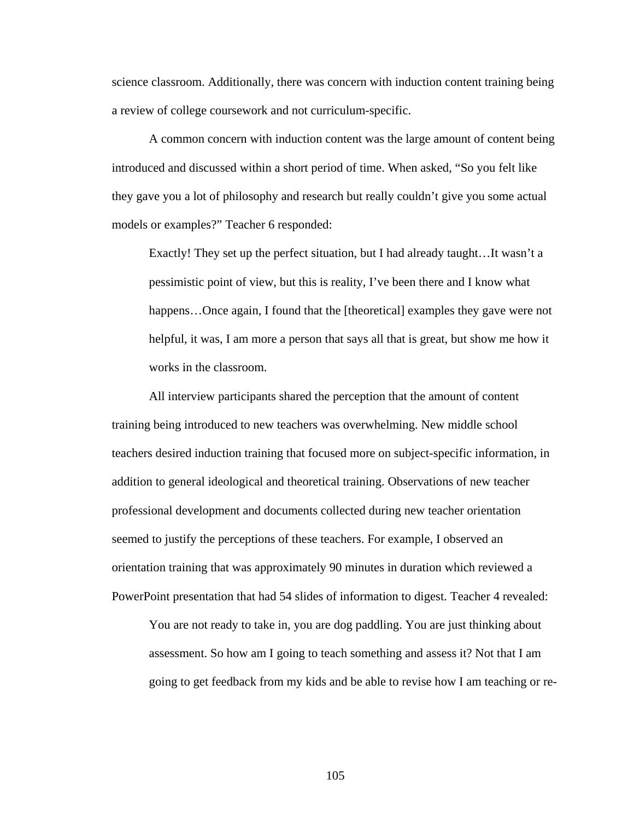science classroom. Additionally, there was concern with induction content training being a review of college coursework and not curriculum-specific.

 A common concern with induction content was the large amount of content being introduced and discussed within a short period of time. When asked, "So you felt like they gave you a lot of philosophy and research but really couldn't give you some actual models or examples?" Teacher 6 responded:

Exactly! They set up the perfect situation, but I had already taught…It wasn't a pessimistic point of view, but this is reality, I've been there and I know what happens...Once again, I found that the [theoretical] examples they gave were not helpful, it was, I am more a person that says all that is great, but show me how it works in the classroom.

 All interview participants shared the perception that the amount of content training being introduced to new teachers was overwhelming. New middle school teachers desired induction training that focused more on subject-specific information, in addition to general ideological and theoretical training. Observations of new teacher professional development and documents collected during new teacher orientation seemed to justify the perceptions of these teachers. For example, I observed an orientation training that was approximately 90 minutes in duration which reviewed a PowerPoint presentation that had 54 slides of information to digest. Teacher 4 revealed:

You are not ready to take in, you are dog paddling. You are just thinking about assessment. So how am I going to teach something and assess it? Not that I am going to get feedback from my kids and be able to revise how I am teaching or re-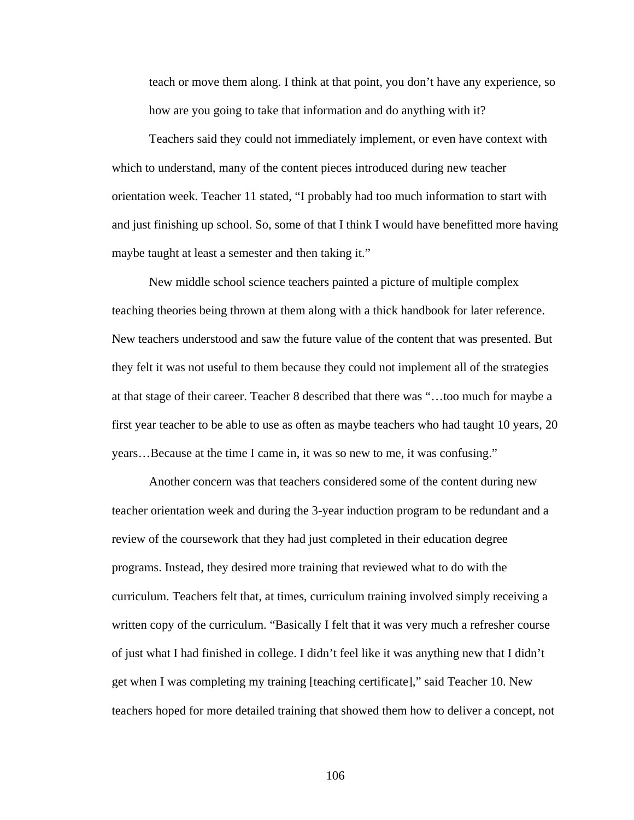teach or move them along. I think at that point, you don't have any experience, so how are you going to take that information and do anything with it?

 Teachers said they could not immediately implement, or even have context with which to understand, many of the content pieces introduced during new teacher orientation week. Teacher 11 stated, "I probably had too much information to start with and just finishing up school. So, some of that I think I would have benefitted more having maybe taught at least a semester and then taking it."

 New middle school science teachers painted a picture of multiple complex teaching theories being thrown at them along with a thick handbook for later reference. New teachers understood and saw the future value of the content that was presented. But they felt it was not useful to them because they could not implement all of the strategies at that stage of their career. Teacher 8 described that there was "…too much for maybe a first year teacher to be able to use as often as maybe teachers who had taught 10 years, 20 years…Because at the time I came in, it was so new to me, it was confusing."

 Another concern was that teachers considered some of the content during new teacher orientation week and during the 3-year induction program to be redundant and a review of the coursework that they had just completed in their education degree programs. Instead, they desired more training that reviewed what to do with the curriculum. Teachers felt that, at times, curriculum training involved simply receiving a written copy of the curriculum. "Basically I felt that it was very much a refresher course of just what I had finished in college. I didn't feel like it was anything new that I didn't get when I was completing my training [teaching certificate]," said Teacher 10. New teachers hoped for more detailed training that showed them how to deliver a concept, not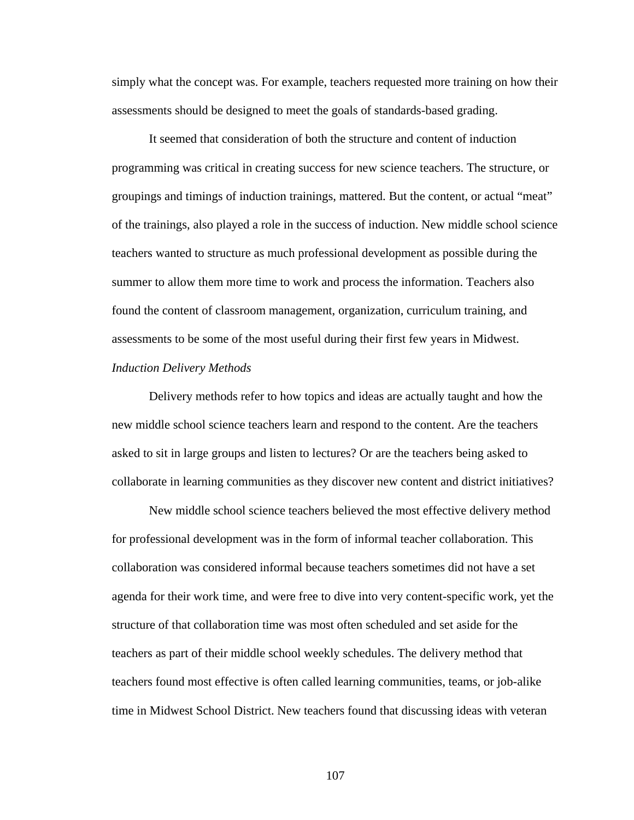simply what the concept was. For example, teachers requested more training on how their assessments should be designed to meet the goals of standards-based grading.

 It seemed that consideration of both the structure and content of induction programming was critical in creating success for new science teachers. The structure, or groupings and timings of induction trainings, mattered. But the content, or actual "meat" of the trainings, also played a role in the success of induction. New middle school science teachers wanted to structure as much professional development as possible during the summer to allow them more time to work and process the information. Teachers also found the content of classroom management, organization, curriculum training, and assessments to be some of the most useful during their first few years in Midwest. *Induction Delivery Methods* 

 Delivery methods refer to how topics and ideas are actually taught and how the new middle school science teachers learn and respond to the content. Are the teachers asked to sit in large groups and listen to lectures? Or are the teachers being asked to collaborate in learning communities as they discover new content and district initiatives?

 New middle school science teachers believed the most effective delivery method for professional development was in the form of informal teacher collaboration. This collaboration was considered informal because teachers sometimes did not have a set agenda for their work time, and were free to dive into very content-specific work, yet the structure of that collaboration time was most often scheduled and set aside for the teachers as part of their middle school weekly schedules. The delivery method that teachers found most effective is often called learning communities, teams, or job-alike time in Midwest School District. New teachers found that discussing ideas with veteran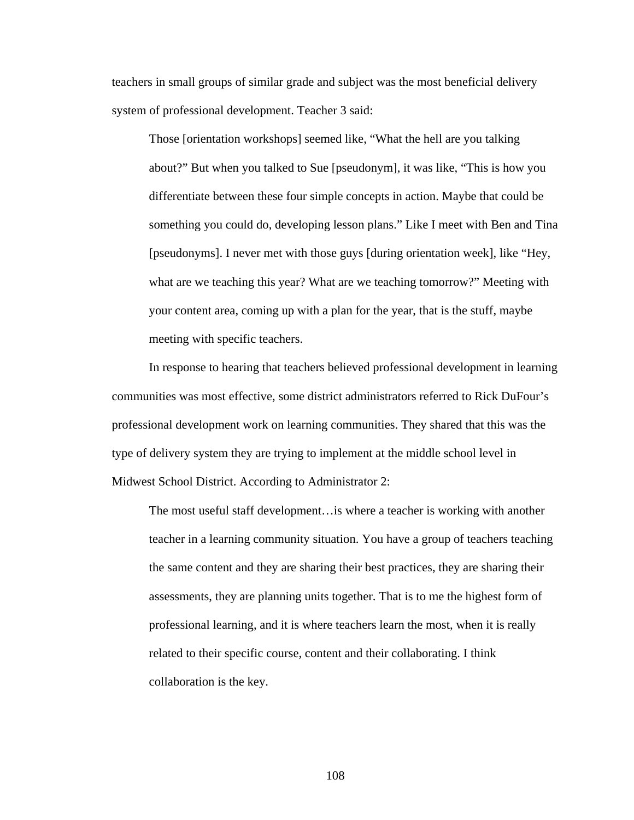teachers in small groups of similar grade and subject was the most beneficial delivery system of professional development. Teacher 3 said:

Those [orientation workshops] seemed like, "What the hell are you talking about?" But when you talked to Sue [pseudonym], it was like, "This is how you differentiate between these four simple concepts in action. Maybe that could be something you could do, developing lesson plans." Like I meet with Ben and Tina [pseudonyms]. I never met with those guys [during orientation week], like "Hey, what are we teaching this year? What are we teaching tomorrow?" Meeting with your content area, coming up with a plan for the year, that is the stuff, maybe meeting with specific teachers.

 In response to hearing that teachers believed professional development in learning communities was most effective, some district administrators referred to Rick DuFour's professional development work on learning communities. They shared that this was the type of delivery system they are trying to implement at the middle school level in Midwest School District. According to Administrator 2:

The most useful staff development…is where a teacher is working with another teacher in a learning community situation. You have a group of teachers teaching the same content and they are sharing their best practices, they are sharing their assessments, they are planning units together. That is to me the highest form of professional learning, and it is where teachers learn the most, when it is really related to their specific course, content and their collaborating. I think collaboration is the key.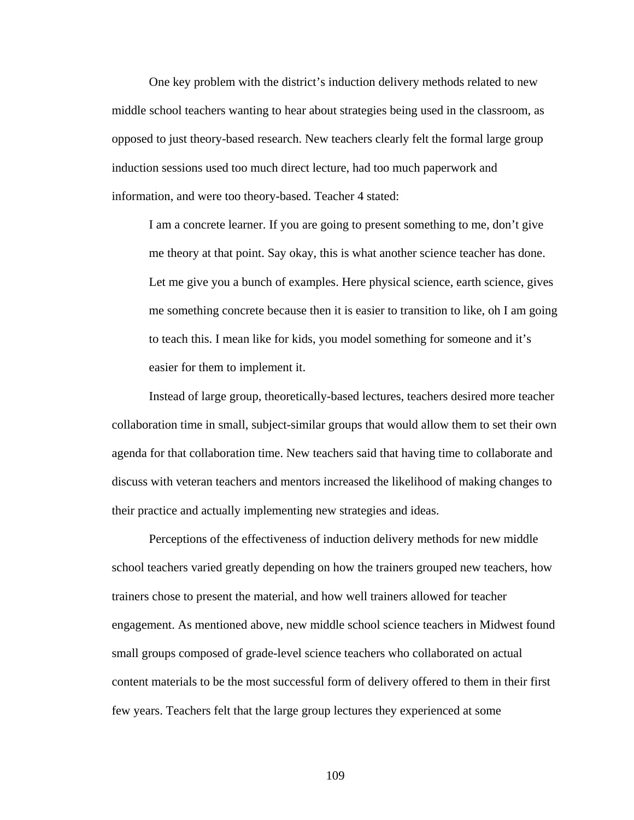One key problem with the district's induction delivery methods related to new middle school teachers wanting to hear about strategies being used in the classroom, as opposed to just theory-based research. New teachers clearly felt the formal large group induction sessions used too much direct lecture, had too much paperwork and information, and were too theory-based. Teacher 4 stated:

I am a concrete learner. If you are going to present something to me, don't give me theory at that point. Say okay, this is what another science teacher has done. Let me give you a bunch of examples. Here physical science, earth science, gives me something concrete because then it is easier to transition to like, oh I am going to teach this. I mean like for kids, you model something for someone and it's easier for them to implement it.

 Instead of large group, theoretically-based lectures, teachers desired more teacher collaboration time in small, subject-similar groups that would allow them to set their own agenda for that collaboration time. New teachers said that having time to collaborate and discuss with veteran teachers and mentors increased the likelihood of making changes to their practice and actually implementing new strategies and ideas.

 Perceptions of the effectiveness of induction delivery methods for new middle school teachers varied greatly depending on how the trainers grouped new teachers, how trainers chose to present the material, and how well trainers allowed for teacher engagement. As mentioned above, new middle school science teachers in Midwest found small groups composed of grade-level science teachers who collaborated on actual content materials to be the most successful form of delivery offered to them in their first few years. Teachers felt that the large group lectures they experienced at some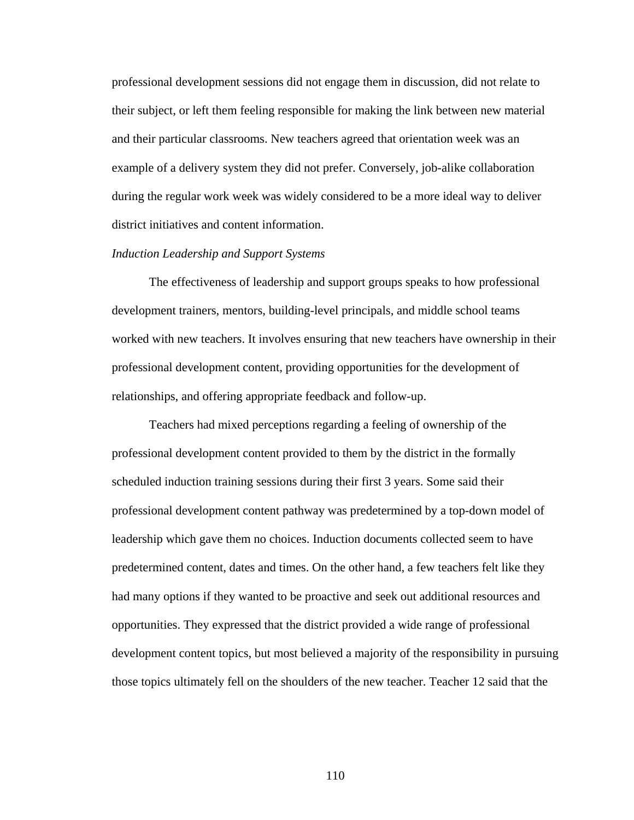professional development sessions did not engage them in discussion, did not relate to their subject, or left them feeling responsible for making the link between new material and their particular classrooms. New teachers agreed that orientation week was an example of a delivery system they did not prefer. Conversely, job-alike collaboration during the regular work week was widely considered to be a more ideal way to deliver district initiatives and content information.

# *Induction Leadership and Support Systems*

 The effectiveness of leadership and support groups speaks to how professional development trainers, mentors, building-level principals, and middle school teams worked with new teachers. It involves ensuring that new teachers have ownership in their professional development content, providing opportunities for the development of relationships, and offering appropriate feedback and follow-up.

 Teachers had mixed perceptions regarding a feeling of ownership of the professional development content provided to them by the district in the formally scheduled induction training sessions during their first 3 years. Some said their professional development content pathway was predetermined by a top-down model of leadership which gave them no choices. Induction documents collected seem to have predetermined content, dates and times. On the other hand, a few teachers felt like they had many options if they wanted to be proactive and seek out additional resources and opportunities. They expressed that the district provided a wide range of professional development content topics, but most believed a majority of the responsibility in pursuing those topics ultimately fell on the shoulders of the new teacher. Teacher 12 said that the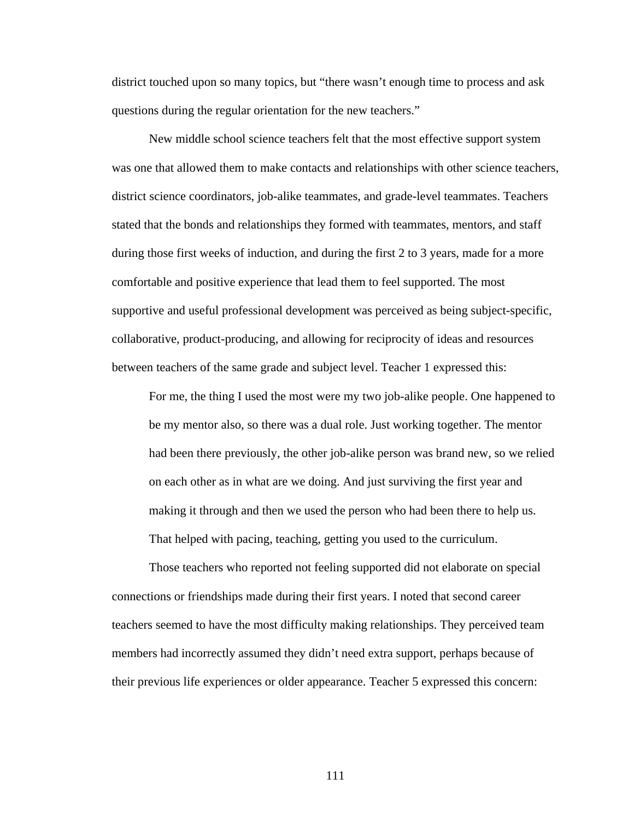district touched upon so many topics, but "there wasn't enough time to process and ask questions during the regular orientation for the new teachers."

 New middle school science teachers felt that the most effective support system was one that allowed them to make contacts and relationships with other science teachers, district science coordinators, job-alike teammates, and grade-level teammates. Teachers stated that the bonds and relationships they formed with teammates, mentors, and staff during those first weeks of induction, and during the first 2 to 3 years, made for a more comfortable and positive experience that lead them to feel supported. The most supportive and useful professional development was perceived as being subject-specific, collaborative, product-producing, and allowing for reciprocity of ideas and resources between teachers of the same grade and subject level. Teacher 1 expressed this:

For me, the thing I used the most were my two job-alike people. One happened to be my mentor also, so there was a dual role. Just working together. The mentor had been there previously, the other job-alike person was brand new, so we relied on each other as in what are we doing. And just surviving the first year and making it through and then we used the person who had been there to help us. That helped with pacing, teaching, getting you used to the curriculum.

 Those teachers who reported not feeling supported did not elaborate on special connections or friendships made during their first years. I noted that second career teachers seemed to have the most difficulty making relationships. They perceived team members had incorrectly assumed they didn't need extra support, perhaps because of their previous life experiences or older appearance. Teacher 5 expressed this concern: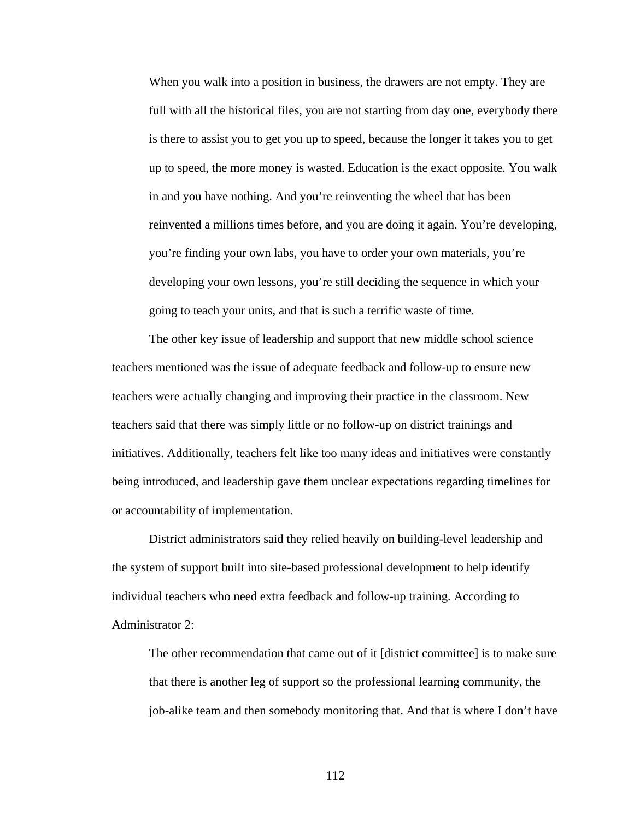When you walk into a position in business, the drawers are not empty. They are full with all the historical files, you are not starting from day one, everybody there is there to assist you to get you up to speed, because the longer it takes you to get up to speed, the more money is wasted. Education is the exact opposite. You walk in and you have nothing. And you're reinventing the wheel that has been reinvented a millions times before, and you are doing it again. You're developing, you're finding your own labs, you have to order your own materials, you're developing your own lessons, you're still deciding the sequence in which your going to teach your units, and that is such a terrific waste of time.

 The other key issue of leadership and support that new middle school science teachers mentioned was the issue of adequate feedback and follow-up to ensure new teachers were actually changing and improving their practice in the classroom. New teachers said that there was simply little or no follow-up on district trainings and initiatives. Additionally, teachers felt like too many ideas and initiatives were constantly being introduced, and leadership gave them unclear expectations regarding timelines for or accountability of implementation.

 District administrators said they relied heavily on building-level leadership and the system of support built into site-based professional development to help identify individual teachers who need extra feedback and follow-up training. According to Administrator 2:

The other recommendation that came out of it [district committee] is to make sure that there is another leg of support so the professional learning community, the job-alike team and then somebody monitoring that. And that is where I don't have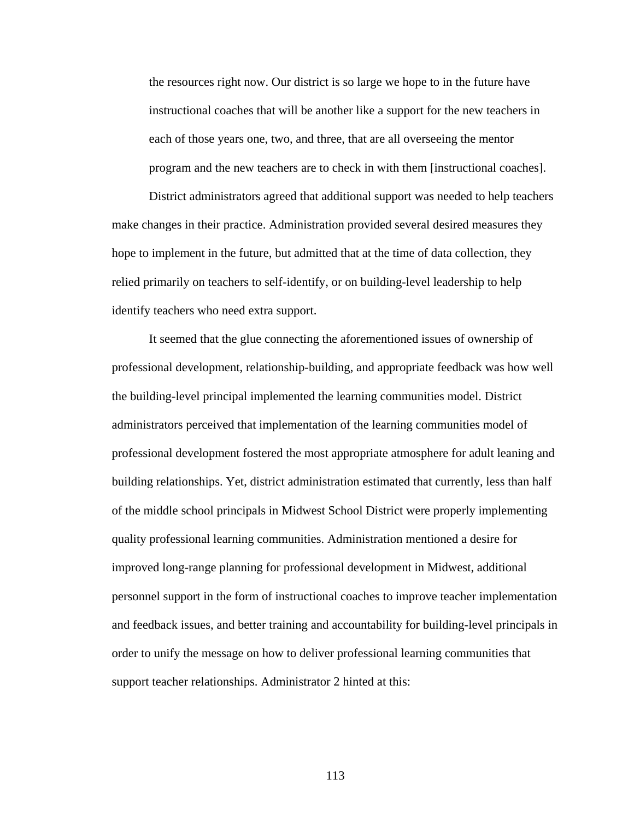the resources right now. Our district is so large we hope to in the future have instructional coaches that will be another like a support for the new teachers in each of those years one, two, and three, that are all overseeing the mentor program and the new teachers are to check in with them [instructional coaches].

 District administrators agreed that additional support was needed to help teachers make changes in their practice. Administration provided several desired measures they hope to implement in the future, but admitted that at the time of data collection, they relied primarily on teachers to self-identify, or on building-level leadership to help identify teachers who need extra support.

 It seemed that the glue connecting the aforementioned issues of ownership of professional development, relationship-building, and appropriate feedback was how well the building-level principal implemented the learning communities model. District administrators perceived that implementation of the learning communities model of professional development fostered the most appropriate atmosphere for adult leaning and building relationships. Yet, district administration estimated that currently, less than half of the middle school principals in Midwest School District were properly implementing quality professional learning communities. Administration mentioned a desire for improved long-range planning for professional development in Midwest, additional personnel support in the form of instructional coaches to improve teacher implementation and feedback issues, and better training and accountability for building-level principals in order to unify the message on how to deliver professional learning communities that support teacher relationships. Administrator 2 hinted at this: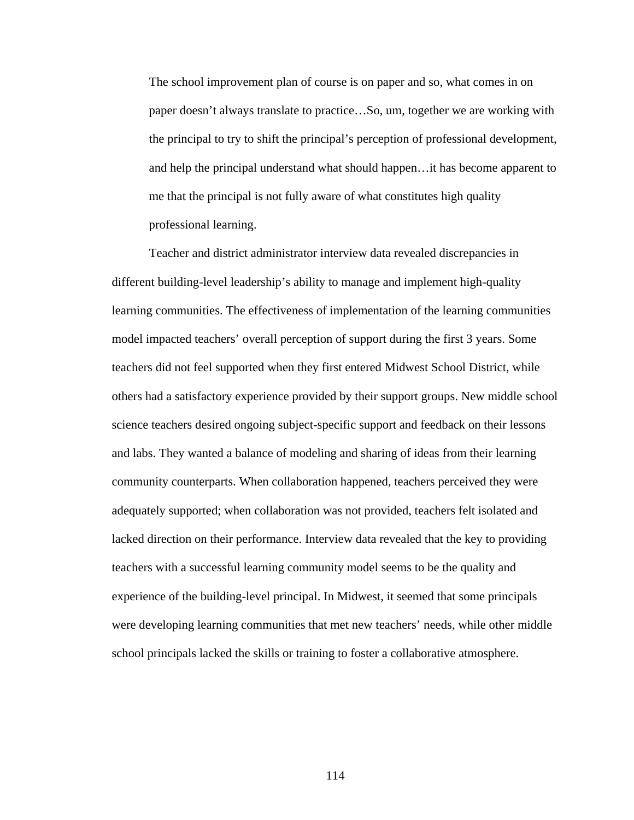The school improvement plan of course is on paper and so, what comes in on paper doesn't always translate to practice…So, um, together we are working with the principal to try to shift the principal's perception of professional development, and help the principal understand what should happen…it has become apparent to me that the principal is not fully aware of what constitutes high quality professional learning.

 Teacher and district administrator interview data revealed discrepancies in different building-level leadership's ability to manage and implement high-quality learning communities. The effectiveness of implementation of the learning communities model impacted teachers' overall perception of support during the first 3 years. Some teachers did not feel supported when they first entered Midwest School District, while others had a satisfactory experience provided by their support groups. New middle school science teachers desired ongoing subject-specific support and feedback on their lessons and labs. They wanted a balance of modeling and sharing of ideas from their learning community counterparts. When collaboration happened, teachers perceived they were adequately supported; when collaboration was not provided, teachers felt isolated and lacked direction on their performance. Interview data revealed that the key to providing teachers with a successful learning community model seems to be the quality and experience of the building-level principal. In Midwest, it seemed that some principals were developing learning communities that met new teachers' needs, while other middle school principals lacked the skills or training to foster a collaborative atmosphere.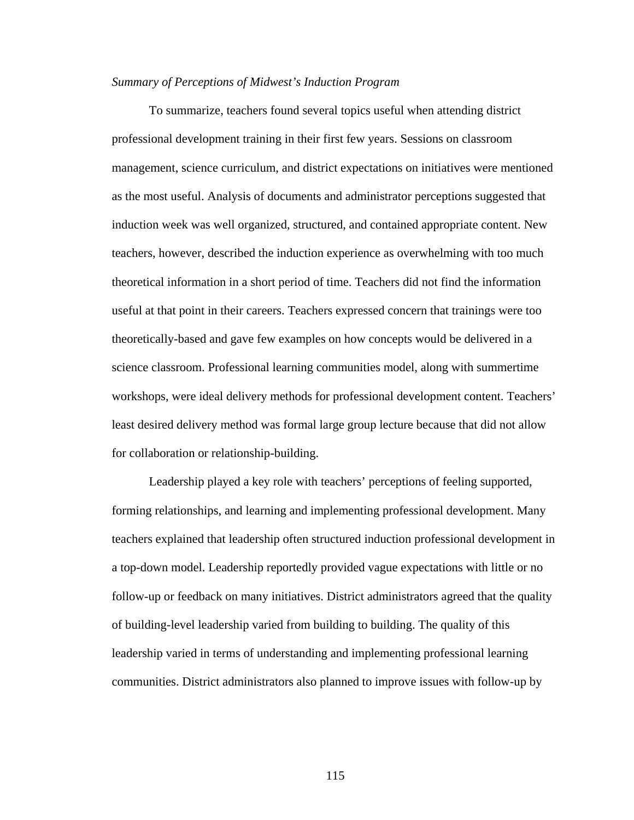# *Summary of Perceptions of Midwest's Induction Program*

To summarize, teachers found several topics useful when attending district professional development training in their first few years. Sessions on classroom management, science curriculum, and district expectations on initiatives were mentioned as the most useful. Analysis of documents and administrator perceptions suggested that induction week was well organized, structured, and contained appropriate content. New teachers, however, described the induction experience as overwhelming with too much theoretical information in a short period of time. Teachers did not find the information useful at that point in their careers. Teachers expressed concern that trainings were too theoretically-based and gave few examples on how concepts would be delivered in a science classroom. Professional learning communities model, along with summertime workshops, were ideal delivery methods for professional development content. Teachers' least desired delivery method was formal large group lecture because that did not allow for collaboration or relationship-building.

 Leadership played a key role with teachers' perceptions of feeling supported, forming relationships, and learning and implementing professional development. Many teachers explained that leadership often structured induction professional development in a top-down model. Leadership reportedly provided vague expectations with little or no follow-up or feedback on many initiatives. District administrators agreed that the quality of building-level leadership varied from building to building. The quality of this leadership varied in terms of understanding and implementing professional learning communities. District administrators also planned to improve issues with follow-up by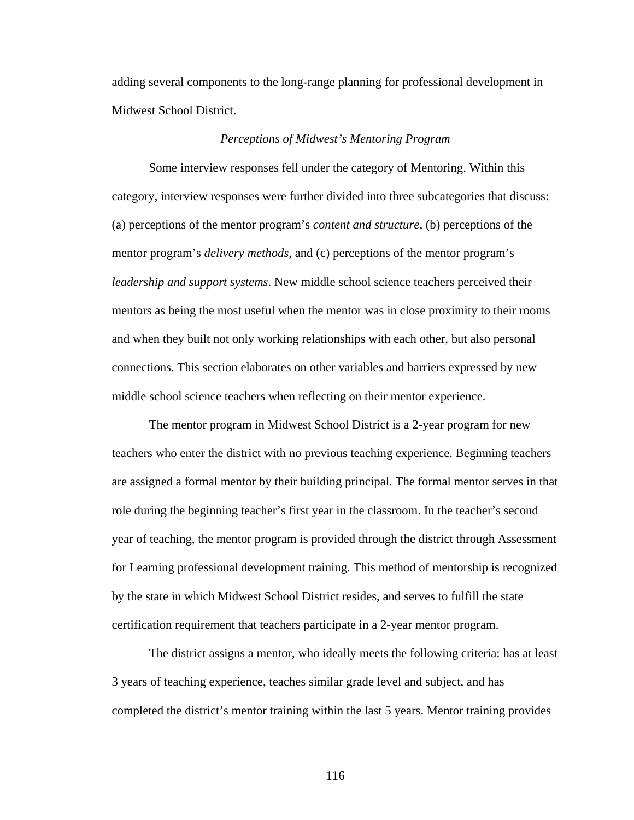adding several components to the long-range planning for professional development in Midwest School District.

### *Perceptions of Midwest's Mentoring Program*

 Some interview responses fell under the category of Mentoring. Within this category, interview responses were further divided into three subcategories that discuss: (a) perceptions of the mentor program's *content and structure*, (b) perceptions of the mentor program's *delivery methods*, and (c) perceptions of the mentor program's *leadership and support systems*. New middle school science teachers perceived their mentors as being the most useful when the mentor was in close proximity to their rooms and when they built not only working relationships with each other, but also personal connections. This section elaborates on other variables and barriers expressed by new middle school science teachers when reflecting on their mentor experience.

 The mentor program in Midwest School District is a 2-year program for new teachers who enter the district with no previous teaching experience. Beginning teachers are assigned a formal mentor by their building principal. The formal mentor serves in that role during the beginning teacher's first year in the classroom. In the teacher's second year of teaching, the mentor program is provided through the district through Assessment for Learning professional development training. This method of mentorship is recognized by the state in which Midwest School District resides, and serves to fulfill the state certification requirement that teachers participate in a 2-year mentor program.

 The district assigns a mentor, who ideally meets the following criteria: has at least 3 years of teaching experience, teaches similar grade level and subject, and has completed the district's mentor training within the last 5 years. Mentor training provides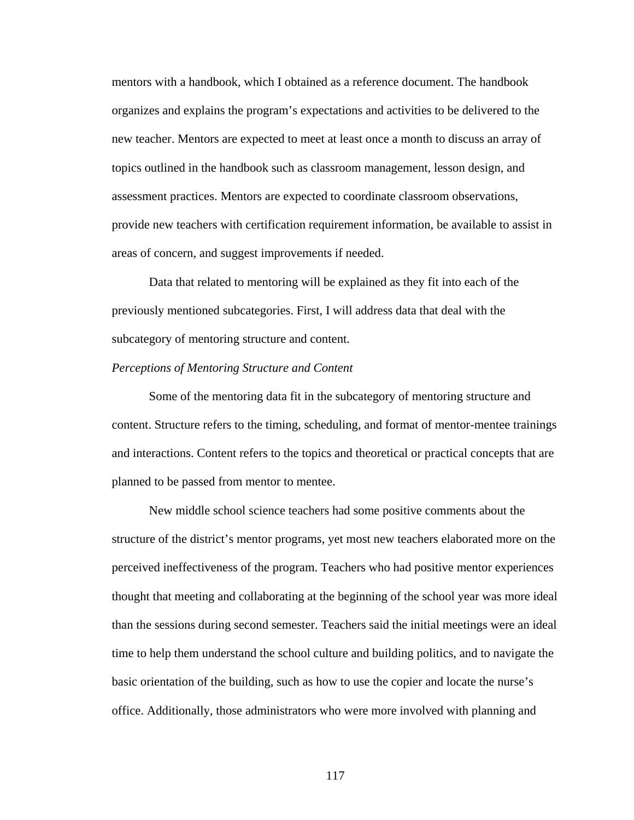mentors with a handbook, which I obtained as a reference document. The handbook organizes and explains the program's expectations and activities to be delivered to the new teacher. Mentors are expected to meet at least once a month to discuss an array of topics outlined in the handbook such as classroom management, lesson design, and assessment practices. Mentors are expected to coordinate classroom observations, provide new teachers with certification requirement information, be available to assist in areas of concern, and suggest improvements if needed.

 Data that related to mentoring will be explained as they fit into each of the previously mentioned subcategories. First, I will address data that deal with the subcategory of mentoring structure and content.

#### *Perceptions of Mentoring Structure and Content*

 Some of the mentoring data fit in the subcategory of mentoring structure and content. Structure refers to the timing, scheduling, and format of mentor-mentee trainings and interactions. Content refers to the topics and theoretical or practical concepts that are planned to be passed from mentor to mentee.

 New middle school science teachers had some positive comments about the structure of the district's mentor programs, yet most new teachers elaborated more on the perceived ineffectiveness of the program. Teachers who had positive mentor experiences thought that meeting and collaborating at the beginning of the school year was more ideal than the sessions during second semester. Teachers said the initial meetings were an ideal time to help them understand the school culture and building politics, and to navigate the basic orientation of the building, such as how to use the copier and locate the nurse's office. Additionally, those administrators who were more involved with planning and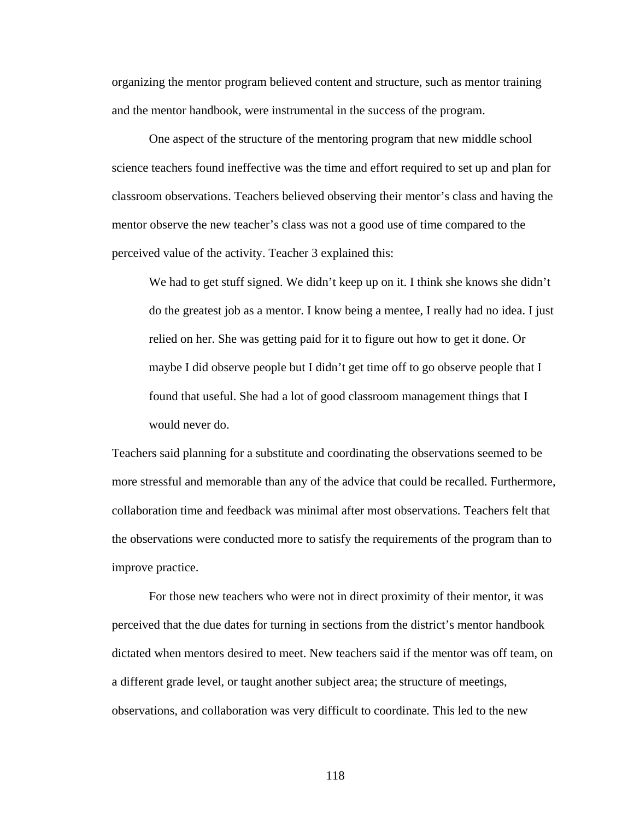organizing the mentor program believed content and structure, such as mentor training and the mentor handbook, were instrumental in the success of the program.

 One aspect of the structure of the mentoring program that new middle school science teachers found ineffective was the time and effort required to set up and plan for classroom observations. Teachers believed observing their mentor's class and having the mentor observe the new teacher's class was not a good use of time compared to the perceived value of the activity. Teacher 3 explained this:

We had to get stuff signed. We didn't keep up on it. I think she knows she didn't do the greatest job as a mentor. I know being a mentee, I really had no idea. I just relied on her. She was getting paid for it to figure out how to get it done. Or maybe I did observe people but I didn't get time off to go observe people that I found that useful. She had a lot of good classroom management things that I would never do.

Teachers said planning for a substitute and coordinating the observations seemed to be more stressful and memorable than any of the advice that could be recalled. Furthermore, collaboration time and feedback was minimal after most observations. Teachers felt that the observations were conducted more to satisfy the requirements of the program than to improve practice.

 For those new teachers who were not in direct proximity of their mentor, it was perceived that the due dates for turning in sections from the district's mentor handbook dictated when mentors desired to meet. New teachers said if the mentor was off team, on a different grade level, or taught another subject area; the structure of meetings, observations, and collaboration was very difficult to coordinate. This led to the new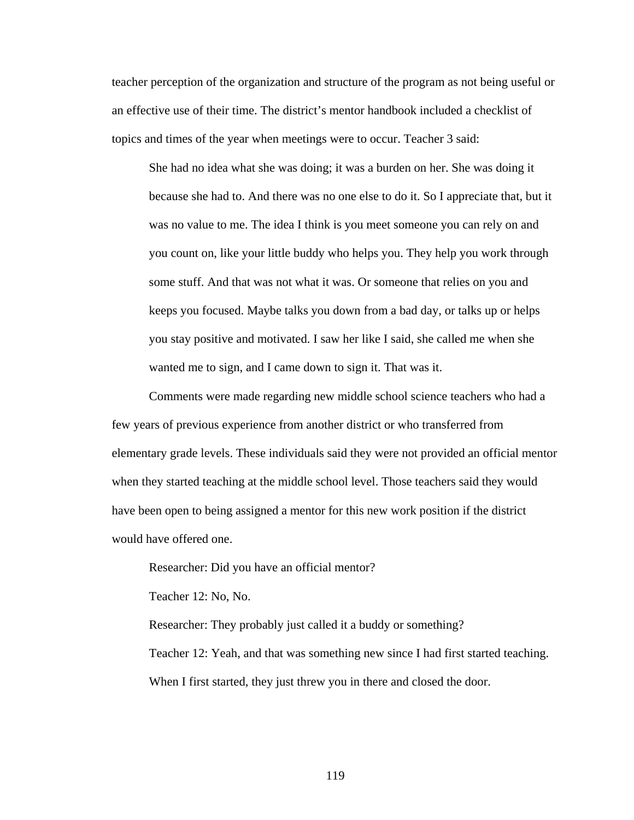teacher perception of the organization and structure of the program as not being useful or an effective use of their time. The district's mentor handbook included a checklist of topics and times of the year when meetings were to occur. Teacher 3 said:

She had no idea what she was doing; it was a burden on her. She was doing it because she had to. And there was no one else to do it. So I appreciate that, but it was no value to me. The idea I think is you meet someone you can rely on and you count on, like your little buddy who helps you. They help you work through some stuff. And that was not what it was. Or someone that relies on you and keeps you focused. Maybe talks you down from a bad day, or talks up or helps you stay positive and motivated. I saw her like I said, she called me when she wanted me to sign, and I came down to sign it. That was it.

 Comments were made regarding new middle school science teachers who had a few years of previous experience from another district or who transferred from elementary grade levels. These individuals said they were not provided an official mentor when they started teaching at the middle school level. Those teachers said they would have been open to being assigned a mentor for this new work position if the district would have offered one.

Researcher: Did you have an official mentor?

Teacher 12: No, No.

Researcher: They probably just called it a buddy or something?

Teacher 12: Yeah, and that was something new since I had first started teaching. When I first started, they just threw you in there and closed the door.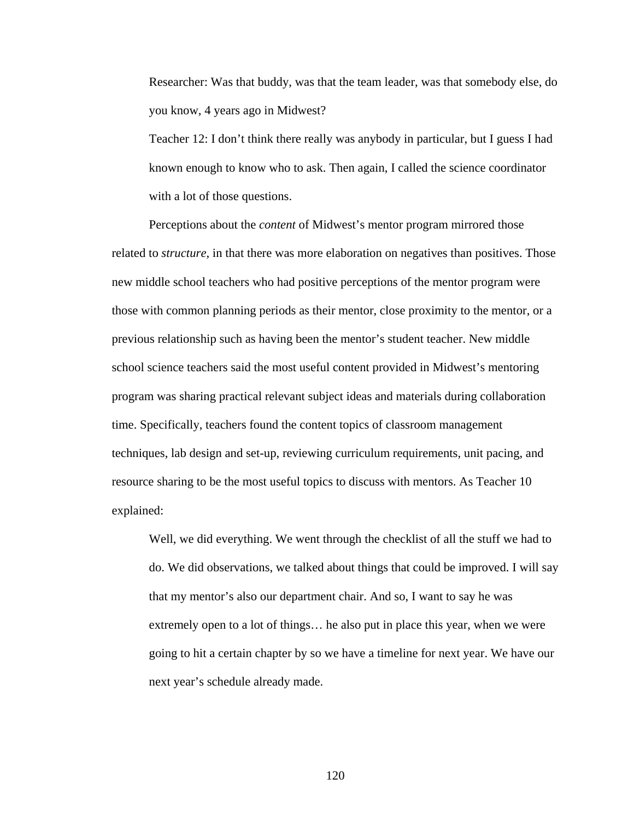Researcher: Was that buddy, was that the team leader, was that somebody else, do you know, 4 years ago in Midwest?

Teacher 12: I don't think there really was anybody in particular, but I guess I had known enough to know who to ask. Then again, I called the science coordinator with a lot of those questions.

 Perceptions about the *content* of Midwest's mentor program mirrored those related to *structure*, in that there was more elaboration on negatives than positives. Those new middle school teachers who had positive perceptions of the mentor program were those with common planning periods as their mentor, close proximity to the mentor, or a previous relationship such as having been the mentor's student teacher. New middle school science teachers said the most useful content provided in Midwest's mentoring program was sharing practical relevant subject ideas and materials during collaboration time. Specifically, teachers found the content topics of classroom management techniques, lab design and set-up, reviewing curriculum requirements, unit pacing, and resource sharing to be the most useful topics to discuss with mentors. As Teacher 10 explained:

Well, we did everything. We went through the checklist of all the stuff we had to do. We did observations, we talked about things that could be improved. I will say that my mentor's also our department chair. And so, I want to say he was extremely open to a lot of things… he also put in place this year, when we were going to hit a certain chapter by so we have a timeline for next year. We have our next year's schedule already made.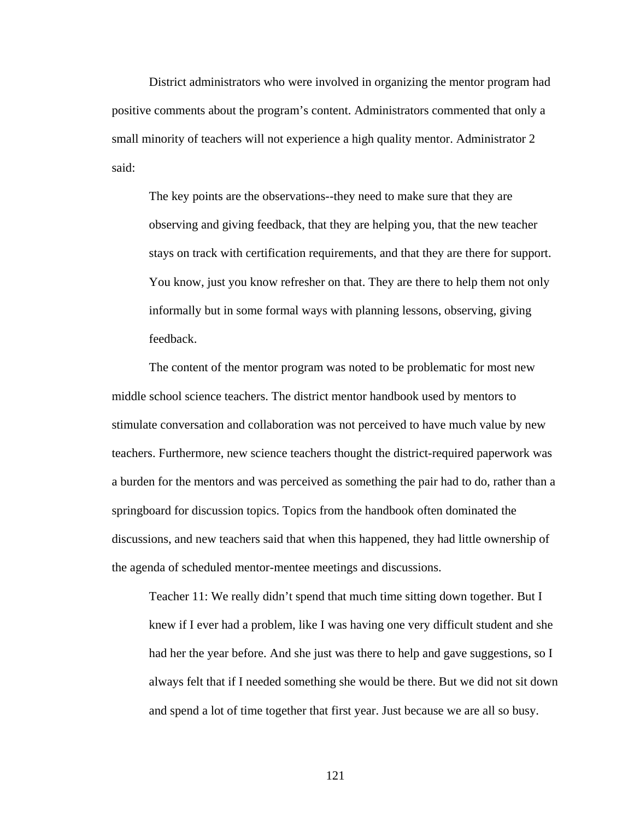District administrators who were involved in organizing the mentor program had positive comments about the program's content. Administrators commented that only a small minority of teachers will not experience a high quality mentor. Administrator 2 said:

The key points are the observations--they need to make sure that they are observing and giving feedback, that they are helping you, that the new teacher stays on track with certification requirements, and that they are there for support. You know, just you know refresher on that. They are there to help them not only informally but in some formal ways with planning lessons, observing, giving feedback.

 The content of the mentor program was noted to be problematic for most new middle school science teachers. The district mentor handbook used by mentors to stimulate conversation and collaboration was not perceived to have much value by new teachers. Furthermore, new science teachers thought the district-required paperwork was a burden for the mentors and was perceived as something the pair had to do, rather than a springboard for discussion topics. Topics from the handbook often dominated the discussions, and new teachers said that when this happened, they had little ownership of the agenda of scheduled mentor-mentee meetings and discussions.

Teacher 11: We really didn't spend that much time sitting down together. But I knew if I ever had a problem, like I was having one very difficult student and she had her the year before. And she just was there to help and gave suggestions, so I always felt that if I needed something she would be there. But we did not sit down and spend a lot of time together that first year. Just because we are all so busy.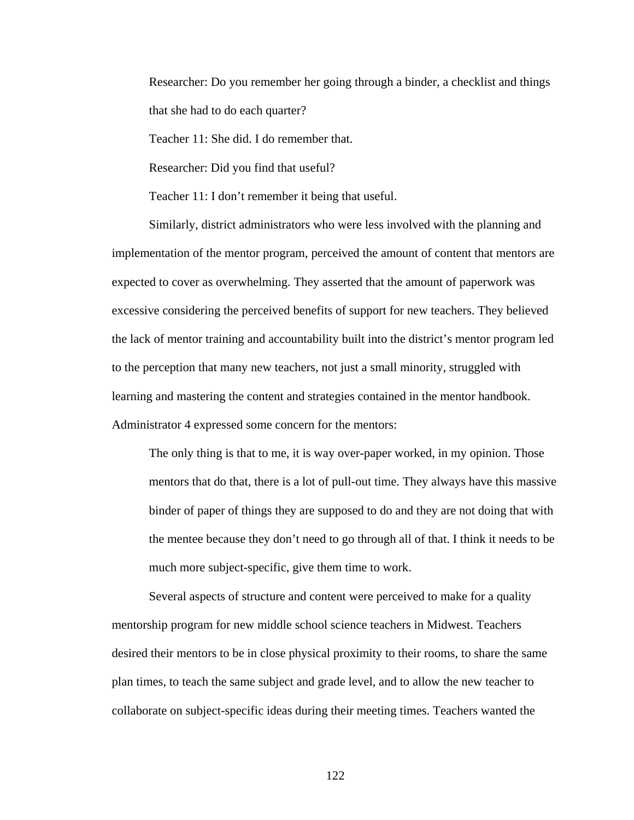Researcher: Do you remember her going through a binder, a checklist and things that she had to do each quarter?

Teacher 11: She did. I do remember that.

Researcher: Did you find that useful?

Teacher 11: I don't remember it being that useful.

 Similarly, district administrators who were less involved with the planning and implementation of the mentor program, perceived the amount of content that mentors are expected to cover as overwhelming. They asserted that the amount of paperwork was excessive considering the perceived benefits of support for new teachers. They believed the lack of mentor training and accountability built into the district's mentor program led to the perception that many new teachers, not just a small minority, struggled with learning and mastering the content and strategies contained in the mentor handbook. Administrator 4 expressed some concern for the mentors:

The only thing is that to me, it is way over-paper worked, in my opinion. Those mentors that do that, there is a lot of pull-out time. They always have this massive binder of paper of things they are supposed to do and they are not doing that with the mentee because they don't need to go through all of that. I think it needs to be much more subject-specific, give them time to work.

 Several aspects of structure and content were perceived to make for a quality mentorship program for new middle school science teachers in Midwest. Teachers desired their mentors to be in close physical proximity to their rooms, to share the same plan times, to teach the same subject and grade level, and to allow the new teacher to collaborate on subject-specific ideas during their meeting times. Teachers wanted the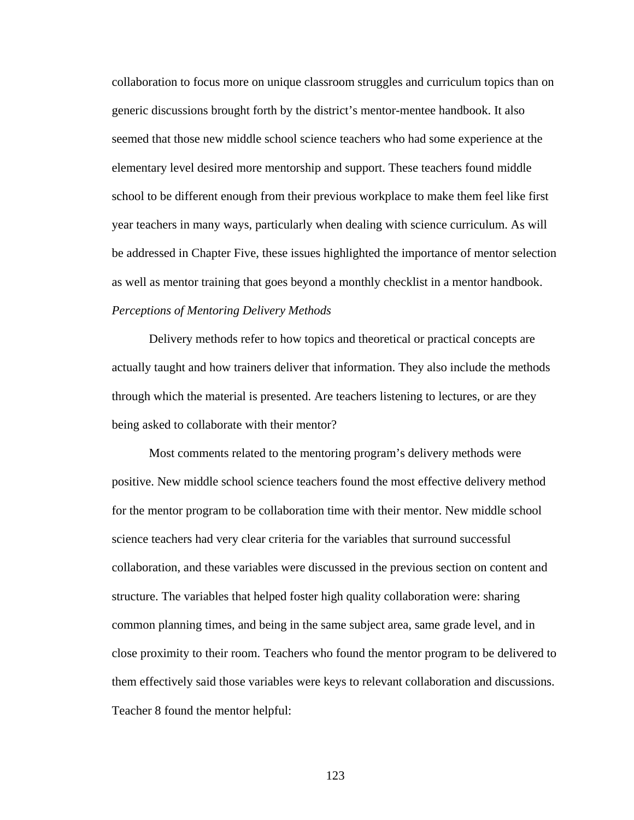collaboration to focus more on unique classroom struggles and curriculum topics than on generic discussions brought forth by the district's mentor-mentee handbook. It also seemed that those new middle school science teachers who had some experience at the elementary level desired more mentorship and support. These teachers found middle school to be different enough from their previous workplace to make them feel like first year teachers in many ways, particularly when dealing with science curriculum. As will be addressed in Chapter Five, these issues highlighted the importance of mentor selection as well as mentor training that goes beyond a monthly checklist in a mentor handbook. *Perceptions of Mentoring Delivery Methods* 

 Delivery methods refer to how topics and theoretical or practical concepts are actually taught and how trainers deliver that information. They also include the methods through which the material is presented. Are teachers listening to lectures, or are they being asked to collaborate with their mentor?

 Most comments related to the mentoring program's delivery methods were positive. New middle school science teachers found the most effective delivery method for the mentor program to be collaboration time with their mentor. New middle school science teachers had very clear criteria for the variables that surround successful collaboration, and these variables were discussed in the previous section on content and structure. The variables that helped foster high quality collaboration were: sharing common planning times, and being in the same subject area, same grade level, and in close proximity to their room. Teachers who found the mentor program to be delivered to them effectively said those variables were keys to relevant collaboration and discussions. Teacher 8 found the mentor helpful: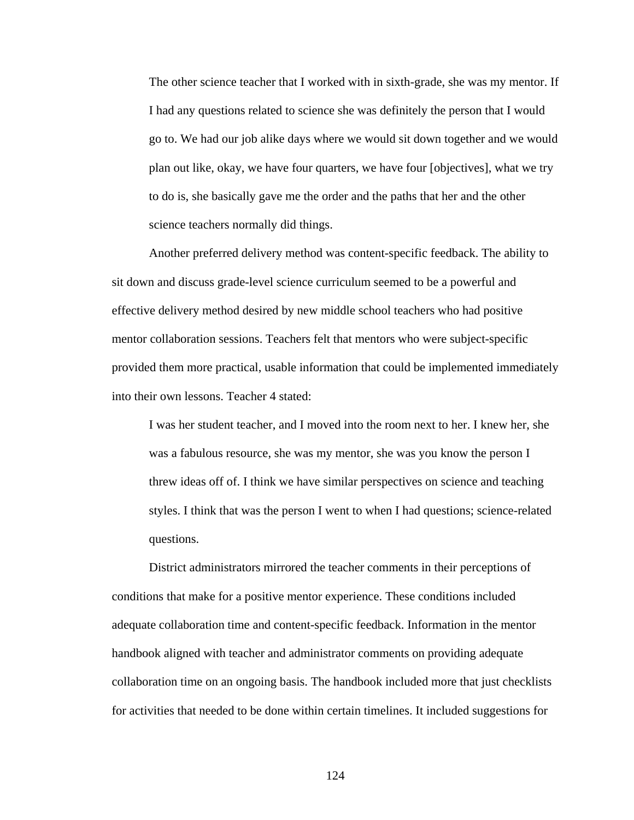The other science teacher that I worked with in sixth-grade, she was my mentor. If I had any questions related to science she was definitely the person that I would go to. We had our job alike days where we would sit down together and we would plan out like, okay, we have four quarters, we have four [objectives], what we try to do is, she basically gave me the order and the paths that her and the other science teachers normally did things.

 Another preferred delivery method was content-specific feedback. The ability to sit down and discuss grade-level science curriculum seemed to be a powerful and effective delivery method desired by new middle school teachers who had positive mentor collaboration sessions. Teachers felt that mentors who were subject-specific provided them more practical, usable information that could be implemented immediately into their own lessons. Teacher 4 stated:

I was her student teacher, and I moved into the room next to her. I knew her, she was a fabulous resource, she was my mentor, she was you know the person I threw ideas off of. I think we have similar perspectives on science and teaching styles. I think that was the person I went to when I had questions; science-related questions.

 District administrators mirrored the teacher comments in their perceptions of conditions that make for a positive mentor experience. These conditions included adequate collaboration time and content-specific feedback. Information in the mentor handbook aligned with teacher and administrator comments on providing adequate collaboration time on an ongoing basis. The handbook included more that just checklists for activities that needed to be done within certain timelines. It included suggestions for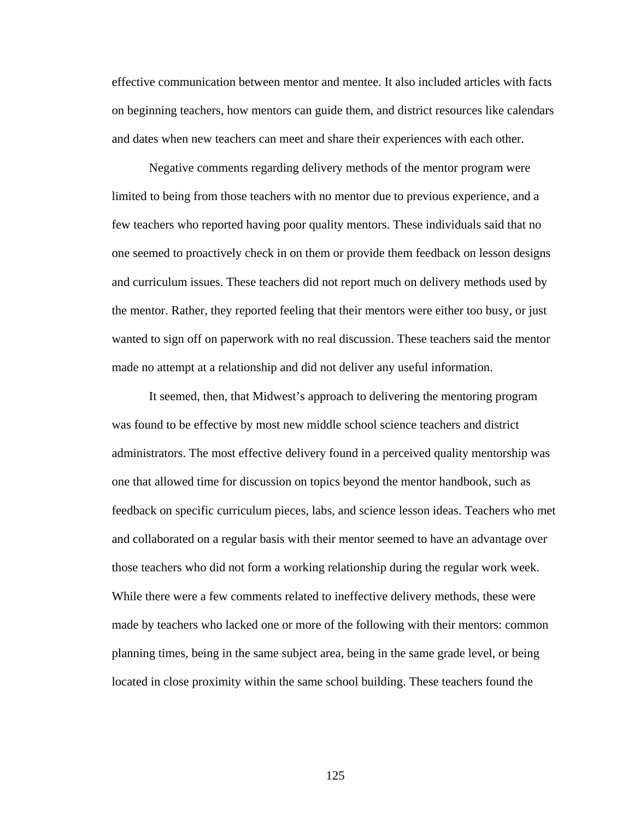effective communication between mentor and mentee. It also included articles with facts on beginning teachers, how mentors can guide them, and district resources like calendars and dates when new teachers can meet and share their experiences with each other.

 Negative comments regarding delivery methods of the mentor program were limited to being from those teachers with no mentor due to previous experience, and a few teachers who reported having poor quality mentors. These individuals said that no one seemed to proactively check in on them or provide them feedback on lesson designs and curriculum issues. These teachers did not report much on delivery methods used by the mentor. Rather, they reported feeling that their mentors were either too busy, or just wanted to sign off on paperwork with no real discussion. These teachers said the mentor made no attempt at a relationship and did not deliver any useful information.

 It seemed, then, that Midwest's approach to delivering the mentoring program was found to be effective by most new middle school science teachers and district administrators. The most effective delivery found in a perceived quality mentorship was one that allowed time for discussion on topics beyond the mentor handbook, such as feedback on specific curriculum pieces, labs, and science lesson ideas. Teachers who met and collaborated on a regular basis with their mentor seemed to have an advantage over those teachers who did not form a working relationship during the regular work week. While there were a few comments related to ineffective delivery methods, these were made by teachers who lacked one or more of the following with their mentors: common planning times, being in the same subject area, being in the same grade level, or being located in close proximity within the same school building. These teachers found the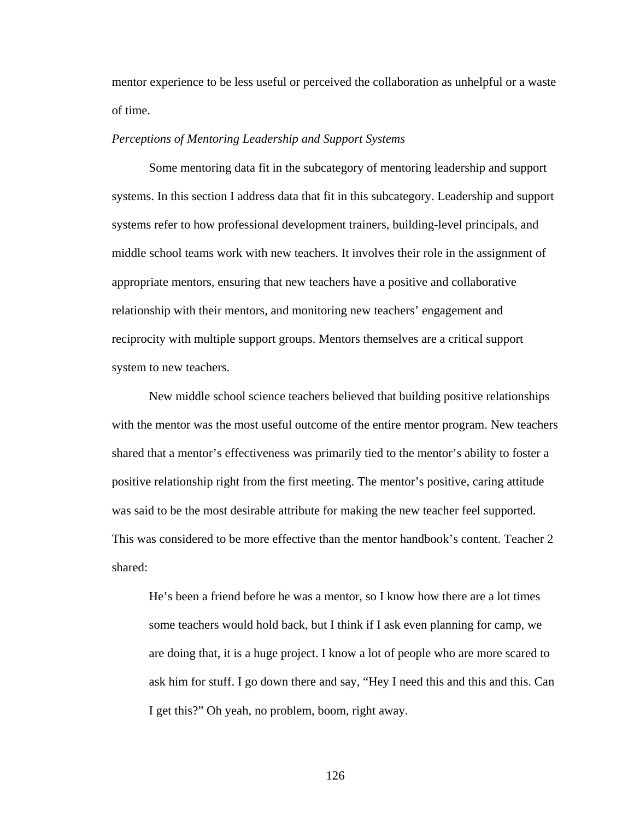mentor experience to be less useful or perceived the collaboration as unhelpful or a waste of time.

# *Perceptions of Mentoring Leadership and Support Systems*

 Some mentoring data fit in the subcategory of mentoring leadership and support systems. In this section I address data that fit in this subcategory. Leadership and support systems refer to how professional development trainers, building-level principals, and middle school teams work with new teachers. It involves their role in the assignment of appropriate mentors, ensuring that new teachers have a positive and collaborative relationship with their mentors, and monitoring new teachers' engagement and reciprocity with multiple support groups. Mentors themselves are a critical support system to new teachers.

 New middle school science teachers believed that building positive relationships with the mentor was the most useful outcome of the entire mentor program. New teachers shared that a mentor's effectiveness was primarily tied to the mentor's ability to foster a positive relationship right from the first meeting. The mentor's positive, caring attitude was said to be the most desirable attribute for making the new teacher feel supported. This was considered to be more effective than the mentor handbook's content. Teacher 2 shared:

He's been a friend before he was a mentor, so I know how there are a lot times some teachers would hold back, but I think if I ask even planning for camp, we are doing that, it is a huge project. I know a lot of people who are more scared to ask him for stuff. I go down there and say, "Hey I need this and this and this. Can I get this?" Oh yeah, no problem, boom, right away.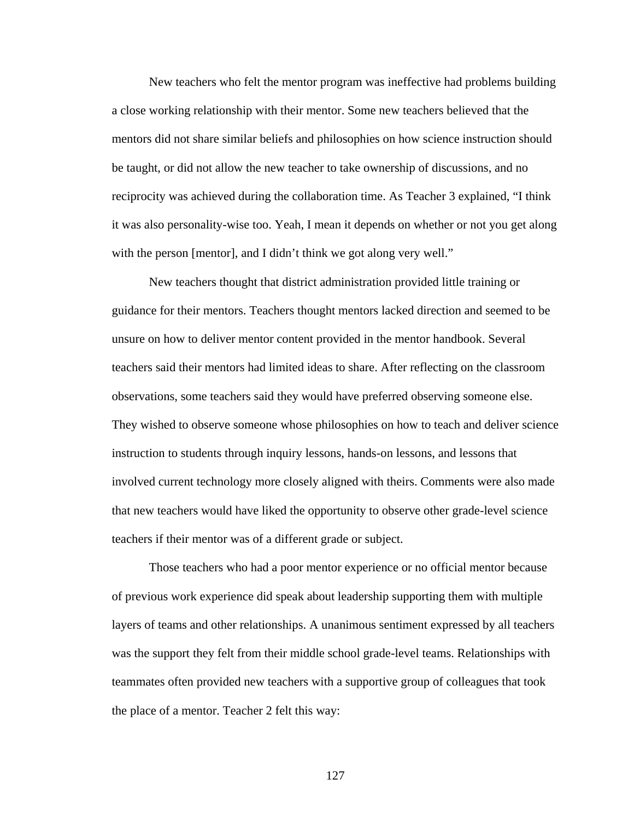New teachers who felt the mentor program was ineffective had problems building a close working relationship with their mentor. Some new teachers believed that the mentors did not share similar beliefs and philosophies on how science instruction should be taught, or did not allow the new teacher to take ownership of discussions, and no reciprocity was achieved during the collaboration time. As Teacher 3 explained, "I think it was also personality-wise too. Yeah, I mean it depends on whether or not you get along with the person [mentor], and I didn't think we got along very well."

 New teachers thought that district administration provided little training or guidance for their mentors. Teachers thought mentors lacked direction and seemed to be unsure on how to deliver mentor content provided in the mentor handbook. Several teachers said their mentors had limited ideas to share. After reflecting on the classroom observations, some teachers said they would have preferred observing someone else. They wished to observe someone whose philosophies on how to teach and deliver science instruction to students through inquiry lessons, hands-on lessons, and lessons that involved current technology more closely aligned with theirs. Comments were also made that new teachers would have liked the opportunity to observe other grade-level science teachers if their mentor was of a different grade or subject.

 Those teachers who had a poor mentor experience or no official mentor because of previous work experience did speak about leadership supporting them with multiple layers of teams and other relationships. A unanimous sentiment expressed by all teachers was the support they felt from their middle school grade-level teams. Relationships with teammates often provided new teachers with a supportive group of colleagues that took the place of a mentor. Teacher 2 felt this way: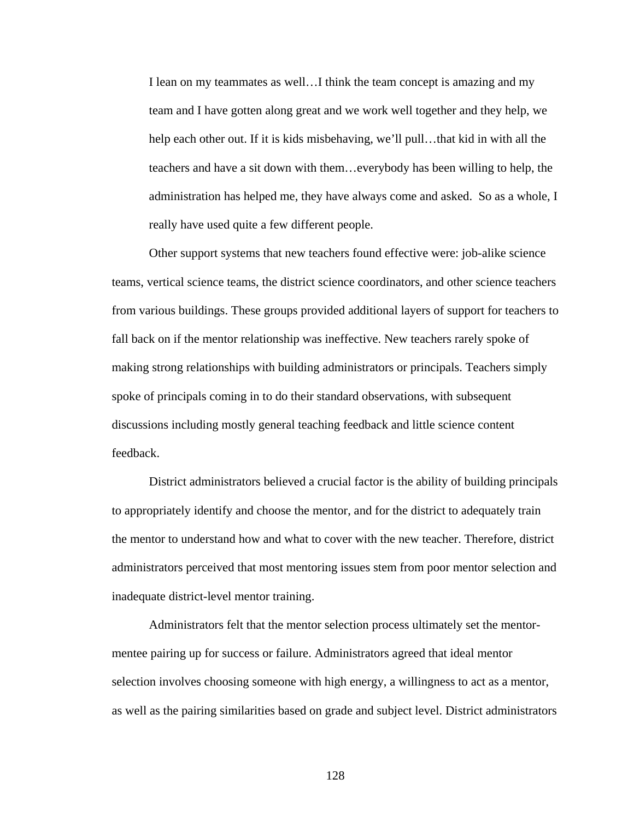I lean on my teammates as well…I think the team concept is amazing and my team and I have gotten along great and we work well together and they help, we help each other out. If it is kids misbehaving, we'll pull…that kid in with all the teachers and have a sit down with them…everybody has been willing to help, the administration has helped me, they have always come and asked. So as a whole, I really have used quite a few different people.

 Other support systems that new teachers found effective were: job-alike science teams, vertical science teams, the district science coordinators, and other science teachers from various buildings. These groups provided additional layers of support for teachers to fall back on if the mentor relationship was ineffective. New teachers rarely spoke of making strong relationships with building administrators or principals. Teachers simply spoke of principals coming in to do their standard observations, with subsequent discussions including mostly general teaching feedback and little science content feedback.

 District administrators believed a crucial factor is the ability of building principals to appropriately identify and choose the mentor, and for the district to adequately train the mentor to understand how and what to cover with the new teacher. Therefore, district administrators perceived that most mentoring issues stem from poor mentor selection and inadequate district-level mentor training.

 Administrators felt that the mentor selection process ultimately set the mentormentee pairing up for success or failure. Administrators agreed that ideal mentor selection involves choosing someone with high energy, a willingness to act as a mentor, as well as the pairing similarities based on grade and subject level. District administrators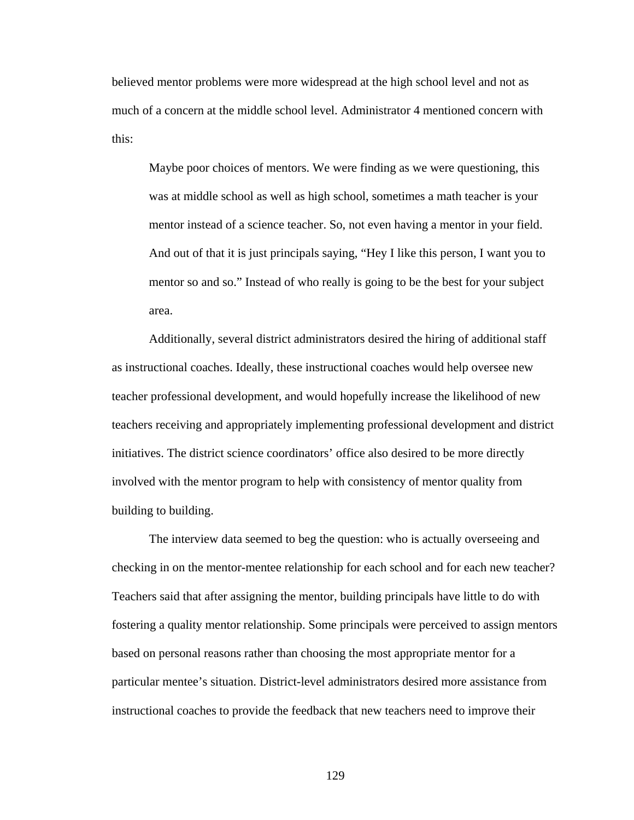believed mentor problems were more widespread at the high school level and not as much of a concern at the middle school level. Administrator 4 mentioned concern with this:

Maybe poor choices of mentors. We were finding as we were questioning, this was at middle school as well as high school, sometimes a math teacher is your mentor instead of a science teacher. So, not even having a mentor in your field. And out of that it is just principals saying, "Hey I like this person, I want you to mentor so and so." Instead of who really is going to be the best for your subject area.

 Additionally, several district administrators desired the hiring of additional staff as instructional coaches. Ideally, these instructional coaches would help oversee new teacher professional development, and would hopefully increase the likelihood of new teachers receiving and appropriately implementing professional development and district initiatives. The district science coordinators' office also desired to be more directly involved with the mentor program to help with consistency of mentor quality from building to building.

 The interview data seemed to beg the question: who is actually overseeing and checking in on the mentor-mentee relationship for each school and for each new teacher? Teachers said that after assigning the mentor, building principals have little to do with fostering a quality mentor relationship. Some principals were perceived to assign mentors based on personal reasons rather than choosing the most appropriate mentor for a particular mentee's situation. District-level administrators desired more assistance from instructional coaches to provide the feedback that new teachers need to improve their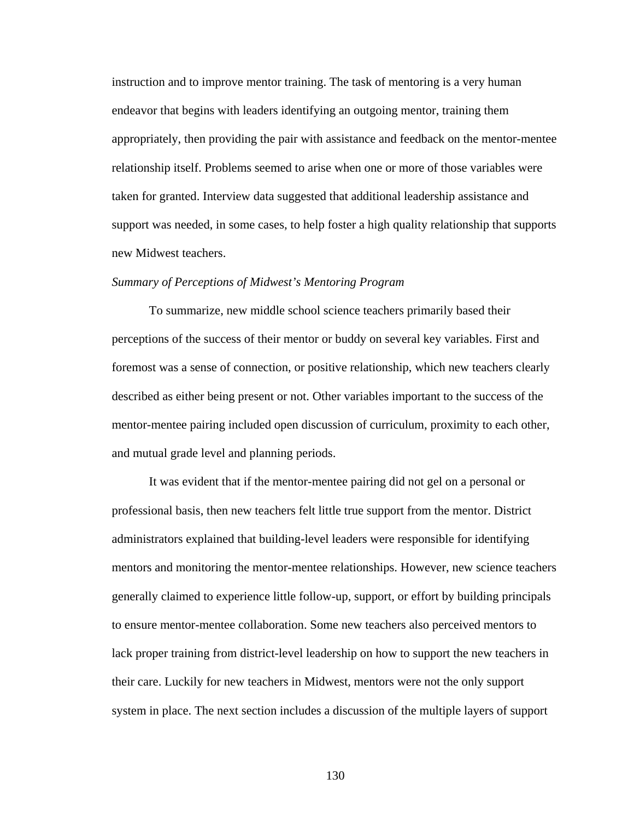instruction and to improve mentor training. The task of mentoring is a very human endeavor that begins with leaders identifying an outgoing mentor, training them appropriately, then providing the pair with assistance and feedback on the mentor-mentee relationship itself. Problems seemed to arise when one or more of those variables were taken for granted. Interview data suggested that additional leadership assistance and support was needed, in some cases, to help foster a high quality relationship that supports new Midwest teachers.

#### *Summary of Perceptions of Midwest's Mentoring Program*

 To summarize, new middle school science teachers primarily based their perceptions of the success of their mentor or buddy on several key variables. First and foremost was a sense of connection, or positive relationship, which new teachers clearly described as either being present or not. Other variables important to the success of the mentor-mentee pairing included open discussion of curriculum, proximity to each other, and mutual grade level and planning periods.

 It was evident that if the mentor-mentee pairing did not gel on a personal or professional basis, then new teachers felt little true support from the mentor. District administrators explained that building-level leaders were responsible for identifying mentors and monitoring the mentor-mentee relationships. However, new science teachers generally claimed to experience little follow-up, support, or effort by building principals to ensure mentor-mentee collaboration. Some new teachers also perceived mentors to lack proper training from district-level leadership on how to support the new teachers in their care. Luckily for new teachers in Midwest, mentors were not the only support system in place. The next section includes a discussion of the multiple layers of support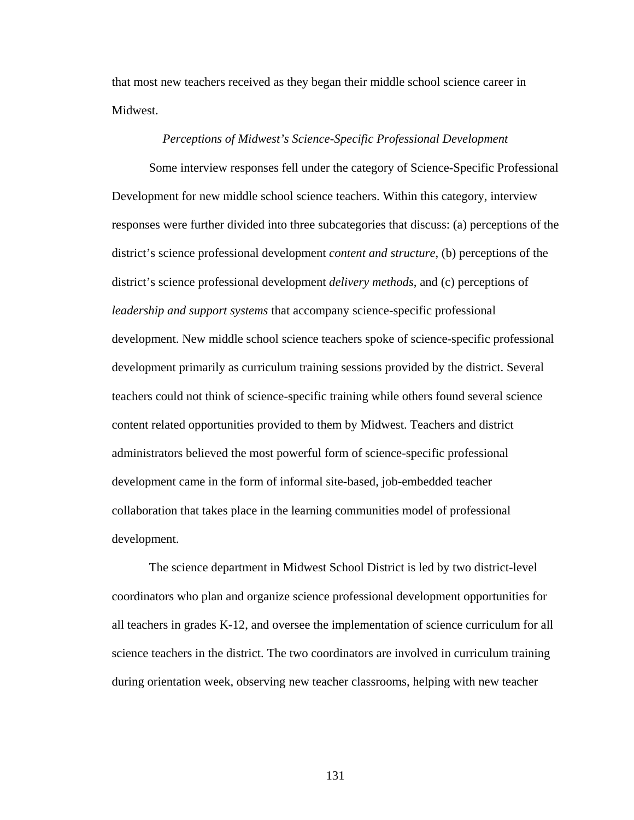that most new teachers received as they began their middle school science career in Midwest.

# *Perceptions of Midwest's Science-Specific Professional Development*

 Some interview responses fell under the category of Science-Specific Professional Development for new middle school science teachers. Within this category, interview responses were further divided into three subcategories that discuss: (a) perceptions of the district's science professional development *content and structure*, (b) perceptions of the district's science professional development *delivery methods*, and (c) perceptions of *leadership and support systems* that accompany science-specific professional development. New middle school science teachers spoke of science-specific professional development primarily as curriculum training sessions provided by the district. Several teachers could not think of science-specific training while others found several science content related opportunities provided to them by Midwest. Teachers and district administrators believed the most powerful form of science-specific professional development came in the form of informal site-based, job-embedded teacher collaboration that takes place in the learning communities model of professional development.

 The science department in Midwest School District is led by two district-level coordinators who plan and organize science professional development opportunities for all teachers in grades K-12, and oversee the implementation of science curriculum for all science teachers in the district. The two coordinators are involved in curriculum training during orientation week, observing new teacher classrooms, helping with new teacher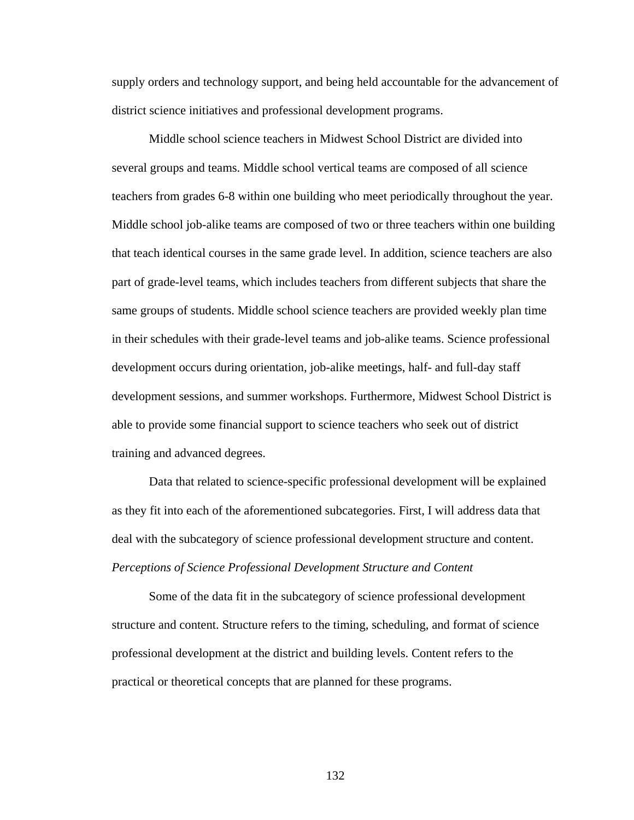supply orders and technology support, and being held accountable for the advancement of district science initiatives and professional development programs.

 Middle school science teachers in Midwest School District are divided into several groups and teams. Middle school vertical teams are composed of all science teachers from grades 6-8 within one building who meet periodically throughout the year. Middle school job-alike teams are composed of two or three teachers within one building that teach identical courses in the same grade level. In addition, science teachers are also part of grade-level teams, which includes teachers from different subjects that share the same groups of students. Middle school science teachers are provided weekly plan time in their schedules with their grade-level teams and job-alike teams. Science professional development occurs during orientation, job-alike meetings, half- and full-day staff development sessions, and summer workshops. Furthermore, Midwest School District is able to provide some financial support to science teachers who seek out of district training and advanced degrees.

 Data that related to science-specific professional development will be explained as they fit into each of the aforementioned subcategories. First, I will address data that deal with the subcategory of science professional development structure and content. *Perceptions of Science Professional Development Structure and Content* 

 Some of the data fit in the subcategory of science professional development structure and content. Structure refers to the timing, scheduling, and format of science professional development at the district and building levels. Content refers to the practical or theoretical concepts that are planned for these programs.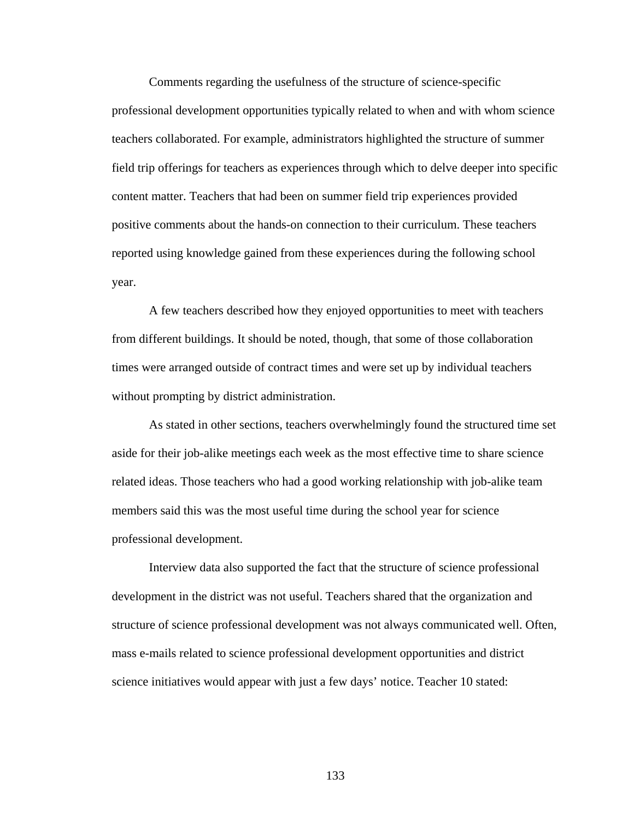Comments regarding the usefulness of the structure of science-specific professional development opportunities typically related to when and with whom science teachers collaborated. For example, administrators highlighted the structure of summer field trip offerings for teachers as experiences through which to delve deeper into specific content matter. Teachers that had been on summer field trip experiences provided positive comments about the hands-on connection to their curriculum. These teachers reported using knowledge gained from these experiences during the following school year.

 A few teachers described how they enjoyed opportunities to meet with teachers from different buildings. It should be noted, though, that some of those collaboration times were arranged outside of contract times and were set up by individual teachers without prompting by district administration.

 As stated in other sections, teachers overwhelmingly found the structured time set aside for their job-alike meetings each week as the most effective time to share science related ideas. Those teachers who had a good working relationship with job-alike team members said this was the most useful time during the school year for science professional development.

 Interview data also supported the fact that the structure of science professional development in the district was not useful. Teachers shared that the organization and structure of science professional development was not always communicated well. Often, mass e-mails related to science professional development opportunities and district science initiatives would appear with just a few days' notice. Teacher 10 stated: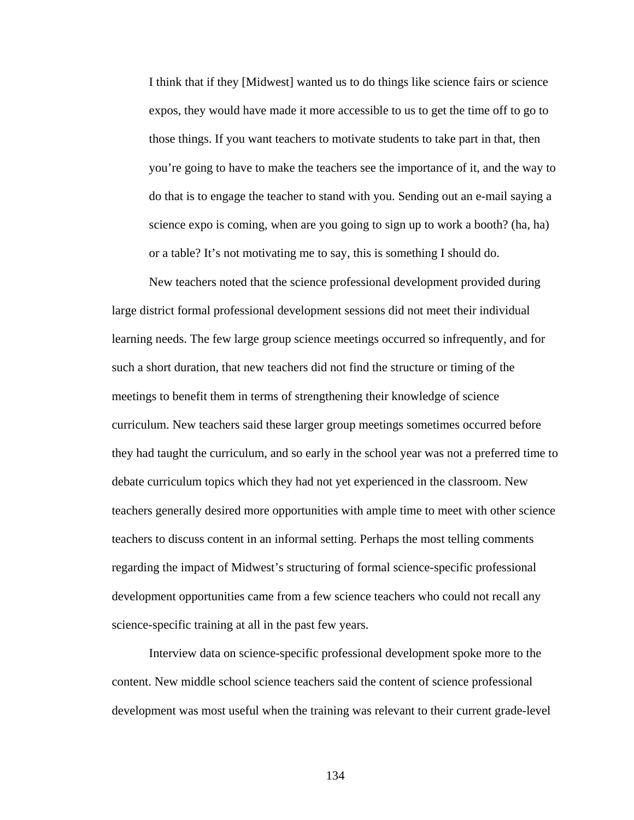I think that if they [Midwest] wanted us to do things like science fairs or science expos, they would have made it more accessible to us to get the time off to go to those things. If you want teachers to motivate students to take part in that, then you're going to have to make the teachers see the importance of it, and the way to do that is to engage the teacher to stand with you. Sending out an e-mail saying a science expo is coming, when are you going to sign up to work a booth? (ha, ha) or a table? It's not motivating me to say, this is something I should do.

 New teachers noted that the science professional development provided during large district formal professional development sessions did not meet their individual learning needs. The few large group science meetings occurred so infrequently, and for such a short duration, that new teachers did not find the structure or timing of the meetings to benefit them in terms of strengthening their knowledge of science curriculum. New teachers said these larger group meetings sometimes occurred before they had taught the curriculum, and so early in the school year was not a preferred time to debate curriculum topics which they had not yet experienced in the classroom. New teachers generally desired more opportunities with ample time to meet with other science teachers to discuss content in an informal setting. Perhaps the most telling comments regarding the impact of Midwest's structuring of formal science-specific professional development opportunities came from a few science teachers who could not recall any science-specific training at all in the past few years.

 Interview data on science-specific professional development spoke more to the content. New middle school science teachers said the content of science professional development was most useful when the training was relevant to their current grade-level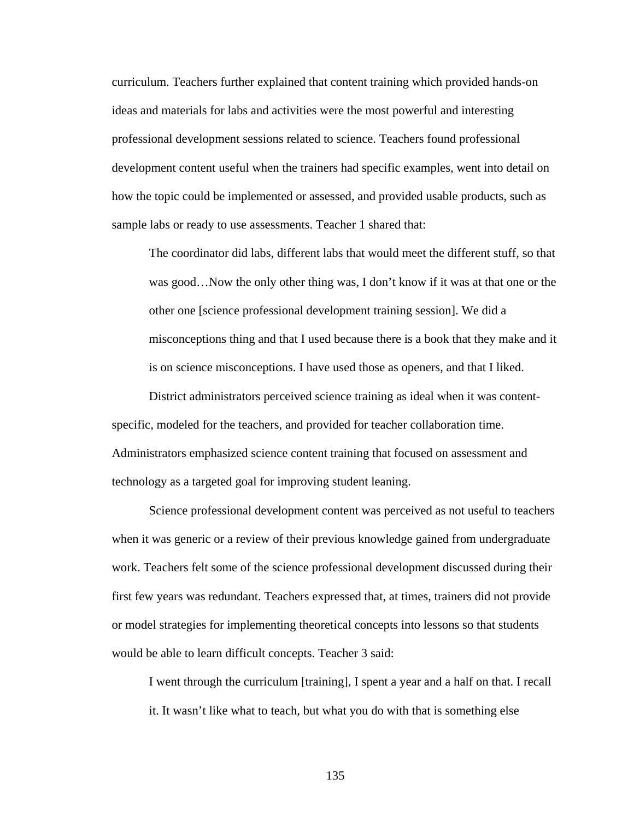curriculum. Teachers further explained that content training which provided hands-on ideas and materials for labs and activities were the most powerful and interesting professional development sessions related to science. Teachers found professional development content useful when the trainers had specific examples, went into detail on how the topic could be implemented or assessed, and provided usable products, such as sample labs or ready to use assessments. Teacher 1 shared that:

The coordinator did labs, different labs that would meet the different stuff, so that was good…Now the only other thing was, I don't know if it was at that one or the other one [science professional development training session]. We did a misconceptions thing and that I used because there is a book that they make and it is on science misconceptions. I have used those as openers, and that I liked.

 District administrators perceived science training as ideal when it was contentspecific, modeled for the teachers, and provided for teacher collaboration time. Administrators emphasized science content training that focused on assessment and technology as a targeted goal for improving student leaning.

 Science professional development content was perceived as not useful to teachers when it was generic or a review of their previous knowledge gained from undergraduate work. Teachers felt some of the science professional development discussed during their first few years was redundant. Teachers expressed that, at times, trainers did not provide or model strategies for implementing theoretical concepts into lessons so that students would be able to learn difficult concepts. Teacher 3 said:

I went through the curriculum [training], I spent a year and a half on that. I recall it. It wasn't like what to teach, but what you do with that is something else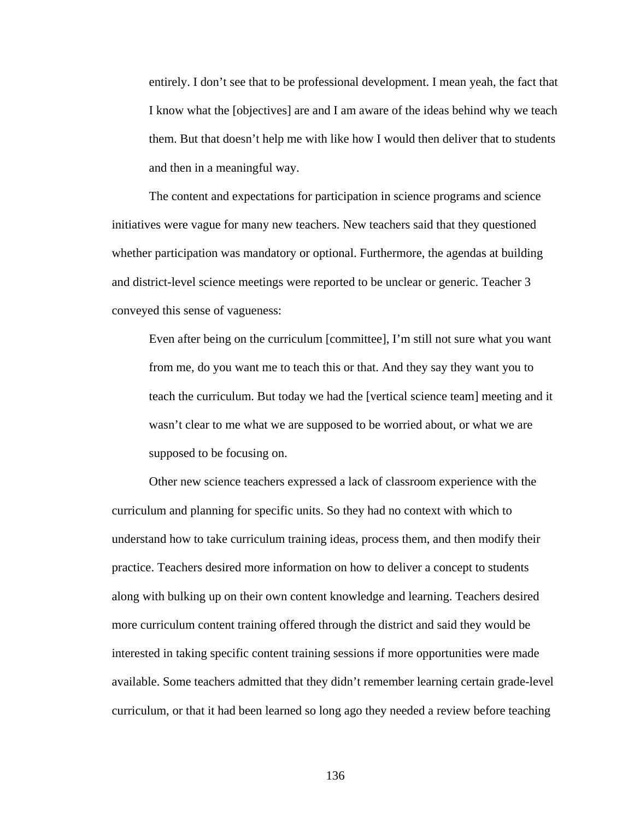entirely. I don't see that to be professional development. I mean yeah, the fact that I know what the [objectives] are and I am aware of the ideas behind why we teach them. But that doesn't help me with like how I would then deliver that to students and then in a meaningful way.

 The content and expectations for participation in science programs and science initiatives were vague for many new teachers. New teachers said that they questioned whether participation was mandatory or optional. Furthermore, the agendas at building and district-level science meetings were reported to be unclear or generic. Teacher 3 conveyed this sense of vagueness:

Even after being on the curriculum [committee], I'm still not sure what you want from me, do you want me to teach this or that. And they say they want you to teach the curriculum. But today we had the [vertical science team] meeting and it wasn't clear to me what we are supposed to be worried about, or what we are supposed to be focusing on.

 Other new science teachers expressed a lack of classroom experience with the curriculum and planning for specific units. So they had no context with which to understand how to take curriculum training ideas, process them, and then modify their practice. Teachers desired more information on how to deliver a concept to students along with bulking up on their own content knowledge and learning. Teachers desired more curriculum content training offered through the district and said they would be interested in taking specific content training sessions if more opportunities were made available. Some teachers admitted that they didn't remember learning certain grade-level curriculum, or that it had been learned so long ago they needed a review before teaching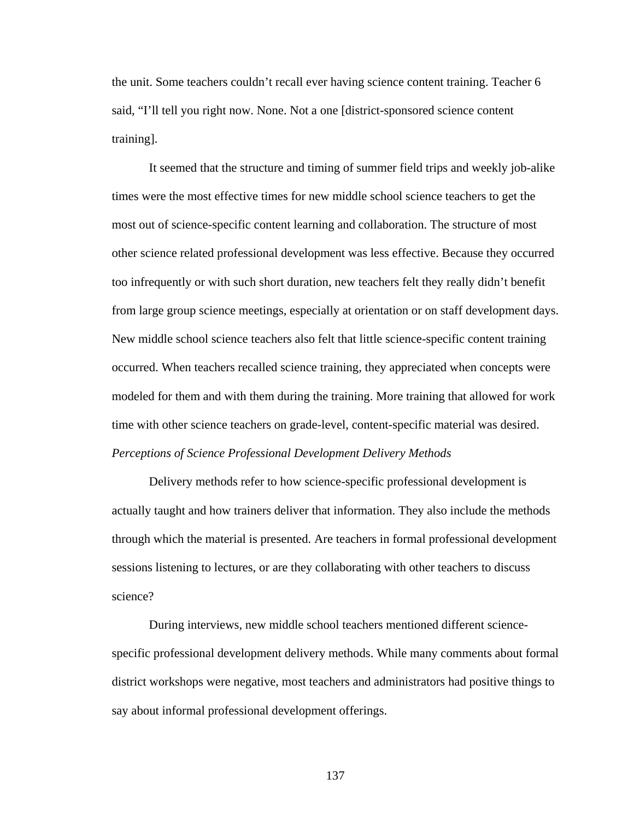the unit. Some teachers couldn't recall ever having science content training. Teacher 6 said, "I'll tell you right now. None. Not a one [district-sponsored science content training].

It seemed that the structure and timing of summer field trips and weekly job-alike times were the most effective times for new middle school science teachers to get the most out of science-specific content learning and collaboration. The structure of most other science related professional development was less effective. Because they occurred too infrequently or with such short duration, new teachers felt they really didn't benefit from large group science meetings, especially at orientation or on staff development days. New middle school science teachers also felt that little science-specific content training occurred. When teachers recalled science training, they appreciated when concepts were modeled for them and with them during the training. More training that allowed for work time with other science teachers on grade-level, content-specific material was desired. *Perceptions of Science Professional Development Delivery Methods* 

 Delivery methods refer to how science-specific professional development is actually taught and how trainers deliver that information. They also include the methods through which the material is presented. Are teachers in formal professional development sessions listening to lectures, or are they collaborating with other teachers to discuss science?

 During interviews, new middle school teachers mentioned different sciencespecific professional development delivery methods. While many comments about formal district workshops were negative, most teachers and administrators had positive things to say about informal professional development offerings.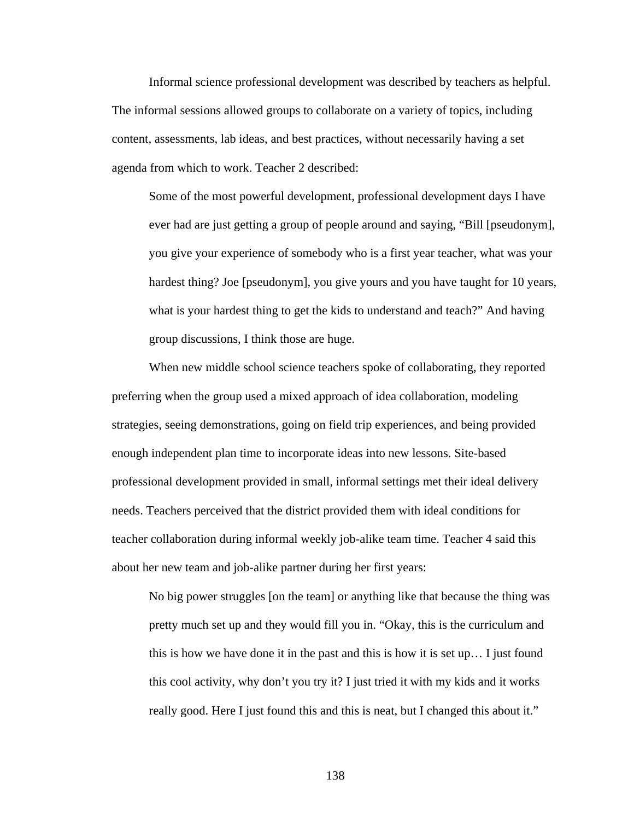Informal science professional development was described by teachers as helpful. The informal sessions allowed groups to collaborate on a variety of topics, including content, assessments, lab ideas, and best practices, without necessarily having a set agenda from which to work. Teacher 2 described:

Some of the most powerful development, professional development days I have ever had are just getting a group of people around and saying, "Bill [pseudonym], you give your experience of somebody who is a first year teacher, what was your hardest thing? Joe [pseudonym], you give yours and you have taught for 10 years, what is your hardest thing to get the kids to understand and teach?" And having group discussions, I think those are huge.

 When new middle school science teachers spoke of collaborating, they reported preferring when the group used a mixed approach of idea collaboration, modeling strategies, seeing demonstrations, going on field trip experiences, and being provided enough independent plan time to incorporate ideas into new lessons. Site-based professional development provided in small, informal settings met their ideal delivery needs. Teachers perceived that the district provided them with ideal conditions for teacher collaboration during informal weekly job-alike team time. Teacher 4 said this about her new team and job-alike partner during her first years:

No big power struggles [on the team] or anything like that because the thing was pretty much set up and they would fill you in. "Okay, this is the curriculum and this is how we have done it in the past and this is how it is set up… I just found this cool activity, why don't you try it? I just tried it with my kids and it works really good. Here I just found this and this is neat, but I changed this about it."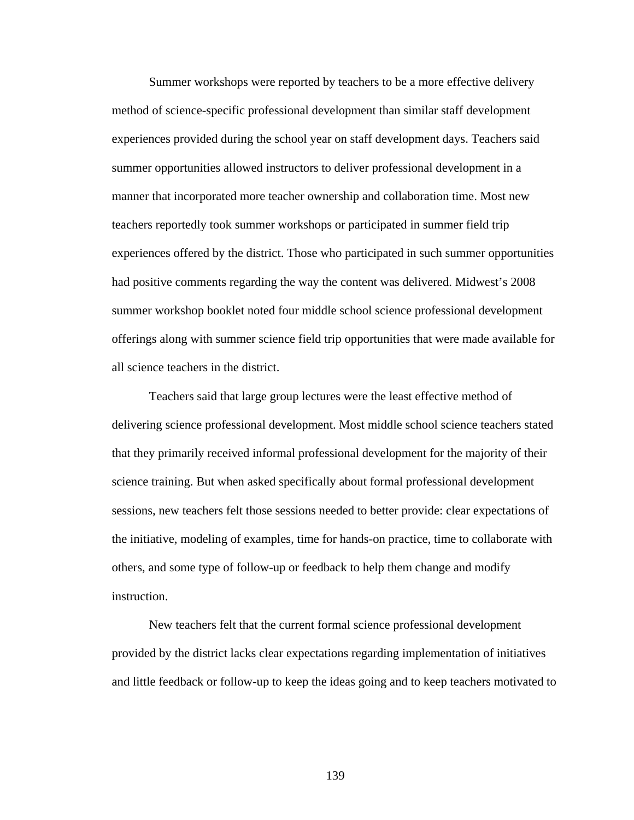Summer workshops were reported by teachers to be a more effective delivery method of science-specific professional development than similar staff development experiences provided during the school year on staff development days. Teachers said summer opportunities allowed instructors to deliver professional development in a manner that incorporated more teacher ownership and collaboration time. Most new teachers reportedly took summer workshops or participated in summer field trip experiences offered by the district. Those who participated in such summer opportunities had positive comments regarding the way the content was delivered. Midwest's 2008 summer workshop booklet noted four middle school science professional development offerings along with summer science field trip opportunities that were made available for all science teachers in the district.

 Teachers said that large group lectures were the least effective method of delivering science professional development. Most middle school science teachers stated that they primarily received informal professional development for the majority of their science training. But when asked specifically about formal professional development sessions, new teachers felt those sessions needed to better provide: clear expectations of the initiative, modeling of examples, time for hands-on practice, time to collaborate with others, and some type of follow-up or feedback to help them change and modify instruction.

 New teachers felt that the current formal science professional development provided by the district lacks clear expectations regarding implementation of initiatives and little feedback or follow-up to keep the ideas going and to keep teachers motivated to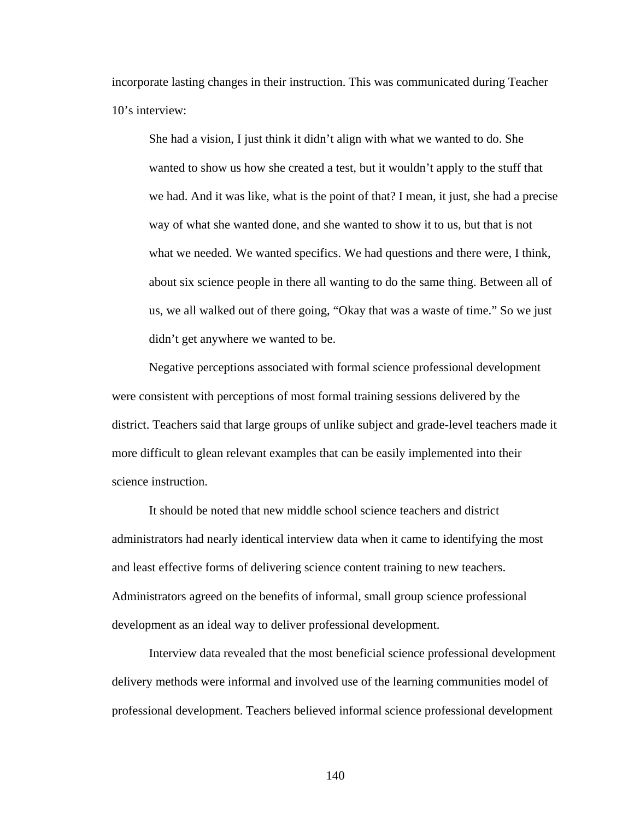incorporate lasting changes in their instruction. This was communicated during Teacher 10's interview:

She had a vision, I just think it didn't align with what we wanted to do. She wanted to show us how she created a test, but it wouldn't apply to the stuff that we had. And it was like, what is the point of that? I mean, it just, she had a precise way of what she wanted done, and she wanted to show it to us, but that is not what we needed. We wanted specifics. We had questions and there were, I think, about six science people in there all wanting to do the same thing. Between all of us, we all walked out of there going, "Okay that was a waste of time." So we just didn't get anywhere we wanted to be.

 Negative perceptions associated with formal science professional development were consistent with perceptions of most formal training sessions delivered by the district. Teachers said that large groups of unlike subject and grade-level teachers made it more difficult to glean relevant examples that can be easily implemented into their science instruction.

 It should be noted that new middle school science teachers and district administrators had nearly identical interview data when it came to identifying the most and least effective forms of delivering science content training to new teachers. Administrators agreed on the benefits of informal, small group science professional development as an ideal way to deliver professional development.

 Interview data revealed that the most beneficial science professional development delivery methods were informal and involved use of the learning communities model of professional development. Teachers believed informal science professional development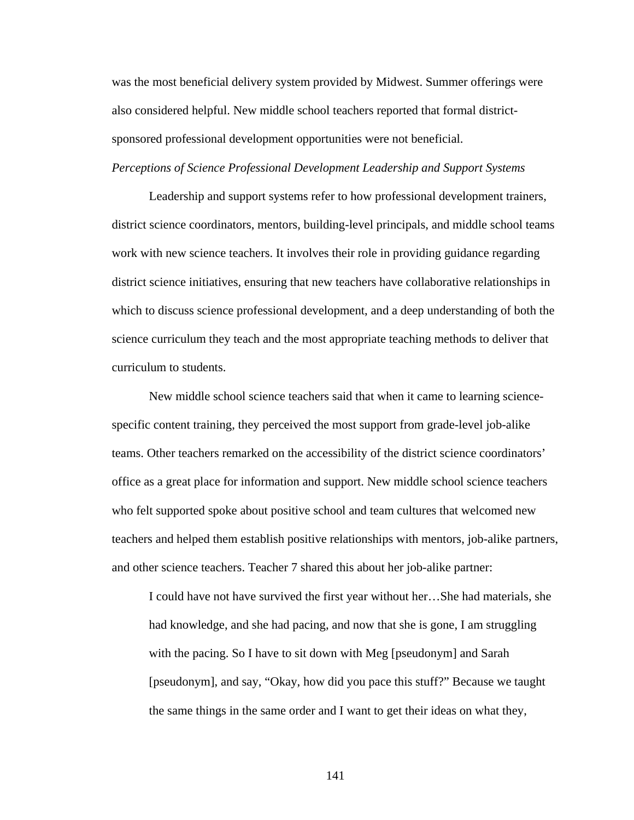was the most beneficial delivery system provided by Midwest. Summer offerings were also considered helpful. New middle school teachers reported that formal districtsponsored professional development opportunities were not beneficial.

# *Perceptions of Science Professional Development Leadership and Support Systems*

 Leadership and support systems refer to how professional development trainers, district science coordinators, mentors, building-level principals, and middle school teams work with new science teachers. It involves their role in providing guidance regarding district science initiatives, ensuring that new teachers have collaborative relationships in which to discuss science professional development, and a deep understanding of both the science curriculum they teach and the most appropriate teaching methods to deliver that curriculum to students.

 New middle school science teachers said that when it came to learning sciencespecific content training, they perceived the most support from grade-level job-alike teams. Other teachers remarked on the accessibility of the district science coordinators' office as a great place for information and support. New middle school science teachers who felt supported spoke about positive school and team cultures that welcomed new teachers and helped them establish positive relationships with mentors, job-alike partners, and other science teachers. Teacher 7 shared this about her job-alike partner:

I could have not have survived the first year without her…She had materials, she had knowledge, and she had pacing, and now that she is gone, I am struggling with the pacing. So I have to sit down with Meg [pseudonym] and Sarah [pseudonym], and say, "Okay, how did you pace this stuff?" Because we taught the same things in the same order and I want to get their ideas on what they,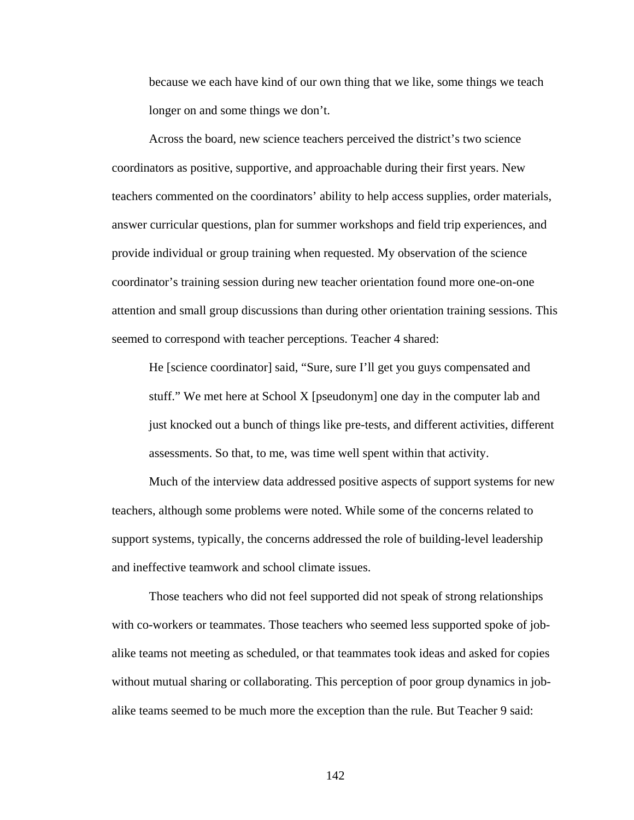because we each have kind of our own thing that we like, some things we teach longer on and some things we don't.

 Across the board, new science teachers perceived the district's two science coordinators as positive, supportive, and approachable during their first years. New teachers commented on the coordinators' ability to help access supplies, order materials, answer curricular questions, plan for summer workshops and field trip experiences, and provide individual or group training when requested. My observation of the science coordinator's training session during new teacher orientation found more one-on-one attention and small group discussions than during other orientation training sessions. This seemed to correspond with teacher perceptions. Teacher 4 shared:

He [science coordinator] said, "Sure, sure I'll get you guys compensated and stuff." We met here at School X [pseudonym] one day in the computer lab and just knocked out a bunch of things like pre-tests, and different activities, different assessments. So that, to me, was time well spent within that activity.

 Much of the interview data addressed positive aspects of support systems for new teachers, although some problems were noted. While some of the concerns related to support systems, typically, the concerns addressed the role of building-level leadership and ineffective teamwork and school climate issues.

 Those teachers who did not feel supported did not speak of strong relationships with co-workers or teammates. Those teachers who seemed less supported spoke of jobalike teams not meeting as scheduled, or that teammates took ideas and asked for copies without mutual sharing or collaborating. This perception of poor group dynamics in jobalike teams seemed to be much more the exception than the rule. But Teacher 9 said: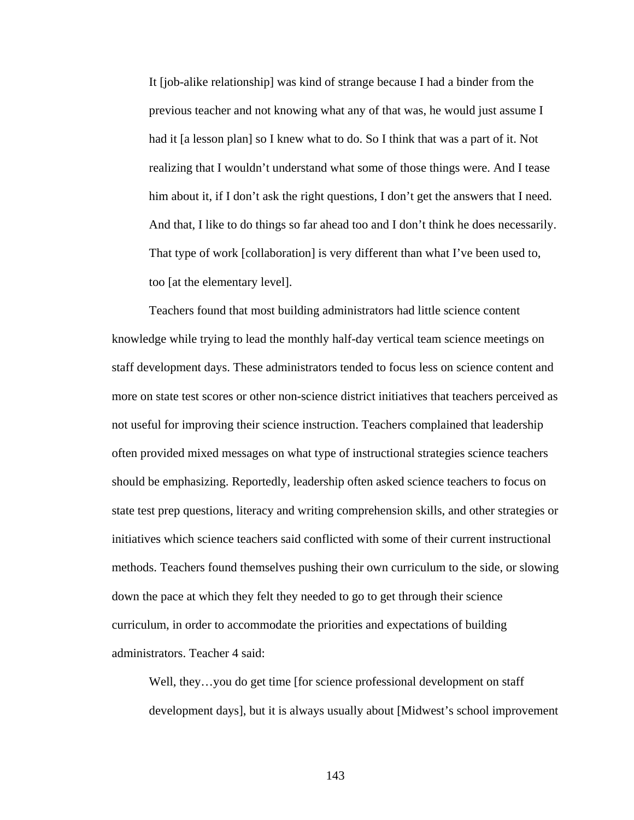It [job-alike relationship] was kind of strange because I had a binder from the previous teacher and not knowing what any of that was, he would just assume I had it [a lesson plan] so I knew what to do. So I think that was a part of it. Not realizing that I wouldn't understand what some of those things were. And I tease him about it, if I don't ask the right questions, I don't get the answers that I need. And that, I like to do things so far ahead too and I don't think he does necessarily. That type of work [collaboration] is very different than what I've been used to, too [at the elementary level].

 Teachers found that most building administrators had little science content knowledge while trying to lead the monthly half-day vertical team science meetings on staff development days. These administrators tended to focus less on science content and more on state test scores or other non-science district initiatives that teachers perceived as not useful for improving their science instruction. Teachers complained that leadership often provided mixed messages on what type of instructional strategies science teachers should be emphasizing. Reportedly, leadership often asked science teachers to focus on state test prep questions, literacy and writing comprehension skills, and other strategies or initiatives which science teachers said conflicted with some of their current instructional methods. Teachers found themselves pushing their own curriculum to the side, or slowing down the pace at which they felt they needed to go to get through their science curriculum, in order to accommodate the priorities and expectations of building administrators. Teacher 4 said:

Well, they...you do get time [for science professional development on staff development days], but it is always usually about [Midwest's school improvement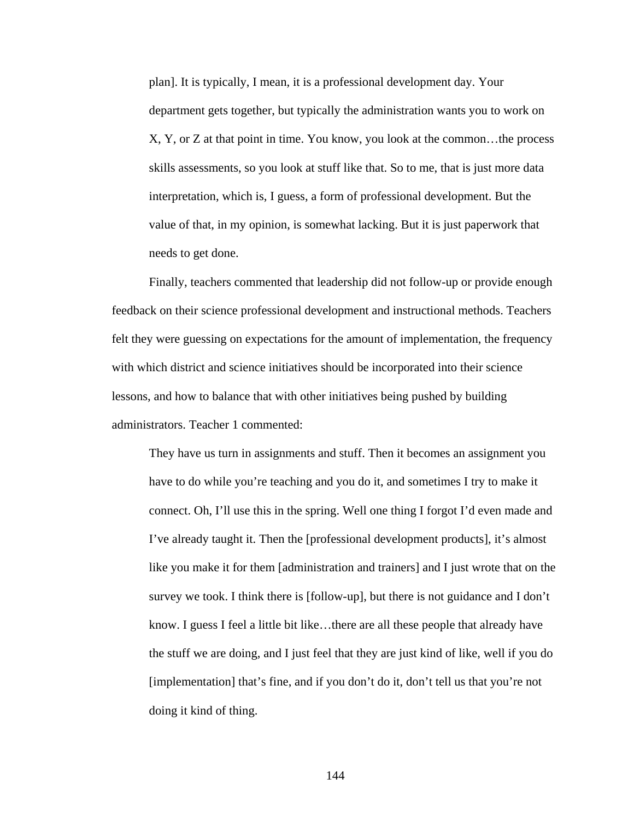plan]. It is typically, I mean, it is a professional development day. Your department gets together, but typically the administration wants you to work on X, Y, or Z at that point in time. You know, you look at the common…the process skills assessments, so you look at stuff like that. So to me, that is just more data interpretation, which is, I guess, a form of professional development. But the value of that, in my opinion, is somewhat lacking. But it is just paperwork that needs to get done.

 Finally, teachers commented that leadership did not follow-up or provide enough feedback on their science professional development and instructional methods. Teachers felt they were guessing on expectations for the amount of implementation, the frequency with which district and science initiatives should be incorporated into their science lessons, and how to balance that with other initiatives being pushed by building administrators. Teacher 1 commented:

They have us turn in assignments and stuff. Then it becomes an assignment you have to do while you're teaching and you do it, and sometimes I try to make it connect. Oh, I'll use this in the spring. Well one thing I forgot I'd even made and I've already taught it. Then the [professional development products], it's almost like you make it for them [administration and trainers] and I just wrote that on the survey we took. I think there is [follow-up], but there is not guidance and I don't know. I guess I feel a little bit like…there are all these people that already have the stuff we are doing, and I just feel that they are just kind of like, well if you do [implementation] that's fine, and if you don't do it, don't tell us that you're not doing it kind of thing.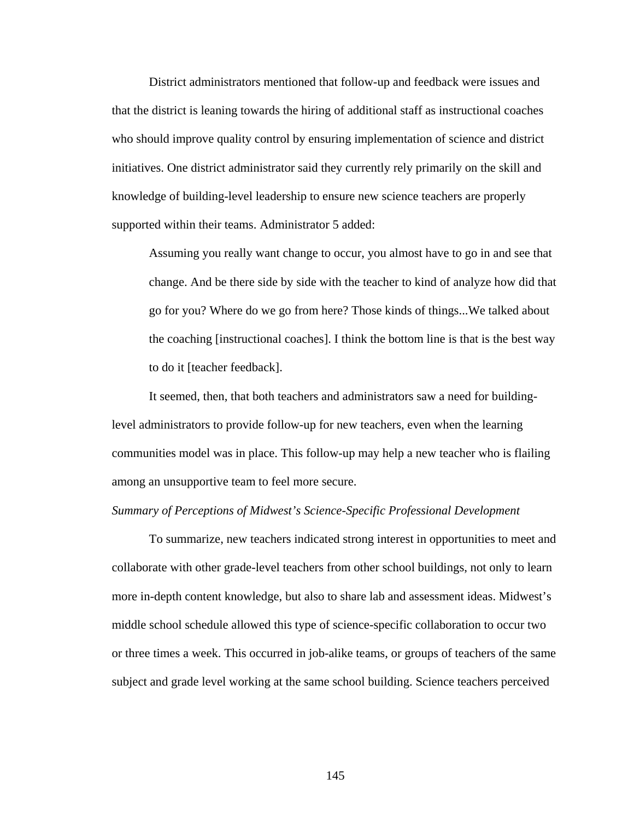District administrators mentioned that follow-up and feedback were issues and that the district is leaning towards the hiring of additional staff as instructional coaches who should improve quality control by ensuring implementation of science and district initiatives. One district administrator said they currently rely primarily on the skill and knowledge of building-level leadership to ensure new science teachers are properly supported within their teams. Administrator 5 added:

Assuming you really want change to occur, you almost have to go in and see that change. And be there side by side with the teacher to kind of analyze how did that go for you? Where do we go from here? Those kinds of things...We talked about the coaching [instructional coaches]. I think the bottom line is that is the best way to do it [teacher feedback].

 It seemed, then, that both teachers and administrators saw a need for buildinglevel administrators to provide follow-up for new teachers, even when the learning communities model was in place. This follow-up may help a new teacher who is flailing among an unsupportive team to feel more secure.

### *Summary of Perceptions of Midwest's Science-Specific Professional Development*

To summarize, new teachers indicated strong interest in opportunities to meet and collaborate with other grade-level teachers from other school buildings, not only to learn more in-depth content knowledge, but also to share lab and assessment ideas. Midwest's middle school schedule allowed this type of science-specific collaboration to occur two or three times a week. This occurred in job-alike teams, or groups of teachers of the same subject and grade level working at the same school building. Science teachers perceived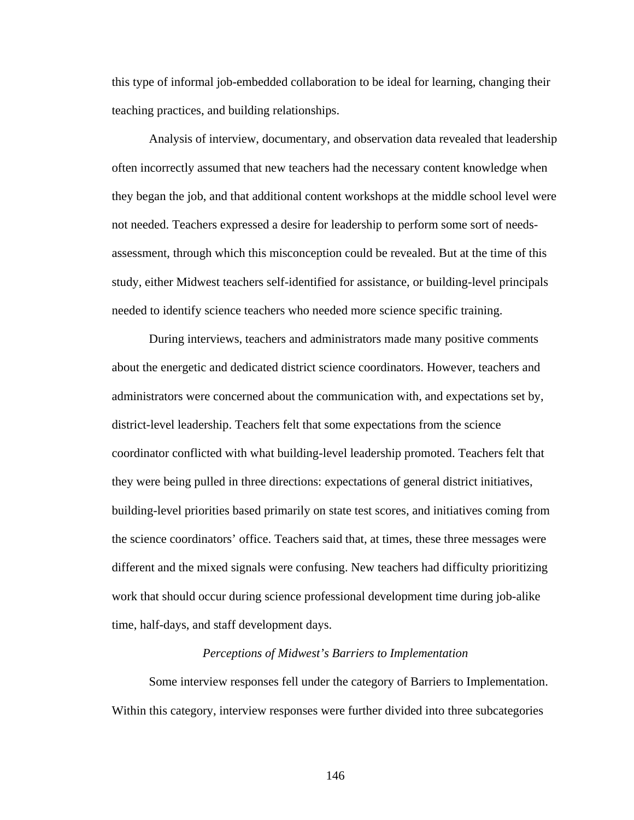this type of informal job-embedded collaboration to be ideal for learning, changing their teaching practices, and building relationships.

Analysis of interview, documentary, and observation data revealed that leadership often incorrectly assumed that new teachers had the necessary content knowledge when they began the job, and that additional content workshops at the middle school level were not needed. Teachers expressed a desire for leadership to perform some sort of needsassessment, through which this misconception could be revealed. But at the time of this study, either Midwest teachers self-identified for assistance, or building-level principals needed to identify science teachers who needed more science specific training.

During interviews, teachers and administrators made many positive comments about the energetic and dedicated district science coordinators. However, teachers and administrators were concerned about the communication with, and expectations set by, district-level leadership. Teachers felt that some expectations from the science coordinator conflicted with what building-level leadership promoted. Teachers felt that they were being pulled in three directions: expectations of general district initiatives, building-level priorities based primarily on state test scores, and initiatives coming from the science coordinators' office. Teachers said that, at times, these three messages were different and the mixed signals were confusing. New teachers had difficulty prioritizing work that should occur during science professional development time during job-alike time, half-days, and staff development days.

### *Perceptions of Midwest's Barriers to Implementation*

 Some interview responses fell under the category of Barriers to Implementation. Within this category, interview responses were further divided into three subcategories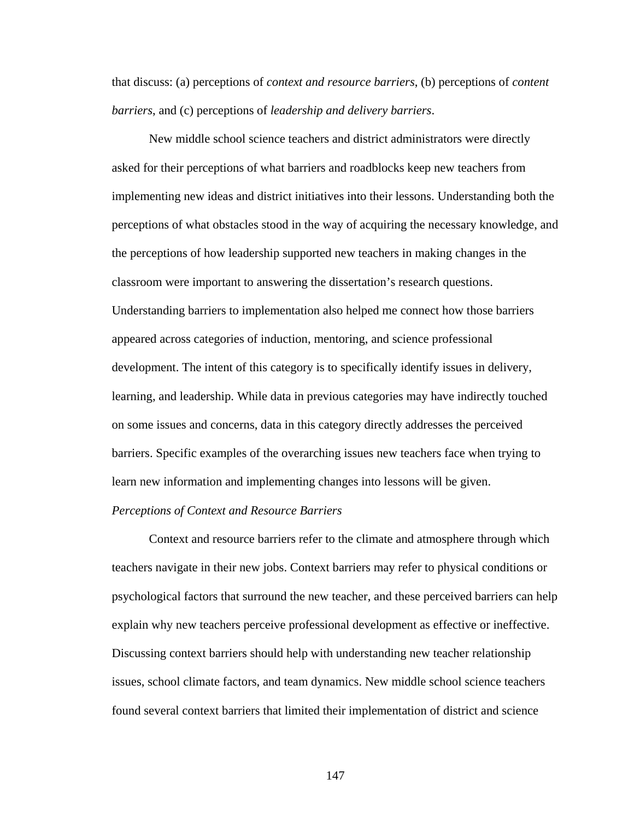that discuss: (a) perceptions of *context and resource barriers*, (b) perceptions of *content barriers*, and (c) perceptions of *leadership and delivery barriers*.

New middle school science teachers and district administrators were directly asked for their perceptions of what barriers and roadblocks keep new teachers from implementing new ideas and district initiatives into their lessons. Understanding both the perceptions of what obstacles stood in the way of acquiring the necessary knowledge, and the perceptions of how leadership supported new teachers in making changes in the classroom were important to answering the dissertation's research questions. Understanding barriers to implementation also helped me connect how those barriers appeared across categories of induction, mentoring, and science professional development. The intent of this category is to specifically identify issues in delivery, learning, and leadership. While data in previous categories may have indirectly touched on some issues and concerns, data in this category directly addresses the perceived barriers. Specific examples of the overarching issues new teachers face when trying to learn new information and implementing changes into lessons will be given.

### *Perceptions of Context and Resource Barriers*

 Context and resource barriers refer to the climate and atmosphere through which teachers navigate in their new jobs. Context barriers may refer to physical conditions or psychological factors that surround the new teacher, and these perceived barriers can help explain why new teachers perceive professional development as effective or ineffective. Discussing context barriers should help with understanding new teacher relationship issues, school climate factors, and team dynamics. New middle school science teachers found several context barriers that limited their implementation of district and science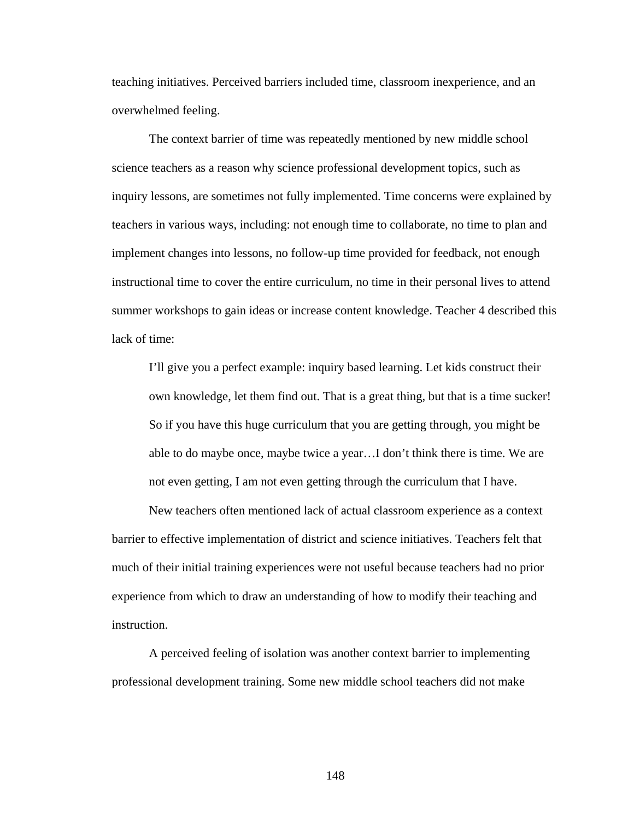teaching initiatives. Perceived barriers included time, classroom inexperience, and an overwhelmed feeling.

 The context barrier of time was repeatedly mentioned by new middle school science teachers as a reason why science professional development topics, such as inquiry lessons, are sometimes not fully implemented. Time concerns were explained by teachers in various ways, including: not enough time to collaborate, no time to plan and implement changes into lessons, no follow-up time provided for feedback, not enough instructional time to cover the entire curriculum, no time in their personal lives to attend summer workshops to gain ideas or increase content knowledge. Teacher 4 described this lack of time:

I'll give you a perfect example: inquiry based learning. Let kids construct their own knowledge, let them find out. That is a great thing, but that is a time sucker! So if you have this huge curriculum that you are getting through, you might be able to do maybe once, maybe twice a year…I don't think there is time. We are not even getting, I am not even getting through the curriculum that I have.

 New teachers often mentioned lack of actual classroom experience as a context barrier to effective implementation of district and science initiatives. Teachers felt that much of their initial training experiences were not useful because teachers had no prior experience from which to draw an understanding of how to modify their teaching and instruction.

 A perceived feeling of isolation was another context barrier to implementing professional development training. Some new middle school teachers did not make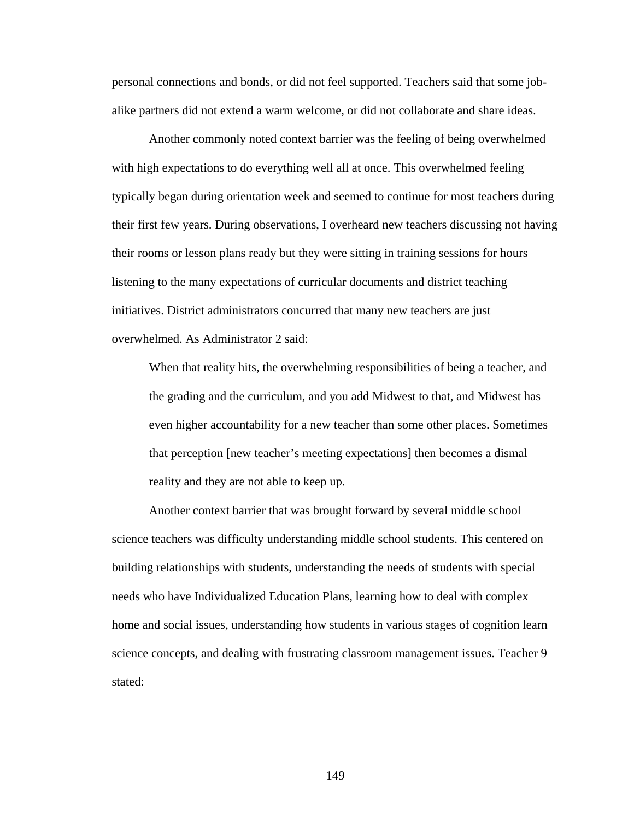personal connections and bonds, or did not feel supported. Teachers said that some jobalike partners did not extend a warm welcome, or did not collaborate and share ideas.

 Another commonly noted context barrier was the feeling of being overwhelmed with high expectations to do everything well all at once. This overwhelmed feeling typically began during orientation week and seemed to continue for most teachers during their first few years. During observations, I overheard new teachers discussing not having their rooms or lesson plans ready but they were sitting in training sessions for hours listening to the many expectations of curricular documents and district teaching initiatives. District administrators concurred that many new teachers are just overwhelmed. As Administrator 2 said:

When that reality hits, the overwhelming responsibilities of being a teacher, and the grading and the curriculum, and you add Midwest to that, and Midwest has even higher accountability for a new teacher than some other places. Sometimes that perception [new teacher's meeting expectations] then becomes a dismal reality and they are not able to keep up.

 Another context barrier that was brought forward by several middle school science teachers was difficulty understanding middle school students. This centered on building relationships with students, understanding the needs of students with special needs who have Individualized Education Plans, learning how to deal with complex home and social issues, understanding how students in various stages of cognition learn science concepts, and dealing with frustrating classroom management issues. Teacher 9 stated: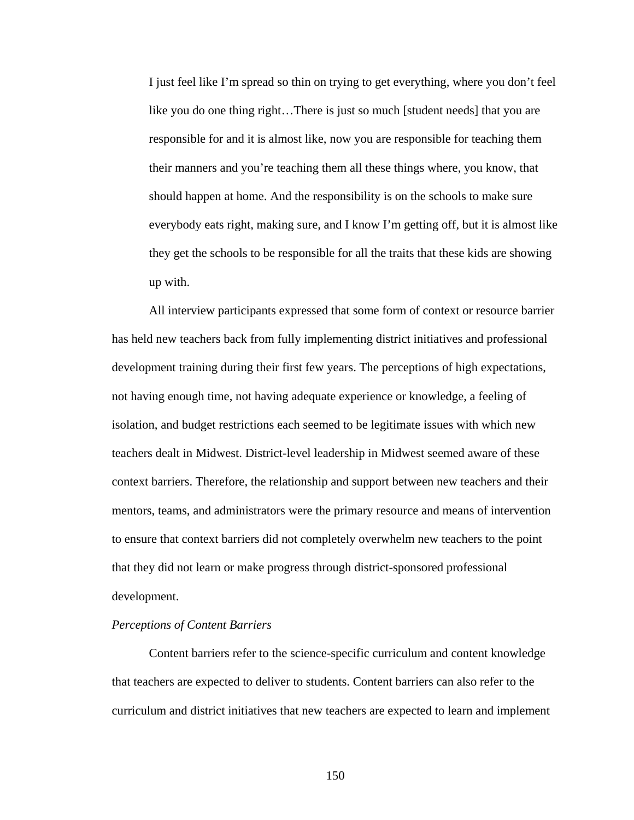I just feel like I'm spread so thin on trying to get everything, where you don't feel like you do one thing right…There is just so much [student needs] that you are responsible for and it is almost like, now you are responsible for teaching them their manners and you're teaching them all these things where, you know, that should happen at home. And the responsibility is on the schools to make sure everybody eats right, making sure, and I know I'm getting off, but it is almost like they get the schools to be responsible for all the traits that these kids are showing up with.

All interview participants expressed that some form of context or resource barrier has held new teachers back from fully implementing district initiatives and professional development training during their first few years. The perceptions of high expectations, not having enough time, not having adequate experience or knowledge, a feeling of isolation, and budget restrictions each seemed to be legitimate issues with which new teachers dealt in Midwest. District-level leadership in Midwest seemed aware of these context barriers. Therefore, the relationship and support between new teachers and their mentors, teams, and administrators were the primary resource and means of intervention to ensure that context barriers did not completely overwhelm new teachers to the point that they did not learn or make progress through district-sponsored professional development.

#### *Perceptions of Content Barriers*

 Content barriers refer to the science-specific curriculum and content knowledge that teachers are expected to deliver to students. Content barriers can also refer to the curriculum and district initiatives that new teachers are expected to learn and implement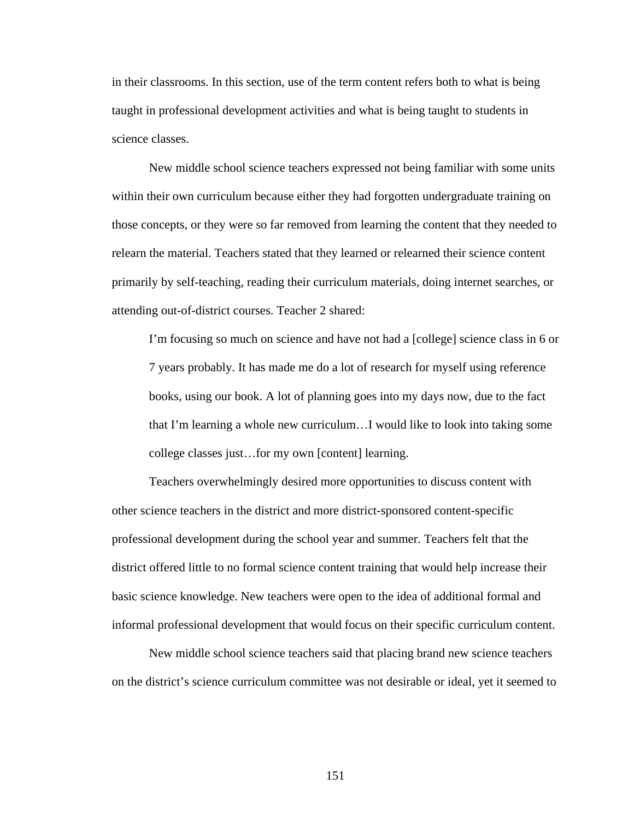in their classrooms. In this section, use of the term content refers both to what is being taught in professional development activities and what is being taught to students in science classes.

 New middle school science teachers expressed not being familiar with some units within their own curriculum because either they had forgotten undergraduate training on those concepts, or they were so far removed from learning the content that they needed to relearn the material. Teachers stated that they learned or relearned their science content primarily by self-teaching, reading their curriculum materials, doing internet searches, or attending out-of-district courses. Teacher 2 shared:

I'm focusing so much on science and have not had a [college] science class in 6 or 7 years probably. It has made me do a lot of research for myself using reference books, using our book. A lot of planning goes into my days now, due to the fact that I'm learning a whole new curriculum…I would like to look into taking some college classes just…for my own [content] learning.

 Teachers overwhelmingly desired more opportunities to discuss content with other science teachers in the district and more district-sponsored content-specific professional development during the school year and summer. Teachers felt that the district offered little to no formal science content training that would help increase their basic science knowledge. New teachers were open to the idea of additional formal and informal professional development that would focus on their specific curriculum content.

 New middle school science teachers said that placing brand new science teachers on the district's science curriculum committee was not desirable or ideal, yet it seemed to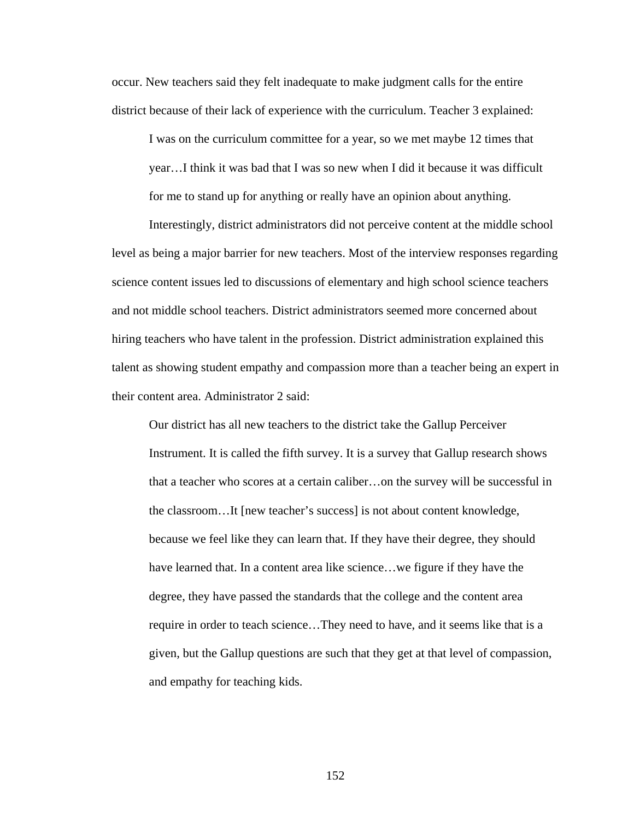occur. New teachers said they felt inadequate to make judgment calls for the entire district because of their lack of experience with the curriculum. Teacher 3 explained:

I was on the curriculum committee for a year, so we met maybe 12 times that year…I think it was bad that I was so new when I did it because it was difficult for me to stand up for anything or really have an opinion about anything.

 Interestingly, district administrators did not perceive content at the middle school level as being a major barrier for new teachers. Most of the interview responses regarding science content issues led to discussions of elementary and high school science teachers and not middle school teachers. District administrators seemed more concerned about hiring teachers who have talent in the profession. District administration explained this talent as showing student empathy and compassion more than a teacher being an expert in their content area. Administrator 2 said:

Our district has all new teachers to the district take the Gallup Perceiver Instrument. It is called the fifth survey. It is a survey that Gallup research shows that a teacher who scores at a certain caliber…on the survey will be successful in the classroom…It [new teacher's success] is not about content knowledge, because we feel like they can learn that. If they have their degree, they should have learned that. In a content area like science...we figure if they have the degree, they have passed the standards that the college and the content area require in order to teach science…They need to have, and it seems like that is a given, but the Gallup questions are such that they get at that level of compassion, and empathy for teaching kids.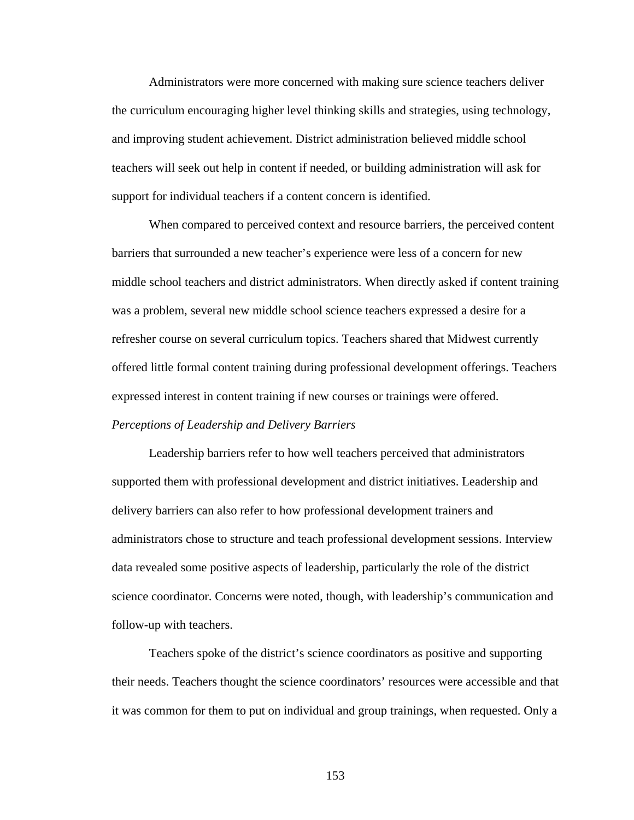Administrators were more concerned with making sure science teachers deliver the curriculum encouraging higher level thinking skills and strategies, using technology, and improving student achievement. District administration believed middle school teachers will seek out help in content if needed, or building administration will ask for support for individual teachers if a content concern is identified.

 When compared to perceived context and resource barriers, the perceived content barriers that surrounded a new teacher's experience were less of a concern for new middle school teachers and district administrators. When directly asked if content training was a problem, several new middle school science teachers expressed a desire for a refresher course on several curriculum topics. Teachers shared that Midwest currently offered little formal content training during professional development offerings. Teachers expressed interest in content training if new courses or trainings were offered. *Perceptions of Leadership and Delivery Barriers*

 Leadership barriers refer to how well teachers perceived that administrators supported them with professional development and district initiatives. Leadership and delivery barriers can also refer to how professional development trainers and administrators chose to structure and teach professional development sessions. Interview data revealed some positive aspects of leadership, particularly the role of the district science coordinator. Concerns were noted, though, with leadership's communication and follow-up with teachers.

 Teachers spoke of the district's science coordinators as positive and supporting their needs. Teachers thought the science coordinators' resources were accessible and that it was common for them to put on individual and group trainings, when requested. Only a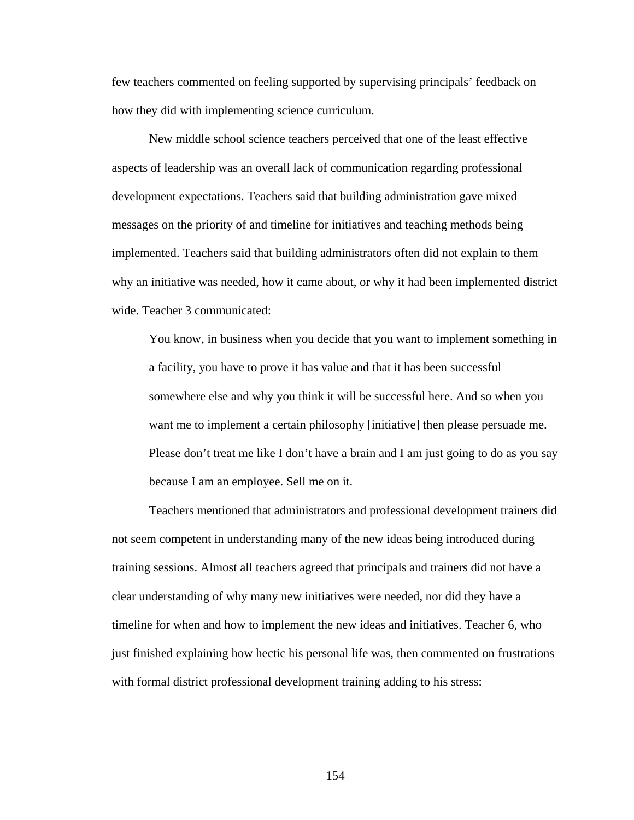few teachers commented on feeling supported by supervising principals' feedback on how they did with implementing science curriculum.

 New middle school science teachers perceived that one of the least effective aspects of leadership was an overall lack of communication regarding professional development expectations. Teachers said that building administration gave mixed messages on the priority of and timeline for initiatives and teaching methods being implemented. Teachers said that building administrators often did not explain to them why an initiative was needed, how it came about, or why it had been implemented district wide. Teacher 3 communicated:

You know, in business when you decide that you want to implement something in a facility, you have to prove it has value and that it has been successful somewhere else and why you think it will be successful here. And so when you want me to implement a certain philosophy [initiative] then please persuade me. Please don't treat me like I don't have a brain and I am just going to do as you say because I am an employee. Sell me on it.

 Teachers mentioned that administrators and professional development trainers did not seem competent in understanding many of the new ideas being introduced during training sessions. Almost all teachers agreed that principals and trainers did not have a clear understanding of why many new initiatives were needed, nor did they have a timeline for when and how to implement the new ideas and initiatives. Teacher 6, who just finished explaining how hectic his personal life was, then commented on frustrations with formal district professional development training adding to his stress: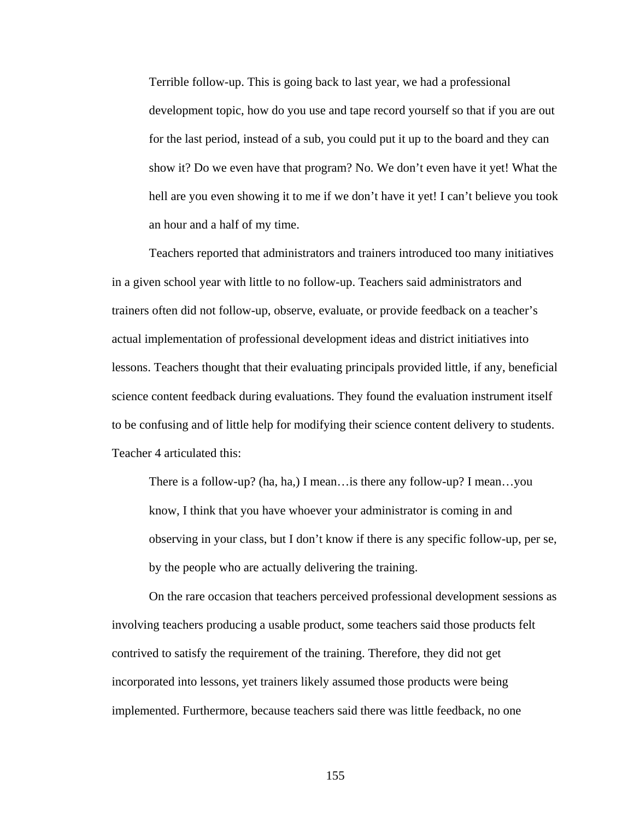Terrible follow-up. This is going back to last year, we had a professional development topic, how do you use and tape record yourself so that if you are out for the last period, instead of a sub, you could put it up to the board and they can show it? Do we even have that program? No. We don't even have it yet! What the hell are you even showing it to me if we don't have it yet! I can't believe you took an hour and a half of my time.

 Teachers reported that administrators and trainers introduced too many initiatives in a given school year with little to no follow-up. Teachers said administrators and trainers often did not follow-up, observe, evaluate, or provide feedback on a teacher's actual implementation of professional development ideas and district initiatives into lessons. Teachers thought that their evaluating principals provided little, if any, beneficial science content feedback during evaluations. They found the evaluation instrument itself to be confusing and of little help for modifying their science content delivery to students. Teacher 4 articulated this:

There is a follow-up? (ha, ha,) I mean…is there any follow-up? I mean…you know, I think that you have whoever your administrator is coming in and observing in your class, but I don't know if there is any specific follow-up, per se, by the people who are actually delivering the training.

 On the rare occasion that teachers perceived professional development sessions as involving teachers producing a usable product, some teachers said those products felt contrived to satisfy the requirement of the training. Therefore, they did not get incorporated into lessons, yet trainers likely assumed those products were being implemented. Furthermore, because teachers said there was little feedback, no one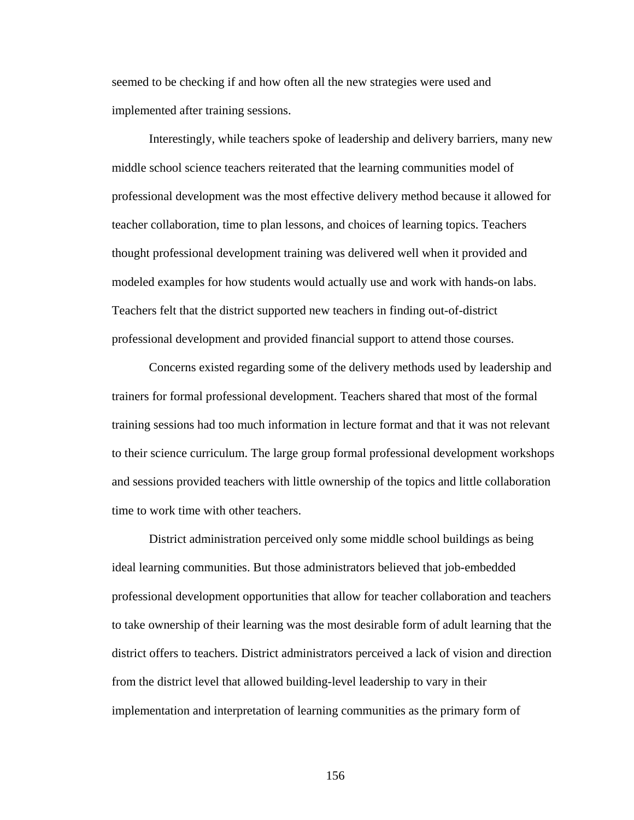seemed to be checking if and how often all the new strategies were used and implemented after training sessions.

 Interestingly, while teachers spoke of leadership and delivery barriers, many new middle school science teachers reiterated that the learning communities model of professional development was the most effective delivery method because it allowed for teacher collaboration, time to plan lessons, and choices of learning topics. Teachers thought professional development training was delivered well when it provided and modeled examples for how students would actually use and work with hands-on labs. Teachers felt that the district supported new teachers in finding out-of-district professional development and provided financial support to attend those courses.

 Concerns existed regarding some of the delivery methods used by leadership and trainers for formal professional development. Teachers shared that most of the formal training sessions had too much information in lecture format and that it was not relevant to their science curriculum. The large group formal professional development workshops and sessions provided teachers with little ownership of the topics and little collaboration time to work time with other teachers.

 District administration perceived only some middle school buildings as being ideal learning communities. But those administrators believed that job-embedded professional development opportunities that allow for teacher collaboration and teachers to take ownership of their learning was the most desirable form of adult learning that the district offers to teachers. District administrators perceived a lack of vision and direction from the district level that allowed building-level leadership to vary in their implementation and interpretation of learning communities as the primary form of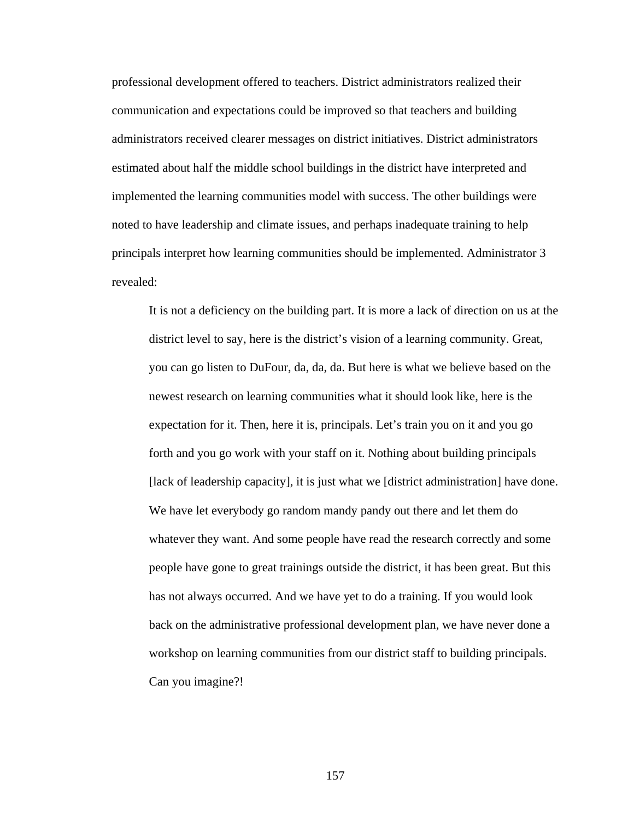professional development offered to teachers. District administrators realized their communication and expectations could be improved so that teachers and building administrators received clearer messages on district initiatives. District administrators estimated about half the middle school buildings in the district have interpreted and implemented the learning communities model with success. The other buildings were noted to have leadership and climate issues, and perhaps inadequate training to help principals interpret how learning communities should be implemented. Administrator 3 revealed:

It is not a deficiency on the building part. It is more a lack of direction on us at the district level to say, here is the district's vision of a learning community. Great, you can go listen to DuFour, da, da, da. But here is what we believe based on the newest research on learning communities what it should look like, here is the expectation for it. Then, here it is, principals. Let's train you on it and you go forth and you go work with your staff on it. Nothing about building principals [lack of leadership capacity], it is just what we [district administration] have done. We have let everybody go random mandy pandy out there and let them do whatever they want. And some people have read the research correctly and some people have gone to great trainings outside the district, it has been great. But this has not always occurred. And we have yet to do a training. If you would look back on the administrative professional development plan, we have never done a workshop on learning communities from our district staff to building principals. Can you imagine?!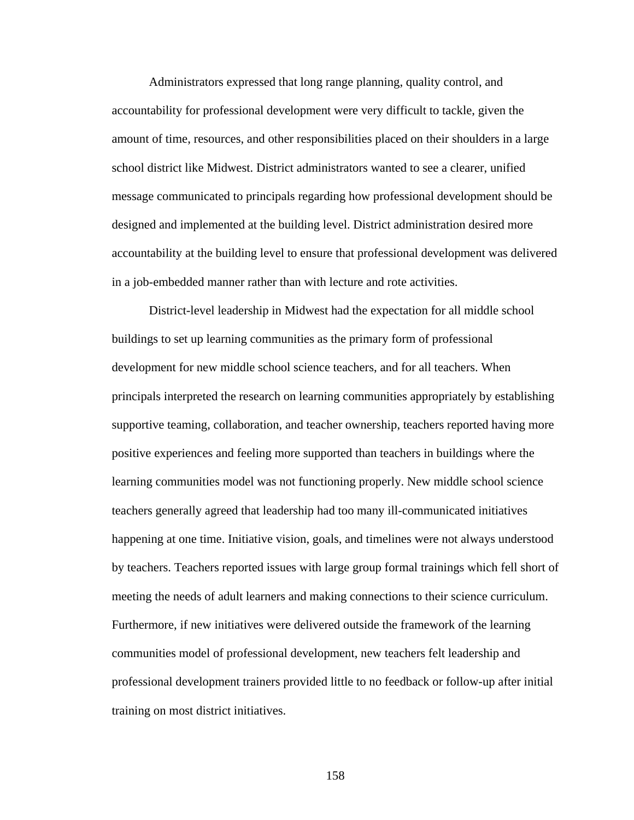Administrators expressed that long range planning, quality control, and accountability for professional development were very difficult to tackle, given the amount of time, resources, and other responsibilities placed on their shoulders in a large school district like Midwest. District administrators wanted to see a clearer, unified message communicated to principals regarding how professional development should be designed and implemented at the building level. District administration desired more accountability at the building level to ensure that professional development was delivered in a job-embedded manner rather than with lecture and rote activities.

District-level leadership in Midwest had the expectation for all middle school buildings to set up learning communities as the primary form of professional development for new middle school science teachers, and for all teachers. When principals interpreted the research on learning communities appropriately by establishing supportive teaming, collaboration, and teacher ownership, teachers reported having more positive experiences and feeling more supported than teachers in buildings where the learning communities model was not functioning properly. New middle school science teachers generally agreed that leadership had too many ill-communicated initiatives happening at one time. Initiative vision, goals, and timelines were not always understood by teachers. Teachers reported issues with large group formal trainings which fell short of meeting the needs of adult learners and making connections to their science curriculum. Furthermore, if new initiatives were delivered outside the framework of the learning communities model of professional development, new teachers felt leadership and professional development trainers provided little to no feedback or follow-up after initial training on most district initiatives.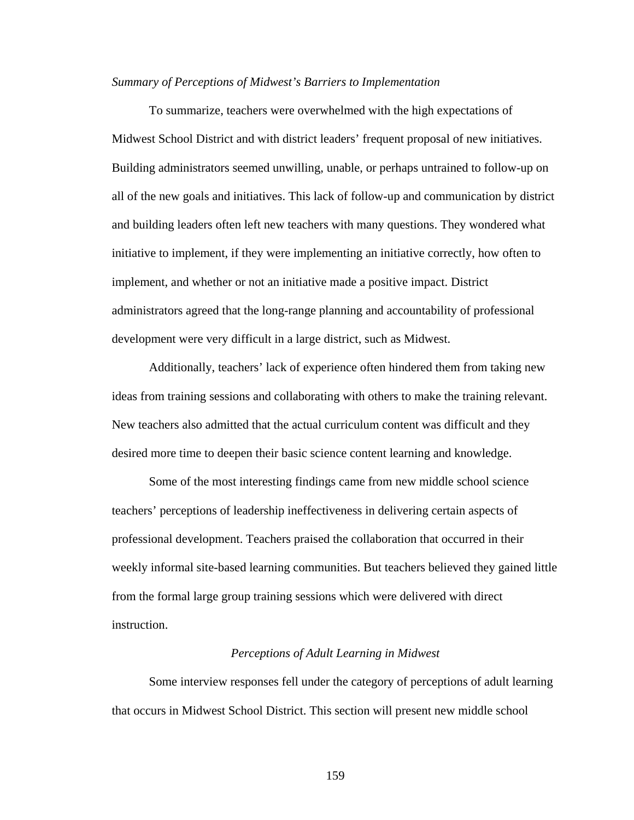#### *Summary of Perceptions of Midwest's Barriers to Implementation*

 To summarize, teachers were overwhelmed with the high expectations of Midwest School District and with district leaders' frequent proposal of new initiatives. Building administrators seemed unwilling, unable, or perhaps untrained to follow-up on all of the new goals and initiatives. This lack of follow-up and communication by district and building leaders often left new teachers with many questions. They wondered what initiative to implement, if they were implementing an initiative correctly, how often to implement, and whether or not an initiative made a positive impact. District administrators agreed that the long-range planning and accountability of professional development were very difficult in a large district, such as Midwest.

 Additionally, teachers' lack of experience often hindered them from taking new ideas from training sessions and collaborating with others to make the training relevant. New teachers also admitted that the actual curriculum content was difficult and they desired more time to deepen their basic science content learning and knowledge.

 Some of the most interesting findings came from new middle school science teachers' perceptions of leadership ineffectiveness in delivering certain aspects of professional development. Teachers praised the collaboration that occurred in their weekly informal site-based learning communities. But teachers believed they gained little from the formal large group training sessions which were delivered with direct instruction.

#### *Perceptions of Adult Learning in Midwest*

 Some interview responses fell under the category of perceptions of adult learning that occurs in Midwest School District. This section will present new middle school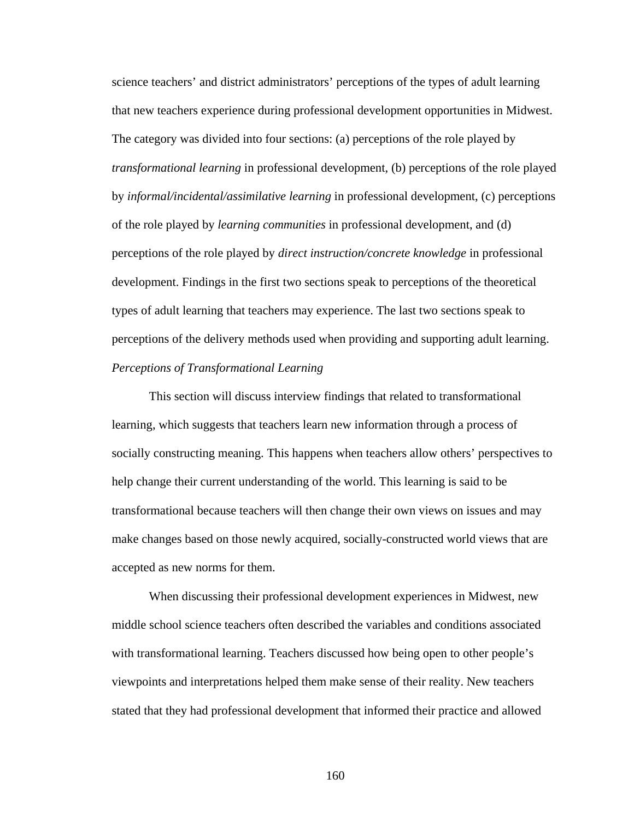science teachers' and district administrators' perceptions of the types of adult learning that new teachers experience during professional development opportunities in Midwest. The category was divided into four sections: (a) perceptions of the role played by *transformational learning* in professional development, (b) perceptions of the role played by *informal/incidental/assimilative learning* in professional development, (c) perceptions of the role played by *learning communities* in professional development, and (d) perceptions of the role played by *direct instruction/concrete knowledge* in professional development. Findings in the first two sections speak to perceptions of the theoretical types of adult learning that teachers may experience. The last two sections speak to perceptions of the delivery methods used when providing and supporting adult learning. *Perceptions of Transformational Learning* 

 This section will discuss interview findings that related to transformational learning, which suggests that teachers learn new information through a process of socially constructing meaning. This happens when teachers allow others' perspectives to help change their current understanding of the world. This learning is said to be transformational because teachers will then change their own views on issues and may make changes based on those newly acquired, socially-constructed world views that are accepted as new norms for them.

 When discussing their professional development experiences in Midwest, new middle school science teachers often described the variables and conditions associated with transformational learning. Teachers discussed how being open to other people's viewpoints and interpretations helped them make sense of their reality. New teachers stated that they had professional development that informed their practice and allowed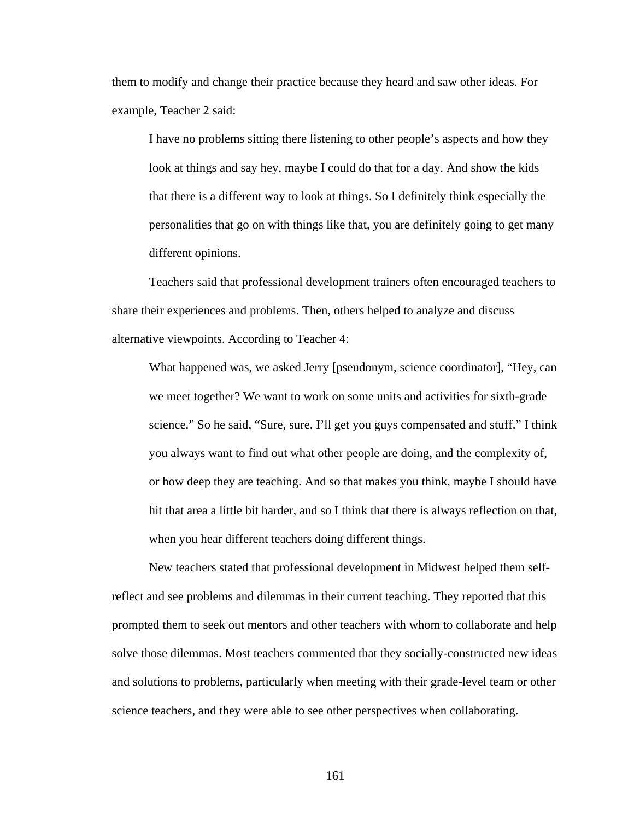them to modify and change their practice because they heard and saw other ideas. For example, Teacher 2 said:

I have no problems sitting there listening to other people's aspects and how they look at things and say hey, maybe I could do that for a day. And show the kids that there is a different way to look at things. So I definitely think especially the personalities that go on with things like that, you are definitely going to get many different opinions.

 Teachers said that professional development trainers often encouraged teachers to share their experiences and problems. Then, others helped to analyze and discuss alternative viewpoints. According to Teacher 4:

What happened was, we asked Jerry [pseudonym, science coordinator], "Hey, can we meet together? We want to work on some units and activities for sixth-grade science." So he said, "Sure, sure. I'll get you guys compensated and stuff." I think you always want to find out what other people are doing, and the complexity of, or how deep they are teaching. And so that makes you think, maybe I should have hit that area a little bit harder, and so I think that there is always reflection on that, when you hear different teachers doing different things.

 New teachers stated that professional development in Midwest helped them selfreflect and see problems and dilemmas in their current teaching. They reported that this prompted them to seek out mentors and other teachers with whom to collaborate and help solve those dilemmas. Most teachers commented that they socially-constructed new ideas and solutions to problems, particularly when meeting with their grade-level team or other science teachers, and they were able to see other perspectives when collaborating.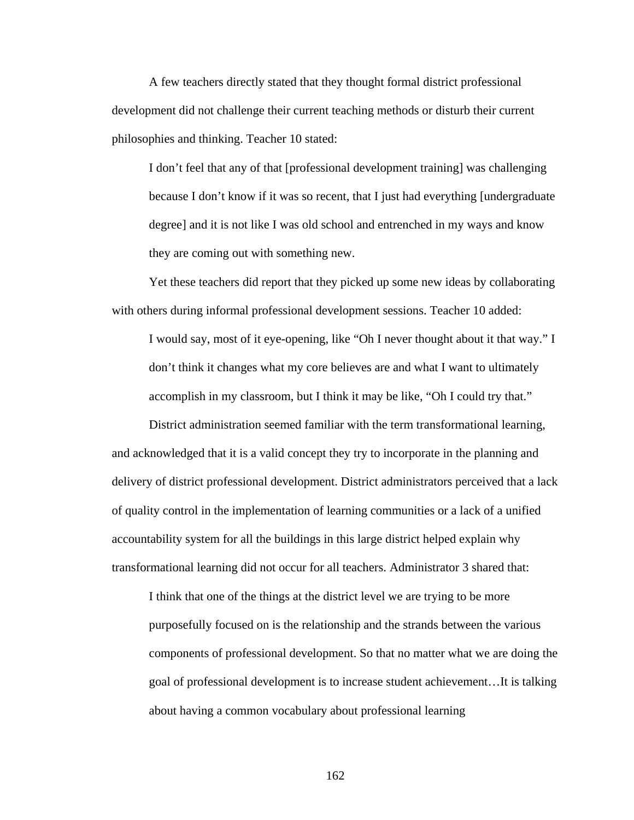A few teachers directly stated that they thought formal district professional development did not challenge their current teaching methods or disturb their current philosophies and thinking. Teacher 10 stated:

I don't feel that any of that [professional development training] was challenging because I don't know if it was so recent, that I just had everything [undergraduate degree] and it is not like I was old school and entrenched in my ways and know they are coming out with something new.

 Yet these teachers did report that they picked up some new ideas by collaborating with others during informal professional development sessions. Teacher 10 added:

I would say, most of it eye-opening, like "Oh I never thought about it that way." I don't think it changes what my core believes are and what I want to ultimately accomplish in my classroom, but I think it may be like, "Oh I could try that."

 District administration seemed familiar with the term transformational learning, and acknowledged that it is a valid concept they try to incorporate in the planning and delivery of district professional development. District administrators perceived that a lack of quality control in the implementation of learning communities or a lack of a unified accountability system for all the buildings in this large district helped explain why transformational learning did not occur for all teachers. Administrator 3 shared that:

I think that one of the things at the district level we are trying to be more purposefully focused on is the relationship and the strands between the various components of professional development. So that no matter what we are doing the goal of professional development is to increase student achievement…It is talking about having a common vocabulary about professional learning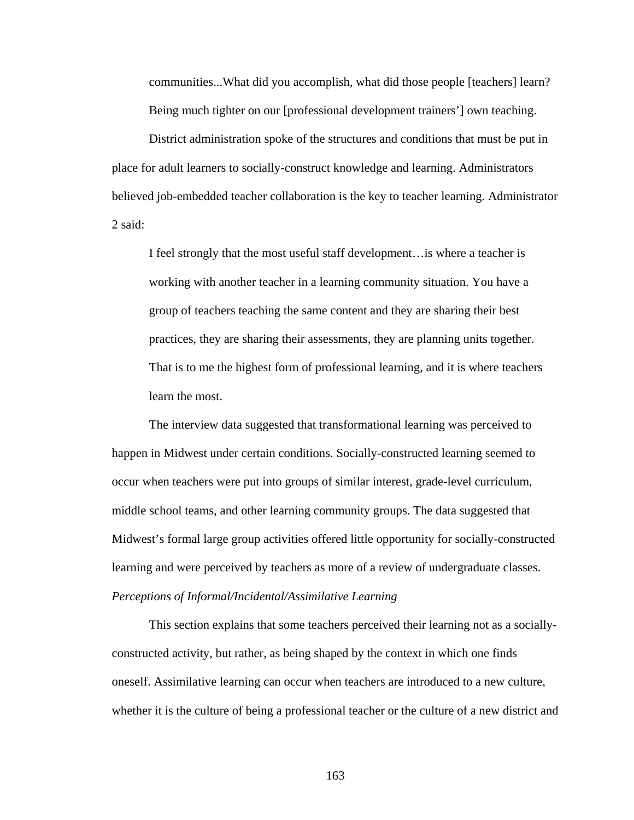communities...What did you accomplish, what did those people [teachers] learn? Being much tighter on our [professional development trainers'] own teaching.

 District administration spoke of the structures and conditions that must be put in place for adult learners to socially-construct knowledge and learning. Administrators believed job-embedded teacher collaboration is the key to teacher learning. Administrator 2 said:

I feel strongly that the most useful staff development…is where a teacher is working with another teacher in a learning community situation. You have a group of teachers teaching the same content and they are sharing their best practices, they are sharing their assessments, they are planning units together. That is to me the highest form of professional learning, and it is where teachers learn the most.

The interview data suggested that transformational learning was perceived to happen in Midwest under certain conditions. Socially-constructed learning seemed to occur when teachers were put into groups of similar interest, grade-level curriculum, middle school teams, and other learning community groups. The data suggested that Midwest's formal large group activities offered little opportunity for socially-constructed learning and were perceived by teachers as more of a review of undergraduate classes. *Perceptions of Informal/Incidental/Assimilative Learning* 

 This section explains that some teachers perceived their learning not as a sociallyconstructed activity, but rather, as being shaped by the context in which one finds oneself. Assimilative learning can occur when teachers are introduced to a new culture, whether it is the culture of being a professional teacher or the culture of a new district and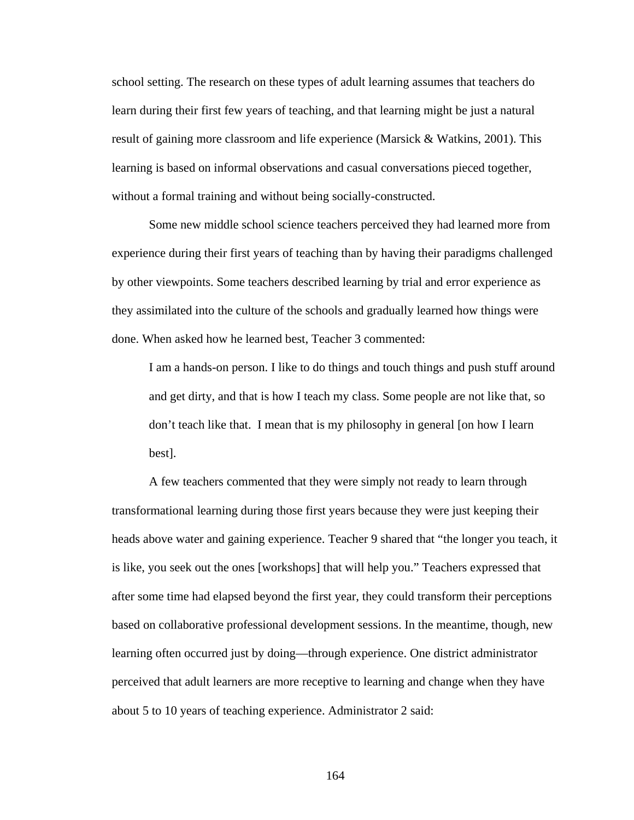school setting. The research on these types of adult learning assumes that teachers do learn during their first few years of teaching, and that learning might be just a natural result of gaining more classroom and life experience (Marsick & Watkins, 2001). This learning is based on informal observations and casual conversations pieced together, without a formal training and without being socially-constructed.

 Some new middle school science teachers perceived they had learned more from experience during their first years of teaching than by having their paradigms challenged by other viewpoints. Some teachers described learning by trial and error experience as they assimilated into the culture of the schools and gradually learned how things were done. When asked how he learned best, Teacher 3 commented:

I am a hands-on person. I like to do things and touch things and push stuff around and get dirty, and that is how I teach my class. Some people are not like that, so don't teach like that. I mean that is my philosophy in general [on how I learn best].

 A few teachers commented that they were simply not ready to learn through transformational learning during those first years because they were just keeping their heads above water and gaining experience. Teacher 9 shared that "the longer you teach, it is like, you seek out the ones [workshops] that will help you." Teachers expressed that after some time had elapsed beyond the first year, they could transform their perceptions based on collaborative professional development sessions. In the meantime, though, new learning often occurred just by doing—through experience. One district administrator perceived that adult learners are more receptive to learning and change when they have about 5 to 10 years of teaching experience. Administrator 2 said: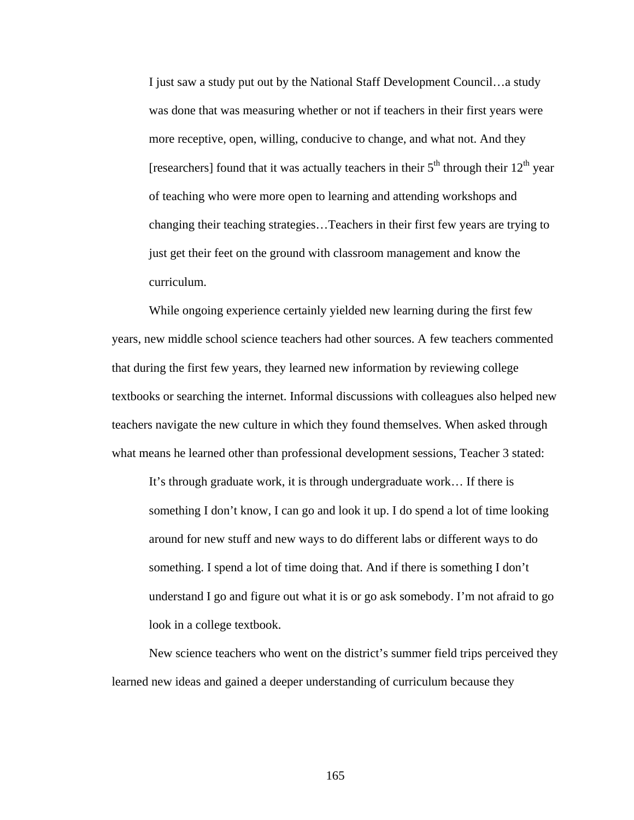I just saw a study put out by the National Staff Development Council…a study was done that was measuring whether or not if teachers in their first years were more receptive, open, willing, conducive to change, and what not. And they [researchers] found that it was actually teachers in their  $5<sup>th</sup>$  through their  $12<sup>th</sup>$  year of teaching who were more open to learning and attending workshops and changing their teaching strategies…Teachers in their first few years are trying to just get their feet on the ground with classroom management and know the curriculum.

 While ongoing experience certainly yielded new learning during the first few years, new middle school science teachers had other sources. A few teachers commented that during the first few years, they learned new information by reviewing college textbooks or searching the internet. Informal discussions with colleagues also helped new teachers navigate the new culture in which they found themselves. When asked through what means he learned other than professional development sessions, Teacher 3 stated:

It's through graduate work, it is through undergraduate work… If there is something I don't know, I can go and look it up. I do spend a lot of time looking around for new stuff and new ways to do different labs or different ways to do something. I spend a lot of time doing that. And if there is something I don't understand I go and figure out what it is or go ask somebody. I'm not afraid to go look in a college textbook.

 New science teachers who went on the district's summer field trips perceived they learned new ideas and gained a deeper understanding of curriculum because they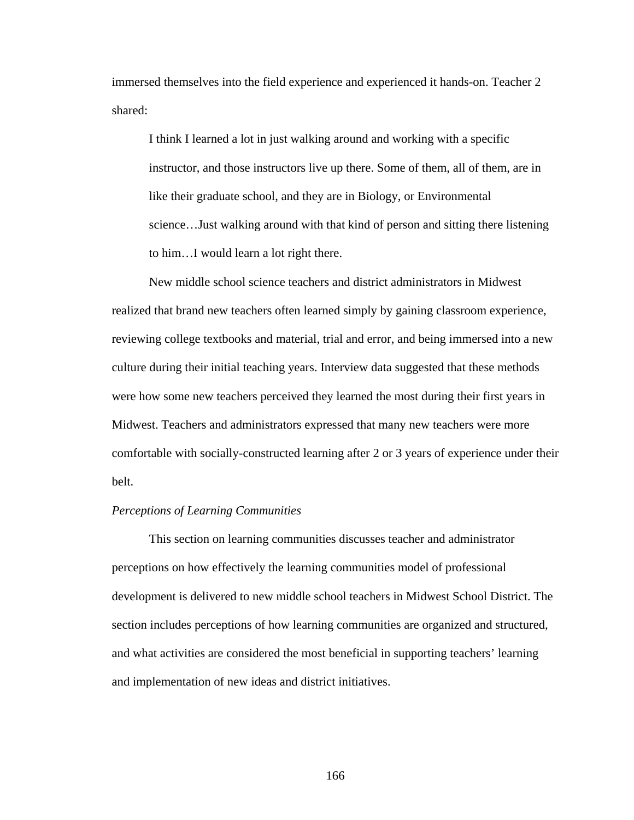immersed themselves into the field experience and experienced it hands-on. Teacher 2 shared:

I think I learned a lot in just walking around and working with a specific instructor, and those instructors live up there. Some of them, all of them, are in like their graduate school, and they are in Biology, or Environmental science…Just walking around with that kind of person and sitting there listening to him…I would learn a lot right there.

New middle school science teachers and district administrators in Midwest realized that brand new teachers often learned simply by gaining classroom experience, reviewing college textbooks and material, trial and error, and being immersed into a new culture during their initial teaching years. Interview data suggested that these methods were how some new teachers perceived they learned the most during their first years in Midwest. Teachers and administrators expressed that many new teachers were more comfortable with socially-constructed learning after 2 or 3 years of experience under their belt.

# *Perceptions of Learning Communities*

 This section on learning communities discusses teacher and administrator perceptions on how effectively the learning communities model of professional development is delivered to new middle school teachers in Midwest School District. The section includes perceptions of how learning communities are organized and structured, and what activities are considered the most beneficial in supporting teachers' learning and implementation of new ideas and district initiatives.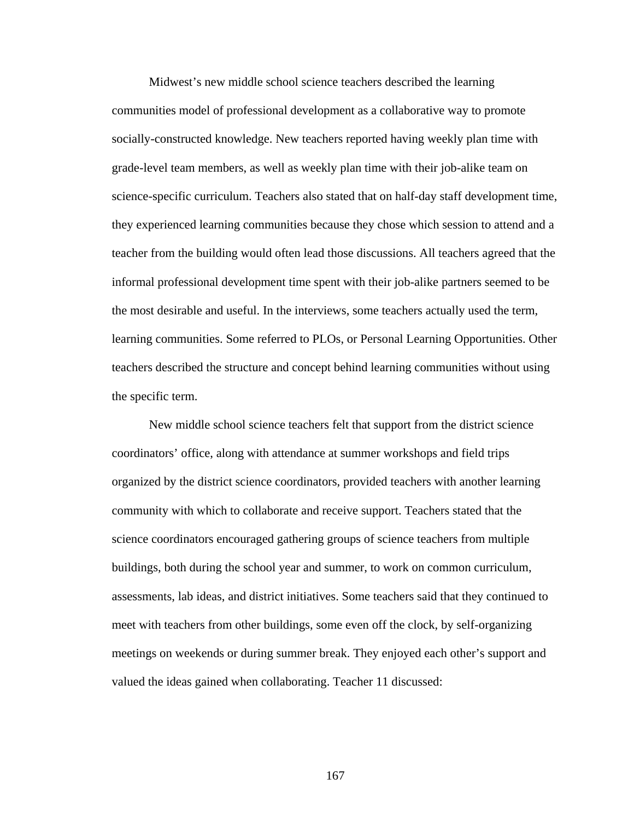Midwest's new middle school science teachers described the learning communities model of professional development as a collaborative way to promote socially-constructed knowledge. New teachers reported having weekly plan time with grade-level team members, as well as weekly plan time with their job-alike team on science-specific curriculum. Teachers also stated that on half-day staff development time, they experienced learning communities because they chose which session to attend and a teacher from the building would often lead those discussions. All teachers agreed that the informal professional development time spent with their job-alike partners seemed to be the most desirable and useful. In the interviews, some teachers actually used the term, learning communities. Some referred to PLOs, or Personal Learning Opportunities. Other teachers described the structure and concept behind learning communities without using the specific term.

 New middle school science teachers felt that support from the district science coordinators' office, along with attendance at summer workshops and field trips organized by the district science coordinators, provided teachers with another learning community with which to collaborate and receive support. Teachers stated that the science coordinators encouraged gathering groups of science teachers from multiple buildings, both during the school year and summer, to work on common curriculum, assessments, lab ideas, and district initiatives. Some teachers said that they continued to meet with teachers from other buildings, some even off the clock, by self-organizing meetings on weekends or during summer break. They enjoyed each other's support and valued the ideas gained when collaborating. Teacher 11 discussed: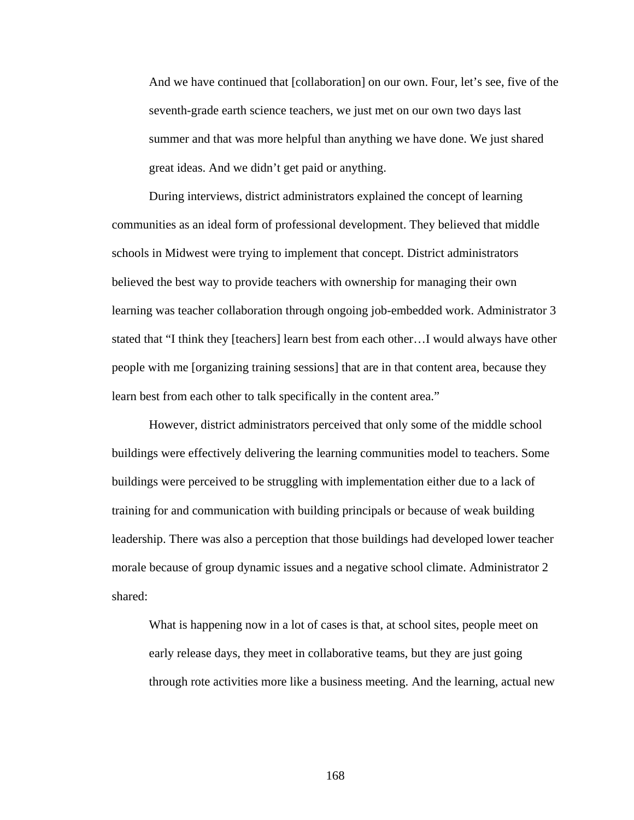And we have continued that [collaboration] on our own. Four, let's see, five of the seventh-grade earth science teachers, we just met on our own two days last summer and that was more helpful than anything we have done. We just shared great ideas. And we didn't get paid or anything.

 During interviews, district administrators explained the concept of learning communities as an ideal form of professional development. They believed that middle schools in Midwest were trying to implement that concept. District administrators believed the best way to provide teachers with ownership for managing their own learning was teacher collaboration through ongoing job-embedded work. Administrator 3 stated that "I think they [teachers] learn best from each other…I would always have other people with me [organizing training sessions] that are in that content area, because they learn best from each other to talk specifically in the content area."

 However, district administrators perceived that only some of the middle school buildings were effectively delivering the learning communities model to teachers. Some buildings were perceived to be struggling with implementation either due to a lack of training for and communication with building principals or because of weak building leadership. There was also a perception that those buildings had developed lower teacher morale because of group dynamic issues and a negative school climate. Administrator 2 shared:

What is happening now in a lot of cases is that, at school sites, people meet on early release days, they meet in collaborative teams, but they are just going through rote activities more like a business meeting. And the learning, actual new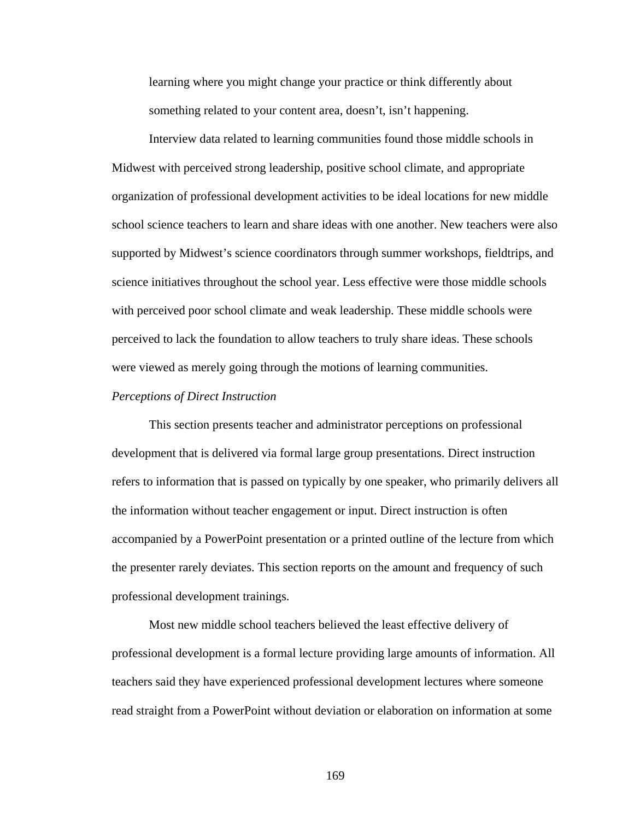learning where you might change your practice or think differently about something related to your content area, doesn't, isn't happening.

 Interview data related to learning communities found those middle schools in Midwest with perceived strong leadership, positive school climate, and appropriate organization of professional development activities to be ideal locations for new middle school science teachers to learn and share ideas with one another. New teachers were also supported by Midwest's science coordinators through summer workshops, fieldtrips, and science initiatives throughout the school year. Less effective were those middle schools with perceived poor school climate and weak leadership. These middle schools were perceived to lack the foundation to allow teachers to truly share ideas. These schools were viewed as merely going through the motions of learning communities.

### *Perceptions of Direct Instruction*

 This section presents teacher and administrator perceptions on professional development that is delivered via formal large group presentations. Direct instruction refers to information that is passed on typically by one speaker, who primarily delivers all the information without teacher engagement or input. Direct instruction is often accompanied by a PowerPoint presentation or a printed outline of the lecture from which the presenter rarely deviates. This section reports on the amount and frequency of such professional development trainings.

 Most new middle school teachers believed the least effective delivery of professional development is a formal lecture providing large amounts of information. All teachers said they have experienced professional development lectures where someone read straight from a PowerPoint without deviation or elaboration on information at some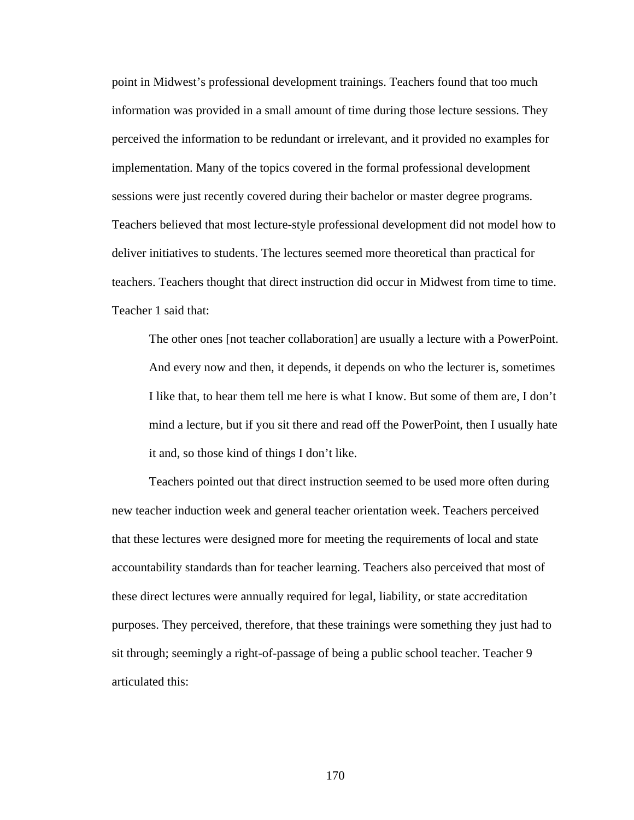point in Midwest's professional development trainings. Teachers found that too much information was provided in a small amount of time during those lecture sessions. They perceived the information to be redundant or irrelevant, and it provided no examples for implementation. Many of the topics covered in the formal professional development sessions were just recently covered during their bachelor or master degree programs. Teachers believed that most lecture-style professional development did not model how to deliver initiatives to students. The lectures seemed more theoretical than practical for teachers. Teachers thought that direct instruction did occur in Midwest from time to time. Teacher 1 said that:

The other ones [not teacher collaboration] are usually a lecture with a PowerPoint. And every now and then, it depends, it depends on who the lecturer is, sometimes I like that, to hear them tell me here is what I know. But some of them are, I don't mind a lecture, but if you sit there and read off the PowerPoint, then I usually hate it and, so those kind of things I don't like.

 Teachers pointed out that direct instruction seemed to be used more often during new teacher induction week and general teacher orientation week. Teachers perceived that these lectures were designed more for meeting the requirements of local and state accountability standards than for teacher learning. Teachers also perceived that most of these direct lectures were annually required for legal, liability, or state accreditation purposes. They perceived, therefore, that these trainings were something they just had to sit through; seemingly a right-of-passage of being a public school teacher. Teacher 9 articulated this: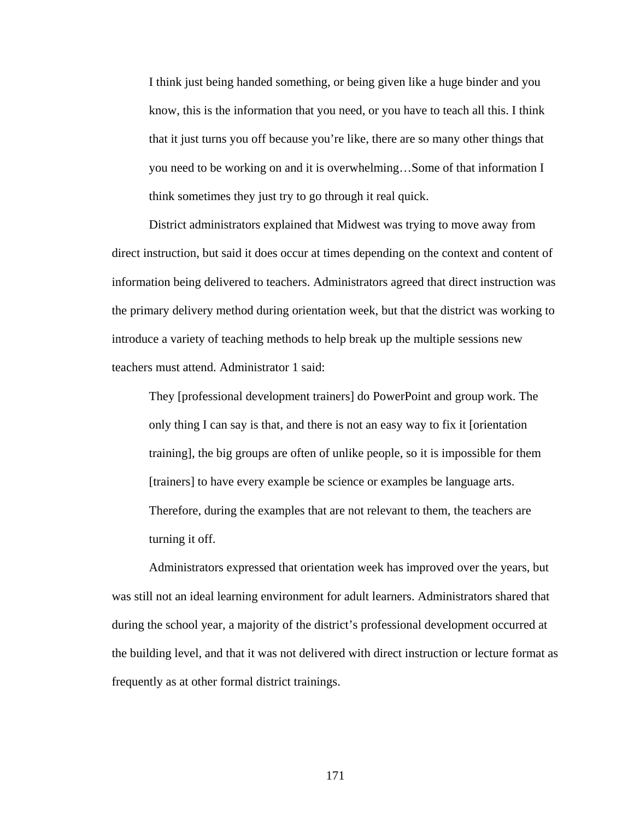I think just being handed something, or being given like a huge binder and you know, this is the information that you need, or you have to teach all this. I think that it just turns you off because you're like, there are so many other things that you need to be working on and it is overwhelming…Some of that information I think sometimes they just try to go through it real quick.

 District administrators explained that Midwest was trying to move away from direct instruction, but said it does occur at times depending on the context and content of information being delivered to teachers. Administrators agreed that direct instruction was the primary delivery method during orientation week, but that the district was working to introduce a variety of teaching methods to help break up the multiple sessions new teachers must attend. Administrator 1 said:

They [professional development trainers] do PowerPoint and group work. The only thing I can say is that, and there is not an easy way to fix it [orientation training], the big groups are often of unlike people, so it is impossible for them [trainers] to have every example be science or examples be language arts. Therefore, during the examples that are not relevant to them, the teachers are turning it off.

 Administrators expressed that orientation week has improved over the years, but was still not an ideal learning environment for adult learners. Administrators shared that during the school year, a majority of the district's professional development occurred at the building level, and that it was not delivered with direct instruction or lecture format as frequently as at other formal district trainings.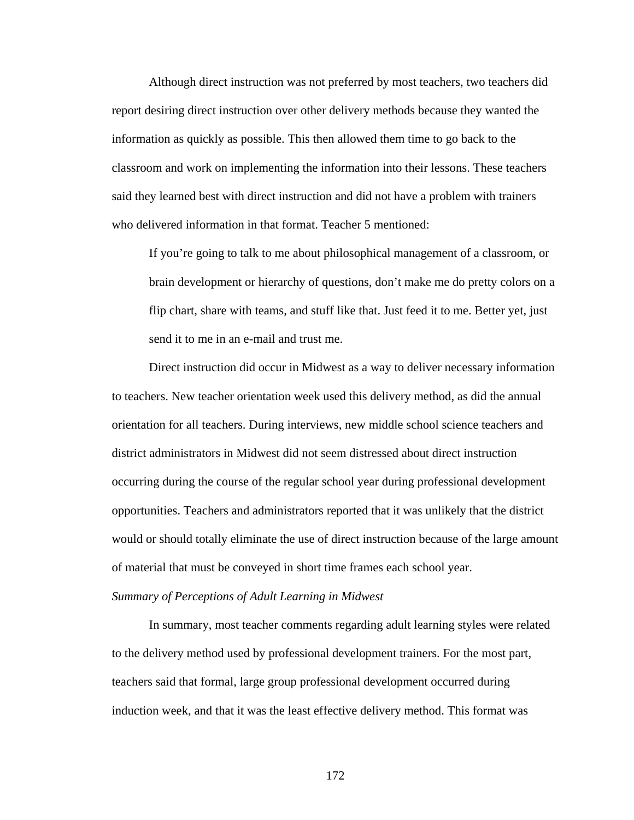Although direct instruction was not preferred by most teachers, two teachers did report desiring direct instruction over other delivery methods because they wanted the information as quickly as possible. This then allowed them time to go back to the classroom and work on implementing the information into their lessons. These teachers said they learned best with direct instruction and did not have a problem with trainers who delivered information in that format. Teacher 5 mentioned:

If you're going to talk to me about philosophical management of a classroom, or brain development or hierarchy of questions, don't make me do pretty colors on a flip chart, share with teams, and stuff like that. Just feed it to me. Better yet, just send it to me in an e-mail and trust me.

Direct instruction did occur in Midwest as a way to deliver necessary information to teachers. New teacher orientation week used this delivery method, as did the annual orientation for all teachers. During interviews, new middle school science teachers and district administrators in Midwest did not seem distressed about direct instruction occurring during the course of the regular school year during professional development opportunities. Teachers and administrators reported that it was unlikely that the district would or should totally eliminate the use of direct instruction because of the large amount of material that must be conveyed in short time frames each school year.

### *Summary of Perceptions of Adult Learning in Midwest*

 In summary, most teacher comments regarding adult learning styles were related to the delivery method used by professional development trainers. For the most part, teachers said that formal, large group professional development occurred during induction week, and that it was the least effective delivery method. This format was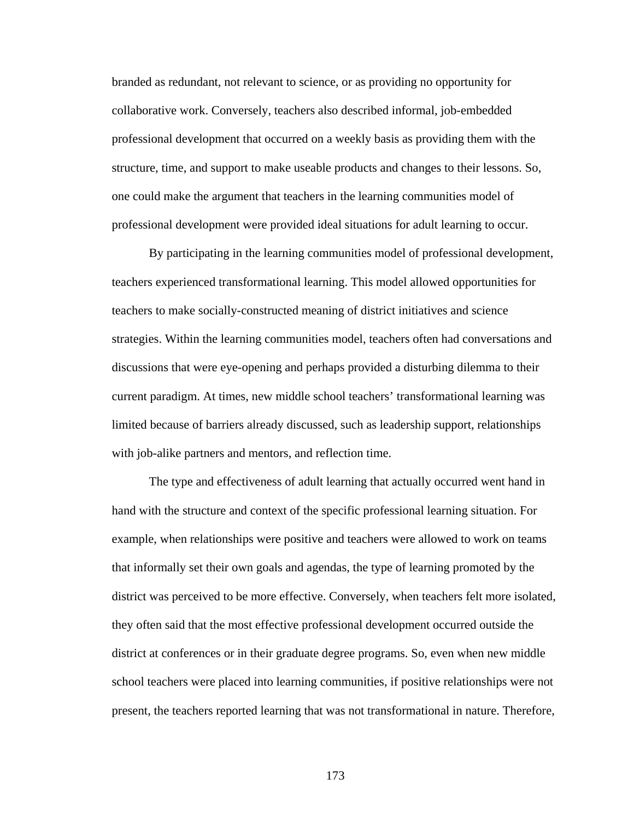branded as redundant, not relevant to science, or as providing no opportunity for collaborative work. Conversely, teachers also described informal, job-embedded professional development that occurred on a weekly basis as providing them with the structure, time, and support to make useable products and changes to their lessons. So, one could make the argument that teachers in the learning communities model of professional development were provided ideal situations for adult learning to occur.

 By participating in the learning communities model of professional development, teachers experienced transformational learning. This model allowed opportunities for teachers to make socially-constructed meaning of district initiatives and science strategies. Within the learning communities model, teachers often had conversations and discussions that were eye-opening and perhaps provided a disturbing dilemma to their current paradigm. At times, new middle school teachers' transformational learning was limited because of barriers already discussed, such as leadership support, relationships with job-alike partners and mentors, and reflection time.

 The type and effectiveness of adult learning that actually occurred went hand in hand with the structure and context of the specific professional learning situation. For example, when relationships were positive and teachers were allowed to work on teams that informally set their own goals and agendas, the type of learning promoted by the district was perceived to be more effective. Conversely, when teachers felt more isolated, they often said that the most effective professional development occurred outside the district at conferences or in their graduate degree programs. So, even when new middle school teachers were placed into learning communities, if positive relationships were not present, the teachers reported learning that was not transformational in nature. Therefore,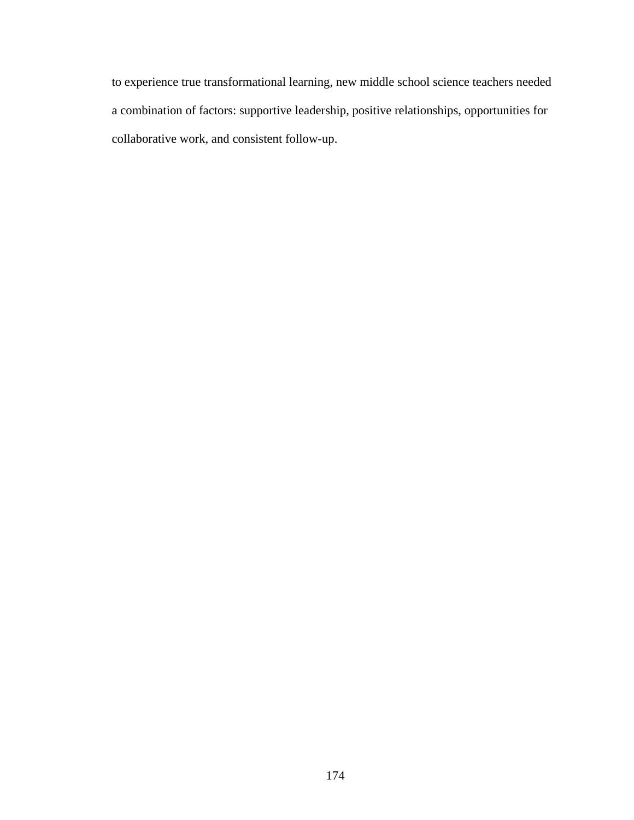to experience true transformational learning, new middle school science teachers needed a combination of factors: supportive leadership, positive relationships, opportunities for collaborative work, and consistent follow-up.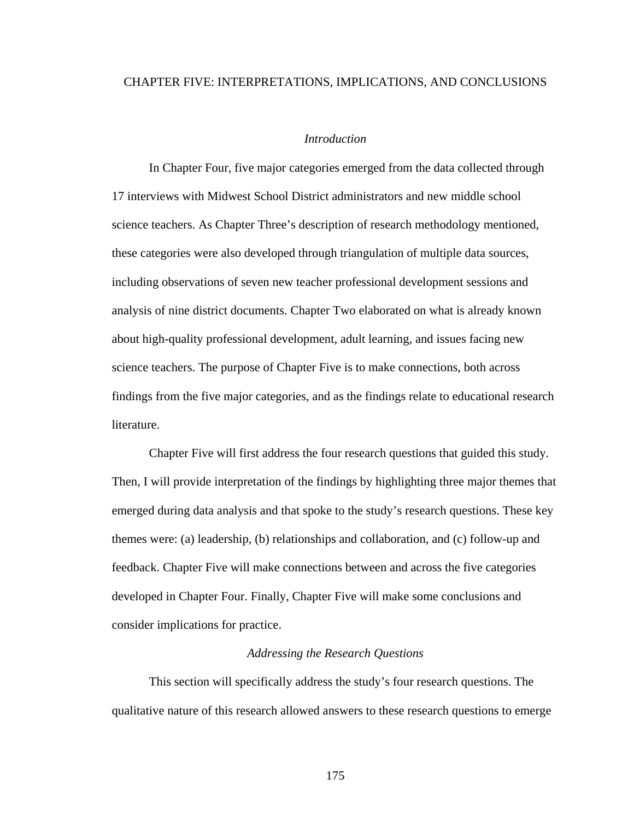# CHAPTER FIVE: INTERPRETATIONS, IMPLICATIONS, AND CONCLUSIONS

## *Introduction*

 In Chapter Four, five major categories emerged from the data collected through 17 interviews with Midwest School District administrators and new middle school science teachers. As Chapter Three's description of research methodology mentioned, these categories were also developed through triangulation of multiple data sources, including observations of seven new teacher professional development sessions and analysis of nine district documents. Chapter Two elaborated on what is already known about high-quality professional development, adult learning, and issues facing new science teachers. The purpose of Chapter Five is to make connections, both across findings from the five major categories, and as the findings relate to educational research literature.

 Chapter Five will first address the four research questions that guided this study. Then, I will provide interpretation of the findings by highlighting three major themes that emerged during data analysis and that spoke to the study's research questions. These key themes were: (a) leadership, (b) relationships and collaboration, and (c) follow-up and feedback. Chapter Five will make connections between and across the five categories developed in Chapter Four. Finally, Chapter Five will make some conclusions and consider implications for practice.

## *Addressing the Research Questions*

 This section will specifically address the study's four research questions. The qualitative nature of this research allowed answers to these research questions to emerge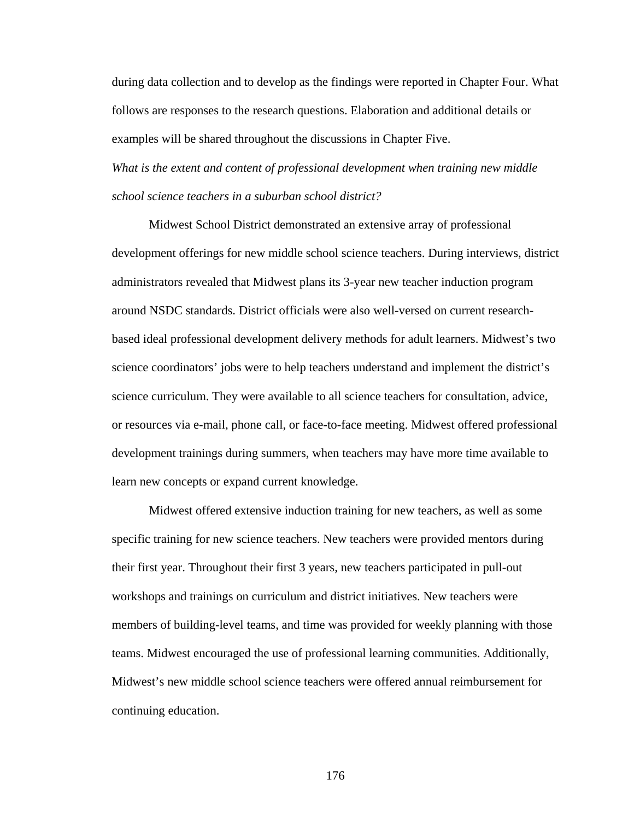during data collection and to develop as the findings were reported in Chapter Four. What follows are responses to the research questions. Elaboration and additional details or examples will be shared throughout the discussions in Chapter Five. *What is the extent and content of professional development when training new middle school science teachers in a suburban school district?* 

 Midwest School District demonstrated an extensive array of professional development offerings for new middle school science teachers. During interviews, district administrators revealed that Midwest plans its 3-year new teacher induction program around NSDC standards. District officials were also well-versed on current researchbased ideal professional development delivery methods for adult learners. Midwest's two science coordinators' jobs were to help teachers understand and implement the district's science curriculum. They were available to all science teachers for consultation, advice, or resources via e-mail, phone call, or face-to-face meeting. Midwest offered professional development trainings during summers, when teachers may have more time available to learn new concepts or expand current knowledge.

 Midwest offered extensive induction training for new teachers, as well as some specific training for new science teachers. New teachers were provided mentors during their first year. Throughout their first 3 years, new teachers participated in pull-out workshops and trainings on curriculum and district initiatives. New teachers were members of building-level teams, and time was provided for weekly planning with those teams. Midwest encouraged the use of professional learning communities. Additionally, Midwest's new middle school science teachers were offered annual reimbursement for continuing education.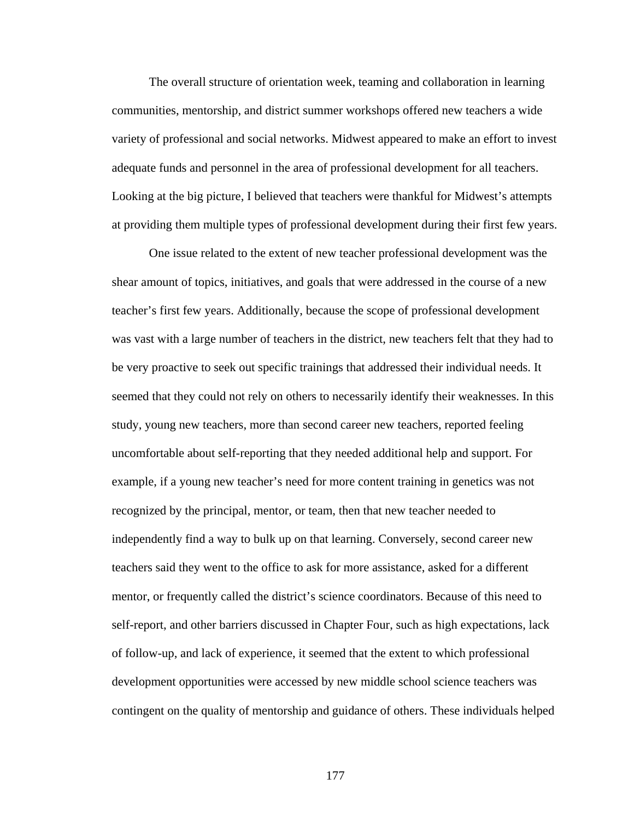The overall structure of orientation week, teaming and collaboration in learning communities, mentorship, and district summer workshops offered new teachers a wide variety of professional and social networks. Midwest appeared to make an effort to invest adequate funds and personnel in the area of professional development for all teachers. Looking at the big picture, I believed that teachers were thankful for Midwest's attempts at providing them multiple types of professional development during their first few years.

 One issue related to the extent of new teacher professional development was the shear amount of topics, initiatives, and goals that were addressed in the course of a new teacher's first few years. Additionally, because the scope of professional development was vast with a large number of teachers in the district, new teachers felt that they had to be very proactive to seek out specific trainings that addressed their individual needs. It seemed that they could not rely on others to necessarily identify their weaknesses. In this study, young new teachers, more than second career new teachers, reported feeling uncomfortable about self-reporting that they needed additional help and support. For example, if a young new teacher's need for more content training in genetics was not recognized by the principal, mentor, or team, then that new teacher needed to independently find a way to bulk up on that learning. Conversely, second career new teachers said they went to the office to ask for more assistance, asked for a different mentor, or frequently called the district's science coordinators. Because of this need to self-report, and other barriers discussed in Chapter Four, such as high expectations, lack of follow-up, and lack of experience, it seemed that the extent to which professional development opportunities were accessed by new middle school science teachers was contingent on the quality of mentorship and guidance of others. These individuals helped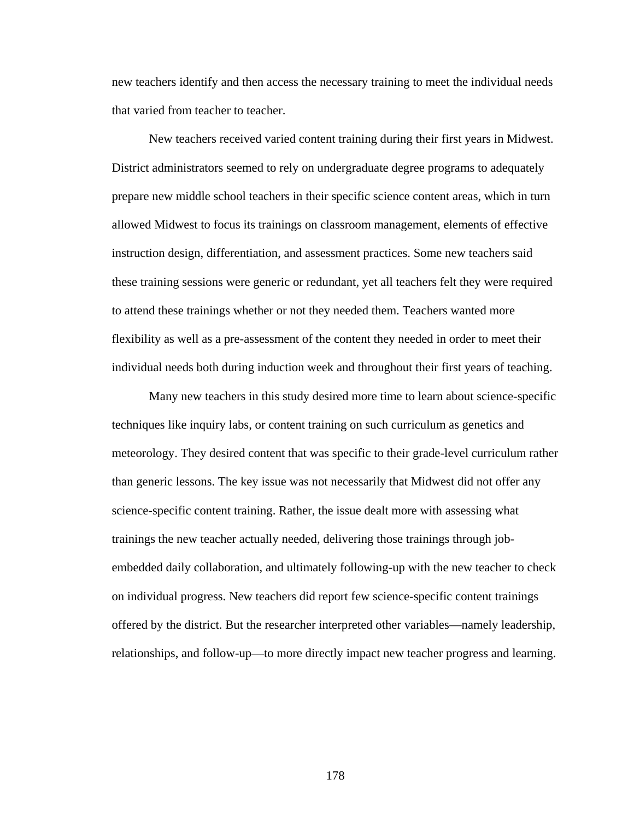new teachers identify and then access the necessary training to meet the individual needs that varied from teacher to teacher.

 New teachers received varied content training during their first years in Midwest. District administrators seemed to rely on undergraduate degree programs to adequately prepare new middle school teachers in their specific science content areas, which in turn allowed Midwest to focus its trainings on classroom management, elements of effective instruction design, differentiation, and assessment practices. Some new teachers said these training sessions were generic or redundant, yet all teachers felt they were required to attend these trainings whether or not they needed them. Teachers wanted more flexibility as well as a pre-assessment of the content they needed in order to meet their individual needs both during induction week and throughout their first years of teaching.

 Many new teachers in this study desired more time to learn about science-specific techniques like inquiry labs, or content training on such curriculum as genetics and meteorology. They desired content that was specific to their grade-level curriculum rather than generic lessons. The key issue was not necessarily that Midwest did not offer any science-specific content training. Rather, the issue dealt more with assessing what trainings the new teacher actually needed, delivering those trainings through jobembedded daily collaboration, and ultimately following-up with the new teacher to check on individual progress. New teachers did report few science-specific content trainings offered by the district. But the researcher interpreted other variables—namely leadership, relationships, and follow-up—to more directly impact new teacher progress and learning.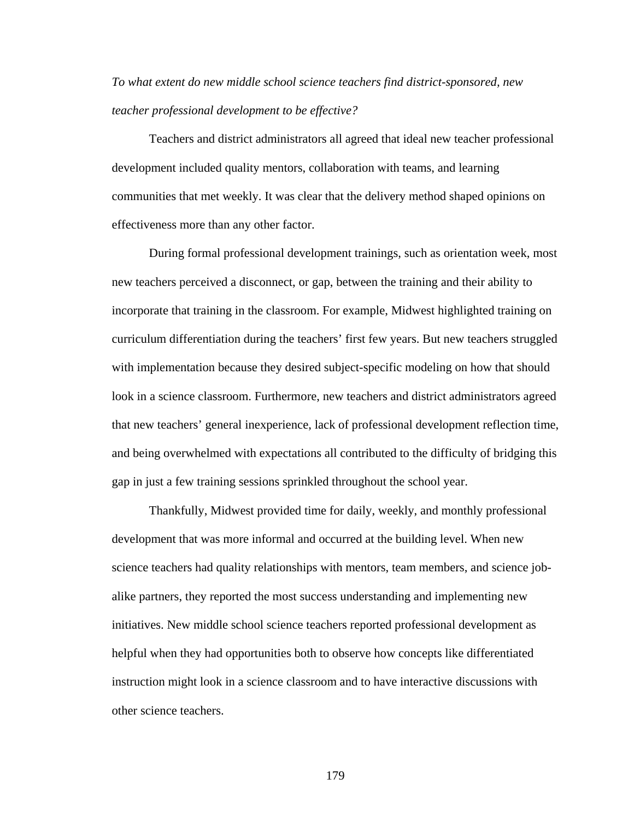*To what extent do new middle school science teachers find district-sponsored, new teacher professional development to be effective?* 

Teachers and district administrators all agreed that ideal new teacher professional development included quality mentors, collaboration with teams, and learning communities that met weekly. It was clear that the delivery method shaped opinions on effectiveness more than any other factor.

 During formal professional development trainings, such as orientation week, most new teachers perceived a disconnect, or gap, between the training and their ability to incorporate that training in the classroom. For example, Midwest highlighted training on curriculum differentiation during the teachers' first few years. But new teachers struggled with implementation because they desired subject-specific modeling on how that should look in a science classroom. Furthermore, new teachers and district administrators agreed that new teachers' general inexperience, lack of professional development reflection time, and being overwhelmed with expectations all contributed to the difficulty of bridging this gap in just a few training sessions sprinkled throughout the school year.

 Thankfully, Midwest provided time for daily, weekly, and monthly professional development that was more informal and occurred at the building level. When new science teachers had quality relationships with mentors, team members, and science jobalike partners, they reported the most success understanding and implementing new initiatives. New middle school science teachers reported professional development as helpful when they had opportunities both to observe how concepts like differentiated instruction might look in a science classroom and to have interactive discussions with other science teachers.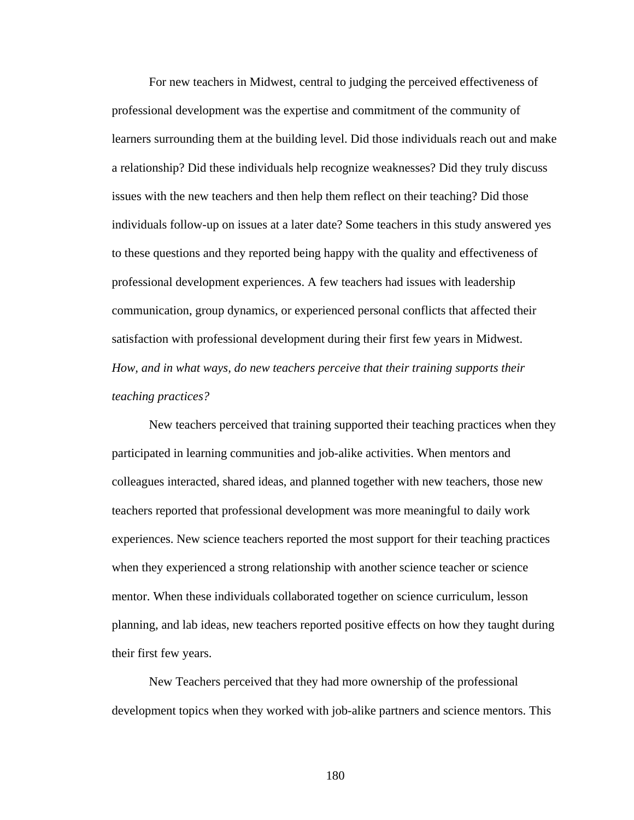For new teachers in Midwest, central to judging the perceived effectiveness of professional development was the expertise and commitment of the community of learners surrounding them at the building level. Did those individuals reach out and make a relationship? Did these individuals help recognize weaknesses? Did they truly discuss issues with the new teachers and then help them reflect on their teaching? Did those individuals follow-up on issues at a later date? Some teachers in this study answered yes to these questions and they reported being happy with the quality and effectiveness of professional development experiences. A few teachers had issues with leadership communication, group dynamics, or experienced personal conflicts that affected their satisfaction with professional development during their first few years in Midwest. *How, and in what ways, do new teachers perceive that their training supports their teaching practices?* 

 New teachers perceived that training supported their teaching practices when they participated in learning communities and job-alike activities. When mentors and colleagues interacted, shared ideas, and planned together with new teachers, those new teachers reported that professional development was more meaningful to daily work experiences. New science teachers reported the most support for their teaching practices when they experienced a strong relationship with another science teacher or science mentor. When these individuals collaborated together on science curriculum, lesson planning, and lab ideas, new teachers reported positive effects on how they taught during their first few years.

 New Teachers perceived that they had more ownership of the professional development topics when they worked with job-alike partners and science mentors. This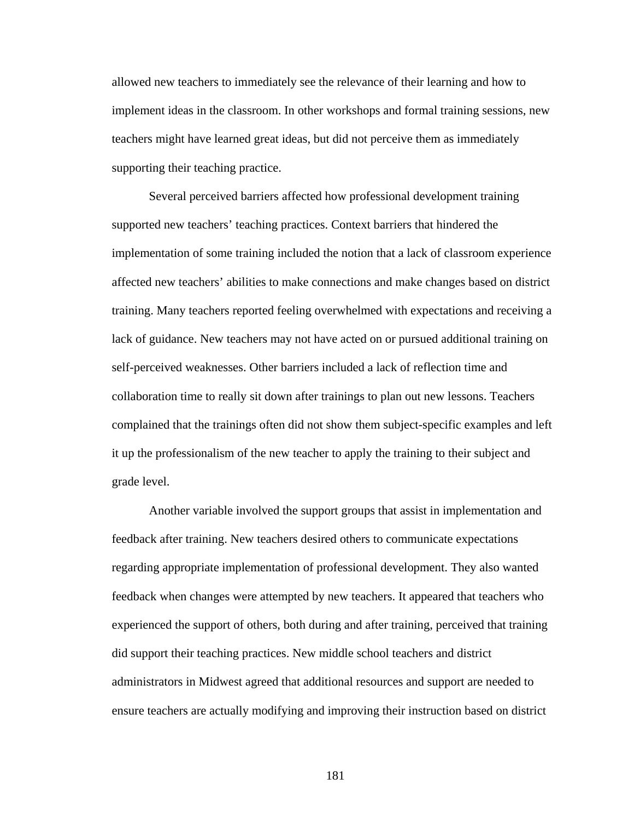allowed new teachers to immediately see the relevance of their learning and how to implement ideas in the classroom. In other workshops and formal training sessions, new teachers might have learned great ideas, but did not perceive them as immediately supporting their teaching practice.

 Several perceived barriers affected how professional development training supported new teachers' teaching practices. Context barriers that hindered the implementation of some training included the notion that a lack of classroom experience affected new teachers' abilities to make connections and make changes based on district training. Many teachers reported feeling overwhelmed with expectations and receiving a lack of guidance. New teachers may not have acted on or pursued additional training on self-perceived weaknesses. Other barriers included a lack of reflection time and collaboration time to really sit down after trainings to plan out new lessons. Teachers complained that the trainings often did not show them subject-specific examples and left it up the professionalism of the new teacher to apply the training to their subject and grade level.

 Another variable involved the support groups that assist in implementation and feedback after training. New teachers desired others to communicate expectations regarding appropriate implementation of professional development. They also wanted feedback when changes were attempted by new teachers. It appeared that teachers who experienced the support of others, both during and after training, perceived that training did support their teaching practices. New middle school teachers and district administrators in Midwest agreed that additional resources and support are needed to ensure teachers are actually modifying and improving their instruction based on district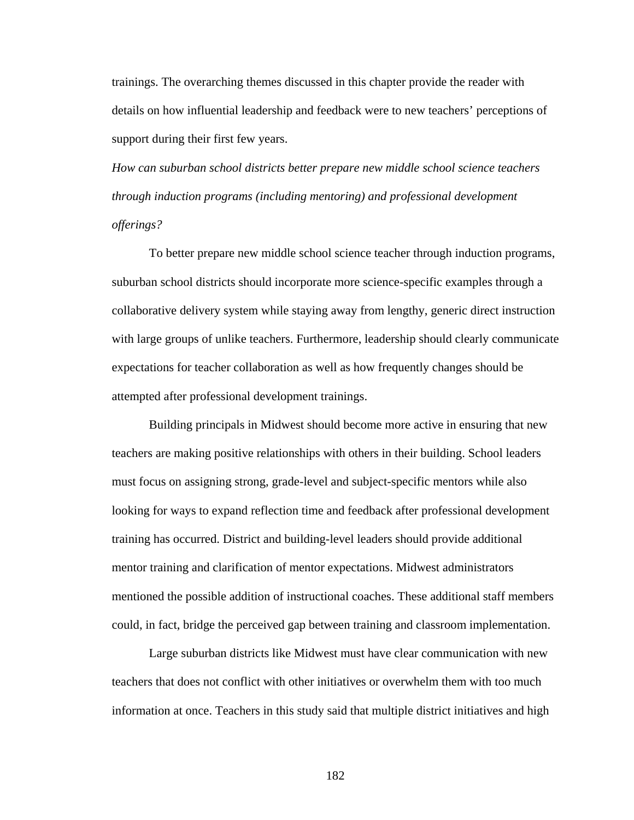trainings. The overarching themes discussed in this chapter provide the reader with details on how influential leadership and feedback were to new teachers' perceptions of support during their first few years.

*How can suburban school districts better prepare new middle school science teachers through induction programs (including mentoring) and professional development offerings?* 

 To better prepare new middle school science teacher through induction programs, suburban school districts should incorporate more science-specific examples through a collaborative delivery system while staying away from lengthy, generic direct instruction with large groups of unlike teachers. Furthermore, leadership should clearly communicate expectations for teacher collaboration as well as how frequently changes should be attempted after professional development trainings.

 Building principals in Midwest should become more active in ensuring that new teachers are making positive relationships with others in their building. School leaders must focus on assigning strong, grade-level and subject-specific mentors while also looking for ways to expand reflection time and feedback after professional development training has occurred. District and building-level leaders should provide additional mentor training and clarification of mentor expectations. Midwest administrators mentioned the possible addition of instructional coaches. These additional staff members could, in fact, bridge the perceived gap between training and classroom implementation.

 Large suburban districts like Midwest must have clear communication with new teachers that does not conflict with other initiatives or overwhelm them with too much information at once. Teachers in this study said that multiple district initiatives and high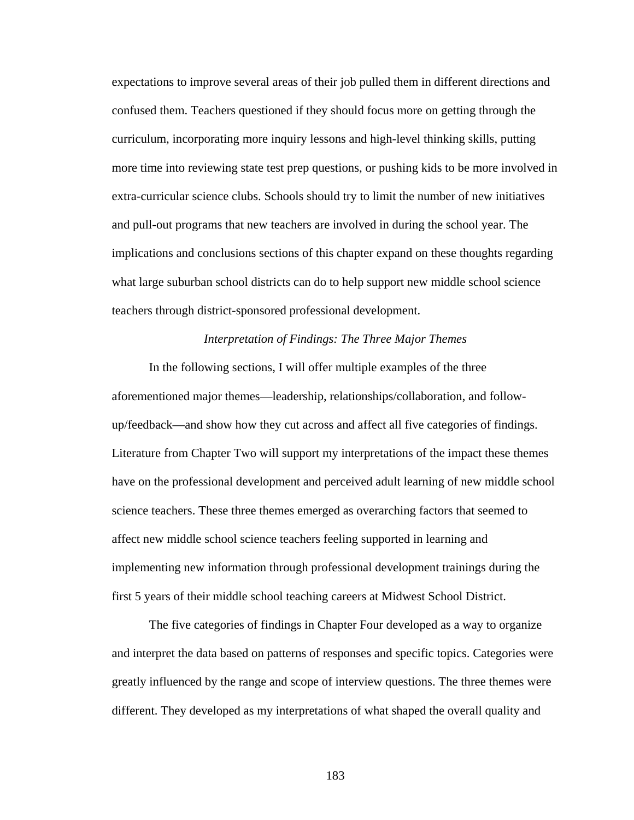expectations to improve several areas of their job pulled them in different directions and confused them. Teachers questioned if they should focus more on getting through the curriculum, incorporating more inquiry lessons and high-level thinking skills, putting more time into reviewing state test prep questions, or pushing kids to be more involved in extra-curricular science clubs. Schools should try to limit the number of new initiatives and pull-out programs that new teachers are involved in during the school year. The implications and conclusions sections of this chapter expand on these thoughts regarding what large suburban school districts can do to help support new middle school science teachers through district-sponsored professional development.

## *Interpretation of Findings: The Three Major Themes*

 In the following sections, I will offer multiple examples of the three aforementioned major themes—leadership, relationships/collaboration, and followup/feedback—and show how they cut across and affect all five categories of findings. Literature from Chapter Two will support my interpretations of the impact these themes have on the professional development and perceived adult learning of new middle school science teachers. These three themes emerged as overarching factors that seemed to affect new middle school science teachers feeling supported in learning and implementing new information through professional development trainings during the first 5 years of their middle school teaching careers at Midwest School District.

 The five categories of findings in Chapter Four developed as a way to organize and interpret the data based on patterns of responses and specific topics. Categories were greatly influenced by the range and scope of interview questions. The three themes were different. They developed as my interpretations of what shaped the overall quality and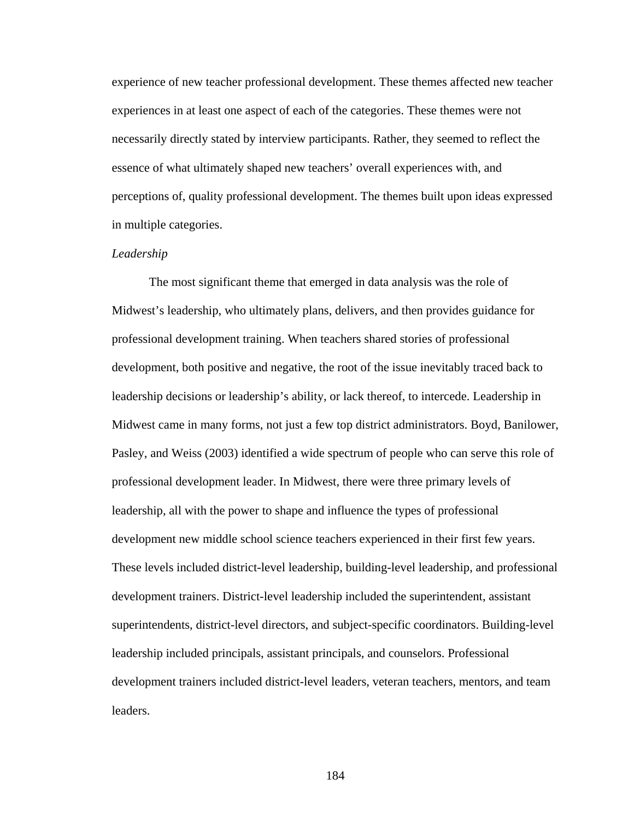experience of new teacher professional development. These themes affected new teacher experiences in at least one aspect of each of the categories. These themes were not necessarily directly stated by interview participants. Rather, they seemed to reflect the essence of what ultimately shaped new teachers' overall experiences with, and perceptions of, quality professional development. The themes built upon ideas expressed in multiple categories.

### *Leadership*

The most significant theme that emerged in data analysis was the role of Midwest's leadership, who ultimately plans, delivers, and then provides guidance for professional development training. When teachers shared stories of professional development, both positive and negative, the root of the issue inevitably traced back to leadership decisions or leadership's ability, or lack thereof, to intercede. Leadership in Midwest came in many forms, not just a few top district administrators. Boyd, Banilower, Pasley, and Weiss (2003) identified a wide spectrum of people who can serve this role of professional development leader. In Midwest, there were three primary levels of leadership, all with the power to shape and influence the types of professional development new middle school science teachers experienced in their first few years. These levels included district-level leadership, building-level leadership, and professional development trainers. District-level leadership included the superintendent, assistant superintendents, district-level directors, and subject-specific coordinators. Building-level leadership included principals, assistant principals, and counselors. Professional development trainers included district-level leaders, veteran teachers, mentors, and team leaders.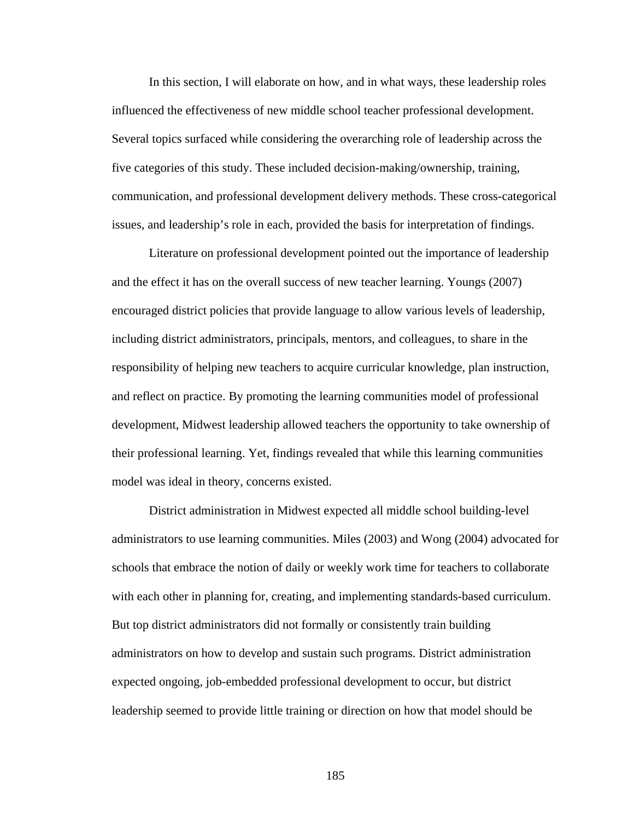In this section, I will elaborate on how, and in what ways, these leadership roles influenced the effectiveness of new middle school teacher professional development. Several topics surfaced while considering the overarching role of leadership across the five categories of this study. These included decision-making/ownership, training, communication, and professional development delivery methods. These cross-categorical issues, and leadership's role in each, provided the basis for interpretation of findings.

 Literature on professional development pointed out the importance of leadership and the effect it has on the overall success of new teacher learning. Youngs (2007) encouraged district policies that provide language to allow various levels of leadership, including district administrators, principals, mentors, and colleagues, to share in the responsibility of helping new teachers to acquire curricular knowledge, plan instruction, and reflect on practice. By promoting the learning communities model of professional development, Midwest leadership allowed teachers the opportunity to take ownership of their professional learning. Yet, findings revealed that while this learning communities model was ideal in theory, concerns existed.

District administration in Midwest expected all middle school building-level administrators to use learning communities. Miles (2003) and Wong (2004) advocated for schools that embrace the notion of daily or weekly work time for teachers to collaborate with each other in planning for, creating, and implementing standards-based curriculum. But top district administrators did not formally or consistently train building administrators on how to develop and sustain such programs. District administration expected ongoing, job-embedded professional development to occur, but district leadership seemed to provide little training or direction on how that model should be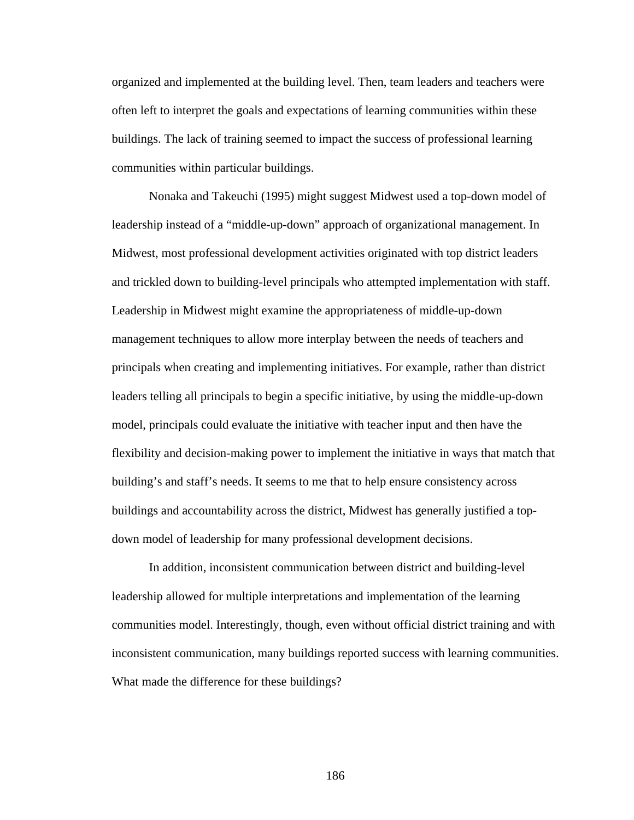organized and implemented at the building level. Then, team leaders and teachers were often left to interpret the goals and expectations of learning communities within these buildings. The lack of training seemed to impact the success of professional learning communities within particular buildings.

Nonaka and Takeuchi (1995) might suggest Midwest used a top-down model of leadership instead of a "middle-up-down" approach of organizational management. In Midwest, most professional development activities originated with top district leaders and trickled down to building-level principals who attempted implementation with staff. Leadership in Midwest might examine the appropriateness of middle-up-down management techniques to allow more interplay between the needs of teachers and principals when creating and implementing initiatives. For example, rather than district leaders telling all principals to begin a specific initiative, by using the middle-up-down model, principals could evaluate the initiative with teacher input and then have the flexibility and decision-making power to implement the initiative in ways that match that building's and staff's needs. It seems to me that to help ensure consistency across buildings and accountability across the district, Midwest has generally justified a topdown model of leadership for many professional development decisions.

In addition, inconsistent communication between district and building-level leadership allowed for multiple interpretations and implementation of the learning communities model. Interestingly, though, even without official district training and with inconsistent communication, many buildings reported success with learning communities. What made the difference for these buildings?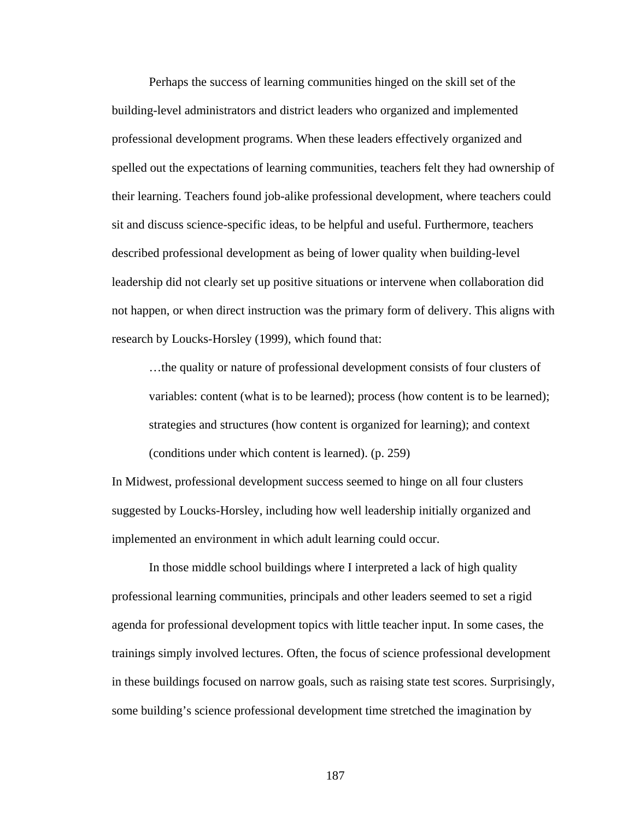Perhaps the success of learning communities hinged on the skill set of the building-level administrators and district leaders who organized and implemented professional development programs. When these leaders effectively organized and spelled out the expectations of learning communities, teachers felt they had ownership of their learning. Teachers found job-alike professional development, where teachers could sit and discuss science-specific ideas, to be helpful and useful. Furthermore, teachers described professional development as being of lower quality when building-level leadership did not clearly set up positive situations or intervene when collaboration did not happen, or when direct instruction was the primary form of delivery. This aligns with research by Loucks-Horsley (1999), which found that:

…the quality or nature of professional development consists of four clusters of variables: content (what is to be learned); process (how content is to be learned); strategies and structures (how content is organized for learning); and context (conditions under which content is learned). (p. 259)

In Midwest, professional development success seemed to hinge on all four clusters suggested by Loucks-Horsley, including how well leadership initially organized and implemented an environment in which adult learning could occur.

 In those middle school buildings where I interpreted a lack of high quality professional learning communities, principals and other leaders seemed to set a rigid agenda for professional development topics with little teacher input. In some cases, the trainings simply involved lectures. Often, the focus of science professional development in these buildings focused on narrow goals, such as raising state test scores. Surprisingly, some building's science professional development time stretched the imagination by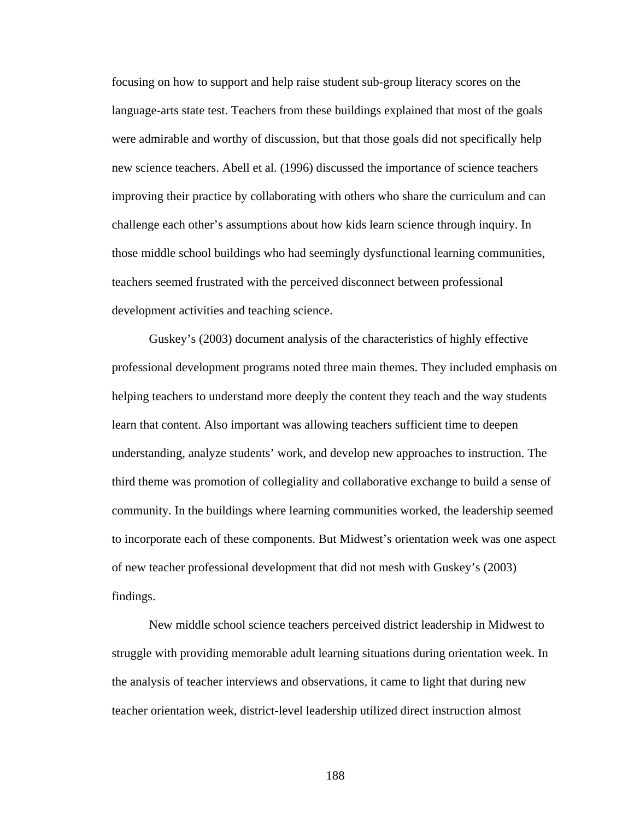focusing on how to support and help raise student sub-group literacy scores on the language-arts state test. Teachers from these buildings explained that most of the goals were admirable and worthy of discussion, but that those goals did not specifically help new science teachers. Abell et al. (1996) discussed the importance of science teachers improving their practice by collaborating with others who share the curriculum and can challenge each other's assumptions about how kids learn science through inquiry. In those middle school buildings who had seemingly dysfunctional learning communities, teachers seemed frustrated with the perceived disconnect between professional development activities and teaching science.

 Guskey's (2003) document analysis of the characteristics of highly effective professional development programs noted three main themes. They included emphasis on helping teachers to understand more deeply the content they teach and the way students learn that content. Also important was allowing teachers sufficient time to deepen understanding, analyze students' work, and develop new approaches to instruction. The third theme was promotion of collegiality and collaborative exchange to build a sense of community. In the buildings where learning communities worked, the leadership seemed to incorporate each of these components. But Midwest's orientation week was one aspect of new teacher professional development that did not mesh with Guskey's (2003) findings.

 New middle school science teachers perceived district leadership in Midwest to struggle with providing memorable adult learning situations during orientation week. In the analysis of teacher interviews and observations, it came to light that during new teacher orientation week, district-level leadership utilized direct instruction almost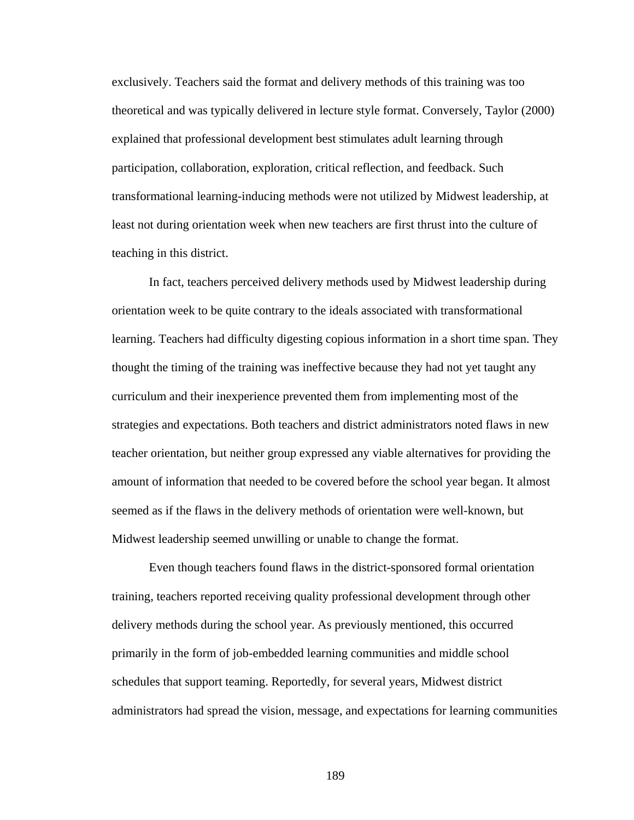exclusively. Teachers said the format and delivery methods of this training was too theoretical and was typically delivered in lecture style format. Conversely, Taylor (2000) explained that professional development best stimulates adult learning through participation, collaboration, exploration, critical reflection, and feedback. Such transformational learning-inducing methods were not utilized by Midwest leadership, at least not during orientation week when new teachers are first thrust into the culture of teaching in this district.

 In fact, teachers perceived delivery methods used by Midwest leadership during orientation week to be quite contrary to the ideals associated with transformational learning. Teachers had difficulty digesting copious information in a short time span. They thought the timing of the training was ineffective because they had not yet taught any curriculum and their inexperience prevented them from implementing most of the strategies and expectations. Both teachers and district administrators noted flaws in new teacher orientation, but neither group expressed any viable alternatives for providing the amount of information that needed to be covered before the school year began. It almost seemed as if the flaws in the delivery methods of orientation were well-known, but Midwest leadership seemed unwilling or unable to change the format.

 Even though teachers found flaws in the district-sponsored formal orientation training, teachers reported receiving quality professional development through other delivery methods during the school year. As previously mentioned, this occurred primarily in the form of job-embedded learning communities and middle school schedules that support teaming. Reportedly, for several years, Midwest district administrators had spread the vision, message, and expectations for learning communities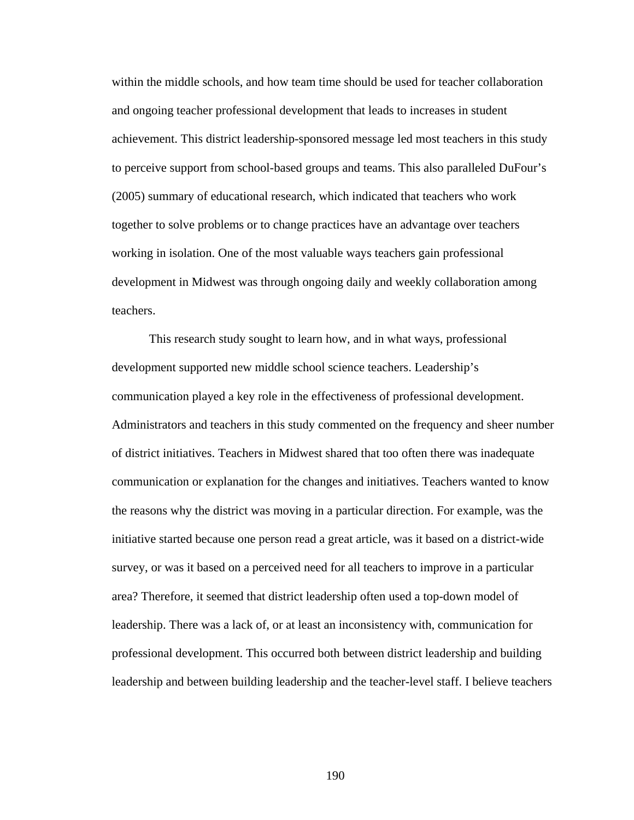within the middle schools, and how team time should be used for teacher collaboration and ongoing teacher professional development that leads to increases in student achievement. This district leadership-sponsored message led most teachers in this study to perceive support from school-based groups and teams. This also paralleled DuFour's (2005) summary of educational research, which indicated that teachers who work together to solve problems or to change practices have an advantage over teachers working in isolation. One of the most valuable ways teachers gain professional development in Midwest was through ongoing daily and weekly collaboration among teachers.

 This research study sought to learn how, and in what ways, professional development supported new middle school science teachers. Leadership's communication played a key role in the effectiveness of professional development. Administrators and teachers in this study commented on the frequency and sheer number of district initiatives. Teachers in Midwest shared that too often there was inadequate communication or explanation for the changes and initiatives. Teachers wanted to know the reasons why the district was moving in a particular direction. For example, was the initiative started because one person read a great article, was it based on a district-wide survey, or was it based on a perceived need for all teachers to improve in a particular area? Therefore, it seemed that district leadership often used a top-down model of leadership. There was a lack of, or at least an inconsistency with, communication for professional development. This occurred both between district leadership and building leadership and between building leadership and the teacher-level staff. I believe teachers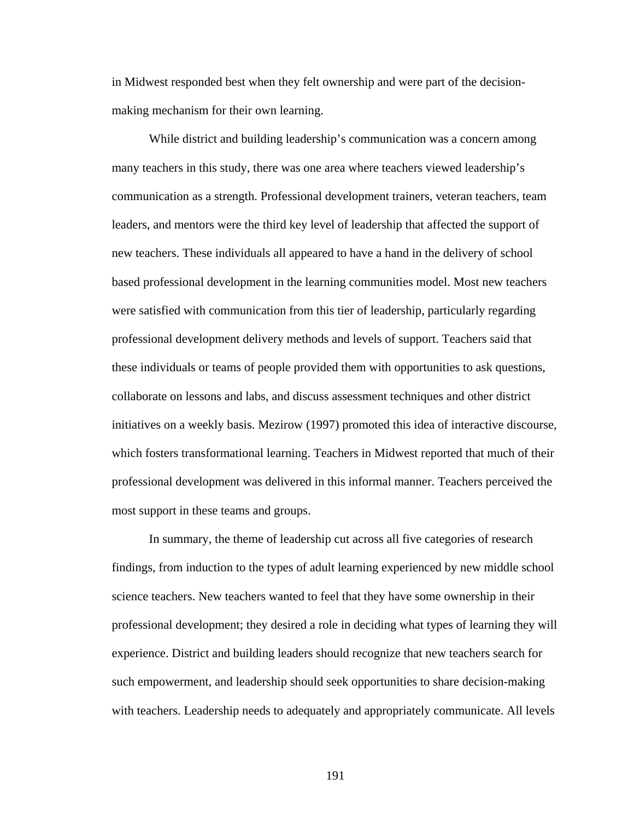in Midwest responded best when they felt ownership and were part of the decisionmaking mechanism for their own learning.

 While district and building leadership's communication was a concern among many teachers in this study, there was one area where teachers viewed leadership's communication as a strength. Professional development trainers, veteran teachers, team leaders, and mentors were the third key level of leadership that affected the support of new teachers. These individuals all appeared to have a hand in the delivery of school based professional development in the learning communities model. Most new teachers were satisfied with communication from this tier of leadership, particularly regarding professional development delivery methods and levels of support. Teachers said that these individuals or teams of people provided them with opportunities to ask questions, collaborate on lessons and labs, and discuss assessment techniques and other district initiatives on a weekly basis. Mezirow (1997) promoted this idea of interactive discourse, which fosters transformational learning. Teachers in Midwest reported that much of their professional development was delivered in this informal manner. Teachers perceived the most support in these teams and groups.

 In summary, the theme of leadership cut across all five categories of research findings, from induction to the types of adult learning experienced by new middle school science teachers. New teachers wanted to feel that they have some ownership in their professional development; they desired a role in deciding what types of learning they will experience. District and building leaders should recognize that new teachers search for such empowerment, and leadership should seek opportunities to share decision-making with teachers. Leadership needs to adequately and appropriately communicate. All levels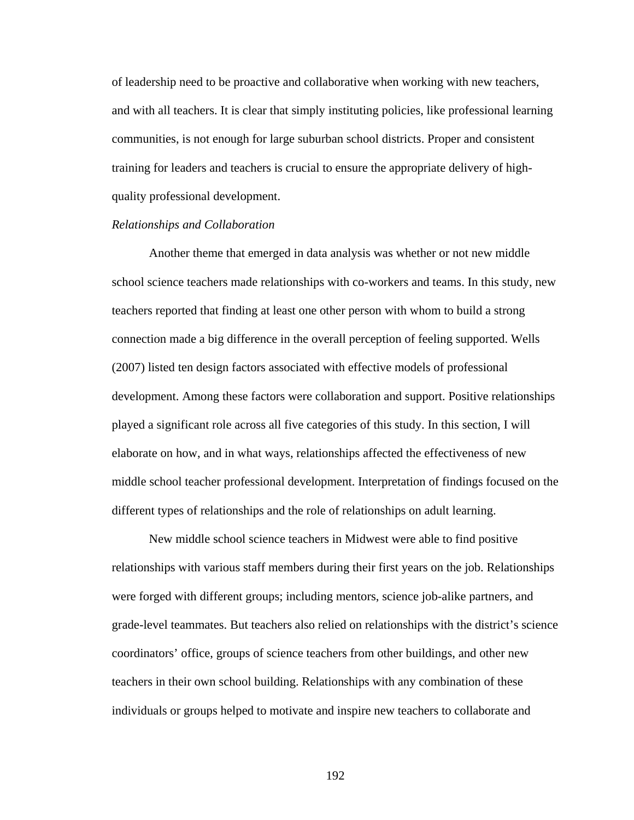of leadership need to be proactive and collaborative when working with new teachers, and with all teachers. It is clear that simply instituting policies, like professional learning communities, is not enough for large suburban school districts. Proper and consistent training for leaders and teachers is crucial to ensure the appropriate delivery of highquality professional development.

# *Relationships and Collaboration*

Another theme that emerged in data analysis was whether or not new middle school science teachers made relationships with co-workers and teams. In this study, new teachers reported that finding at least one other person with whom to build a strong connection made a big difference in the overall perception of feeling supported. Wells (2007) listed ten design factors associated with effective models of professional development. Among these factors were collaboration and support. Positive relationships played a significant role across all five categories of this study. In this section, I will elaborate on how, and in what ways, relationships affected the effectiveness of new middle school teacher professional development. Interpretation of findings focused on the different types of relationships and the role of relationships on adult learning.

New middle school science teachers in Midwest were able to find positive relationships with various staff members during their first years on the job. Relationships were forged with different groups; including mentors, science job-alike partners, and grade-level teammates. But teachers also relied on relationships with the district's science coordinators' office, groups of science teachers from other buildings, and other new teachers in their own school building. Relationships with any combination of these individuals or groups helped to motivate and inspire new teachers to collaborate and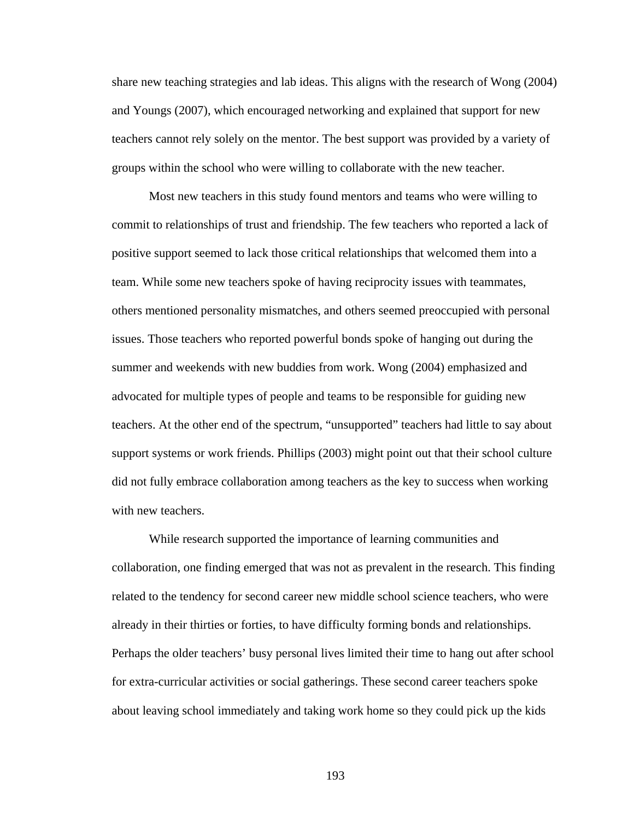share new teaching strategies and lab ideas. This aligns with the research of Wong (2004) and Youngs (2007), which encouraged networking and explained that support for new teachers cannot rely solely on the mentor. The best support was provided by a variety of groups within the school who were willing to collaborate with the new teacher.

 Most new teachers in this study found mentors and teams who were willing to commit to relationships of trust and friendship. The few teachers who reported a lack of positive support seemed to lack those critical relationships that welcomed them into a team. While some new teachers spoke of having reciprocity issues with teammates, others mentioned personality mismatches, and others seemed preoccupied with personal issues. Those teachers who reported powerful bonds spoke of hanging out during the summer and weekends with new buddies from work. Wong (2004) emphasized and advocated for multiple types of people and teams to be responsible for guiding new teachers. At the other end of the spectrum, "unsupported" teachers had little to say about support systems or work friends. Phillips (2003) might point out that their school culture did not fully embrace collaboration among teachers as the key to success when working with new teachers.

While research supported the importance of learning communities and collaboration, one finding emerged that was not as prevalent in the research. This finding related to the tendency for second career new middle school science teachers, who were already in their thirties or forties, to have difficulty forming bonds and relationships. Perhaps the older teachers' busy personal lives limited their time to hang out after school for extra-curricular activities or social gatherings. These second career teachers spoke about leaving school immediately and taking work home so they could pick up the kids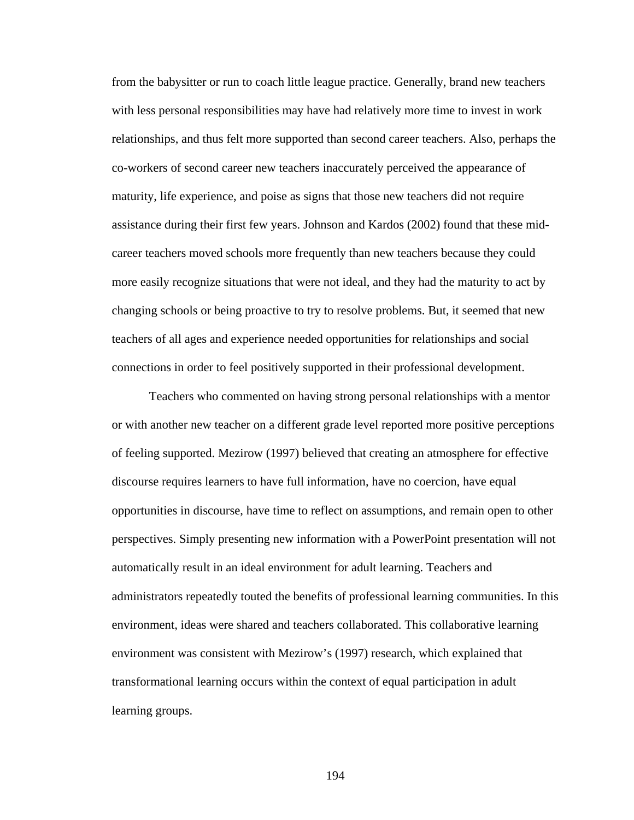from the babysitter or run to coach little league practice. Generally, brand new teachers with less personal responsibilities may have had relatively more time to invest in work relationships, and thus felt more supported than second career teachers. Also, perhaps the co-workers of second career new teachers inaccurately perceived the appearance of maturity, life experience, and poise as signs that those new teachers did not require assistance during their first few years. Johnson and Kardos (2002) found that these midcareer teachers moved schools more frequently than new teachers because they could more easily recognize situations that were not ideal, and they had the maturity to act by changing schools or being proactive to try to resolve problems. But, it seemed that new teachers of all ages and experience needed opportunities for relationships and social connections in order to feel positively supported in their professional development.

Teachers who commented on having strong personal relationships with a mentor or with another new teacher on a different grade level reported more positive perceptions of feeling supported. Mezirow (1997) believed that creating an atmosphere for effective discourse requires learners to have full information, have no coercion, have equal opportunities in discourse, have time to reflect on assumptions, and remain open to other perspectives. Simply presenting new information with a PowerPoint presentation will not automatically result in an ideal environment for adult learning. Teachers and administrators repeatedly touted the benefits of professional learning communities. In this environment, ideas were shared and teachers collaborated. This collaborative learning environment was consistent with Mezirow's (1997) research, which explained that transformational learning occurs within the context of equal participation in adult learning groups.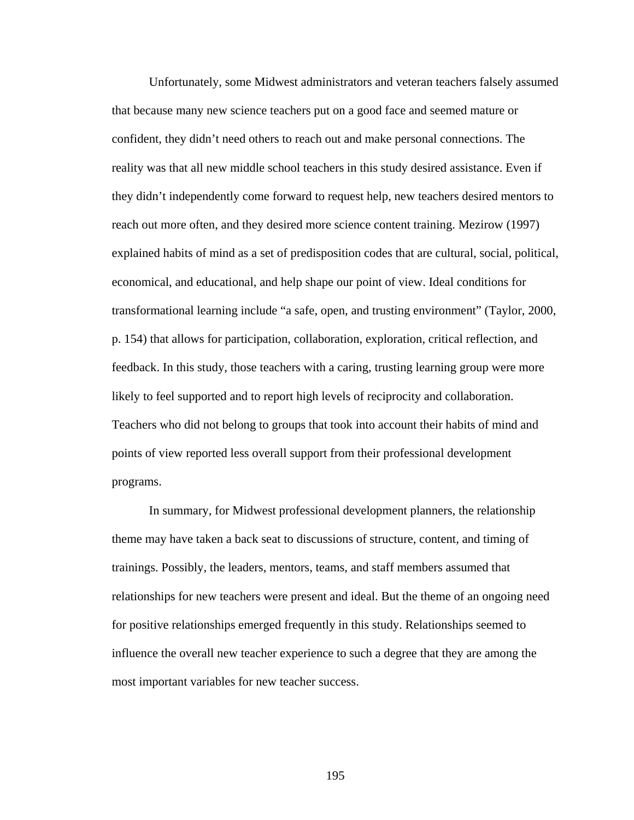Unfortunately, some Midwest administrators and veteran teachers falsely assumed that because many new science teachers put on a good face and seemed mature or confident, they didn't need others to reach out and make personal connections. The reality was that all new middle school teachers in this study desired assistance. Even if they didn't independently come forward to request help, new teachers desired mentors to reach out more often, and they desired more science content training. Mezirow (1997) explained habits of mind as a set of predisposition codes that are cultural, social, political, economical, and educational, and help shape our point of view. Ideal conditions for transformational learning include "a safe, open, and trusting environment" (Taylor, 2000, p. 154) that allows for participation, collaboration, exploration, critical reflection, and feedback. In this study, those teachers with a caring, trusting learning group were more likely to feel supported and to report high levels of reciprocity and collaboration. Teachers who did not belong to groups that took into account their habits of mind and points of view reported less overall support from their professional development programs.

 In summary, for Midwest professional development planners, the relationship theme may have taken a back seat to discussions of structure, content, and timing of trainings. Possibly, the leaders, mentors, teams, and staff members assumed that relationships for new teachers were present and ideal. But the theme of an ongoing need for positive relationships emerged frequently in this study. Relationships seemed to influence the overall new teacher experience to such a degree that they are among the most important variables for new teacher success.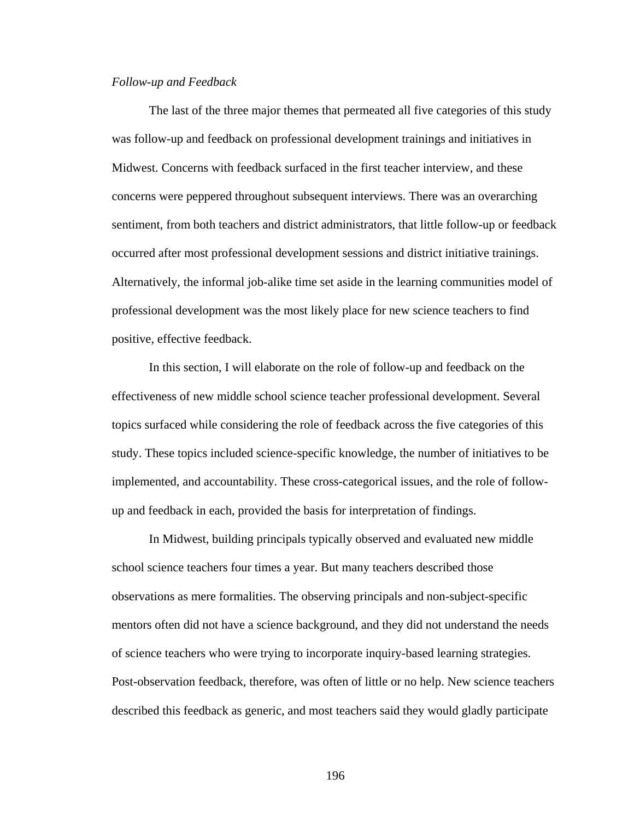### *Follow-up and Feedback*

The last of the three major themes that permeated all five categories of this study was follow-up and feedback on professional development trainings and initiatives in Midwest. Concerns with feedback surfaced in the first teacher interview, and these concerns were peppered throughout subsequent interviews. There was an overarching sentiment, from both teachers and district administrators, that little follow-up or feedback occurred after most professional development sessions and district initiative trainings. Alternatively, the informal job-alike time set aside in the learning communities model of professional development was the most likely place for new science teachers to find positive, effective feedback.

In this section, I will elaborate on the role of follow-up and feedback on the effectiveness of new middle school science teacher professional development. Several topics surfaced while considering the role of feedback across the five categories of this study. These topics included science-specific knowledge, the number of initiatives to be implemented, and accountability. These cross-categorical issues, and the role of followup and feedback in each, provided the basis for interpretation of findings.

 In Midwest, building principals typically observed and evaluated new middle school science teachers four times a year. But many teachers described those observations as mere formalities. The observing principals and non-subject-specific mentors often did not have a science background, and they did not understand the needs of science teachers who were trying to incorporate inquiry-based learning strategies. Post-observation feedback, therefore, was often of little or no help. New science teachers described this feedback as generic, and most teachers said they would gladly participate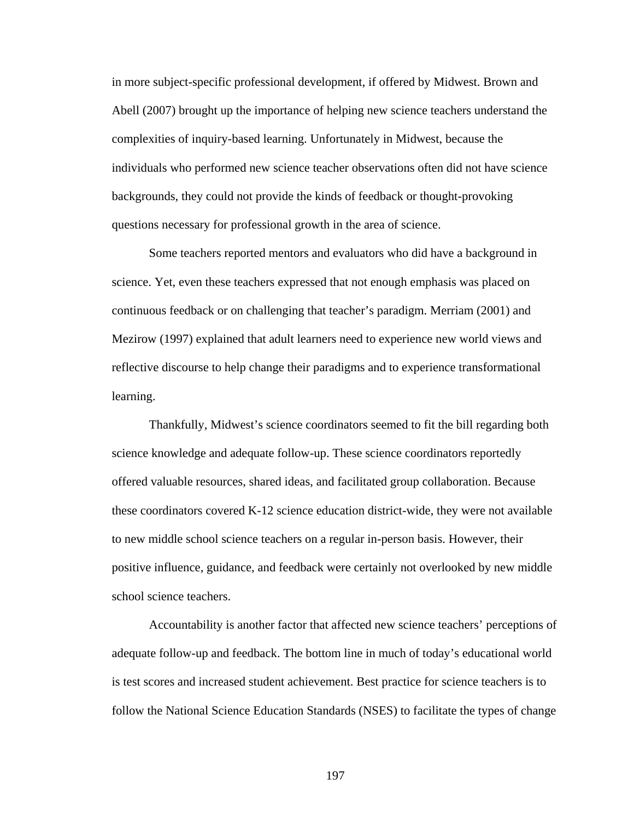in more subject-specific professional development, if offered by Midwest. Brown and Abell (2007) brought up the importance of helping new science teachers understand the complexities of inquiry-based learning. Unfortunately in Midwest, because the individuals who performed new science teacher observations often did not have science backgrounds, they could not provide the kinds of feedback or thought-provoking questions necessary for professional growth in the area of science.

 Some teachers reported mentors and evaluators who did have a background in science. Yet, even these teachers expressed that not enough emphasis was placed on continuous feedback or on challenging that teacher's paradigm. Merriam (2001) and Mezirow (1997) explained that adult learners need to experience new world views and reflective discourse to help change their paradigms and to experience transformational learning.

 Thankfully, Midwest's science coordinators seemed to fit the bill regarding both science knowledge and adequate follow-up. These science coordinators reportedly offered valuable resources, shared ideas, and facilitated group collaboration. Because these coordinators covered K-12 science education district-wide, they were not available to new middle school science teachers on a regular in-person basis. However, their positive influence, guidance, and feedback were certainly not overlooked by new middle school science teachers.

 Accountability is another factor that affected new science teachers' perceptions of adequate follow-up and feedback. The bottom line in much of today's educational world is test scores and increased student achievement. Best practice for science teachers is to follow the National Science Education Standards (NSES) to facilitate the types of change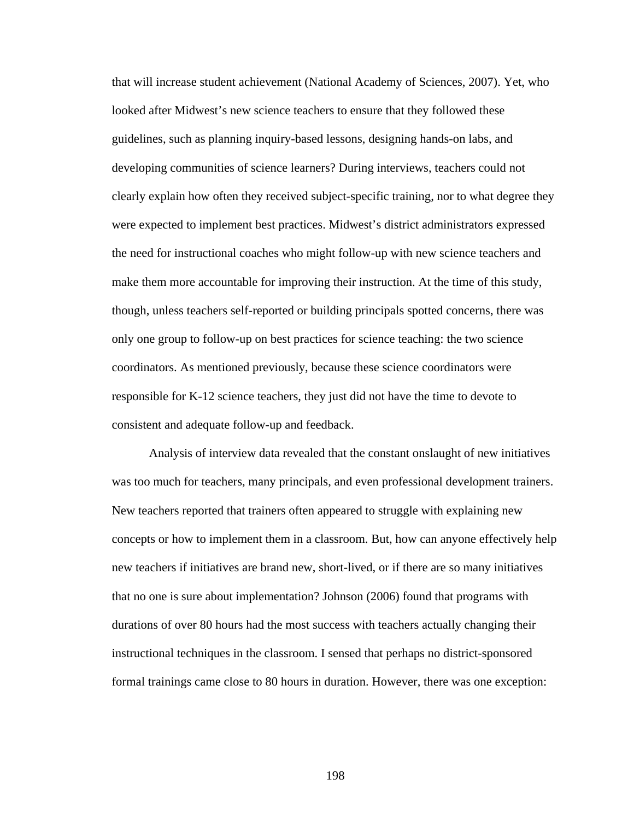that will increase student achievement (National Academy of Sciences, 2007). Yet, who looked after Midwest's new science teachers to ensure that they followed these guidelines, such as planning inquiry-based lessons, designing hands-on labs, and developing communities of science learners? During interviews, teachers could not clearly explain how often they received subject-specific training, nor to what degree they were expected to implement best practices. Midwest's district administrators expressed the need for instructional coaches who might follow-up with new science teachers and make them more accountable for improving their instruction. At the time of this study, though, unless teachers self-reported or building principals spotted concerns, there was only one group to follow-up on best practices for science teaching: the two science coordinators. As mentioned previously, because these science coordinators were responsible for K-12 science teachers, they just did not have the time to devote to consistent and adequate follow-up and feedback.

 Analysis of interview data revealed that the constant onslaught of new initiatives was too much for teachers, many principals, and even professional development trainers. New teachers reported that trainers often appeared to struggle with explaining new concepts or how to implement them in a classroom. But, how can anyone effectively help new teachers if initiatives are brand new, short-lived, or if there are so many initiatives that no one is sure about implementation? Johnson (2006) found that programs with durations of over 80 hours had the most success with teachers actually changing their instructional techniques in the classroom. I sensed that perhaps no district-sponsored formal trainings came close to 80 hours in duration. However, there was one exception: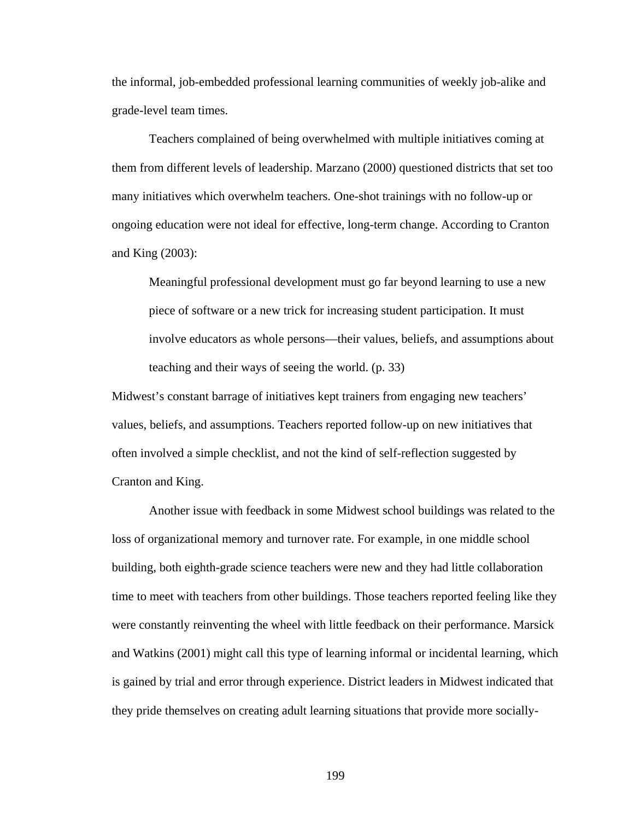the informal, job-embedded professional learning communities of weekly job-alike and grade-level team times.

 Teachers complained of being overwhelmed with multiple initiatives coming at them from different levels of leadership. Marzano (2000) questioned districts that set too many initiatives which overwhelm teachers. One-shot trainings with no follow-up or ongoing education were not ideal for effective, long-term change. According to Cranton and King (2003):

Meaningful professional development must go far beyond learning to use a new piece of software or a new trick for increasing student participation. It must involve educators as whole persons—their values, beliefs, and assumptions about teaching and their ways of seeing the world. (p. 33)

Midwest's constant barrage of initiatives kept trainers from engaging new teachers' values, beliefs, and assumptions. Teachers reported follow-up on new initiatives that often involved a simple checklist, and not the kind of self-reflection suggested by Cranton and King.

 Another issue with feedback in some Midwest school buildings was related to the loss of organizational memory and turnover rate. For example, in one middle school building, both eighth-grade science teachers were new and they had little collaboration time to meet with teachers from other buildings. Those teachers reported feeling like they were constantly reinventing the wheel with little feedback on their performance. Marsick and Watkins (2001) might call this type of learning informal or incidental learning, which is gained by trial and error through experience. District leaders in Midwest indicated that they pride themselves on creating adult learning situations that provide more socially-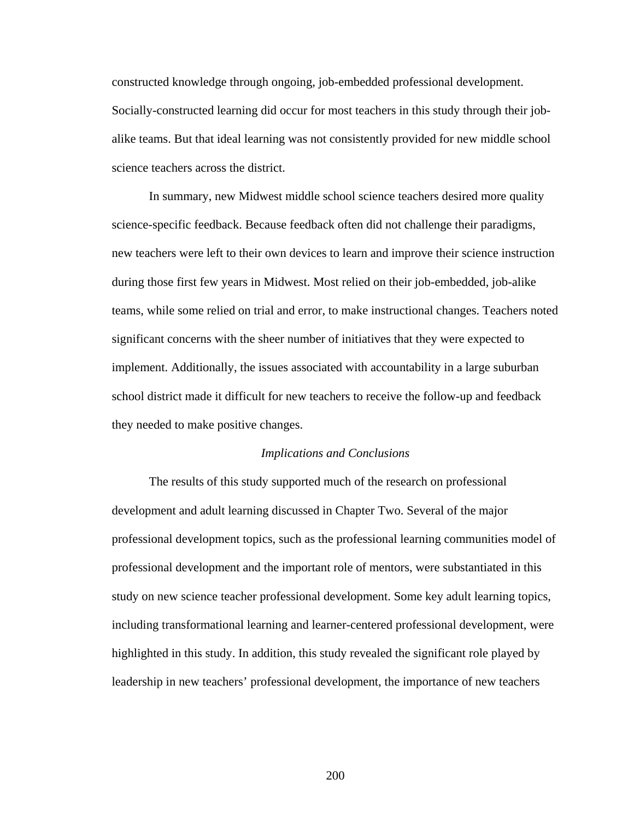constructed knowledge through ongoing, job-embedded professional development. Socially-constructed learning did occur for most teachers in this study through their jobalike teams. But that ideal learning was not consistently provided for new middle school science teachers across the district.

 In summary, new Midwest middle school science teachers desired more quality science-specific feedback. Because feedback often did not challenge their paradigms, new teachers were left to their own devices to learn and improve their science instruction during those first few years in Midwest. Most relied on their job-embedded, job-alike teams, while some relied on trial and error, to make instructional changes. Teachers noted significant concerns with the sheer number of initiatives that they were expected to implement. Additionally, the issues associated with accountability in a large suburban school district made it difficult for new teachers to receive the follow-up and feedback they needed to make positive changes.

#### *Implications and Conclusions*

The results of this study supported much of the research on professional development and adult learning discussed in Chapter Two. Several of the major professional development topics, such as the professional learning communities model of professional development and the important role of mentors, were substantiated in this study on new science teacher professional development. Some key adult learning topics, including transformational learning and learner-centered professional development, were highlighted in this study. In addition, this study revealed the significant role played by leadership in new teachers' professional development, the importance of new teachers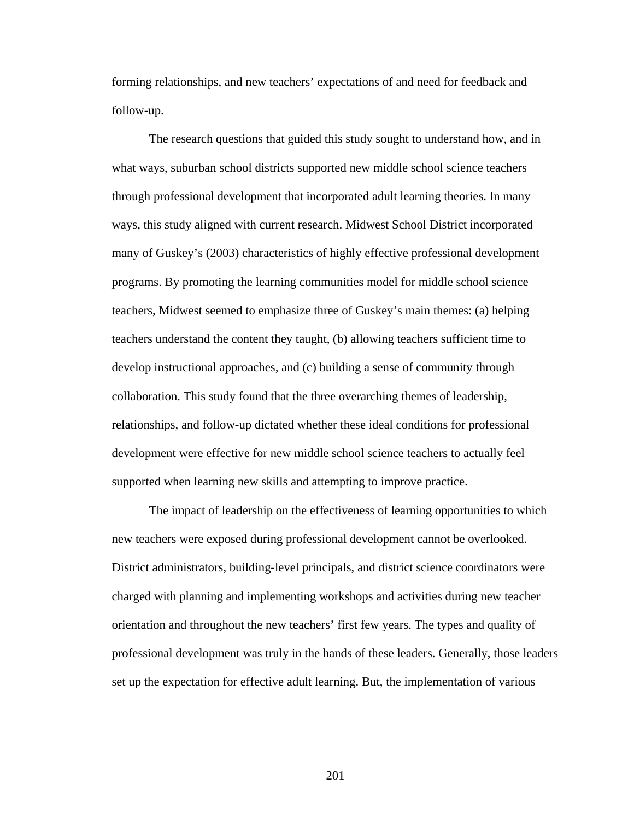forming relationships, and new teachers' expectations of and need for feedback and follow-up.

The research questions that guided this study sought to understand how, and in what ways, suburban school districts supported new middle school science teachers through professional development that incorporated adult learning theories. In many ways, this study aligned with current research. Midwest School District incorporated many of Guskey's (2003) characteristics of highly effective professional development programs. By promoting the learning communities model for middle school science teachers, Midwest seemed to emphasize three of Guskey's main themes: (a) helping teachers understand the content they taught, (b) allowing teachers sufficient time to develop instructional approaches, and (c) building a sense of community through collaboration. This study found that the three overarching themes of leadership, relationships, and follow-up dictated whether these ideal conditions for professional development were effective for new middle school science teachers to actually feel supported when learning new skills and attempting to improve practice.

The impact of leadership on the effectiveness of learning opportunities to which new teachers were exposed during professional development cannot be overlooked. District administrators, building-level principals, and district science coordinators were charged with planning and implementing workshops and activities during new teacher orientation and throughout the new teachers' first few years. The types and quality of professional development was truly in the hands of these leaders. Generally, those leaders set up the expectation for effective adult learning. But, the implementation of various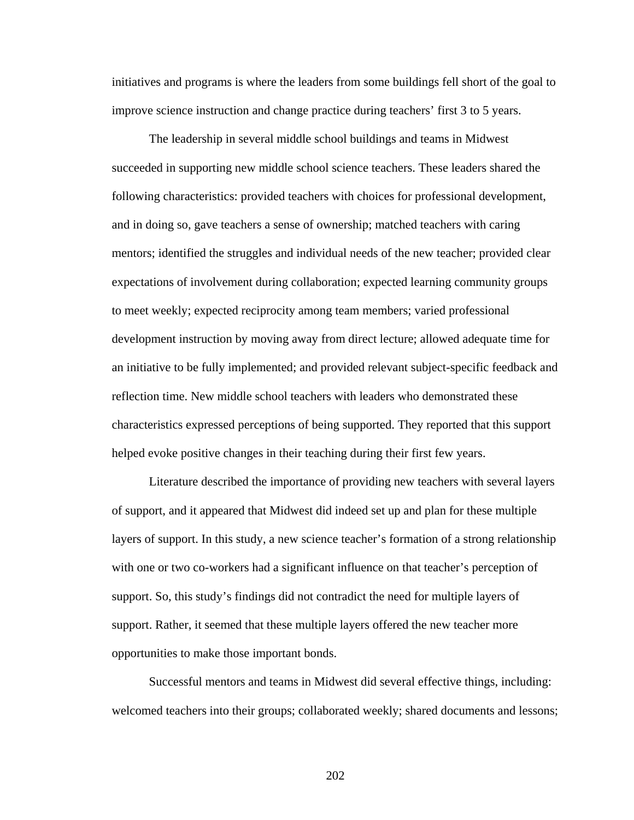initiatives and programs is where the leaders from some buildings fell short of the goal to improve science instruction and change practice during teachers' first 3 to 5 years.

The leadership in several middle school buildings and teams in Midwest succeeded in supporting new middle school science teachers. These leaders shared the following characteristics: provided teachers with choices for professional development, and in doing so, gave teachers a sense of ownership; matched teachers with caring mentors; identified the struggles and individual needs of the new teacher; provided clear expectations of involvement during collaboration; expected learning community groups to meet weekly; expected reciprocity among team members; varied professional development instruction by moving away from direct lecture; allowed adequate time for an initiative to be fully implemented; and provided relevant subject-specific feedback and reflection time. New middle school teachers with leaders who demonstrated these characteristics expressed perceptions of being supported. They reported that this support helped evoke positive changes in their teaching during their first few years.

Literature described the importance of providing new teachers with several layers of support, and it appeared that Midwest did indeed set up and plan for these multiple layers of support. In this study, a new science teacher's formation of a strong relationship with one or two co-workers had a significant influence on that teacher's perception of support. So, this study's findings did not contradict the need for multiple layers of support. Rather, it seemed that these multiple layers offered the new teacher more opportunities to make those important bonds.

Successful mentors and teams in Midwest did several effective things, including: welcomed teachers into their groups; collaborated weekly; shared documents and lessons;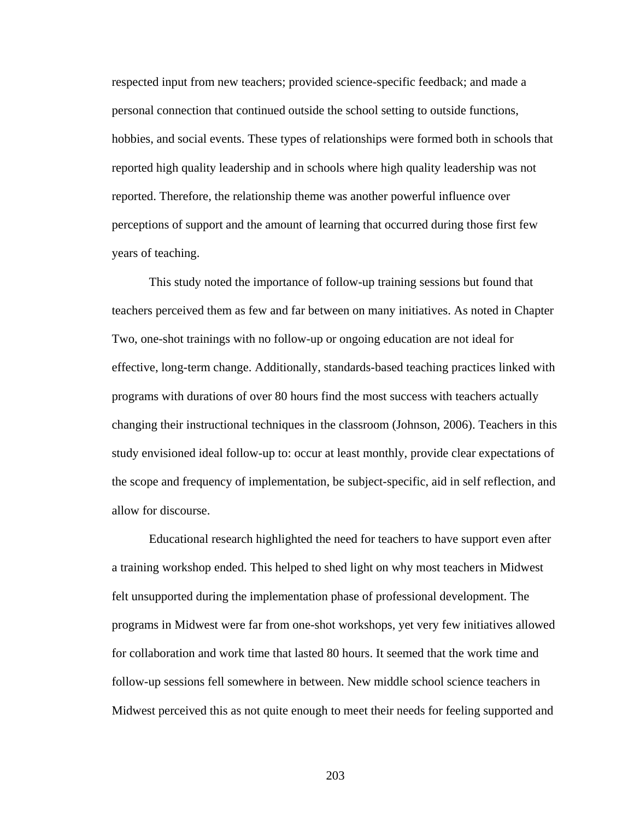respected input from new teachers; provided science-specific feedback; and made a personal connection that continued outside the school setting to outside functions, hobbies, and social events. These types of relationships were formed both in schools that reported high quality leadership and in schools where high quality leadership was not reported. Therefore, the relationship theme was another powerful influence over perceptions of support and the amount of learning that occurred during those first few years of teaching.

This study noted the importance of follow-up training sessions but found that teachers perceived them as few and far between on many initiatives. As noted in Chapter Two, one-shot trainings with no follow-up or ongoing education are not ideal for effective, long-term change. Additionally, standards-based teaching practices linked with programs with durations of over 80 hours find the most success with teachers actually changing their instructional techniques in the classroom (Johnson, 2006). Teachers in this study envisioned ideal follow-up to: occur at least monthly, provide clear expectations of the scope and frequency of implementation, be subject-specific, aid in self reflection, and allow for discourse.

Educational research highlighted the need for teachers to have support even after a training workshop ended. This helped to shed light on why most teachers in Midwest felt unsupported during the implementation phase of professional development. The programs in Midwest were far from one-shot workshops, yet very few initiatives allowed for collaboration and work time that lasted 80 hours. It seemed that the work time and follow-up sessions fell somewhere in between. New middle school science teachers in Midwest perceived this as not quite enough to meet their needs for feeling supported and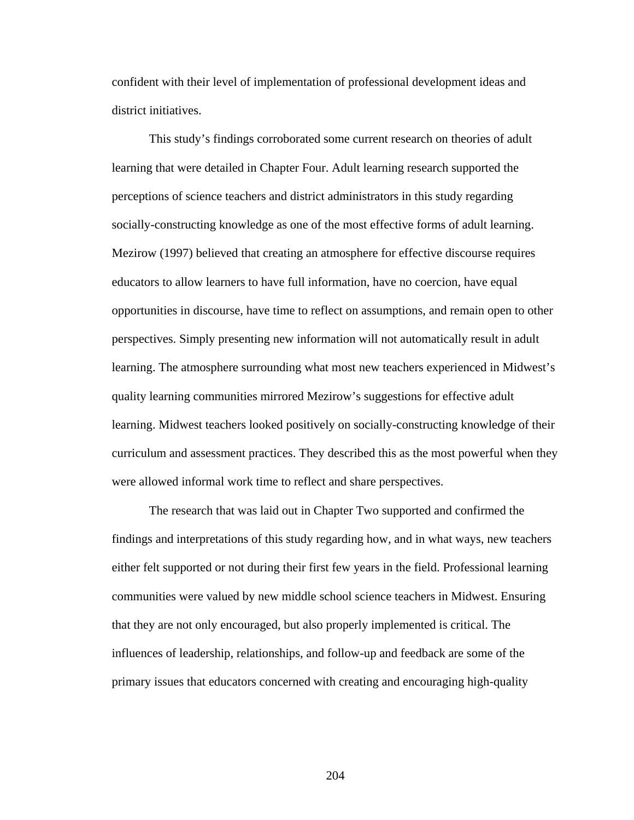confident with their level of implementation of professional development ideas and district initiatives.

This study's findings corroborated some current research on theories of adult learning that were detailed in Chapter Four. Adult learning research supported the perceptions of science teachers and district administrators in this study regarding socially-constructing knowledge as one of the most effective forms of adult learning. Mezirow (1997) believed that creating an atmosphere for effective discourse requires educators to allow learners to have full information, have no coercion, have equal opportunities in discourse, have time to reflect on assumptions, and remain open to other perspectives. Simply presenting new information will not automatically result in adult learning. The atmosphere surrounding what most new teachers experienced in Midwest's quality learning communities mirrored Mezirow's suggestions for effective adult learning. Midwest teachers looked positively on socially-constructing knowledge of their curriculum and assessment practices. They described this as the most powerful when they were allowed informal work time to reflect and share perspectives.

The research that was laid out in Chapter Two supported and confirmed the findings and interpretations of this study regarding how, and in what ways, new teachers either felt supported or not during their first few years in the field. Professional learning communities were valued by new middle school science teachers in Midwest. Ensuring that they are not only encouraged, but also properly implemented is critical. The influences of leadership, relationships, and follow-up and feedback are some of the primary issues that educators concerned with creating and encouraging high-quality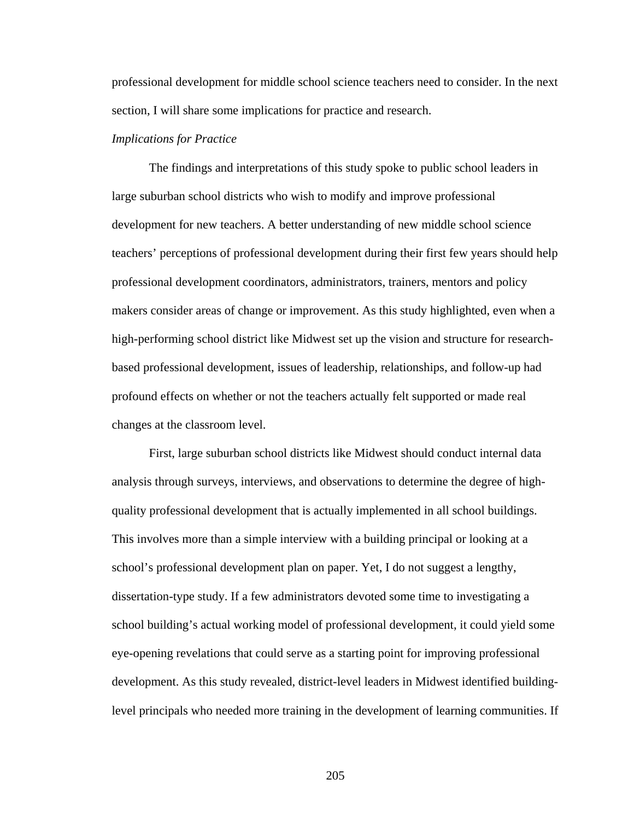professional development for middle school science teachers need to consider. In the next section, I will share some implications for practice and research.

#### *Implications for Practice*

 The findings and interpretations of this study spoke to public school leaders in large suburban school districts who wish to modify and improve professional development for new teachers. A better understanding of new middle school science teachers' perceptions of professional development during their first few years should help professional development coordinators, administrators, trainers, mentors and policy makers consider areas of change or improvement. As this study highlighted, even when a high-performing school district like Midwest set up the vision and structure for researchbased professional development, issues of leadership, relationships, and follow-up had profound effects on whether or not the teachers actually felt supported or made real changes at the classroom level.

 First, large suburban school districts like Midwest should conduct internal data analysis through surveys, interviews, and observations to determine the degree of highquality professional development that is actually implemented in all school buildings. This involves more than a simple interview with a building principal or looking at a school's professional development plan on paper. Yet, I do not suggest a lengthy, dissertation-type study. If a few administrators devoted some time to investigating a school building's actual working model of professional development, it could yield some eye-opening revelations that could serve as a starting point for improving professional development. As this study revealed, district-level leaders in Midwest identified buildinglevel principals who needed more training in the development of learning communities. If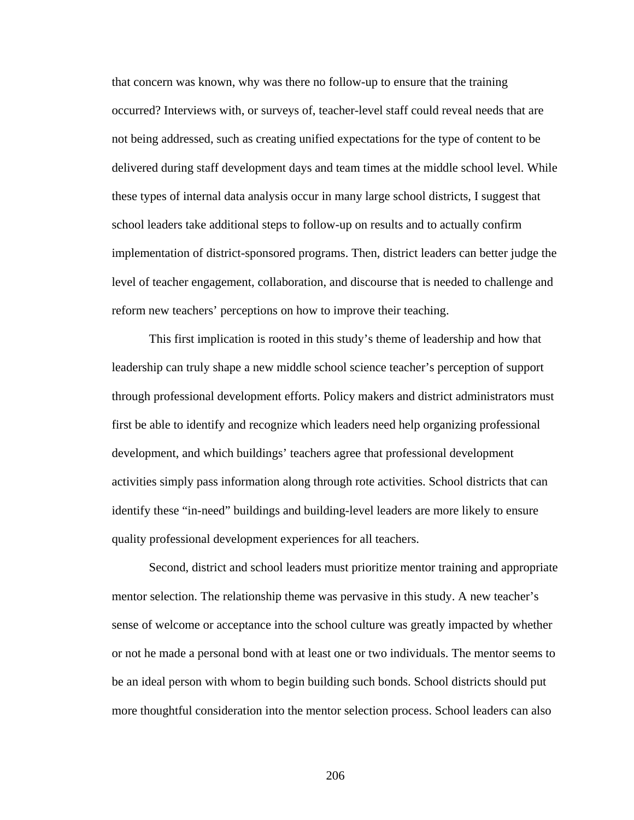that concern was known, why was there no follow-up to ensure that the training occurred? Interviews with, or surveys of, teacher-level staff could reveal needs that are not being addressed, such as creating unified expectations for the type of content to be delivered during staff development days and team times at the middle school level. While these types of internal data analysis occur in many large school districts, I suggest that school leaders take additional steps to follow-up on results and to actually confirm implementation of district-sponsored programs. Then, district leaders can better judge the level of teacher engagement, collaboration, and discourse that is needed to challenge and reform new teachers' perceptions on how to improve their teaching.

 This first implication is rooted in this study's theme of leadership and how that leadership can truly shape a new middle school science teacher's perception of support through professional development efforts. Policy makers and district administrators must first be able to identify and recognize which leaders need help organizing professional development, and which buildings' teachers agree that professional development activities simply pass information along through rote activities. School districts that can identify these "in-need" buildings and building-level leaders are more likely to ensure quality professional development experiences for all teachers.

 Second, district and school leaders must prioritize mentor training and appropriate mentor selection. The relationship theme was pervasive in this study. A new teacher's sense of welcome or acceptance into the school culture was greatly impacted by whether or not he made a personal bond with at least one or two individuals. The mentor seems to be an ideal person with whom to begin building such bonds. School districts should put more thoughtful consideration into the mentor selection process. School leaders can also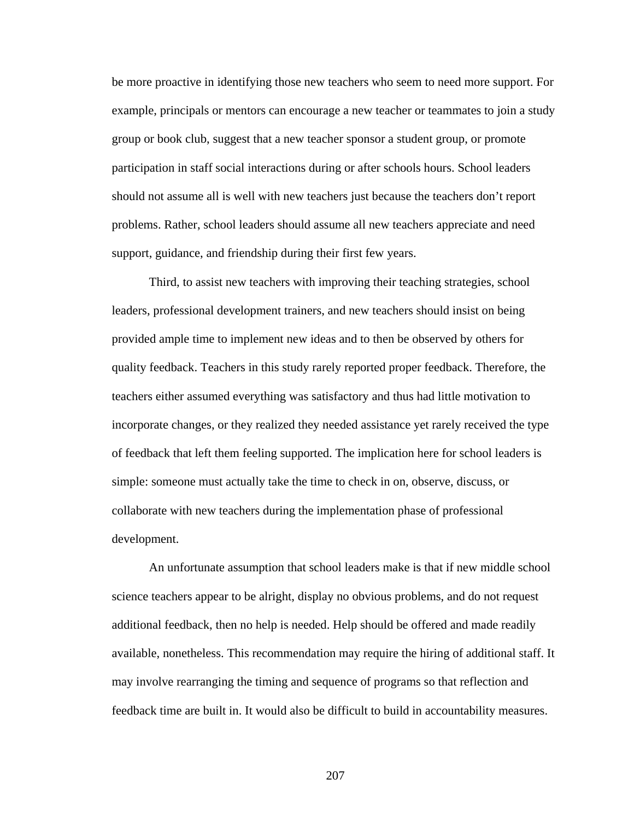be more proactive in identifying those new teachers who seem to need more support. For example, principals or mentors can encourage a new teacher or teammates to join a study group or book club, suggest that a new teacher sponsor a student group, or promote participation in staff social interactions during or after schools hours. School leaders should not assume all is well with new teachers just because the teachers don't report problems. Rather, school leaders should assume all new teachers appreciate and need support, guidance, and friendship during their first few years.

 Third, to assist new teachers with improving their teaching strategies, school leaders, professional development trainers, and new teachers should insist on being provided ample time to implement new ideas and to then be observed by others for quality feedback. Teachers in this study rarely reported proper feedback. Therefore, the teachers either assumed everything was satisfactory and thus had little motivation to incorporate changes, or they realized they needed assistance yet rarely received the type of feedback that left them feeling supported. The implication here for school leaders is simple: someone must actually take the time to check in on, observe, discuss, or collaborate with new teachers during the implementation phase of professional development.

 An unfortunate assumption that school leaders make is that if new middle school science teachers appear to be alright, display no obvious problems, and do not request additional feedback, then no help is needed. Help should be offered and made readily available, nonetheless. This recommendation may require the hiring of additional staff. It may involve rearranging the timing and sequence of programs so that reflection and feedback time are built in. It would also be difficult to build in accountability measures.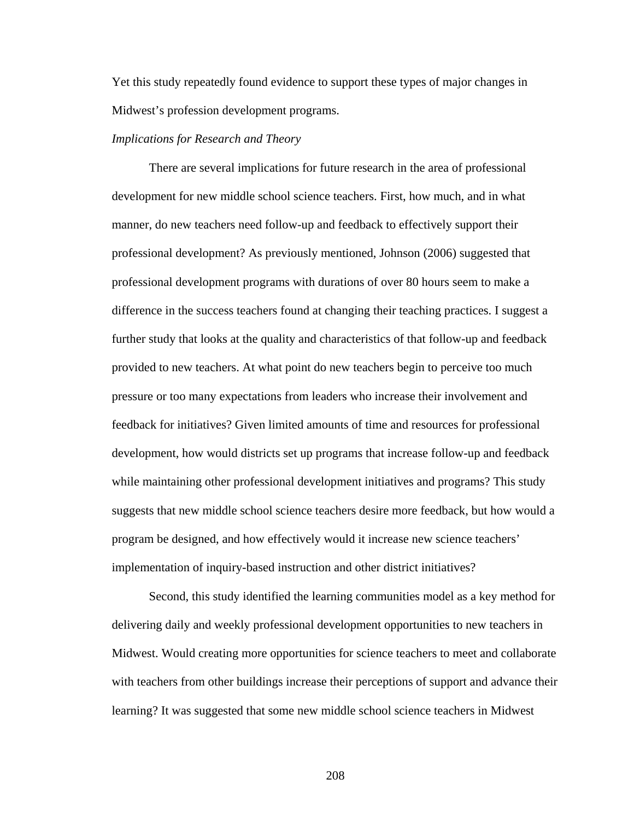Yet this study repeatedly found evidence to support these types of major changes in Midwest's profession development programs.

#### *Implications for Research and Theory*

 There are several implications for future research in the area of professional development for new middle school science teachers. First, how much, and in what manner, do new teachers need follow-up and feedback to effectively support their professional development? As previously mentioned, Johnson (2006) suggested that professional development programs with durations of over 80 hours seem to make a difference in the success teachers found at changing their teaching practices. I suggest a further study that looks at the quality and characteristics of that follow-up and feedback provided to new teachers. At what point do new teachers begin to perceive too much pressure or too many expectations from leaders who increase their involvement and feedback for initiatives? Given limited amounts of time and resources for professional development, how would districts set up programs that increase follow-up and feedback while maintaining other professional development initiatives and programs? This study suggests that new middle school science teachers desire more feedback, but how would a program be designed, and how effectively would it increase new science teachers' implementation of inquiry-based instruction and other district initiatives?

 Second, this study identified the learning communities model as a key method for delivering daily and weekly professional development opportunities to new teachers in Midwest. Would creating more opportunities for science teachers to meet and collaborate with teachers from other buildings increase their perceptions of support and advance their learning? It was suggested that some new middle school science teachers in Midwest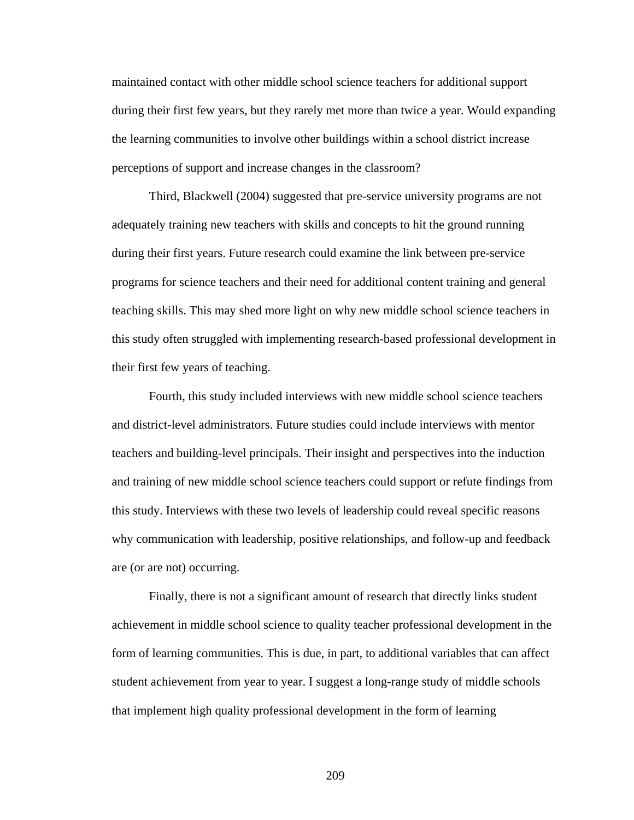maintained contact with other middle school science teachers for additional support during their first few years, but they rarely met more than twice a year. Would expanding the learning communities to involve other buildings within a school district increase perceptions of support and increase changes in the classroom?

 Third, Blackwell (2004) suggested that pre-service university programs are not adequately training new teachers with skills and concepts to hit the ground running during their first years. Future research could examine the link between pre-service programs for science teachers and their need for additional content training and general teaching skills. This may shed more light on why new middle school science teachers in this study often struggled with implementing research-based professional development in their first few years of teaching.

 Fourth, this study included interviews with new middle school science teachers and district-level administrators. Future studies could include interviews with mentor teachers and building-level principals. Their insight and perspectives into the induction and training of new middle school science teachers could support or refute findings from this study. Interviews with these two levels of leadership could reveal specific reasons why communication with leadership, positive relationships, and follow-up and feedback are (or are not) occurring.

 Finally, there is not a significant amount of research that directly links student achievement in middle school science to quality teacher professional development in the form of learning communities. This is due, in part, to additional variables that can affect student achievement from year to year. I suggest a long-range study of middle schools that implement high quality professional development in the form of learning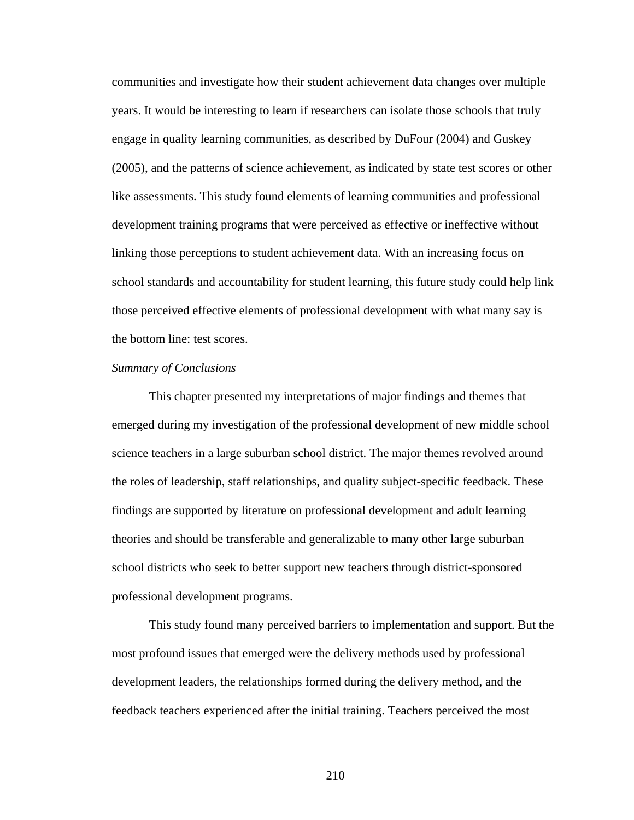communities and investigate how their student achievement data changes over multiple years. It would be interesting to learn if researchers can isolate those schools that truly engage in quality learning communities, as described by DuFour (2004) and Guskey (2005), and the patterns of science achievement, as indicated by state test scores or other like assessments. This study found elements of learning communities and professional development training programs that were perceived as effective or ineffective without linking those perceptions to student achievement data. With an increasing focus on school standards and accountability for student learning, this future study could help link those perceived effective elements of professional development with what many say is the bottom line: test scores.

#### *Summary of Conclusions*

 This chapter presented my interpretations of major findings and themes that emerged during my investigation of the professional development of new middle school science teachers in a large suburban school district. The major themes revolved around the roles of leadership, staff relationships, and quality subject-specific feedback. These findings are supported by literature on professional development and adult learning theories and should be transferable and generalizable to many other large suburban school districts who seek to better support new teachers through district-sponsored professional development programs.

 This study found many perceived barriers to implementation and support. But the most profound issues that emerged were the delivery methods used by professional development leaders, the relationships formed during the delivery method, and the feedback teachers experienced after the initial training. Teachers perceived the most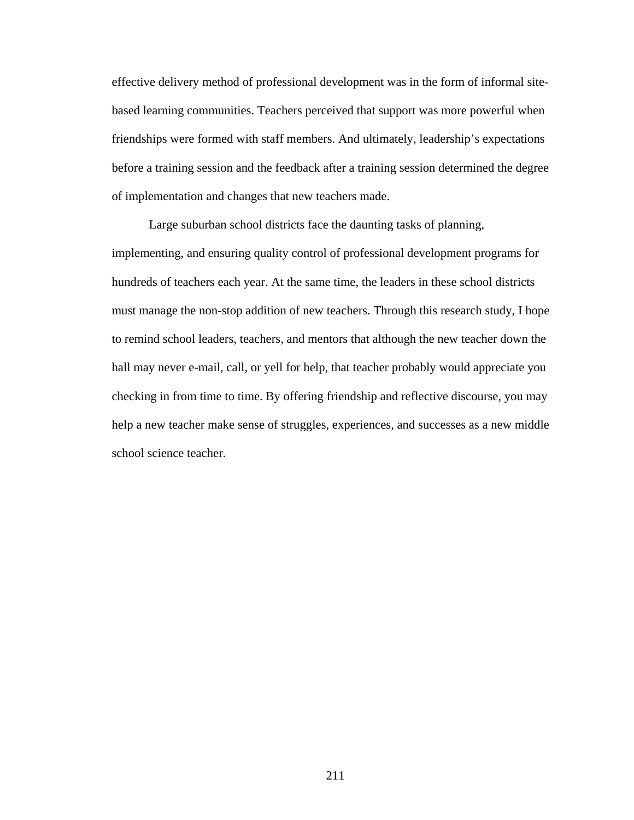effective delivery method of professional development was in the form of informal sitebased learning communities. Teachers perceived that support was more powerful when friendships were formed with staff members. And ultimately, leadership's expectations before a training session and the feedback after a training session determined the degree of implementation and changes that new teachers made.

 Large suburban school districts face the daunting tasks of planning, implementing, and ensuring quality control of professional development programs for hundreds of teachers each year. At the same time, the leaders in these school districts must manage the non-stop addition of new teachers. Through this research study, I hope to remind school leaders, teachers, and mentors that although the new teacher down the hall may never e-mail, call, or yell for help, that teacher probably would appreciate you checking in from time to time. By offering friendship and reflective discourse, you may help a new teacher make sense of struggles, experiences, and successes as a new middle school science teacher.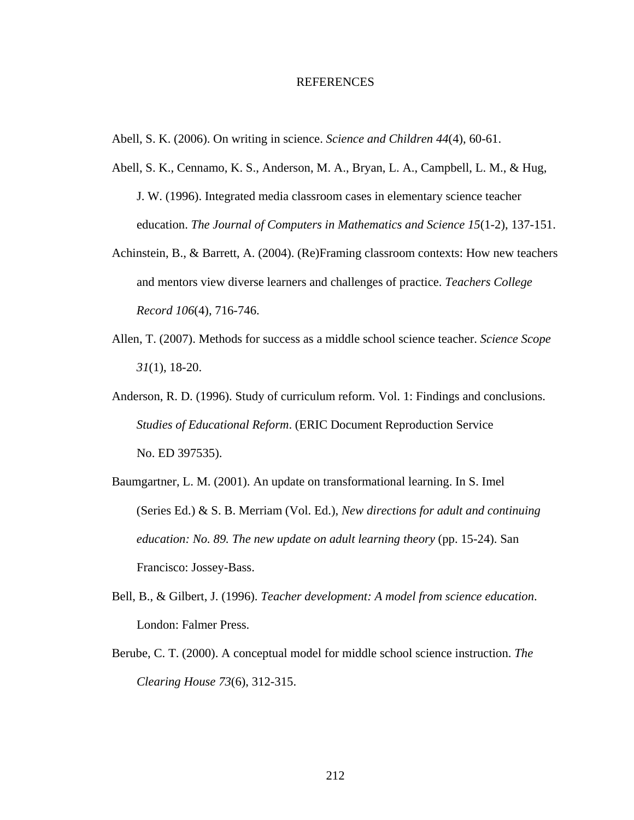#### REFERENCES

Abell, S. K. (2006). On writing in science. *Science and Children 44*(4), 60-61.

- Abell, S. K., Cennamo, K. S., Anderson, M. A., Bryan, L. A., Campbell, L. M., & Hug, J. W. (1996). Integrated media classroom cases in elementary science teacher education. *The Journal of Computers in Mathematics and Science 15*(1-2), 137-151.
- Achinstein, B., & Barrett, A. (2004). (Re)Framing classroom contexts: How new teachers and mentors view diverse learners and challenges of practice. *Teachers College Record 106*(4), 716-746.
- Allen, T. (2007). Methods for success as a middle school science teacher. *Science Scope 31*(1), 18-20.
- Anderson, R. D. (1996). Study of curriculum reform. Vol. 1: Findings and conclusions. *Studies of Educational Reform*. (ERIC Document Reproduction Service No. ED 397535).
- Baumgartner, L. M. (2001). An update on transformational learning. In S. Imel (Series Ed.) & S. B. Merriam (Vol. Ed.), *New directions for adult and continuing education: No. 89. The new update on adult learning theory* (pp. 15-24). San Francisco: Jossey-Bass.
- Bell, B., & Gilbert, J. (1996). *Teacher development: A model from science education*. London: Falmer Press.
- Berube, C. T. (2000). A conceptual model for middle school science instruction. *The Clearing House 73*(6), 312-315.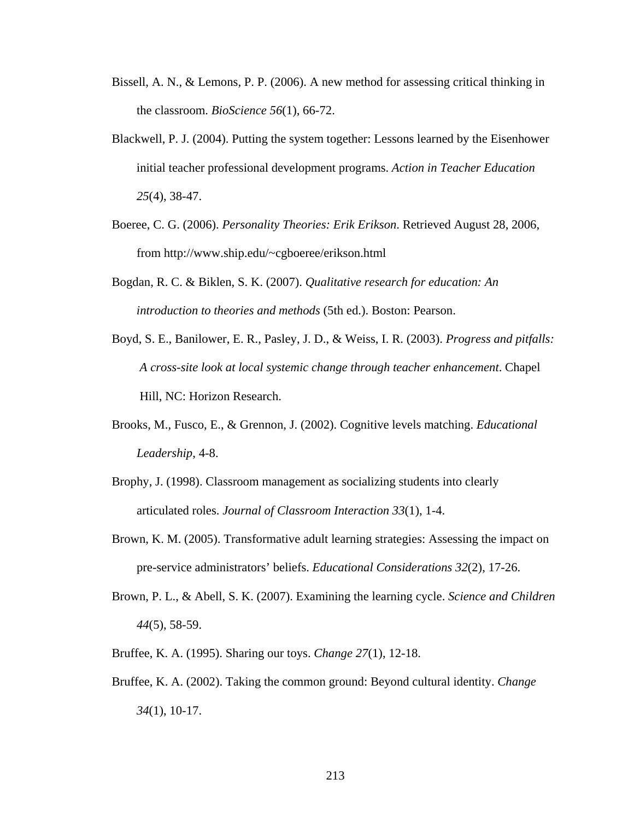- Bissell, A. N., & Lemons, P. P. (2006). A new method for assessing critical thinking in the classroom. *BioScience 56*(1), 66-72.
- Blackwell, P. J. (2004). Putting the system together: Lessons learned by the Eisenhower initial teacher professional development programs. *Action in Teacher Education 25*(4), 38-47.
- Boeree, C. G. (2006). *Personality Theories: Erik Erikson*. Retrieved August 28, 2006, from http://www.ship.edu/~cgboeree/erikson.html
- Bogdan, R. C. & Biklen, S. K. (2007). *Qualitative research for education: An introduction to theories and methods* (5th ed.). Boston: Pearson.
- Boyd, S. E., Banilower, E. R., Pasley, J. D., & Weiss, I. R. (2003). *Progress and pitfalls: A cross-site look at local systemic change through teacher enhancement*. Chapel Hill, NC: Horizon Research.
- Brooks, M., Fusco, E., & Grennon, J. (2002). Cognitive levels matching. *Educational Leadership*, 4-8.
- Brophy, J. (1998). Classroom management as socializing students into clearly articulated roles. *Journal of Classroom Interaction 33*(1), 1-4.
- Brown, K. M. (2005). Transformative adult learning strategies: Assessing the impact on pre-service administrators' beliefs. *Educational Considerations 32*(2), 17-26.
- Brown, P. L., & Abell, S. K. (2007). Examining the learning cycle. *Science and Children 44*(5), 58-59.
- Bruffee, K. A. (1995). Sharing our toys. *Change 27*(1), 12-18.
- Bruffee, K. A. (2002). Taking the common ground: Beyond cultural identity. *Change 34*(1), 10-17.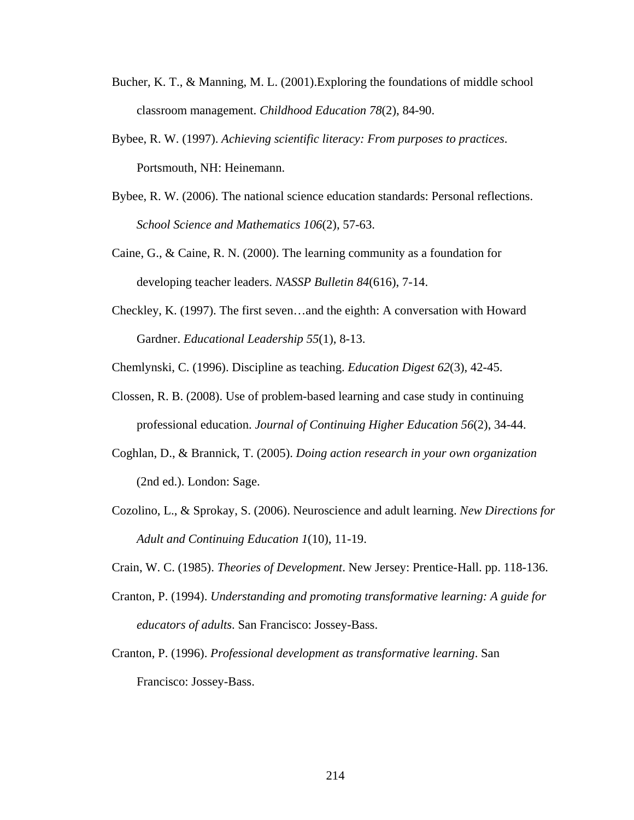- Bucher, K. T., & Manning, M. L. (2001).Exploring the foundations of middle school classroom management. *Childhood Education 78*(2), 84-90.
- Bybee, R. W. (1997). *Achieving scientific literacy: From purposes to practices*. Portsmouth, NH: Heinemann.
- Bybee, R. W. (2006). The national science education standards: Personal reflections.  *School Science and Mathematics 106*(2), 57-63.
- Caine, G., & Caine, R. N. (2000). The learning community as a foundation for developing teacher leaders. *NASSP Bulletin 84*(616), 7-14.
- Checkley, K. (1997). The first seven…and the eighth: A conversation with Howard Gardner. *Educational Leadership 55*(1), 8-13.

Chemlynski, C. (1996). Discipline as teaching. *Education Digest 62*(3), 42-45.

- Clossen, R. B. (2008). Use of problem-based learning and case study in continuing professional education. *Journal of Continuing Higher Education 56*(2), 34-44.
- Coghlan, D., & Brannick, T. (2005). *Doing action research in your own organization* (2nd ed.). London: Sage.
- Cozolino, L., & Sprokay, S. (2006). Neuroscience and adult learning. *New Directions for Adult and Continuing Education 1*(10), 11-19.
- Crain, W. C. (1985). *Theories of Development*. New Jersey: Prentice-Hall. pp. 118-136.
- Cranton, P. (1994). *Understanding and promoting transformative learning: A guide for educators of adults*. San Francisco: Jossey-Bass.
- Cranton, P. (1996). *Professional development as transformative learning*. San Francisco: Jossey-Bass.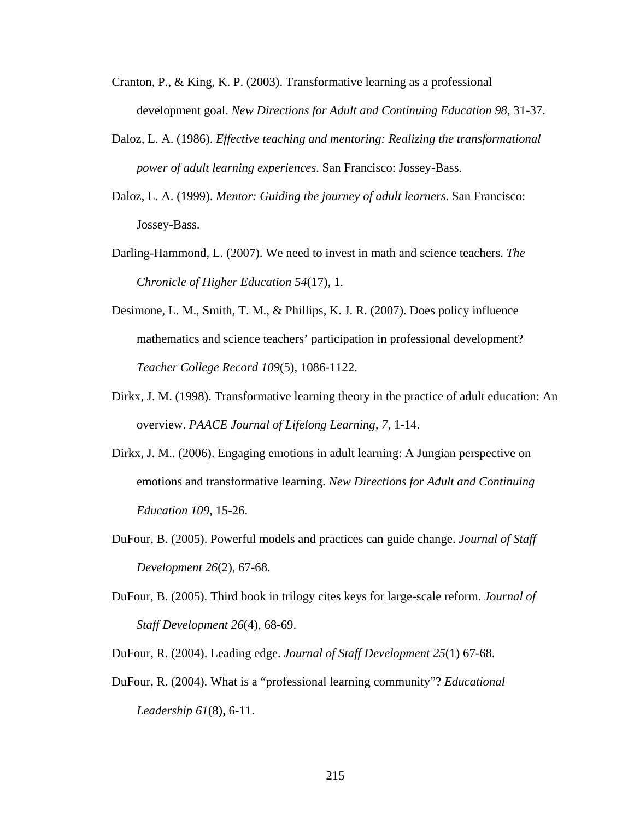- Cranton, P., & King, K. P. (2003). Transformative learning as a professional development goal. *New Directions for Adult and Continuing Education 98*, 31-37.
- Daloz, L. A. (1986). *Effective teaching and mentoring: Realizing the transformational power of adult learning experiences*. San Francisco: Jossey-Bass.
- Daloz, L. A. (1999). *Mentor: Guiding the journey of adult learners*. San Francisco: Jossey-Bass.
- Darling-Hammond, L. (2007). We need to invest in math and science teachers. *The Chronicle of Higher Education 54*(17), 1.
- Desimone, L. M., Smith, T. M., & Phillips, K. J. R. (2007). Does policy influence mathematics and science teachers' participation in professional development? *Teacher College Record 109*(5), 1086-1122.
- Dirkx, J. M. (1998). Transformative learning theory in the practice of adult education: An overview. *PAACE Journal of Lifelong Learning, 7*, 1-14.
- Dirkx, J. M.. (2006). Engaging emotions in adult learning: A Jungian perspective on emotions and transformative learning. *New Directions for Adult and Continuing Education 109*, 15-26.
- DuFour, B. (2005). Powerful models and practices can guide change. *Journal of Staff Development 26*(2), 67-68.
- DuFour, B. (2005). Third book in trilogy cites keys for large-scale reform. *Journal of Staff Development 26*(4), 68-69.
- DuFour, R. (2004). Leading edge. *Journal of Staff Development 25*(1) 67-68.
- DuFour, R. (2004). What is a "professional learning community"? *Educational Leadership 61*(8), 6-11.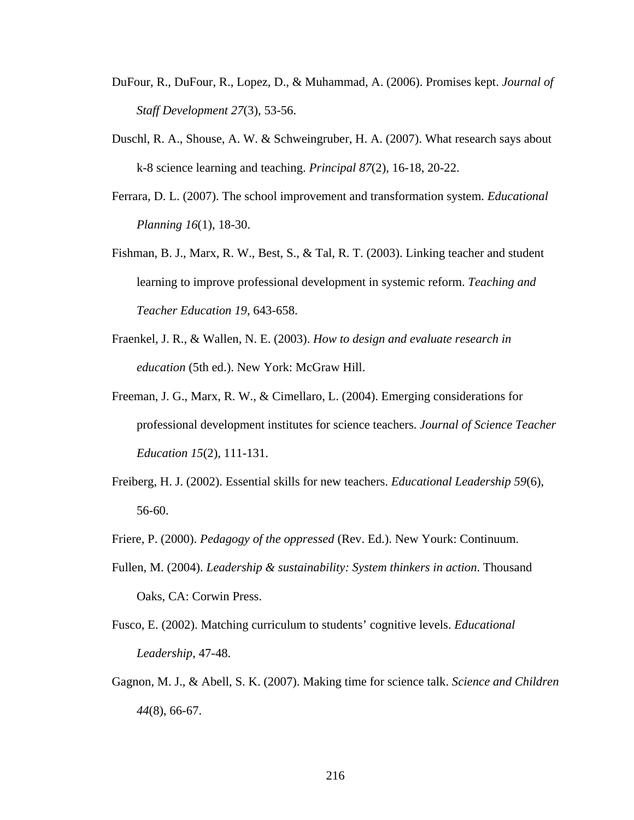- DuFour, R., DuFour, R., Lopez, D., & Muhammad, A. (2006). Promises kept. *Journal of Staff Development 27*(3), 53-56.
- Duschl, R. A., Shouse, A. W. & Schweingruber, H. A. (2007). What research says about k-8 science learning and teaching. *Principal 87*(2), 16-18, 20-22.
- Ferrara, D. L. (2007). The school improvement and transformation system. *Educational Planning 16*(1), 18-30.
- Fishman, B. J., Marx, R. W., Best, S., & Tal, R. T. (2003). Linking teacher and student learning to improve professional development in systemic reform. *Teaching and Teacher Education 19*, 643-658.
- Fraenkel, J. R., & Wallen, N. E. (2003). *How to design and evaluate research in education* (5th ed.). New York: McGraw Hill.
- Freeman, J. G., Marx, R. W., & Cimellaro, L. (2004). Emerging considerations for professional development institutes for science teachers. *Journal of Science Teacher Education 15*(2), 111-131.
- Freiberg, H. J. (2002). Essential skills for new teachers. *Educational Leadership 59*(6), 56-60.
- Friere, P. (2000). *Pedagogy of the oppressed* (Rev. Ed.). New Yourk: Continuum.
- Fullen, M. (2004). *Leadership & sustainability: System thinkers in action*. Thousand Oaks, CA: Corwin Press.
- Fusco, E. (2002). Matching curriculum to students' cognitive levels. *Educational Leadership*, 47-48.
- Gagnon, M. J., & Abell, S. K. (2007). Making time for science talk. *Science and Children 44*(8), 66-67.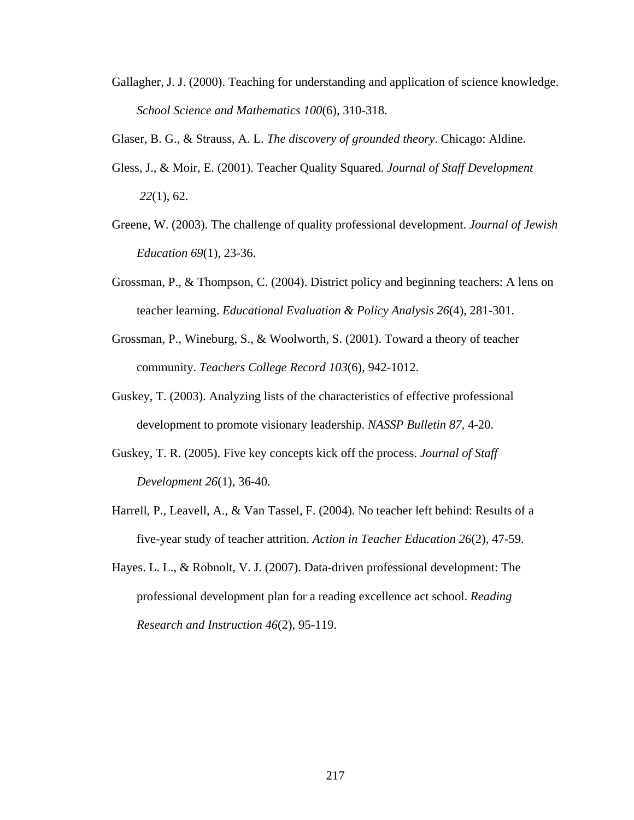- Gallagher, J. J. (2000). Teaching for understanding and application of science knowledge.  *School Science and Mathematics 100*(6), 310-318.
- Glaser, B. G., & Strauss, A. L. *The discovery of grounded theory*. Chicago: Aldine.
- Gless, J., & Moir, E. (2001). Teacher Quality Squared. *Journal of Staff Development 22*(1), 62.
- Greene, W. (2003). The challenge of quality professional development. *Journal of Jewish Education 69*(1), 23-36.
- Grossman, P., & Thompson, C. (2004). District policy and beginning teachers: A lens on teacher learning. *Educational Evaluation & Policy Analysis 26*(4), 281-301.
- Grossman, P., Wineburg, S., & Woolworth, S. (2001). Toward a theory of teacher community. *Teachers College Record 103*(6), 942-1012.
- Guskey, T. (2003). Analyzing lists of the characteristics of effective professional development to promote visionary leadership. *NASSP Bulletin 87*, 4-20.
- Guskey, T. R. (2005). Five key concepts kick off the process. *Journal of Staff Development 26*(1), 36-40.
- Harrell, P., Leavell, A., & Van Tassel, F. (2004). No teacher left behind: Results of a five-year study of teacher attrition. *Action in Teacher Education 26*(2), 47-59.
- Hayes. L. L., & Robnolt, V. J. (2007). Data-driven professional development: The professional development plan for a reading excellence act school. *Reading Research and Instruction 46*(2), 95-119.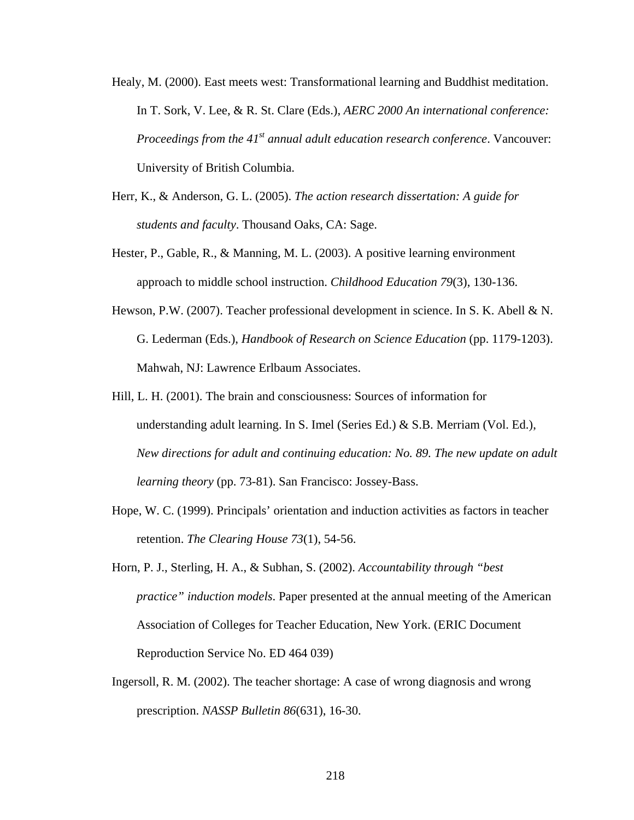- Healy, M. (2000). East meets west: Transformational learning and Buddhist meditation. In T. Sork, V. Lee, & R. St. Clare (Eds.), *AERC 2000 An international conference: Proceedings from the 41<sup>st</sup> annual adult education research conference.* Vancouver: University of British Columbia.
- Herr, K., & Anderson, G. L. (2005). *The action research dissertation: A guide for students and faculty*. Thousand Oaks, CA: Sage.
- Hester, P., Gable, R., & Manning, M. L. (2003). A positive learning environment approach to middle school instruction. *Childhood Education 79*(3), 130-136.
- Hewson, P.W. (2007). Teacher professional development in science. In S. K. Abell & N. G. Lederman (Eds.), *Handbook of Research on Science Education* (pp. 1179-1203). Mahwah, NJ: Lawrence Erlbaum Associates.
- Hill, L. H. (2001). The brain and consciousness: Sources of information for understanding adult learning. In S. Imel (Series Ed.) & S.B. Merriam (Vol. Ed.), *New directions for adult and continuing education: No. 89. The new update on adult learning theory* (pp. 73-81). San Francisco: Jossey-Bass.
- Hope, W. C. (1999). Principals' orientation and induction activities as factors in teacher retention. *The Clearing House 73*(1), 54-56.
- Horn, P. J., Sterling, H. A., & Subhan, S. (2002). *Accountability through "best practice" induction models*. Paper presented at the annual meeting of the American Association of Colleges for Teacher Education, New York. (ERIC Document Reproduction Service No. ED 464 039)
- Ingersoll, R. M. (2002). The teacher shortage: A case of wrong diagnosis and wrong prescription. *NASSP Bulletin 86*(631), 16-30.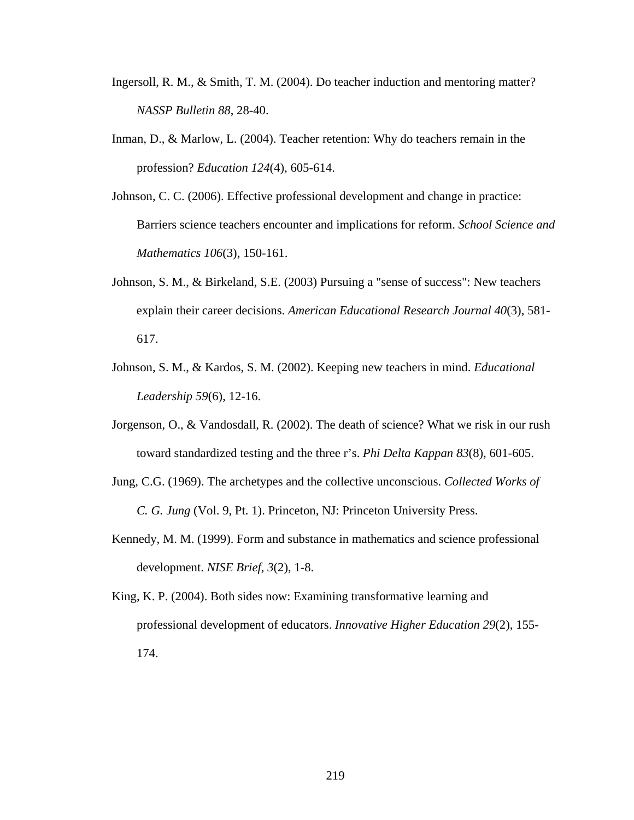- Ingersoll, R. M., & Smith, T. M. (2004). Do teacher induction and mentoring matter?  *NASSP Bulletin 88*, 28-40.
- Inman, D., & Marlow, L. (2004). Teacher retention: Why do teachers remain in the profession? *Education 124*(4), 605-614.
- Johnson, C. C. (2006). Effective professional development and change in practice: Barriers science teachers encounter and implications for reform. *School Science and Mathematics 106*(3), 150-161.
- Johnson, S. M., & Birkeland, S.E. (2003) Pursuing a "sense of success": New teachers explain their career decisions. *American Educational Research Journal 40*(3), 581- 617.
- Johnson, S. M., & Kardos, S. M. (2002). Keeping new teachers in mind. *Educational Leadership 59*(6), 12-16.
- Jorgenson, O., & Vandosdall, R. (2002). The death of science? What we risk in our rush toward standardized testing and the three r's. *Phi Delta Kappan 83*(8), 601-605.
- Jung, C.G. (1969). The archetypes and the collective unconscious. *Collected Works of C. G. Jung* (Vol. 9, Pt. 1). Princeton, NJ: Princeton University Press.
- Kennedy, M. M. (1999). Form and substance in mathematics and science professional development. *NISE Brief, 3*(2), 1-8.
- King, K. P. (2004). Both sides now: Examining transformative learning and professional development of educators. *Innovative Higher Education 29*(2), 155- 174.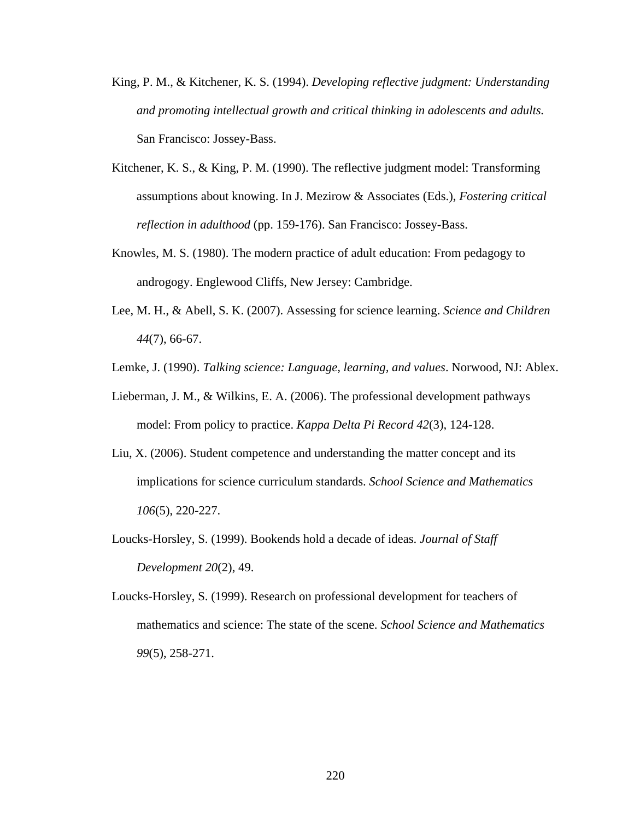- King, P. M., & Kitchener, K. S. (1994). *Developing reflective judgment: Understanding and promoting intellectual growth and critical thinking in adolescents and adults.*  San Francisco: Jossey-Bass.
- Kitchener, K. S., & King, P. M. (1990). The reflective judgment model: Transforming assumptions about knowing. In J. Mezirow & Associates (Eds.), *Fostering critical reflection in adulthood* (pp. 159-176). San Francisco: Jossey-Bass.
- Knowles, M. S. (1980). The modern practice of adult education: From pedagogy to androgogy. Englewood Cliffs, New Jersey: Cambridge.
- Lee, M. H., & Abell, S. K. (2007). Assessing for science learning. *Science and Children 44*(7), 66-67.
- Lemke, J. (1990). *Talking science: Language, learning, and values*. Norwood, NJ: Ablex.
- Lieberman, J. M., & Wilkins, E. A. (2006). The professional development pathways model: From policy to practice. *Kappa Delta Pi Record 42*(3), 124-128.
- Liu, X. (2006). Student competence and understanding the matter concept and its implications for science curriculum standards. *School Science and Mathematics 106*(5), 220-227.
- Loucks-Horsley, S. (1999). Bookends hold a decade of ideas. *Journal of Staff Development 20*(2), 49.
- Loucks-Horsley, S. (1999). Research on professional development for teachers of mathematics and science: The state of the scene. *School Science and Mathematics 99*(5), 258-271.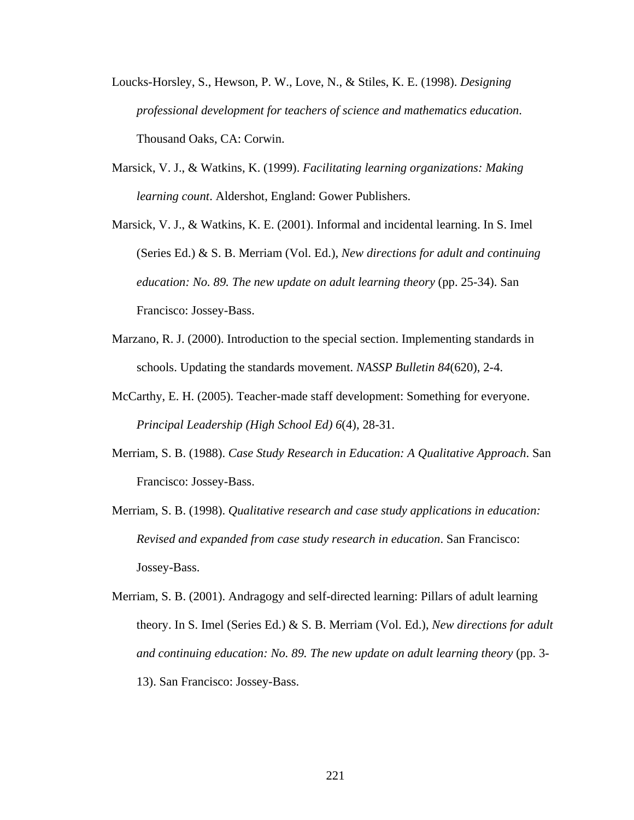- Loucks-Horsley, S., Hewson, P. W., Love, N., & Stiles, K. E. (1998). *Designing professional development for teachers of science and mathematics education*. Thousand Oaks, CA: Corwin.
- Marsick, V. J., & Watkins, K. (1999). *Facilitating learning organizations: Making learning count*. Aldershot, England: Gower Publishers.
- Marsick, V. J., & Watkins, K. E. (2001). Informal and incidental learning. In S. Imel (Series Ed.) & S. B. Merriam (Vol. Ed.), *New directions for adult and continuing education: No. 89. The new update on adult learning theory* (pp. 25-34). San Francisco: Jossey-Bass.
- Marzano, R. J. (2000). Introduction to the special section. Implementing standards in schools. Updating the standards movement. *NASSP Bulletin 84*(620), 2-4.
- McCarthy, E. H. (2005). Teacher-made staff development: Something for everyone.  *Principal Leadership (High School Ed) 6*(4), 28-31.
- Merriam, S. B. (1988). *Case Study Research in Education: A Qualitative Approach*. San Francisco: Jossey-Bass.
- Merriam, S. B. (1998). *Qualitative research and case study applications in education: Revised and expanded from case study research in education*. San Francisco: Jossey-Bass.
- Merriam, S. B. (2001). Andragogy and self-directed learning: Pillars of adult learning theory. In S. Imel (Series Ed.) & S. B. Merriam (Vol. Ed.), *New directions for adult and continuing education: No. 89. The new update on adult learning theory* (pp. 3- 13). San Francisco: Jossey-Bass.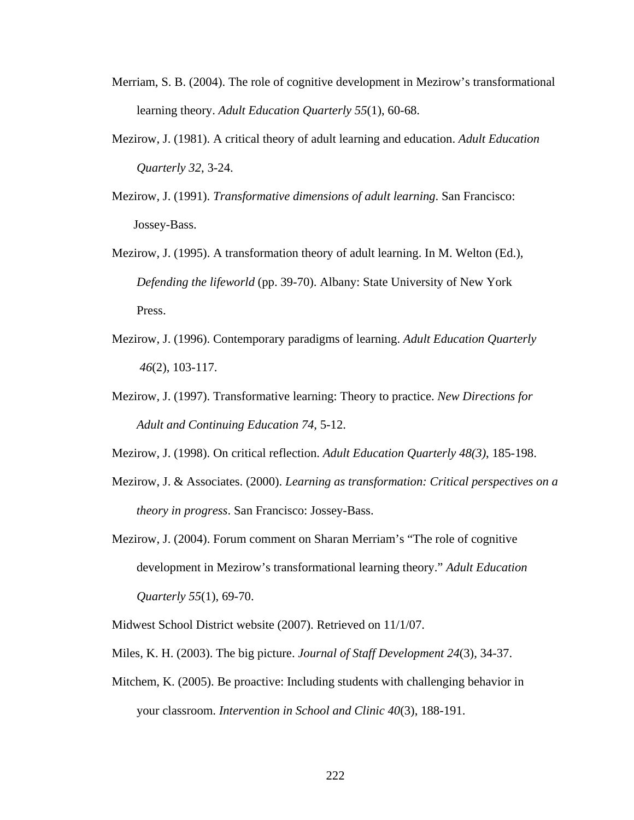- Merriam, S. B. (2004). The role of cognitive development in Mezirow's transformational learning theory. *Adult Education Quarterly 55*(1), 60-68.
- Mezirow, J. (1981). A critical theory of adult learning and education. *Adult Education Quarterly 32*, 3-24.
- Mezirow, J. (1991). *Transformative dimensions of adult learning*. San Francisco: Jossey-Bass.
- Mezirow, J. (1995). A transformation theory of adult learning. In M. Welton (Ed.), *Defending the lifeworld* (pp. 39-70). Albany: State University of New York Press.
- Mezirow, J. (1996). Contemporary paradigms of learning. *Adult Education Quarterly 46*(2), 103-117.
- Mezirow, J. (1997). Transformative learning: Theory to practice. *New Directions for Adult and Continuing Education 74*, 5-12.

Mezirow, J. (1998). On critical reflection. *Adult Education Quarterly 48(3)*, 185-198.

- Mezirow, J. & Associates. (2000). *Learning as transformation: Critical perspectives on a theory in progress*. San Francisco: Jossey-Bass.
- Mezirow, J. (2004). Forum comment on Sharan Merriam's "The role of cognitive development in Mezirow's transformational learning theory." *Adult Education Quarterly 55*(1), 69-70.

Midwest School District website (2007). Retrieved on 11/1/07.

- Miles, K. H. (2003). The big picture. *Journal of Staff Development 24*(3), 34-37.
- Mitchem, K. (2005). Be proactive: Including students with challenging behavior in your classroom. *Intervention in School and Clinic 40*(3), 188-191.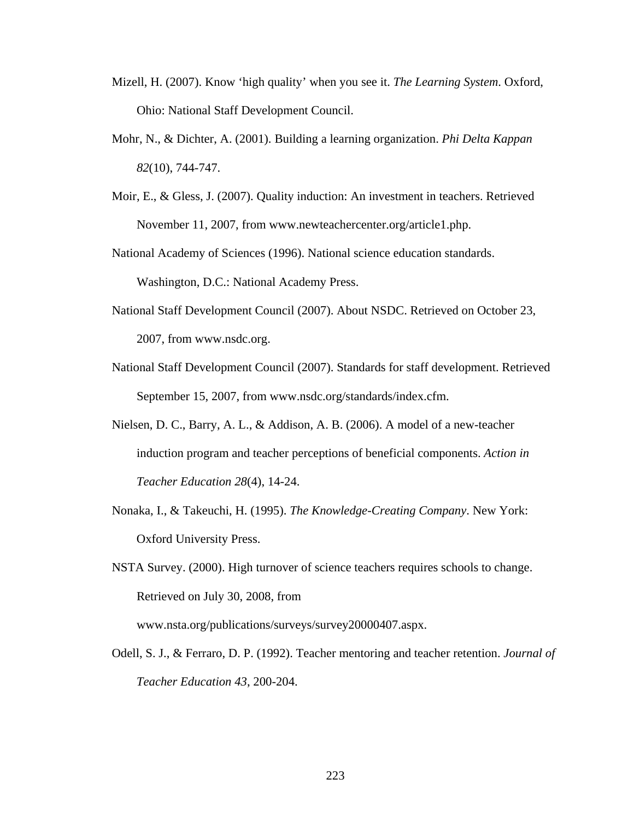- Mizell, H. (2007). Know 'high quality' when you see it. *The Learning System*. Oxford, Ohio: National Staff Development Council.
- Mohr, N., & Dichter, A. (2001). Building a learning organization. *Phi Delta Kappan 82*(10), 744-747.
- Moir, E., & Gless, J. (2007). Quality induction: An investment in teachers. Retrieved November 11, 2007, from www.newteachercenter.org/article1.php.

National Academy of Sciences (1996). National science education standards. Washington, D.C.: National Academy Press.

- National Staff Development Council (2007). About NSDC. Retrieved on October 23, 2007, from www.nsdc.org.
- National Staff Development Council (2007). Standards for staff development. Retrieved September 15, 2007, from www.nsdc.org/standards/index.cfm.
- Nielsen, D. C., Barry, A. L., & Addison, A. B. (2006). A model of a new-teacher induction program and teacher perceptions of beneficial components. *Action in Teacher Education 28*(4), 14-24.
- Nonaka, I., & Takeuchi, H. (1995). *The Knowledge-Creating Company*. New York: Oxford University Press.
- NSTA Survey. (2000). High turnover of science teachers requires schools to change. Retrieved on July 30, 2008, from www.nsta.org/publications/surveys/survey20000407.aspx.
- Odell, S. J., & Ferraro, D. P. (1992). Teacher mentoring and teacher retention. *Journal of Teacher Education 43*, 200-204.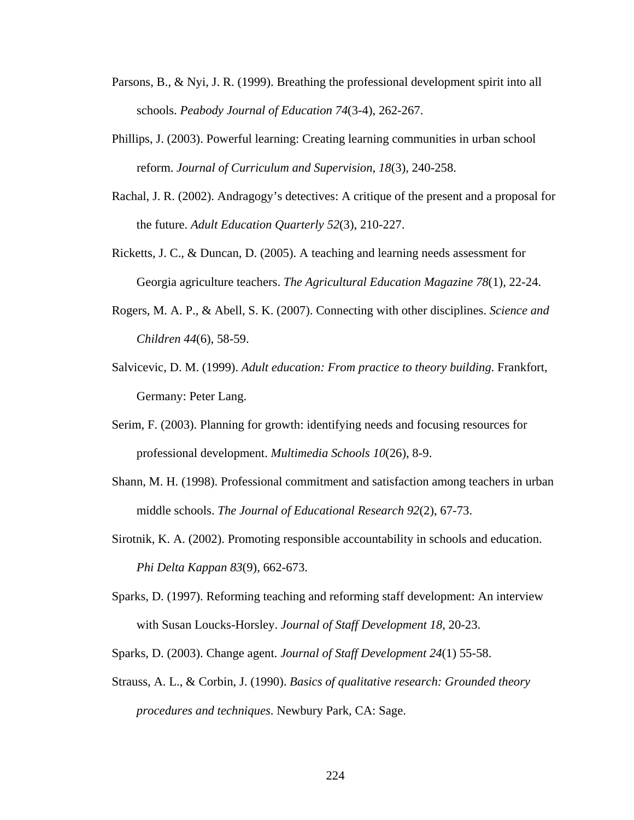- Parsons, B., & Nyi, J. R. (1999). Breathing the professional development spirit into all schools. *Peabody Journal of Education 74*(3-4), 262-267.
- Phillips, J. (2003). Powerful learning: Creating learning communities in urban school reform. *Journal of Curriculum and Supervision, 18*(3), 240-258.
- Rachal, J. R. (2002). Andragogy's detectives: A critique of the present and a proposal for the future. *Adult Education Quarterly 52*(3), 210-227.
- Ricketts, J. C., & Duncan, D. (2005). A teaching and learning needs assessment for Georgia agriculture teachers. *The Agricultural Education Magazine 78*(1), 22-24.
- Rogers, M. A. P., & Abell, S. K. (2007). Connecting with other disciplines. *Science and Children 44*(6), 58-59.
- Salvicevic, D. M. (1999). *Adult education: From practice to theory building*. Frankfort, Germany: Peter Lang.
- Serim, F. (2003). Planning for growth: identifying needs and focusing resources for professional development. *Multimedia Schools 10*(26), 8-9.
- Shann, M. H. (1998). Professional commitment and satisfaction among teachers in urban middle schools. *The Journal of Educational Research 92*(2), 67-73.
- Sirotnik, K. A. (2002). Promoting responsible accountability in schools and education.  *Phi Delta Kappan 83*(9), 662-673.
- Sparks, D. (1997). Reforming teaching and reforming staff development: An interview with Susan Loucks-Horsley. *Journal of Staff Development 18*, 20-23.
- Sparks, D. (2003). Change agent. *Journal of Staff Development 24*(1) 55-58.
- Strauss, A. L., & Corbin, J. (1990). *Basics of qualitative research: Grounded theory procedures and techniques*. Newbury Park, CA: Sage.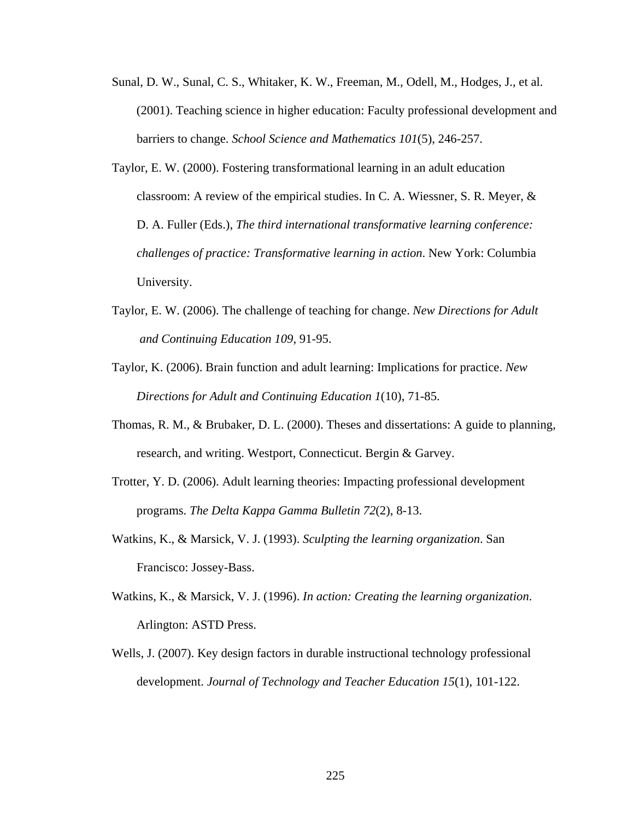- Sunal, D. W., Sunal, C. S., Whitaker, K. W., Freeman, M., Odell, M., Hodges, J., et al. (2001). Teaching science in higher education: Faculty professional development and barriers to change. *School Science and Mathematics 101*(5), 246-257.
- Taylor, E. W. (2000). Fostering transformational learning in an adult education classroom: A review of the empirical studies. In C. A. Wiessner, S. R. Meyer, & D. A. Fuller (Eds.), *The third international transformative learning conference: challenges of practice: Transformative learning in action*. New York: Columbia University.
- Taylor, E. W. (2006). The challenge of teaching for change. *New Directions for Adult and Continuing Education 109*, 91-95.
- Taylor, K. (2006). Brain function and adult learning: Implications for practice. *New Directions for Adult and Continuing Education 1*(10), 71-85.
- Thomas, R. M., & Brubaker, D. L. (2000). Theses and dissertations: A guide to planning, research, and writing. Westport, Connecticut. Bergin & Garvey.
- Trotter, Y. D. (2006). Adult learning theories: Impacting professional development programs. *The Delta Kappa Gamma Bulletin 72*(2), 8-13.
- Watkins, K., & Marsick, V. J. (1993). *Sculpting the learning organization*. San Francisco: Jossey-Bass.
- Watkins, K., & Marsick, V. J. (1996). *In action: Creating the learning organization*. Arlington: ASTD Press.
- Wells, J. (2007). Key design factors in durable instructional technology professional development. *Journal of Technology and Teacher Education 15*(1), 101-122.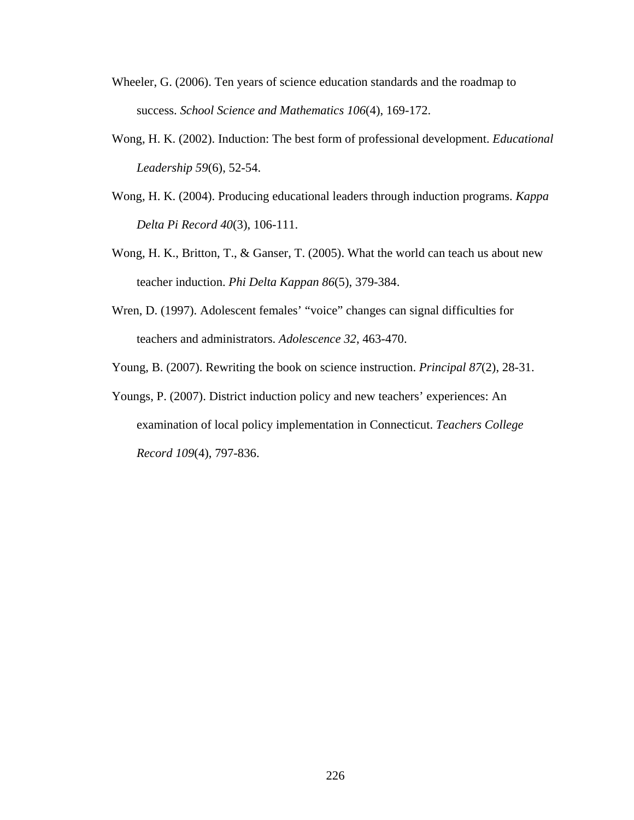- Wheeler, G. (2006). Ten years of science education standards and the roadmap to success. *School Science and Mathematics 106*(4), 169-172.
- Wong, H. K. (2002). Induction: The best form of professional development. *Educational Leadership 59*(6), 52-54.
- Wong, H. K. (2004). Producing educational leaders through induction programs. *Kappa Delta Pi Record 40*(3), 106-111.
- Wong, H. K., Britton, T., & Ganser, T. (2005). What the world can teach us about new teacher induction. *Phi Delta Kappan 86*(5), 379-384.
- Wren, D. (1997). Adolescent females' "voice" changes can signal difficulties for teachers and administrators. *Adolescence 32*, 463-470.
- Young, B. (2007). Rewriting the book on science instruction. *Principal 87*(2), 28-31.
- Youngs, P. (2007). District induction policy and new teachers' experiences: An examination of local policy implementation in Connecticut. *Teachers College Record 109*(4), 797-836.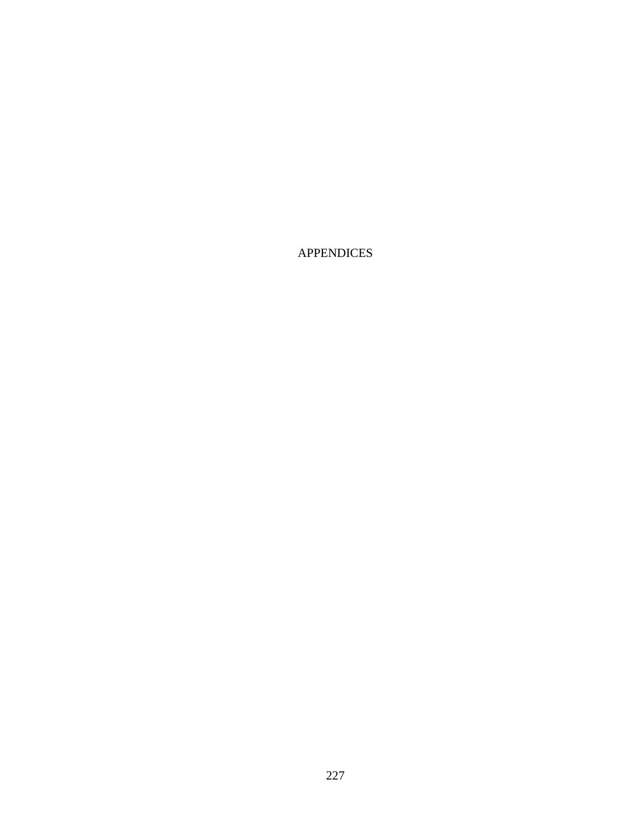APPENDICES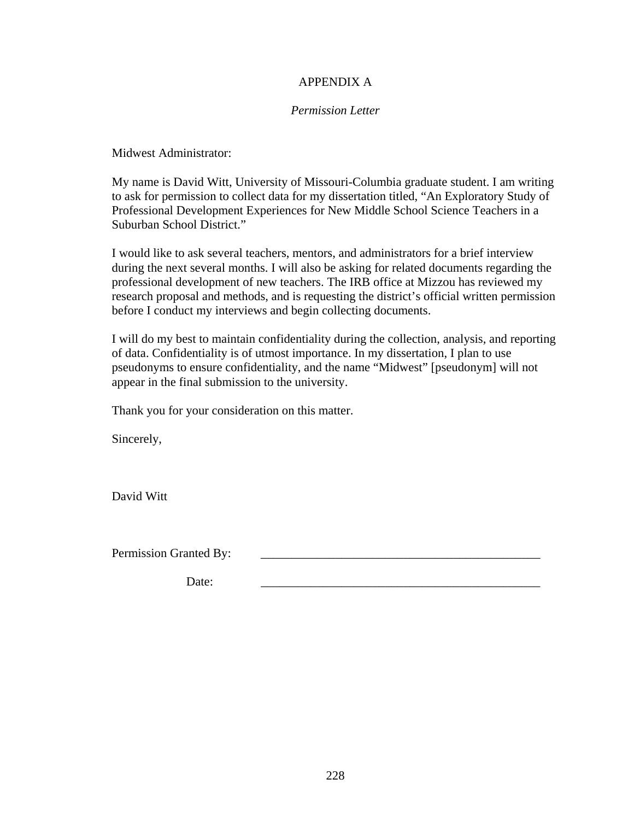# APPENDIX A

### *Permission Letter*

Midwest Administrator:

My name is David Witt, University of Missouri-Columbia graduate student. I am writing to ask for permission to collect data for my dissertation titled, "An Exploratory Study of Professional Development Experiences for New Middle School Science Teachers in a Suburban School District."

I would like to ask several teachers, mentors, and administrators for a brief interview during the next several months. I will also be asking for related documents regarding the professional development of new teachers. The IRB office at Mizzou has reviewed my research proposal and methods, and is requesting the district's official written permission before I conduct my interviews and begin collecting documents.

I will do my best to maintain confidentiality during the collection, analysis, and reporting of data. Confidentiality is of utmost importance. In my dissertation, I plan to use pseudonyms to ensure confidentiality, and the name "Midwest" [pseudonym] will not appear in the final submission to the university.

Thank you for your consideration on this matter.

Sincerely,

David Witt

Permission Granted By:

Date: \_\_\_\_\_\_\_\_\_\_\_\_\_\_\_\_\_\_\_\_\_\_\_\_\_\_\_\_\_\_\_\_\_\_\_\_\_\_\_\_\_\_\_\_\_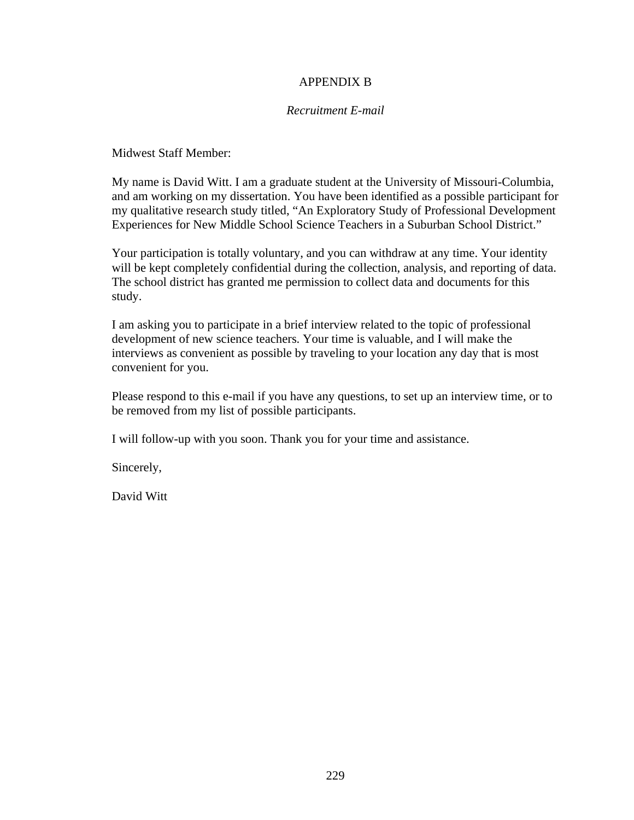# APPENDIX B

### *Recruitment E-mail*

Midwest Staff Member:

My name is David Witt. I am a graduate student at the University of Missouri-Columbia, and am working on my dissertation. You have been identified as a possible participant for my qualitative research study titled, "An Exploratory Study of Professional Development Experiences for New Middle School Science Teachers in a Suburban School District."

Your participation is totally voluntary, and you can withdraw at any time. Your identity will be kept completely confidential during the collection, analysis, and reporting of data. The school district has granted me permission to collect data and documents for this study.

I am asking you to participate in a brief interview related to the topic of professional development of new science teachers. Your time is valuable, and I will make the interviews as convenient as possible by traveling to your location any day that is most convenient for you.

Please respond to this e-mail if you have any questions, to set up an interview time, or to be removed from my list of possible participants.

I will follow-up with you soon. Thank you for your time and assistance.

Sincerely,

David Witt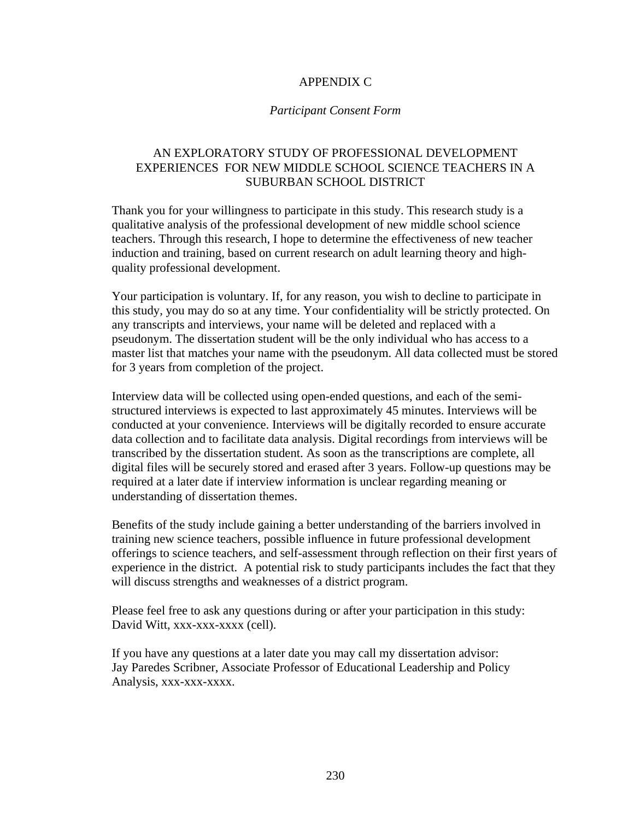## APPENDIX C

#### *Participant Consent Form*

# AN EXPLORATORY STUDY OF PROFESSIONAL DEVELOPMENT EXPERIENCES FOR NEW MIDDLE SCHOOL SCIENCE TEACHERS IN A SUBURBAN SCHOOL DISTRICT

Thank you for your willingness to participate in this study. This research study is a qualitative analysis of the professional development of new middle school science teachers. Through this research, I hope to determine the effectiveness of new teacher induction and training, based on current research on adult learning theory and highquality professional development.

Your participation is voluntary. If, for any reason, you wish to decline to participate in this study, you may do so at any time. Your confidentiality will be strictly protected. On any transcripts and interviews, your name will be deleted and replaced with a pseudonym. The dissertation student will be the only individual who has access to a master list that matches your name with the pseudonym. All data collected must be stored for 3 years from completion of the project.

Interview data will be collected using open-ended questions, and each of the semistructured interviews is expected to last approximately 45 minutes. Interviews will be conducted at your convenience. Interviews will be digitally recorded to ensure accurate data collection and to facilitate data analysis. Digital recordings from interviews will be transcribed by the dissertation student. As soon as the transcriptions are complete, all digital files will be securely stored and erased after 3 years. Follow-up questions may be required at a later date if interview information is unclear regarding meaning or understanding of dissertation themes.

Benefits of the study include gaining a better understanding of the barriers involved in training new science teachers, possible influence in future professional development offerings to science teachers, and self-assessment through reflection on their first years of experience in the district. A potential risk to study participants includes the fact that they will discuss strengths and weaknesses of a district program.

Please feel free to ask any questions during or after your participation in this study: David Witt, xxx-xxx-xxxx (cell).

If you have any questions at a later date you may call my dissertation advisor: Jay Paredes Scribner, Associate Professor of Educational Leadership and Policy Analysis, xxx-xxx-xxxx.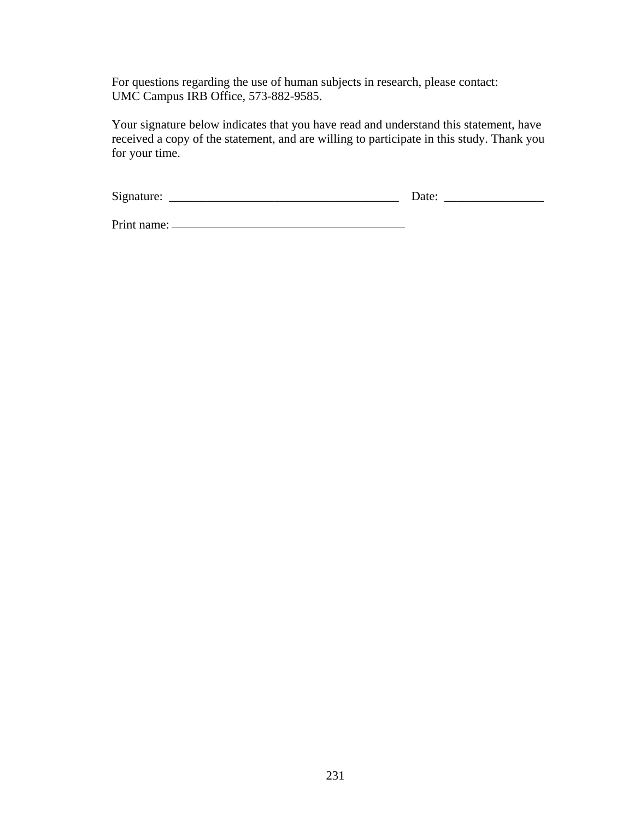For questions regarding the use of human subjects in research, please contact: UMC Campus IRB Office, 573-882-9585.

Your signature below indicates that you have read and understand this statement, have received a copy of the statement, and are willing to participate in this study. Thank you for your time.

| $\sim$<br>S19 |  |  |
|---------------|--|--|
|               |  |  |

Print name: <u>Quantilated</u> Print name: Quantilated Print name: Quantilated Print name: Quantilated Print name: Quantilated Print name: Quantilated Print name: Quantilated Print name: Quantilated Print name: Quantilated Prin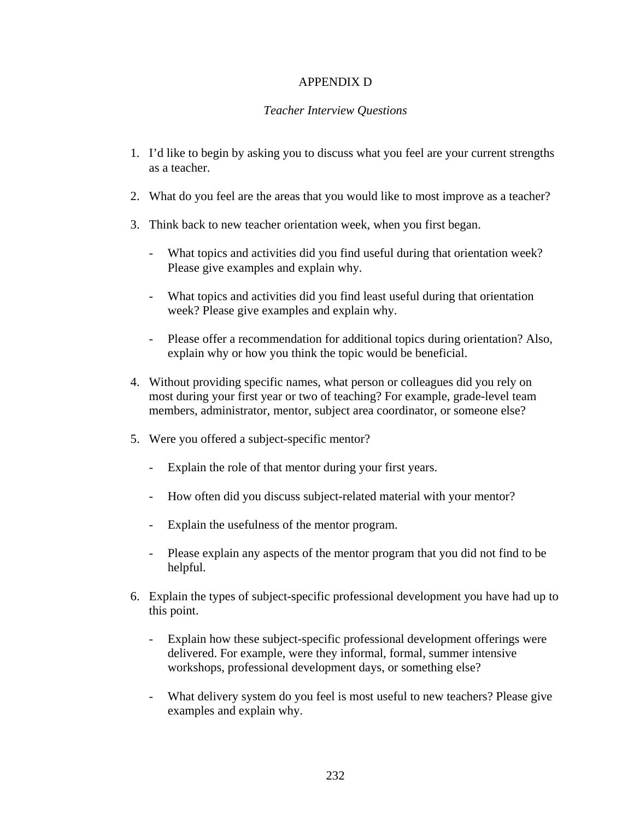# APPENDIX D

## *Teacher Interview Questions*

- 1. I'd like to begin by asking you to discuss what you feel are your current strengths as a teacher.
- 2. What do you feel are the areas that you would like to most improve as a teacher?
- 3. Think back to new teacher orientation week, when you first began.
	- What topics and activities did you find useful during that orientation week? Please give examples and explain why.
	- What topics and activities did you find least useful during that orientation week? Please give examples and explain why.
	- Please offer a recommendation for additional topics during orientation? Also, explain why or how you think the topic would be beneficial.
- 4. Without providing specific names, what person or colleagues did you rely on most during your first year or two of teaching? For example, grade-level team members, administrator, mentor, subject area coordinator, or someone else?
- 5. Were you offered a subject-specific mentor?
	- Explain the role of that mentor during your first years.
	- How often did you discuss subject-related material with your mentor?
	- Explain the usefulness of the mentor program.
	- Please explain any aspects of the mentor program that you did not find to be helpful.
- 6. Explain the types of subject-specific professional development you have had up to this point.
	- Explain how these subject-specific professional development offerings were delivered. For example, were they informal, formal, summer intensive workshops, professional development days, or something else?
	- What delivery system do you feel is most useful to new teachers? Please give examples and explain why.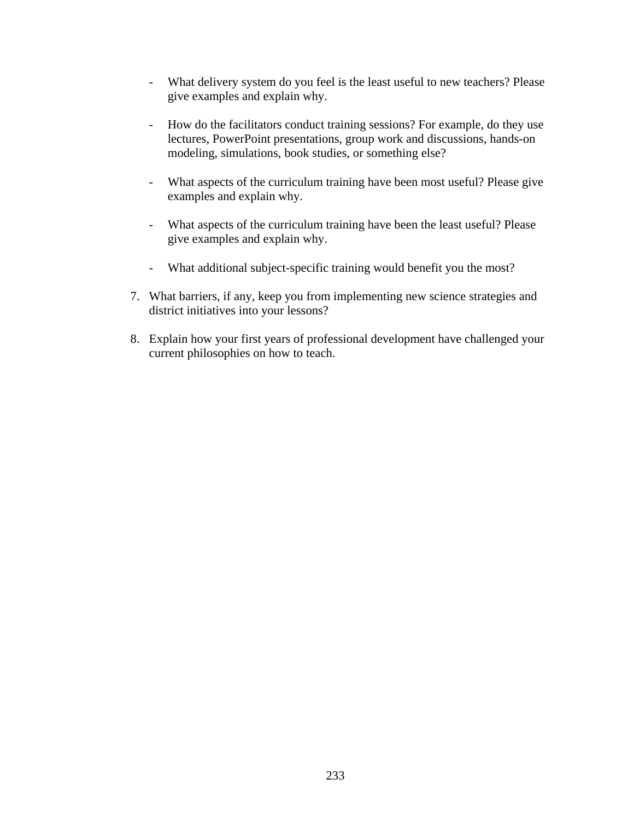- What delivery system do you feel is the least useful to new teachers? Please give examples and explain why.
- How do the facilitators conduct training sessions? For example, do they use lectures, PowerPoint presentations, group work and discussions, hands-on modeling, simulations, book studies, or something else?
- What aspects of the curriculum training have been most useful? Please give examples and explain why.
- What aspects of the curriculum training have been the least useful? Please give examples and explain why.
- What additional subject-specific training would benefit you the most?
- 7. What barriers, if any, keep you from implementing new science strategies and district initiatives into your lessons?
- 8. Explain how your first years of professional development have challenged your current philosophies on how to teach.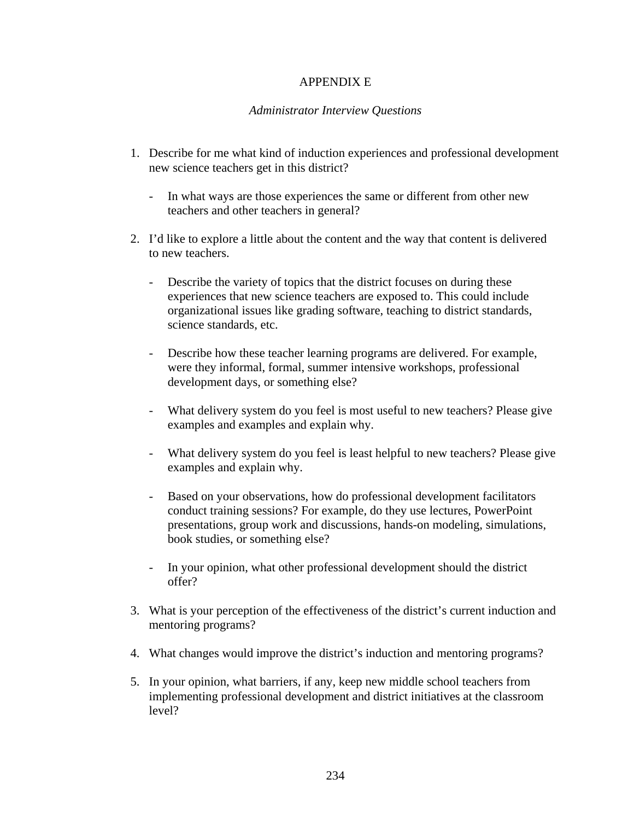## APPENDIX E

### *Administrator Interview Questions*

- 1. Describe for me what kind of induction experiences and professional development new science teachers get in this district?
	- In what ways are those experiences the same or different from other new teachers and other teachers in general?
- 2. I'd like to explore a little about the content and the way that content is delivered to new teachers.
	- Describe the variety of topics that the district focuses on during these experiences that new science teachers are exposed to. This could include organizational issues like grading software, teaching to district standards, science standards, etc.
	- Describe how these teacher learning programs are delivered. For example, were they informal, formal, summer intensive workshops, professional development days, or something else?
	- What delivery system do you feel is most useful to new teachers? Please give examples and examples and explain why.
	- What delivery system do you feel is least helpful to new teachers? Please give examples and explain why.
	- Based on your observations, how do professional development facilitators conduct training sessions? For example, do they use lectures, PowerPoint presentations, group work and discussions, hands-on modeling, simulations, book studies, or something else?
	- In your opinion, what other professional development should the district offer?
- 3. What is your perception of the effectiveness of the district's current induction and mentoring programs?
- 4. What changes would improve the district's induction and mentoring programs?
- 5. In your opinion, what barriers, if any, keep new middle school teachers from implementing professional development and district initiatives at the classroom level?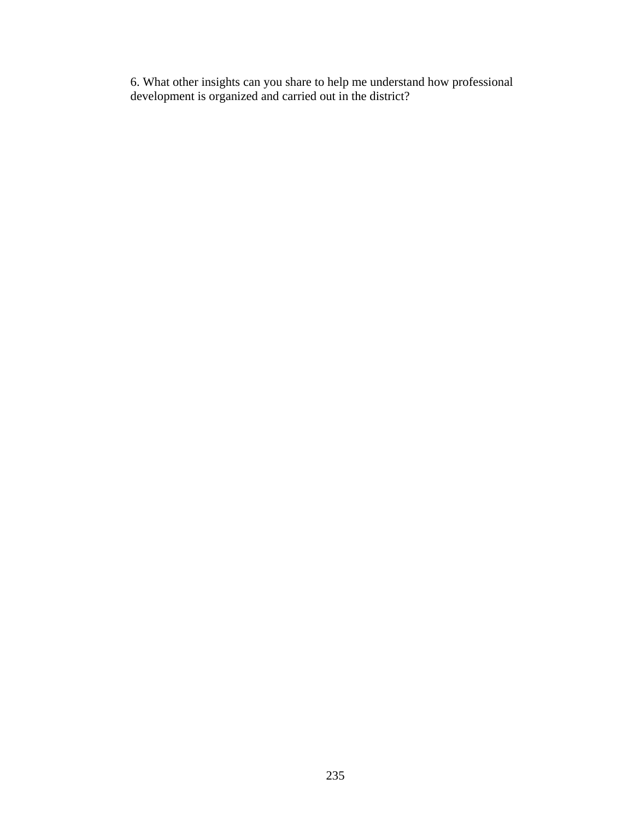6. What other insights can you share to help me understand how professional development is organized and carried out in the district?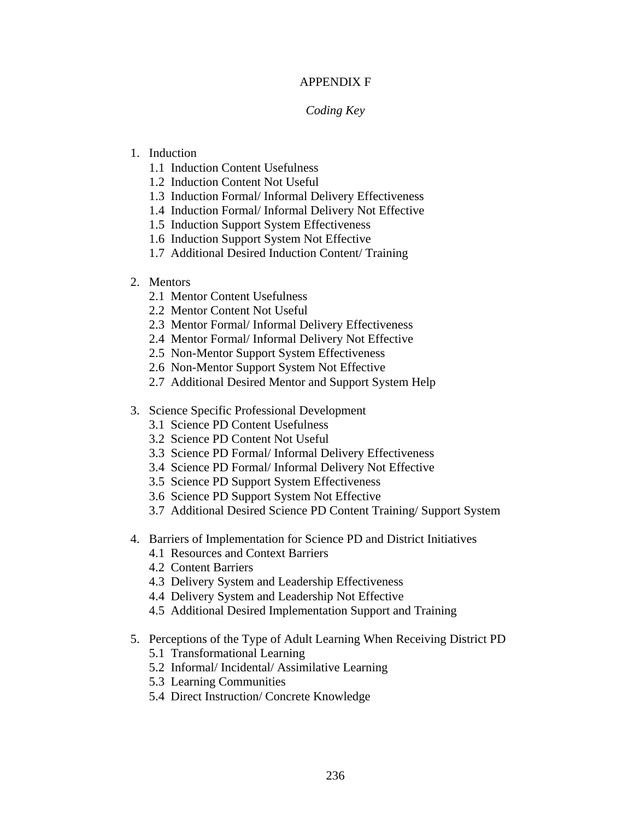## APPENDIX F

### *Coding Key*

# 1. Induction

- 1.1 Induction Content Usefulness
- 1.2 Induction Content Not Useful
- 1.3 Induction Formal/ Informal Delivery Effectiveness
- 1.4 Induction Formal/ Informal Delivery Not Effective
- 1.5 Induction Support System Effectiveness
- 1.6 Induction Support System Not Effective
- 1.7 Additional Desired Induction Content/ Training

# 2. Mentors

- 2.1 Mentor Content Usefulness
- 2.2 Mentor Content Not Useful
- 2.3 Mentor Formal/ Informal Delivery Effectiveness
- 2.4 Mentor Formal/ Informal Delivery Not Effective
- 2.5 Non-Mentor Support System Effectiveness
- 2.6 Non-Mentor Support System Not Effective
- 2.7 Additional Desired Mentor and Support System Help
- 3. Science Specific Professional Development
	- 3.1 Science PD Content Usefulness
	- 3.2 Science PD Content Not Useful
	- 3.3 Science PD Formal/ Informal Delivery Effectiveness
	- 3.4 Science PD Formal/ Informal Delivery Not Effective
	- 3.5 Science PD Support System Effectiveness
	- 3.6 Science PD Support System Not Effective
	- 3.7 Additional Desired Science PD Content Training/ Support System
- 4. Barriers of Implementation for Science PD and District Initiatives
	- 4.1 Resources and Context Barriers
	- 4.2 Content Barriers
	- 4.3 Delivery System and Leadership Effectiveness
	- 4.4 Delivery System and Leadership Not Effective
	- 4.5 Additional Desired Implementation Support and Training
- 5. Perceptions of the Type of Adult Learning When Receiving District PD
	- 5.1 Transformational Learning
	- 5.2 Informal/ Incidental/ Assimilative Learning
	- 5.3 Learning Communities
	- 5.4 Direct Instruction/ Concrete Knowledge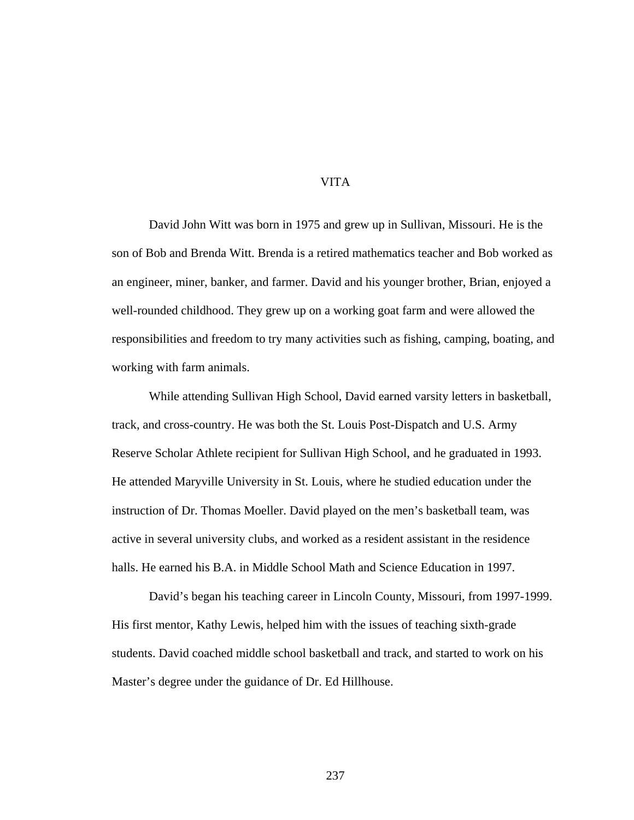#### VITA

David John Witt was born in 1975 and grew up in Sullivan, Missouri. He is the son of Bob and Brenda Witt. Brenda is a retired mathematics teacher and Bob worked as an engineer, miner, banker, and farmer. David and his younger brother, Brian, enjoyed a well-rounded childhood. They grew up on a working goat farm and were allowed the responsibilities and freedom to try many activities such as fishing, camping, boating, and working with farm animals.

While attending Sullivan High School, David earned varsity letters in basketball, track, and cross-country. He was both the St. Louis Post-Dispatch and U.S. Army Reserve Scholar Athlete recipient for Sullivan High School, and he graduated in 1993. He attended Maryville University in St. Louis, where he studied education under the instruction of Dr. Thomas Moeller. David played on the men's basketball team, was active in several university clubs, and worked as a resident assistant in the residence halls. He earned his B.A. in Middle School Math and Science Education in 1997.

David's began his teaching career in Lincoln County, Missouri, from 1997-1999. His first mentor, Kathy Lewis, helped him with the issues of teaching sixth-grade students. David coached middle school basketball and track, and started to work on his Master's degree under the guidance of Dr. Ed Hillhouse.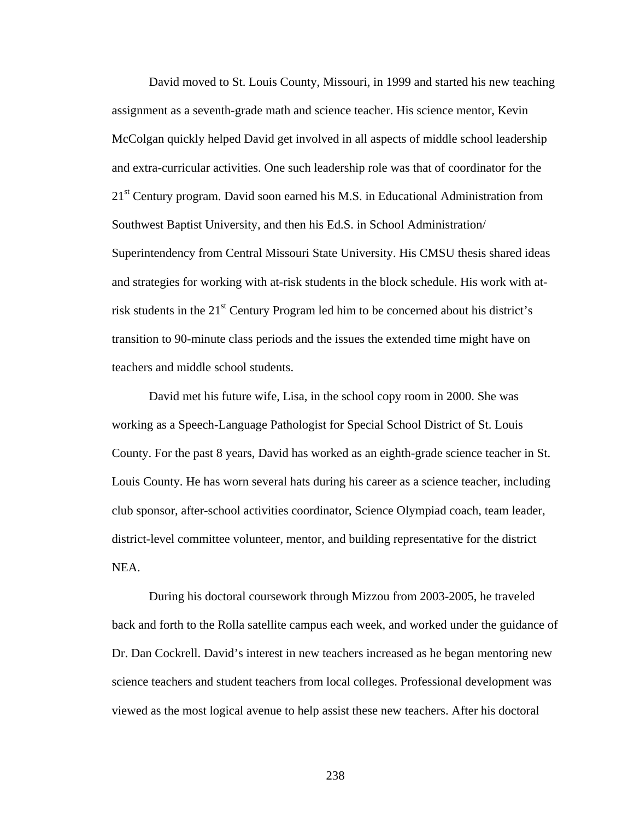David moved to St. Louis County, Missouri, in 1999 and started his new teaching assignment as a seventh-grade math and science teacher. His science mentor, Kevin McColgan quickly helped David get involved in all aspects of middle school leadership and extra-curricular activities. One such leadership role was that of coordinator for the 21<sup>st</sup> Century program. David soon earned his M.S. in Educational Administration from Southwest Baptist University, and then his Ed.S. in School Administration/ Superintendency from Central Missouri State University. His CMSU thesis shared ideas and strategies for working with at-risk students in the block schedule. His work with atrisk students in the 21<sup>st</sup> Century Program led him to be concerned about his district's transition to 90-minute class periods and the issues the extended time might have on teachers and middle school students.

David met his future wife, Lisa, in the school copy room in 2000. She was working as a Speech-Language Pathologist for Special School District of St. Louis County. For the past 8 years, David has worked as an eighth-grade science teacher in St. Louis County. He has worn several hats during his career as a science teacher, including club sponsor, after-school activities coordinator, Science Olympiad coach, team leader, district-level committee volunteer, mentor, and building representative for the district NEA.

During his doctoral coursework through Mizzou from 2003-2005, he traveled back and forth to the Rolla satellite campus each week, and worked under the guidance of Dr. Dan Cockrell. David's interest in new teachers increased as he began mentoring new science teachers and student teachers from local colleges. Professional development was viewed as the most logical avenue to help assist these new teachers. After his doctoral